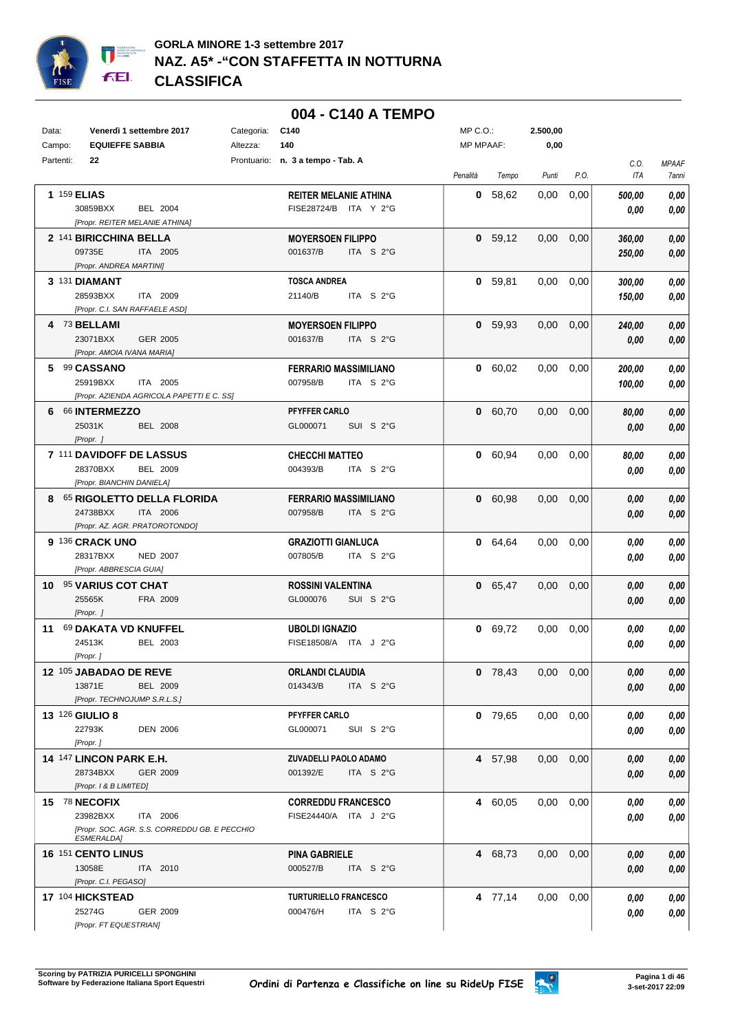

## **004 - C140 A TEMPO**

| Data:     | Venerdì 1 settembre 2017                                                                                    | Categoria:<br>C140                                      | MP C.O.:  | 2.500,00                     |               |                  |                        |
|-----------|-------------------------------------------------------------------------------------------------------------|---------------------------------------------------------|-----------|------------------------------|---------------|------------------|------------------------|
| Campo:    | <b>EQUIEFFE SABBIA</b>                                                                                      | 140<br>Altezza:                                         | MP MPAAF: | 0,00                         |               |                  |                        |
| Partenti: | 22                                                                                                          | Prontuario: n. 3 a tempo - Tab. A                       | Penalità  | Tempo<br>Punti               | P.O.          | C.O.<br>ITA      | <b>MPAAF</b><br>7anni  |
|           | 1 159 ELIAS<br>30859BXX<br>BEL 2004                                                                         | <b>REITER MELANIE ATHINA</b><br>FISE28724/B ITA Y 2°G   |           | 0 58,62<br>0,00              | 0,00          | 500,00<br>0.00   | 0,00<br>0,00           |
|           | [Propr. REITER MELANIE ATHINA]<br>2 141 BIRICCHINA BELLA<br>09735E<br>ITA 2005<br>[Propr. ANDREA MARTINI]   | <b>MOYERSOEN FILIPPO</b><br>001637/B<br>ITA S 2°G       |           | 0, 59, 12<br>0,00            | 0,00          | 360,00<br>250,00 | 0,00<br>0,00           |
|           | 3 131 DIAMANT<br>28593BXX<br>ITA 2009<br>[Propr. C.I. SAN RAFFAELE ASD]                                     | <b>TOSCA ANDREA</b><br>21140/B<br>ITA $S2G$             |           | 0, 59, 81<br>0,00            | 0,00          | 300,00<br>150,00 | 0,00<br>0,00           |
|           | 4 73 BELLAMI<br>23071BXX<br>GER 2005<br>[Propr. AMOIA IVANA MARIA]                                          | <b>MOYERSOEN FILIPPO</b><br>001637/B<br>ITA S 2°G       |           | 0, 59, 93<br>0,00            | 0,00          | 240,00<br>0,00   | 0,00<br>0,00           |
|           | 5 99 CASSANO<br>25919BXX<br>ITA 2005<br>[Propr. AZIENDA AGRICOLA PAPETTI E C. SS]                           | <b>FERRARIO MASSIMILIANO</b><br>007958/B<br>ITA S 2°G   |           | 0 60,02<br>$0,00$ $0,00$     |               | 200,00<br>100,00 | 0,00<br>0,00           |
|           | 6 66 INTERMEZZO<br>25031K<br><b>BEL 2008</b><br>[Propr. ]                                                   | PFYFFER CARLO<br>GL000071<br>SUI S 2°G                  |           | 0 60,70<br>$0.00 \quad 0.00$ |               | 80,00<br>0,00    | 0,00<br>0,00           |
|           | 7 111 DAVIDOFF DE LASSUS<br>28370BXX<br>BEL 2009<br>[Propr. BIANCHIN DANIELA]                               | <b>CHECCHI MATTEO</b><br>004393/B<br>ITA $S2G$          |           | 0,00<br>0 60,94              | 0,00          | 80,00<br>0,00    | 0,00<br>0,00           |
|           | 8 65 RIGOLETTO DELLA FLORIDA<br>24738BXX<br>ITA 2006<br>[Propr. AZ. AGR. PRATOROTONDO]                      | <b>FERRARIO MASSIMILIANO</b><br>007958/B<br>ITA S 2°G   |           | 0 60,98<br>$0.00 \quad 0.00$ |               | 0,00<br>0,00     | 0,00<br>0,00           |
|           | 9 136 CRACK UNO<br>28317BXX<br><b>NED 2007</b><br>[Propr. ABBRESCIA GUIA]                                   | <b>GRAZIOTTI GIANLUCA</b><br>ITA S 2°G<br>007805/B      |           | 0 64,64<br>$0,00$ $0,00$     |               | 0,00<br>0,00     | 0,00<br>0,00           |
|           | 10 95 VARIUS COT CHAT<br>25565K<br>FRA 2009<br>[Propr. ]                                                    | <b>ROSSINI VALENTINA</b><br>GL000076<br>SUI S 2°G       |           | 0 65,47<br>$0,00$ $0,00$     |               | 0,00<br>0,00     | 0,00<br>0,00           |
|           | 11 69 DAKATA VD KNUFFEL<br>24513K<br>BEL 2003<br>[Propr.]                                                   | <b>UBOLDI IGNAZIO</b><br>FISE18508/A ITA J 2°G          |           | 0 69,72<br>0,00              | 0,00          | 0,00<br>0,00     | 0,00<br>0,00           |
|           | 12 105 JABADAO DE REVE<br>13871E<br><b>BEL 2009</b><br>[Propr. TECHNOJUMP S.R.L.S.]                         | <b>ORLANDI CLAUDIA</b><br>014343/B<br>ITA $S2°G$        |           | $0$ 78,43                    | $0,00$ $0,00$ | 0,00<br>0,00     | $\pmb{0,\!00}$<br>0,00 |
|           | <b>13 126 GIULIO 8</b><br>22793K<br><b>DEN 2006</b><br>[Propr.]                                             | PFYFFER CARLO<br>GL000071<br>SUI S 2°G                  |           | $0,00$ $0,00$<br>$0$ 79,65   |               | 0,00<br>0,00     | 0,00<br>0,00           |
|           | 14 147 LINCON PARK E.H.<br>28734BXX<br><b>GER 2009</b><br>[Propr. 1 & B LIMITED]                            | ZUVADELLI PAOLO ADAMO<br>001392/E<br>ITA $S$ 2°G        |           | $0,00$ $0,00$<br>4 57,98     |               | 0,00<br>0,00     | 0,00<br>0,00           |
|           | 15 78 NECOFIX<br>23982BXX<br>ITA 2006<br>[Propr. SOC. AGR. S.S. CORREDDU GB. E PECCHIO<br><b>ESMERALDA]</b> | <b>CORREDDU FRANCESCO</b><br>FISE24440/A ITA J 2°G      |           | $0,00$ $0,00$<br>4 60,05     |               | 0,00<br>0,00     | 0,00<br>0,00           |
|           | 16 151 CENTO LINUS<br>13058E<br>ITA 2010<br>[Propr. C.I. PEGASO]                                            | PINA GABRIELE<br>000527/B<br>ITA $S2°G$                 |           | 4 68,73<br>$0,00$ $0,00$     |               | 0,00<br>0,00     | 0,00<br>0,00           |
|           | 17 104 HICKSTEAD<br>25274G<br>GER 2009<br>[Propr. FT EQUESTRIAN]                                            | <b>TURTURIELLO FRANCESCO</b><br>000476/H<br>ITA $S$ 2°G |           | $0,00$ $0,00$<br>4 77,14     |               | 0,00<br>0,00     | 0,00<br>0,00           |

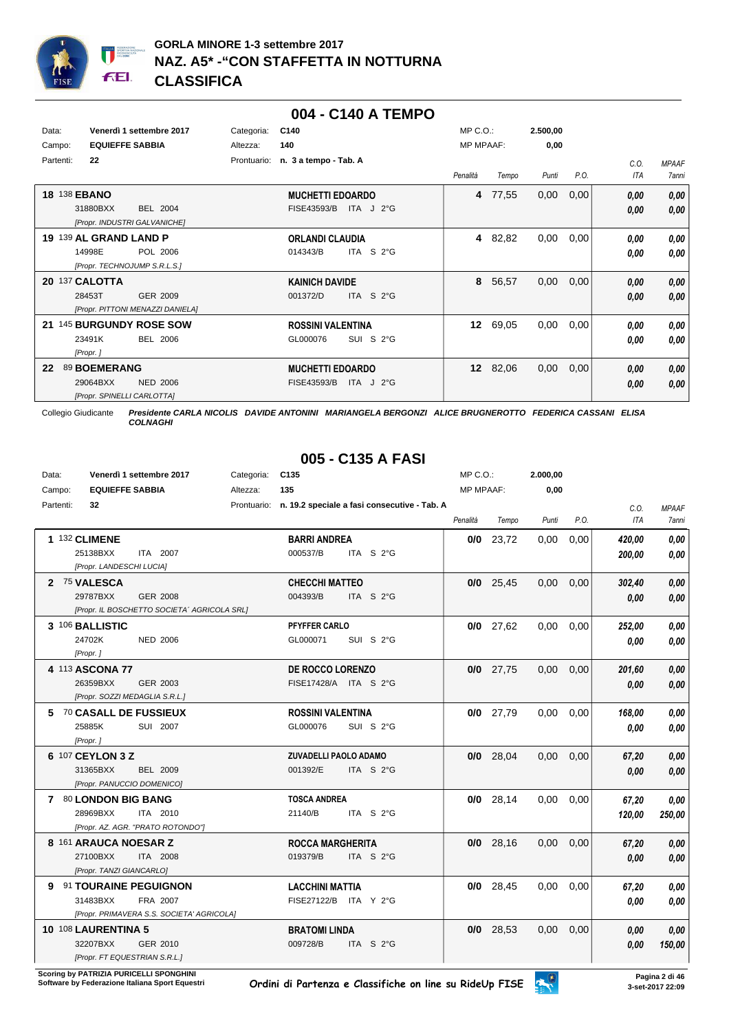

#### **004 - C140 A TEMPO**

| Data:<br>Campo: | Venerdì 1 settembre 2017<br><b>EQUIEFFE SABBIA</b>                                 | C140<br>Categoria:<br>140<br>Altezza:                     | $MP C. O.$ :<br><b>MP MPAAF:</b> | 2.500,00<br>0,00 |              |                       |
|-----------------|------------------------------------------------------------------------------------|-----------------------------------------------------------|----------------------------------|------------------|--------------|-----------------------|
| Partenti:       | 22                                                                                 | Prontuario:<br>n. 3 a tempo - Tab. A                      | Penalità<br>Tempo                | P.O.<br>Punti    | C.0.<br>ITA  | <b>MPAAF</b><br>7anni |
|                 | <b>18 138 EBANO</b><br>31880BXX<br><b>BEL 2004</b><br>[Propr. INDUSTRI GALVANICHE] | <b>MUCHETTI EDOARDO</b><br>FISE43593/B<br>ITA $J$ 2°G     | 77,55<br>4                       | 0,00<br>0,00     | 0,00<br>0,00 | 0,00<br>0,00          |
|                 | 19 139 AL GRAND LAND P<br>14998E<br>POL 2006<br>[Propr. TECHNOJUMP S.R.L.S.]       | <b>ORLANDI CLAUDIA</b><br>014343/B<br>ITA S $2^{\circ}$ G | 82,82<br>4                       | 0,00<br>0,00     | 0.00<br>0.00 | 0,00<br>0.00          |
|                 | 20 137 CALOTTA<br>28453T<br>GER 2009<br>[Propr. PITTONI MENAZZI DANIELA]           | <b>KAINICH DAVIDE</b><br>$ITA$ S $2^{\circ}G$<br>001372/D | 8<br>56,57                       | 0,00<br>0,00     | 0,00<br>0,00 | 0,00<br>0,00          |
| 21              | 145 BURGUNDY ROSE SOW<br><b>BEL 2006</b><br>23491K<br>[Propr.]                     | <b>ROSSINI VALENTINA</b><br>GL000076<br>SUI S 2°G         | 12 <sup>1</sup><br>69,05         | 0,00<br>0,00     | 0,00<br>0,00 | 0,00<br>0.00          |
| 22              | 89 BOEMERANG<br>29064BXX<br><b>NED 2006</b><br>[Propr. SPINELLI CARLOTTA]          | <b>MUCHETTI EDOARDO</b><br>FISE43593/B<br>ITA $J$ 2°G     | 12 82,06                         | 0,00<br>0,00     | 0,00<br>0,00 | 0,00<br>0,00          |

Collegio Giudicante *Presidente CARLA NICOLIS DAVIDE ANTONINI MARIANGELA BERGONZI ALICE BRUGNEROTTO FEDERICA CASSANI ELISA COLNAGHI*

## **005 - C135 A FASI**

| Data:     |                                                                  | Venerdì 1 settembre 2017                                       | Categoria: | C <sub>135</sub>                                 |                                                          | $MP C. O.$ : |             | 2.000,00 |      |                    |                       |
|-----------|------------------------------------------------------------------|----------------------------------------------------------------|------------|--------------------------------------------------|----------------------------------------------------------|--------------|-------------|----------|------|--------------------|-----------------------|
| Campo:    | <b>EQUIEFFE SABBIA</b>                                           |                                                                | Altezza:   | 135                                              |                                                          | MP MPAAF:    |             | 0,00     |      |                    |                       |
| Partenti: | 32                                                               |                                                                |            |                                                  | Prontuario: n. 19.2 speciale a fasi consecutive - Tab. A | Penalità     | Tempo       | Punti    | P.O. | C.O.<br><b>ITA</b> | <b>MPAAF</b><br>7anni |
|           | 1 132 CLIMENE<br>25138BXX<br>[Propr. LANDESCHI LUCIA]            | ITA 2007                                                       |            | <b>BARRI ANDREA</b><br>000537/B                  | ITA S $2^{\circ}$ G                                      |              | $0/0$ 23,72 | 0,00     | 0,00 | 420,00<br>200,00   | 0,00<br>0,00          |
|           | 2 75 VALESCA<br>29787BXX                                         | <b>GER 2008</b><br>[Propr. IL BOSCHETTO SOCIETA' AGRICOLA SRL] |            | <b>CHECCHI MATTEO</b><br>004393/B                | ITA S 2°G                                                |              | $0/0$ 25,45 | 0,00     | 0,00 | 302,40<br>0.00     | 0.00<br>0,00          |
|           | 3 106 BALLISTIC<br>24702K<br>[Propr.]                            | <b>NED 2006</b>                                                |            | <b>PFYFFER CARLO</b><br>GL000071                 | SUI S 2°G                                                |              | $0/0$ 27,62 | 0,00     | 0,00 | 252,00<br>0.00     | 0.00<br>0.00          |
|           | 4 113 ASCONA 77<br>26359BXX<br>[Propr. SOZZI MEDAGLIA S.R.L.]    | GER 2003                                                       |            | <b>DE ROCCO LORENZO</b><br>FISE17428/A ITA S 2°G |                                                          |              | $0/0$ 27,75 | 0,00     | 0,00 | 201,60<br>0.00     | 0,00<br>0.00          |
|           | 5 70 CASALL DE FUSSIEUX<br>25885K<br>[Propr.]                    | SUI 2007                                                       |            | <b>ROSSINI VALENTINA</b><br>GL000076             | SUI S 2°G                                                |              | $0/0$ 27,79 | 0,00     | 0.00 | 168,00<br>0.00     | 0,00<br>0,00          |
|           | 6 107 CEYLON 3 Z<br>31365BXX<br>[Propr. PANUCCIO DOMENICO]       | <b>BEL 2009</b>                                                |            | <b>ZUVADELLI PAOLO ADAMO</b><br>001392/E         | ITA S 2°G                                                |              | $0/0$ 28,04 | 0,00     | 0,00 | 67,20<br>0.00      | 0,00<br>0,00          |
|           | 7 80 LONDON BIG BANG<br>28969BXX                                 | ITA 2010<br>[Propr. AZ. AGR. "PRATO ROTONDO"]                  |            | <b>TOSCA ANDREA</b><br>21140/B                   | ITA S $2^{\circ}$ G                                      |              | $0/0$ 28,14 | 0,00     | 0,00 | 67,20<br>120,00    | 0.00<br>250,00        |
|           | 8 161 ARAUCA NOESAR Z<br>27100BXX<br>[Propr. TANZI GIANCARLO]    | <b>ITA 2008</b>                                                |            | <b>ROCCA MARGHERITA</b><br>019379/B              | ITA S 2°G                                                |              | $0/0$ 28,16 | 0,00     | 0.00 | 67,20<br>0.00      | 0,00<br>0,00          |
| 9         | 91 TOURAINE PEGUIGNON<br>31483BXX                                | FRA 2007<br>[Propr. PRIMAVERA S.S. SOCIETA' AGRICOLA]          |            | <b>LACCHINI MATTIA</b><br>FISE27122/B ITA Y 2°G  |                                                          |              | $0/0$ 28,45 | 0,00     | 0,00 | 67,20<br>0.00      | 0.00<br>0.00          |
|           | 10 108 LAURENTINA 5<br>32207BXX<br>[Propr. FT EQUESTRIAN S.R.L.] | GER 2010                                                       |            | <b>BRATOMI LINDA</b><br>009728/B                 | ITA S 2°G                                                |              | $0/0$ 28,53 | 0,00     | 0,00 | 0.00<br>0,00       | 0,00<br>150,00        |

**Scoring by PATRIZIA PURICELLI SPONGHINI<br>Software by Federazione Italiana Sport Equestri**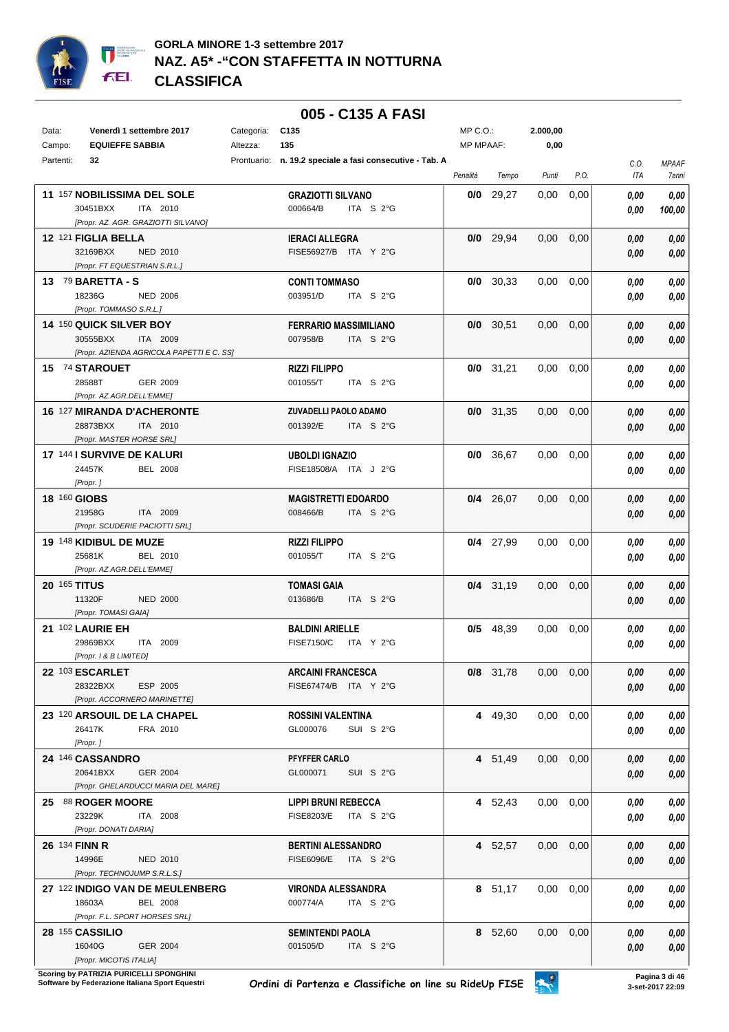

## **005 - C135 A FASI**

| Data:               | Venerdì 1 settembre 2017                         | Categoria: | C135                                                     | MP C.O.:         |             | 2.000,00      |      |      |        |
|---------------------|--------------------------------------------------|------------|----------------------------------------------------------|------------------|-------------|---------------|------|------|--------|
| Campo:              | <b>EQUIEFFE SABBIA</b>                           | Altezza:   | 135                                                      | <b>MP MPAAF:</b> |             | 0,00          |      |      |        |
| Partenti:           | 32                                               |            | Prontuario: n. 19.2 speciale a fasi consecutive - Tab. A |                  |             |               |      | C.O. | MPAAF  |
|                     |                                                  |            |                                                          | Penalità         | Tempo       | Punti         | P.O. | ITA  | 7anni  |
|                     | 11 157 NOBILISSIMA DEL SOLE                      |            | <b>GRAZIOTTI SILVANO</b>                                 | 0/0              | 29,27       | 0,00          | 0,00 | 0.00 | 0,00   |
|                     | 30451BXX<br>ITA 2010                             |            | 000664/B<br>ITA S 2°G                                    |                  |             |               |      |      |        |
|                     | [Propr. AZ. AGR. GRAZIOTTI SILVANO]              |            |                                                          |                  |             |               |      | 0.00 | 100,00 |
|                     | 12 <sup>121</sup> FIGLIA BELLA                   |            | <b>IERACI ALLEGRA</b>                                    |                  | $0/0$ 29,94 | 0,00          | 0,00 |      | 0,00   |
|                     | 32169BXX<br>NED 2010                             |            | FISE56927/B ITA Y 2°G                                    |                  |             |               |      | 0,00 |        |
|                     | [Propr. FT EQUESTRIAN S.R.L.]                    |            |                                                          |                  |             |               |      | 0.00 | 0,00   |
|                     |                                                  |            |                                                          |                  |             |               |      |      |        |
|                     | 13 $79$ BARETTA - S<br>18236G<br><b>NED 2006</b> |            | <b>CONTI TOMMASO</b><br>003951/D<br>ITA S 2°G            |                  | $0/0$ 30,33 | 0.00          | 0,00 | 0.00 | 0,00   |
|                     | [Propr. TOMMASO S.R.L.]                          |            |                                                          |                  |             |               |      | 0,00 | 0,00   |
|                     |                                                  |            |                                                          |                  |             |               |      |      |        |
|                     | 14 150 QUICK SILVER BOY                          |            | <b>FERRARIO MASSIMILIANO</b>                             |                  | $0/0$ 30,51 | 0,00          | 0,00 | 0,00 | 0,00   |
|                     | 30555BXX<br>ITA 2009                             |            | 007958/B<br>ITA S 2°G                                    |                  |             |               |      | 0,00 | 0,00   |
|                     | [Propr. AZIENDA AGRICOLA PAPETTI E C. SS]        |            |                                                          |                  |             |               |      |      |        |
|                     | 15 74 STAROUET                                   |            | <b>RIZZI FILIPPO</b>                                     |                  | $0/0$ 31,21 | 0.00          | 0,00 | 0,00 | 0,00   |
|                     | 28588T<br>GER 2009                               |            | 001055/T<br>ITA S 2°G                                    |                  |             |               |      | 0,00 | 0,00   |
|                     | [Propr. AZ.AGR.DELL'EMME]                        |            |                                                          |                  |             |               |      |      |        |
|                     | <b>16 127 MIRANDA D'ACHERONTE</b>                |            | ZUVADELLI PAOLO ADAMO                                    |                  | $0/0$ 31,35 | 0,00          | 0,00 | 0.00 | 0,00   |
|                     | 28873BXX<br>ITA 2010                             |            | 001392/E<br>ITA S 2°G                                    |                  |             |               |      | 0,00 | 0,00   |
|                     | [Propr. MASTER HORSE SRL]                        |            |                                                          |                  |             |               |      |      |        |
|                     | 17 144 I SURVIVE DE KALURI                       |            | <b>UBOLDI IGNAZIO</b>                                    |                  | 0/0 36,67   | 0,00          | 0,00 | 0,00 | 0,00   |
|                     | 24457K<br><b>BEL 2008</b>                        |            | FISE18508/A ITA J 2°G                                    |                  |             |               |      | 0.00 | 0,00   |
|                     | [Propr.]                                         |            |                                                          |                  |             |               |      |      |        |
|                     | <b>18 160 GIOBS</b>                              |            | <b>MAGISTRETTI EDOARDO</b>                               |                  | $0/4$ 26,07 | 0.00          | 0,00 | 0,00 | 0,00   |
|                     | 21958G<br>ITA 2009                               |            | 008466/B<br>ITA S 2°G                                    |                  |             |               |      | 0,00 | 0,00   |
|                     | [Propr. SCUDERIE PACIOTTI SRL]                   |            |                                                          |                  |             |               |      |      |        |
|                     | 19 148 KIDIBUL DE MUZE                           |            | <b>RIZZI FILIPPO</b>                                     |                  | $0/4$ 27,99 | 0,00          | 0,00 | 0,00 | 0,00   |
|                     | 25681K<br>BEL 2010                               |            | ITA S 2°G<br>001055/T                                    |                  |             |               |      | 0.00 | 0,00   |
|                     | [Propr. AZ.AGR.DELL'EMME]                        |            |                                                          |                  |             |               |      |      |        |
| <b>20 165 TITUS</b> |                                                  |            | <b>TOMASI GAIA</b>                                       |                  | $0/4$ 31,19 | 0,00          | 0,00 | 0,00 | 0,00   |
|                     | 11320F<br><b>NED 2000</b>                        |            | 013686/B<br>ITA S 2°G                                    |                  |             |               |      | 0,00 | 0,00   |
|                     | [Propr. TOMASI GAIA]                             |            |                                                          |                  |             |               |      |      |        |
|                     | 21 102 LAURIE EH                                 |            | <b>BALDINI ARIELLE</b>                                   |                  | $0/5$ 48,39 | 0,00          | 0,00 | 0.00 | 0,00   |
|                     | 29869BXX<br>ITA 2009                             |            | <b>FISE7150/C</b><br>ITA Y 2°G                           |                  |             |               |      | 0.00 | 0,00   |
|                     | [Propr. 1 & B LIMITED]                           |            |                                                          |                  |             |               |      |      |        |
|                     | 22 103 ESCARLET                                  |            | <b>ARCAINI FRANCESCA</b>                                 |                  | 0/8 31,78   | $0,00$ $0,00$ |      | 0,00 | 0,00   |
|                     | ESP 2005<br>28322BXX                             |            | FISE67474/B ITA Y 2°G                                    |                  |             |               |      | 0,00 | 0,00   |
|                     | [Propr. ACCORNERO MARINETTE]                     |            |                                                          |                  |             |               |      |      |        |
|                     | 23 120 ARSOUIL DE LA CHAPEL                      |            | ROSSINI VALENTINA                                        |                  | 4 49,30     | $0,00$ $0,00$ |      | 0.00 | 0.00   |
|                     | 26417K<br>FRA 2010                               |            | GL000076<br>SUI S 2°G                                    |                  |             |               |      | 0,00 | 0,00   |
|                     | [Propr. ]                                        |            |                                                          |                  |             |               |      |      |        |
|                     | 24 146 CASSANDRO                                 |            | PFYFFER CARLO                                            |                  | 4 51,49     | 0,00          | 0,00 | 0,00 | 0,00   |
|                     | 20641BXX<br>GER 2004                             |            | SUI S 2°G<br>GL000071                                    |                  |             |               |      | 0,00 | 0,00   |
|                     | [Propr. GHELARDUCCI MARIA DEL MARE]              |            |                                                          |                  |             |               |      |      |        |
|                     | 25 88 ROGER MOORE                                |            | <b>LIPPI BRUNI REBECCA</b>                               |                  | 4 52,43     | $0,00$ $0,00$ |      | 0.00 | 0,00   |
|                     | 23229K<br>ITA 2008                               |            | FISE8203/E ITA S 2°G                                     |                  |             |               |      | 0,00 | 0,00   |
|                     | [Propr. DONATI DARIA]                            |            |                                                          |                  |             |               |      |      |        |
|                     | <b>26 134 FINN R</b>                             |            | <b>BERTINI ALESSANDRO</b>                                |                  | 4 52,57     | $0,00$ $0,00$ |      | 0,00 | 0,00   |
|                     | 14996E<br>NED 2010                               |            | FISE6096/E ITA S 2°G                                     |                  |             |               |      | 0,00 | 0,00   |
|                     | [Propr. TECHNOJUMP S.R.L.S.]                     |            |                                                          |                  |             |               |      |      |        |
|                     | 27 122 INDIGO VAN DE MEULENBERG                  |            | <b>VIRONDA ALESSANDRA</b>                                |                  | 8 51,17     | $0,00$ $0,00$ |      | 0,00 | 0,00   |
|                     | 18603A<br>BEL 2008                               |            | 000774/A<br>ITA S 2°G                                    |                  |             |               |      | 0,00 | 0,00   |
|                     | [Propr. F.L. SPORT HORSES SRL]                   |            |                                                          |                  |             |               |      |      |        |
|                     | 28 155 CASSILIO                                  |            | <b>SEMINTENDI PAOLA</b>                                  |                  | 8 52,60     | $0,00$ $0,00$ |      | 0,00 | 0,00   |
|                     | 16040G<br>GER 2004                               |            | ITA S 2°G<br>001505/D                                    |                  |             |               |      | 0,00 | 0,00   |
|                     | [Propr. MICOTIS ITALIA]                          |            |                                                          |                  |             |               |      |      |        |

**.**<br>Scoring by PATRIZIA PURICELLI SPONGHINI<br>Software by Federazione Italiana Sport Equestri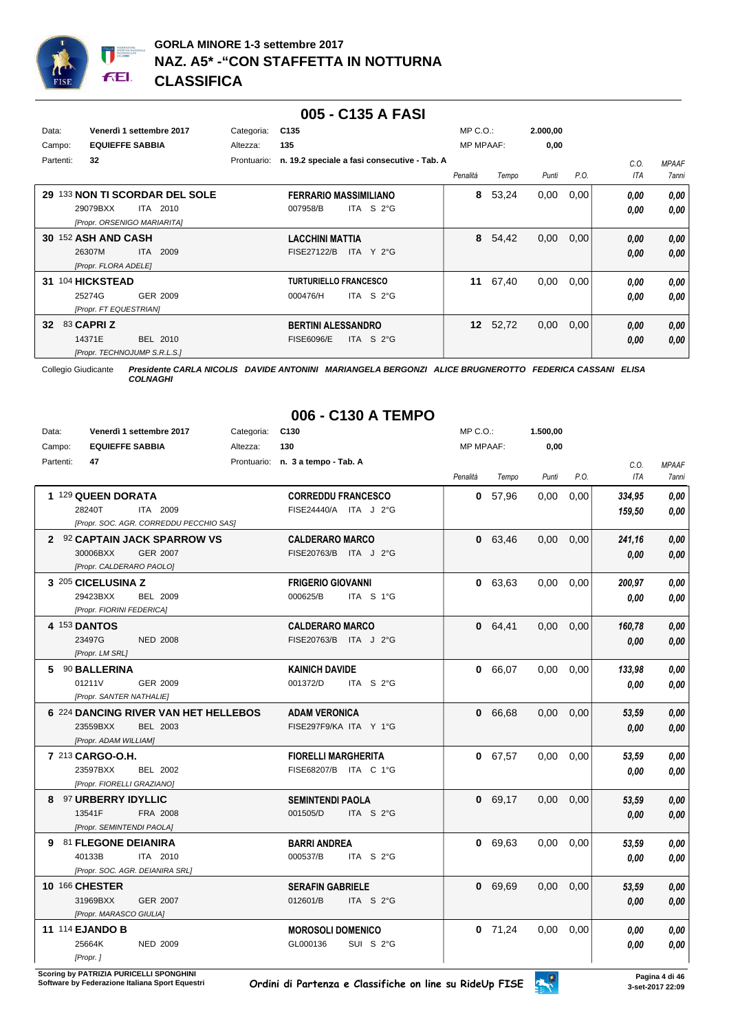

### **005 - C135 A FASI**

| Data:           |                      | Venerdì 1 settembre 2017     | Categoria:  | C <sub>135</sub>                             | $MP C. O.$ :     |       | 2.000,00 |      |            |              |
|-----------------|----------------------|------------------------------|-------------|----------------------------------------------|------------------|-------|----------|------|------------|--------------|
| Campo:          |                      | <b>EQUIEFFE SABBIA</b>       | Altezza:    | 135                                          | <b>MP MPAAF:</b> |       | 0,00     |      |            |              |
| Partenti:       | 32                   |                              | Prontuario: | n. 19.2 speciale a fasi consecutive - Tab. A |                  |       |          |      | C.0.       | <b>MPAAF</b> |
|                 |                      |                              |             |                                              | Penalità         | Tempo | Punti    | P.O. | <b>ITA</b> | <b>7anni</b> |
| 29              |                      | 133 NON TI SCORDAR DEL SOLE  |             | <b>FERRARIO MASSIMILIANO</b>                 | 8                | 53,24 | 0,00     | 0,00 | 0.00       | 0.00         |
|                 | 29079BXX             | ITA 2010                     |             | ITA S $2^{\circ}$ G<br>007958/B              |                  |       |          |      | 0.00       | 0.00         |
|                 |                      | [Propr. ORSENIGO MARIARITA]  |             |                                              |                  |       |          |      |            |              |
| 30              | 152 ASH AND CASH     |                              |             | <b>LACCHINI MATTIA</b>                       | 8                | 54,42 | 0,00     | 0,00 | 0,00       | 0,00         |
|                 | 26307M               | 2009<br>ITA I                |             | <b>FISE27122/B</b><br>ITA $Y$ 2°G            |                  |       |          |      | 0,00       | 0.00         |
|                 | [Propr. FLORA ADELE] |                              |             |                                              |                  |       |          |      |            |              |
| 31              | 104 HICKSTEAD        |                              |             | <b>TURTURIELLO FRANCESCO</b>                 | 11               | 67,40 | 0,00     | 0,00 | 0.00       | 0,00         |
|                 | 25274G               | GER 2009                     |             | ITA S $2^{\circ}$ G<br>000476/H              |                  |       |          |      | 0.00       | 0.00         |
|                 |                      | [Propr. FT EQUESTRIAN]       |             |                                              |                  |       |          |      |            |              |
| 32 <sub>2</sub> | 83 CAPRI Z           |                              |             | <b>BERTINI ALESSANDRO</b>                    | 12               | 52,72 | 0,00     | 0,00 | 0,00       | 0,00         |
|                 | 14371E               | BEL 2010                     |             | ITA S $2^{\circ}$ G<br><b>FISE6096/E</b>     |                  |       |          |      | 0.00       | 0.00         |
|                 |                      | [Propr. TECHNOJUMP S.R.L.S.] |             |                                              |                  |       |          |      |            |              |

Collegio Giudicante *Presidente CARLA NICOLIS DAVIDE ANTONINI MARIANGELA BERGONZI ALICE BRUGNEROTTO FEDERICA CASSANI ELISA*

*COLNAGHI*

# **006 - C130 A TEMPO**

| Data:     | Venerdì 1 settembre 2017        |                                         | Categoria: | C <sub>130</sub>                  |           | MP C.O.:         |           | 1.500,00          |      |            |              |
|-----------|---------------------------------|-----------------------------------------|------------|-----------------------------------|-----------|------------------|-----------|-------------------|------|------------|--------------|
| Campo:    | <b>EQUIEFFE SABBIA</b>          |                                         | Altezza:   | 130                               |           | <b>MP MPAAF:</b> |           | 0,00              |      |            |              |
| Partenti: | 47                              |                                         |            | Prontuario: n. 3 a tempo - Tab. A |           |                  |           |                   |      | C.O.       | <b>MPAAF</b> |
|           |                                 |                                         |            |                                   |           | Penalità         | Tempo     | Punti             | P.O. | <b>ITA</b> | 7anni        |
|           | 1 129 QUEEN DORATA              |                                         |            | <b>CORREDDU FRANCESCO</b>         |           |                  | 0, 57, 96 | 0.00              | 0.00 | 334,95     | 0.00         |
|           | 28240T                          | ITA 2009                                |            | FISE24440/A ITA J 2°G             |           |                  |           |                   |      | 159,50     | 0.00         |
|           |                                 | [Propr. SOC. AGR. CORREDDU PECCHIO SAS] |            |                                   |           |                  |           |                   |      |            |              |
|           |                                 | 2 92 CAPTAIN JACK SPARROW VS            |            | <b>CALDERARO MARCO</b>            |           |                  | 0 63,46   | 0,00              | 0.00 | 241,16     | 0,00         |
|           | 30006BXX                        | <b>GER 2007</b>                         |            | FISE20763/B ITA J 2°G             |           |                  |           |                   |      | 0.00       | 0,00         |
|           | [Propr. CALDERARO PAOLO]        |                                         |            |                                   |           |                  |           |                   |      |            |              |
|           | 3 205 CICELUSINA Z              |                                         |            | <b>FRIGERIO GIOVANNI</b>          |           |                  | 0 63,63   | 0.00 <sub>1</sub> | 0.00 | 200,97     | 0,00         |
|           | 29423BXX                        | <b>BEL 2009</b>                         |            | 000625/B                          | ITA S 1°G |                  |           |                   |      | 0.00       | 0,00         |
|           | [Propr. FIORINI FEDERICA]       |                                         |            |                                   |           |                  |           |                   |      |            |              |
|           | 4 153 DANTOS                    |                                         |            | <b>CALDERARO MARCO</b>            |           |                  | 0 64,41   | 0,00              | 0,00 | 160,78     | 0,00         |
|           | 23497G                          | <b>NED 2008</b>                         |            | FISE20763/B ITA J 2°G             |           |                  |           |                   |      | 0.00       | 0,00         |
|           | [Propr. LM SRL]                 |                                         |            |                                   |           |                  |           |                   |      |            |              |
|           | 5 90 BALLERINA                  |                                         |            | <b>KAINICH DAVIDE</b>             |           |                  | 0 66,07   | 0.00              | 0,00 | 133,98     | 0,00         |
|           | 01211V                          | GER 2009                                |            | 001372/D                          | ITA S 2°G |                  |           |                   |      | 0.00       | 0,00         |
|           | [Propr. SANTER NATHALIE]        |                                         |            |                                   |           |                  |           |                   |      |            |              |
|           |                                 | 6 224 DANCING RIVER VAN HET HELLEBOS    |            | <b>ADAM VERONICA</b>              |           |                  | 0 66,68   | 0,00              | 0,00 | 53,59      | 0,00         |
|           | 23559BXX                        | BEL 2003                                |            | FISE297F9/KA ITA Y 1°G            |           |                  |           |                   |      | 0.00       | 0.00         |
|           | [Propr. ADAM WILLIAM]           |                                         |            |                                   |           |                  |           |                   |      |            |              |
|           | 7 213 CARGO-O.H.                |                                         |            | <b>FIORELLI MARGHERITA</b>        |           |                  | 0 67,57   | 0.00              | 0,00 | 53,59      | 0,00         |
|           | 23597BXX                        | <b>BEL 2002</b>                         |            | FISE68207/B ITA C 1°G             |           |                  |           |                   |      | 0.00       | 0,00         |
|           | [Propr. FIORELLI GRAZIANO]      |                                         |            |                                   |           |                  |           |                   |      |            |              |
| 8         | <b>97 URBERRY IDYLLIC</b>       |                                         |            | <b>SEMINTENDI PAOLA</b>           |           |                  | 0 69,17   | 0,00              | 0,00 | 53,59      | 0.00         |
|           | 13541F                          | FRA 2008                                |            | 001505/D                          | ITA S 2°G |                  |           |                   |      | 0.00       | 0.00         |
|           | [Propr. SEMINTENDI PAOLA]       |                                         |            |                                   |           |                  |           |                   |      |            |              |
| 9         | 81 FLEGONE DEIANIRA             |                                         |            | <b>BARRI ANDREA</b>               |           |                  | 0 69,63   | 0,00              | 0,00 | 53,59      | 0,00         |
|           | 40133B                          | ITA 2010                                |            | 000537/B                          | ITA S 2°G |                  |           |                   |      | 0,00       | 0.00         |
|           | [Propr. SOC. AGR. DEIANIRA SRL] |                                         |            |                                   |           |                  |           |                   |      |            |              |
|           | 10 166 CHESTER                  |                                         |            | <b>SERAFIN GABRIELE</b>           |           |                  | 0 69.69   | 0.00              | 0,00 | 53,59      | 0.00         |
|           | 31969BXX                        | <b>GER 2007</b>                         |            | 012601/B                          | ITA S 2°G |                  |           |                   |      | 0.00       | 0,00         |
|           | [Propr. MARASCO GIULIA]         |                                         |            |                                   |           |                  |           |                   |      |            |              |
|           | <b>11 114 EJANDO B</b>          |                                         |            | <b>MOROSOLI DOMENICO</b>          |           |                  | $0$ 71,24 | 0,00              | 0,00 | 0.00       | 0,00         |
|           | 25664K                          | <b>NED 2009</b>                         |            | GL000136                          | SUI S 2°G |                  |           |                   |      | 0.00       | 0,00         |
|           | [Propr.]                        |                                         |            |                                   |           |                  |           |                   |      |            |              |

**Scoring by PATRIZIA PURICELLI SPONGHINI<br>Software by Federazione Italiana Sport Equestri**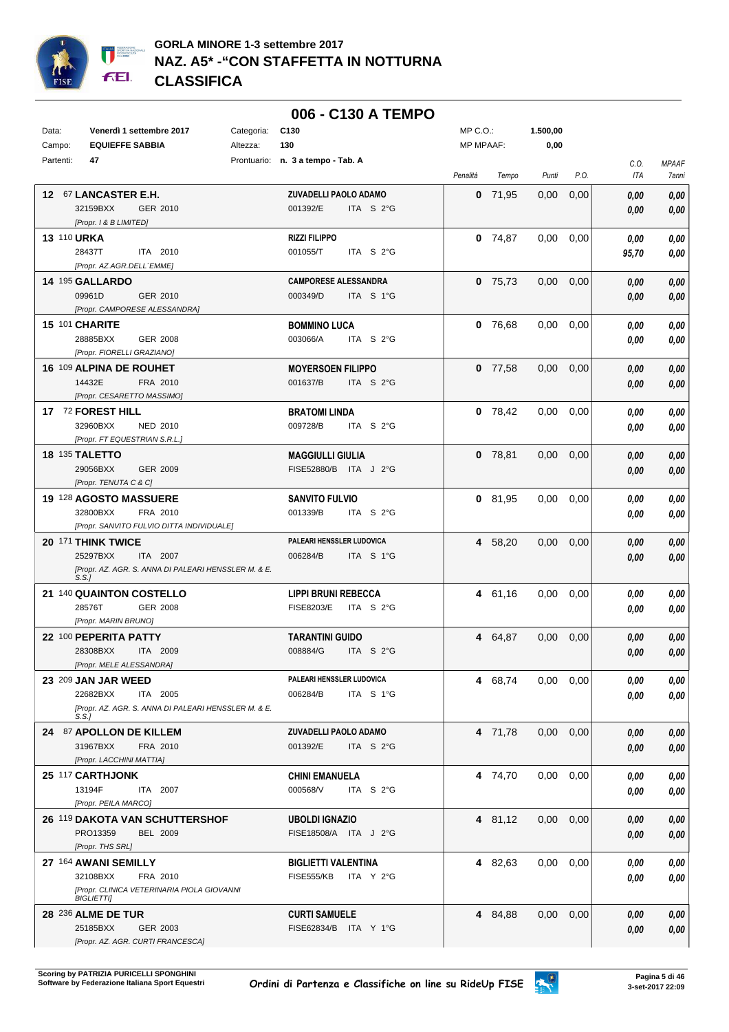

|                    |                                                               |            | 006 - C130 A TEMPO                               |                  |           |          |                   |            |                |
|--------------------|---------------------------------------------------------------|------------|--------------------------------------------------|------------------|-----------|----------|-------------------|------------|----------------|
| Data:              | Venerdì 1 settembre 2017                                      | Categoria: | C <sub>130</sub>                                 | MP C.O.:         |           | 1.500,00 |                   |            |                |
| Campo:             | <b>EQUIEFFE SABBIA</b>                                        | Altezza:   | 130                                              | <b>MP MPAAF:</b> |           | 0,00     |                   |            |                |
| Partenti:          | 47                                                            |            | Prontuario: n. 3 a tempo - Tab. A                |                  |           |          |                   | C.O.       | <b>MPAAF</b>   |
|                    |                                                               |            |                                                  | Penalità         | Tempo     | Punti    | P.O.              | ITA        | 7anni          |
|                    | 12 67 LANCASTER E.H.                                          |            | ZUVADELLI PAOLO ADAMO                            |                  | $0$ 71,95 | 0,00     | 0,00              | 0,00       | 0,00           |
|                    | 32159BXX<br>GER 2010                                          |            | 001392/E<br>ITA S 2°G                            |                  |           |          |                   | 0,00       | 0,00           |
|                    | [Propr. 1 & B LIMITED]                                        |            |                                                  |                  |           |          |                   |            |                |
| <b>13 110 URKA</b> |                                                               |            | <b>RIZZI FILIPPO</b>                             |                  | $0$ 74,87 | 0,00     | 0,00              | 0,00       | 0,00           |
|                    | 28437T<br>ITA 2010<br>[Propr. AZ.AGR.DELL'EMME]               |            | 001055/T<br>ITA S 2°G                            |                  |           |          |                   | 95,70      | 0,00           |
|                    | 14 195 GALLARDO                                               |            | <b>CAMPORESE ALESSANDRA</b>                      |                  | $0$ 75,73 | 0.00     | 0,00              | 0,00       | 0,00           |
|                    | 09961D<br>GER 2010                                            |            | 000349/D<br>ITA S 1°G                            |                  |           |          |                   | 0,00       | 0,00           |
|                    | [Propr. CAMPORESE ALESSANDRA]                                 |            |                                                  |                  |           |          |                   |            |                |
|                    | 15 101 CHARITE                                                |            | <b>BOMMINO LUCA</b>                              |                  | 0, 76, 68 | 0,00     | 0,00              | 0,00       | 0,00           |
|                    | 28885BXX<br>GER 2008                                          |            | 003066/A<br>ITA S 2°G                            |                  |           |          |                   | 0,00       | 0,00           |
|                    | [Propr. FIORELLI GRAZIANO]                                    |            |                                                  |                  |           |          |                   |            |                |
|                    | 16 109 ALPINA DE ROUHET                                       |            | <b>MOYERSOEN FILIPPO</b>                         |                  | $0$ 77,58 | 0.00     | 0,00              | 0,00       | 0,00           |
|                    | 14432E<br>FRA 2010                                            |            | 001637/B<br>ITA S 2°G                            |                  |           |          |                   | 0,00       | 0,00           |
|                    | [Propr. CESARETTO MASSIMO]                                    |            |                                                  |                  |           |          |                   |            |                |
|                    | 17 72 FOREST HILL                                             |            | <b>BRATOMI LINDA</b>                             |                  | $0$ 78,42 | 0.00     | 0,00              | 0,00       | 0,00           |
|                    | 32960BXX<br>NED 2010                                          |            | 009728/B<br>ITA S 2°G                            |                  |           |          |                   | 0,00       | 0,00           |
|                    | [Propr. FT EQUESTRIAN S.R.L.]                                 |            |                                                  |                  |           |          |                   |            |                |
|                    | <b>18 135 TALETTO</b><br>29056BXX<br>GER 2009                 |            | <b>MAGGIULLI GIULIA</b><br>FISE52880/B ITA J 2°G |                  | $0$ 78,81 | 0.00     | 0,00              | 0,00       | 0,00           |
|                    | [Propr. TENUTA C & C]                                         |            |                                                  |                  |           |          |                   | 0,00       | 0,00           |
|                    | 19 128 AGOSTO MASSUERE                                        |            | <b>SANVITO FULVIO</b>                            |                  | $0$ 81,95 | $0.00\,$ | 0,00              | 0,00       | 0,00           |
|                    | 32800BXX<br>FRA 2010                                          |            | 001339/B<br>ITA S 2°G                            |                  |           |          |                   | 0,00       | 0,00           |
|                    | [Propr. SANVITO FULVIO DITTA INDIVIDUALE]                     |            |                                                  |                  |           |          |                   |            |                |
|                    | 20 171 THINK TWICE                                            |            | PALEARI HENSSLER LUDOVICA                        |                  | 4 58,20   |          | $0.00 \quad 0.00$ | 0,00       | 0,00           |
|                    | 25297BXX<br>ITA 2007                                          |            | 006284/B<br>ITA S 1°G                            |                  |           |          |                   | 0,00       | 0,00           |
|                    | [Propr. AZ. AGR. S. ANNA DI PALEARI HENSSLER M. & E.<br>S.S.1 |            |                                                  |                  |           |          |                   |            |                |
|                    | 21 140 QUAINTON COSTELLO                                      |            | <b>LIPPI BRUNI REBECCA</b>                       |                  | 4 61,16   | 0.00     | 0,00              | 0,00       | 0,00           |
|                    | 28576T<br>GER 2008                                            |            | <b>FISE8203/E</b><br>ITA S 2°G                   |                  |           |          |                   | 0,00       | 0,00           |
|                    | [Propr. MARIN BRUNO]                                          |            |                                                  |                  |           |          |                   |            |                |
|                    | 22 100 PEPERITA PATTY                                         |            | <b>TARANTINI GUIDO</b>                           |                  | 4 64,87   | 0,00     | 0,00              | 0.00       | 0,00           |
|                    | 28308BXX ITA 2009                                             |            | 008884/G ITA S 2°G                               |                  |           |          |                   | $\it 0,00$ | $\pmb{0,\!00}$ |
|                    | [Propr. MELE ALESSANDRA]                                      |            |                                                  |                  |           |          |                   |            |                |
|                    | 23 209 JAN JAR WEED                                           |            | PALEARI HENSSLER LUDOVICA                        |                  | 4 68,74   | 0.00     | 0,00              | 0,00       | 0,00           |
|                    | 22682BXX<br>ITA 2005                                          |            | 006284/B<br>ITA S 1°G                            |                  |           |          |                   | 0,00       | 0,00           |
|                    | [Propr. AZ. AGR. S. ANNA DI PALEARI HENSSLER M. & E.<br>S.S.  |            |                                                  |                  |           |          |                   |            |                |
|                    | 24 87 APOLLON DE KILLEM                                       |            | ZUVADELLI PAOLO ADAMO                            |                  | 4 71,78   | 0.00     | 0,00              | 0,00       | 0,00           |
|                    | 31967BXX<br>FRA 2010                                          |            | 001392/E<br>ITA S 2°G                            |                  |           |          |                   | 0,00       | 0,00           |
|                    | [Propr. LACCHINI MATTIA]                                      |            |                                                  |                  |           |          |                   |            |                |
|                    | 25 117 CARTHJONK                                              |            | <b>CHINI EMANUELA</b>                            |                  | 4 74,70   | 0.00     | 0,00              | 0,00       | 0,00           |
|                    | 13194F<br>ITA 2007                                            |            | 000568/V<br>ITA S 2°G                            |                  |           |          |                   | 0,00       | 0,00           |
|                    | [Propr. PEILA MARCO]                                          |            |                                                  |                  |           |          |                   |            |                |
|                    | 26 119 DAKOTA VAN SCHUTTERSHOF                                |            | <b>UBOLDI IGNAZIO</b>                            |                  | 4 81,12   | 0.00     | 0,00              | 0,00       | 0,00           |
|                    | PRO13359<br><b>BEL 2009</b><br>[Propr. THS SRL]               |            | FISE18508/A ITA J 2°G                            |                  |           |          |                   | 0,00       | 0,00           |
|                    | 27 164 AWANI SEMILLY                                          |            | <b>BIGLIETTI VALENTINA</b>                       |                  | 4 82,63   | 0.00     | 0.00              | 0,00       | $\it 0,00$     |
|                    | 32108BXX<br>FRA 2010                                          |            | <b>FISE555/KB</b><br>ITA Y 2°G                   |                  |           |          |                   | 0.00       | 0,00           |
|                    | [Propr. CLINICA VETERINARIA PIOLA GIOVANNI                    |            |                                                  |                  |           |          |                   |            |                |
|                    | <b>BIGLIETTII</b>                                             |            |                                                  |                  |           |          |                   |            |                |
|                    | <b>28 236 ALME DE TUR</b>                                     |            | <b>CURTI SAMUELE</b>                             |                  | 4 84,88   |          | $0.00 \quad 0.00$ | 0,00       | 0,00           |
|                    | 25185BXX<br>GER 2003<br>[Propr. AZ. AGR. CURTI FRANCESCA]     |            | FISE62834/B ITA Y 1°G                            |                  |           |          |                   | 0,00       | 0,00           |
|                    |                                                               |            |                                                  |                  |           |          |                   |            |                |

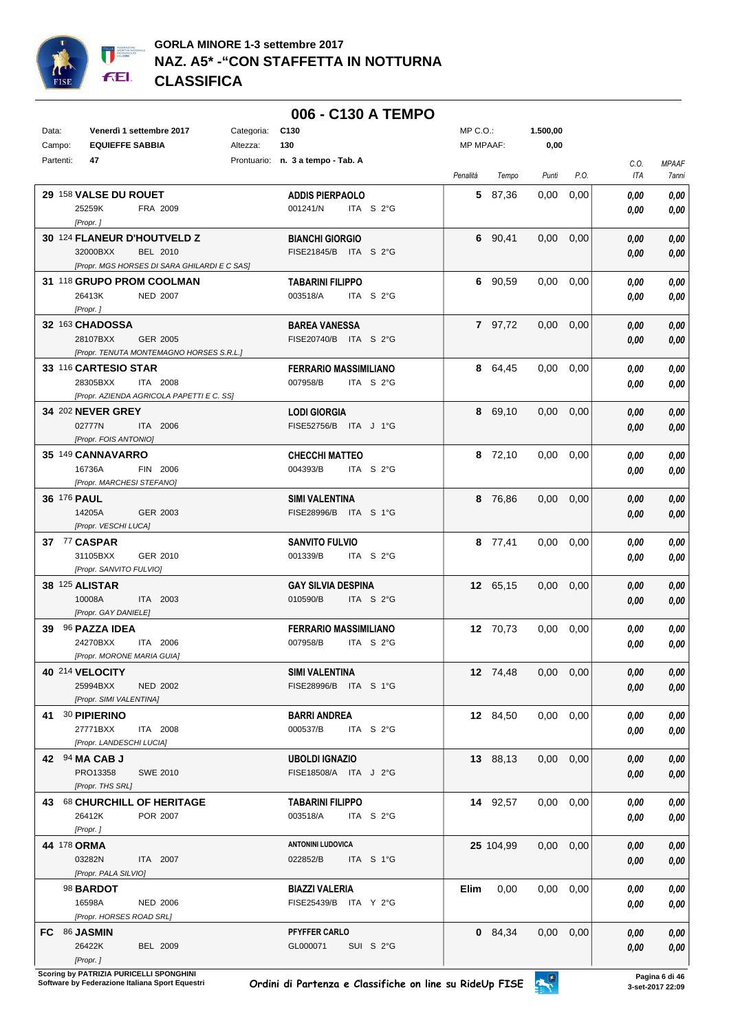

|           |                            |                             |                                              |            | 006 - C130 A TEMPO                             |                         |           |           |               |      |              |              |
|-----------|----------------------------|-----------------------------|----------------------------------------------|------------|------------------------------------------------|-------------------------|-----------|-----------|---------------|------|--------------|--------------|
| Data:     |                            | Venerdì 1 settembre 2017    |                                              | Categoria: | C <sub>130</sub>                               |                         | MP C.O.:  |           | 1.500,00      |      |              |              |
| Campo:    |                            | <b>EQUIEFFE SABBIA</b>      |                                              | Altezza:   | 130                                            |                         | MP MPAAF: |           | 0,00          |      |              |              |
| Partenti: | 47                         |                             |                                              |            | Prontuario: n. 3 a tempo - Tab. A              |                         |           |           |               |      | C.O.         | <b>MPAAF</b> |
|           |                            |                             |                                              |            |                                                |                         | Penalità  | Tempo     | Punti         | P.O. | ITA          | 7anni        |
|           |                            | 29 158 VALSE DU ROUET       |                                              |            | <b>ADDIS PIERPAOLO</b>                         |                         |           | 5 87,36   | 0,00          | 0,00 | 0.00         | 0.00         |
|           | 25259K                     |                             | FRA 2009                                     |            | 001241/N                                       | ITA $S2G$               |           |           |               |      | 0.00         | 0.00         |
|           | [Propr.]                   |                             |                                              |            |                                                |                         |           |           |               |      |              |              |
|           |                            | 30 124 FLANEUR D'HOUTVELD Z |                                              |            | <b>BIANCHI GIORGIO</b>                         |                         |           | 6 90,41   | 0,00          | 0,00 | 0,00         | 0,00         |
|           | 32000BXX                   |                             | BEL 2010                                     |            | FISE21845/B ITA S 2°G                          |                         |           |           |               |      | 0,00         | 0,00         |
|           |                            |                             | [Propr. MGS HORSES DI SARA GHILARDI E C SAS] |            |                                                |                         |           |           |               |      |              |              |
|           |                            | 31 118 GRUPO PROM COOLMAN   |                                              |            | <b>TABARINI FILIPPO</b>                        |                         |           | 6 90,59   | 0.00          | 0,00 | 0.00         | 0,00         |
|           | 26413K<br>[Propr.]         |                             | NED 2007                                     |            | 003518/A                                       | ITA $S2G$               |           |           |               |      | 0,00         | 0,00         |
|           | 32 163 CHADOSSA            |                             |                                              |            | <b>BAREA VANESSA</b>                           |                         |           | 7 97,72   | 0,00          | 0,00 | 0.00         | 0,00         |
|           | 28107BXX                   |                             | GER 2005                                     |            | FISE20740/B ITA S 2°G                          |                         |           |           |               |      | 0,00         | 0,00         |
|           |                            |                             | [Propr. TENUTA MONTEMAGNO HORSES S.R.L.]     |            |                                                |                         |           |           |               |      |              |              |
|           |                            | 33 116 CARTESIO STAR        |                                              |            | <b>FERRARIO MASSIMILIANO</b>                   |                         |           | 8 64,45   | 0.00          | 0,00 | 0.00         | 0,00         |
|           | 28305BXX                   |                             | <b>ITA 2008</b>                              |            | 007958/B                                       | ITA S $2^{\circ}$ G     |           |           |               |      | 0.00         | 0,00         |
|           |                            |                             | [Propr. AZIENDA AGRICOLA PAPETTI E C. SS]    |            |                                                |                         |           |           |               |      |              |              |
|           |                            | 34 202 NEVER GREY           |                                              |            | <b>LODI GIORGIA</b>                            |                         |           | 8 69,10   | $0.00\,$      | 0,00 | 0,00         | 0,00         |
|           | 02777N                     |                             | ITA 2006                                     |            | FISE52756/B ITA J 1°G                          |                         |           |           |               |      | 0.00         | 0,00         |
|           |                            | [Propr. FOIS ANTONIO]       |                                              |            |                                                |                         |           |           |               |      |              |              |
|           | 16736A                     | 35 149 CANNAVARRO           | FIN 2006                                     |            | <b>CHECCHI MATTEO</b><br>004393/B              | ITA S 2°G               |           | 8 72,10   | $0.00\,$      | 0,00 | 0,00         | 0,00         |
|           |                            | [Propr. MARCHESI STEFANO]   |                                              |            |                                                |                         |           |           |               |      | 0.00         | 0,00         |
|           | 36 176 PAUL                |                             |                                              |            | <b>SIMI VALENTINA</b>                          |                         |           | 8 76,86   | $0.00\,$      | 0,00 | 0,00         | 0,00         |
|           | 14205A                     |                             | GER 2003                                     |            | FISE28996/B ITA S 1°G                          |                         |           |           |               |      | 0.00         | 0,00         |
|           |                            | [Propr. VESCHI LUCA]        |                                              |            |                                                |                         |           |           |               |      |              |              |
|           | 37 77 CASPAR               |                             |                                              |            | <b>SANVITO FULVIO</b>                          |                         |           | 8 77,41   | $0.00\,$      | 0,00 | 0.00         | 0,00         |
|           | 31105BXX                   |                             | GER 2010                                     |            | 001339/B                                       | ITA $S2G$               |           |           |               |      | 0.00         | 0,00         |
|           |                            | [Propr. SANVITO FULVIO]     |                                              |            |                                                |                         |           |           |               |      |              |              |
|           | <b>38 125 ALISTAR</b>      |                             |                                              |            | <b>GAY SILVIA DESPINA</b>                      |                         |           | 12 65,15  | 0,00          | 0,00 | 0.00         | 0,00         |
|           | 10008A                     | [Propr. GAY DANIELE]        | ITA 2003                                     |            | 010590/B                                       | ITA $S2$ <sup>°</sup> G |           |           |               |      | 0.00         | 0,00         |
|           | 39 96 PAZZA IDEA           |                             |                                              |            | <b>FERRARIO MASSIMILIANO</b>                   |                         |           | 12 70,73  | 0,00          | 0,00 | 0.00         | 0,00         |
|           | 24270BXX                   |                             | ITA 2006                                     |            | 007958/B                                       | ITA S 2°G               |           |           |               |      | 0.00         | 0,00         |
|           |                            | [Propr. MORONE MARIA GUIA]  |                                              |            |                                                |                         |           |           |               |      |              |              |
|           | 40 214 VELOCITY            |                             |                                              |            | <b>SIMI VALENTINA</b>                          |                         |           | 12 74,48  | 0,00          | 0,00 | 0,00         | 0,00         |
|           | 25994BXX                   |                             | <b>NED 2002</b>                              |            | FISE28996/B ITA S 1°G                          |                         |           |           |               |      | 0,00         | 0,00         |
|           |                            | [Propr. SIMI VALENTINA]     |                                              |            |                                                |                         |           |           |               |      |              |              |
|           | 41 30 PIPIERINO            |                             |                                              |            | <b>BARRI ANDREA</b>                            |                         |           | 12 84,50  | $0,00$ $0,00$ |      | 0.00         | 0,00         |
|           | 27771BXX                   |                             | ITA 2008                                     |            | 000537/B                                       | ITA S 2°G               |           |           |               |      | 0,00         | 0,00         |
|           |                            | [Propr. LANDESCHI LUCIA]    |                                              |            |                                                |                         |           |           |               |      |              |              |
|           | 42 94 MA CAB J<br>PRO13358 |                             | <b>SWE 2010</b>                              |            | <b>UBOLDI IGNAZIO</b><br>FISE18508/A ITA J 2°G |                         |           | 13 88,13  | $0,00$ $0,00$ |      | 0,00         | 0,00         |
|           |                            | [Propr. THS SRL]            |                                              |            |                                                |                         |           |           |               |      | 0,00         | 0,00         |
|           |                            |                             | 43 68 CHURCHILL OF HERITAGE                  |            | <b>TABARINI FILIPPO</b>                        |                         |           | 14 92,57  | $0,00$ $0,00$ |      | 0,00         | 0,00         |
|           | 26412K                     |                             | POR 2007                                     |            | 003518/A                                       | ITA S 2°G               |           |           |               |      | 0,00         | 0,00         |
|           | [Propr.]                   |                             |                                              |            |                                                |                         |           |           |               |      |              |              |
|           | 44 178 ORMA                |                             |                                              |            | <b>ANTONINI LUDOVICA</b>                       |                         |           | 25 104,99 | $0,00$ $0,00$ |      | 0,00         | 0,00         |
|           | 03282N                     |                             | ITA 2007                                     |            | 022852/B                                       | ITA S 1°G               |           |           |               |      | 0,00         | 0,00         |
|           |                            | [Propr. PALA SILVIO]        |                                              |            |                                                |                         |           |           |               |      |              |              |
|           | 98 BARDOT                  |                             |                                              |            | <b>BIAZZI VALERIA</b>                          |                         | Elim      | 0,00      | $0,00$ $0,00$ |      | 0,00         | 0,00         |
|           | 16598A                     |                             | <b>NED 2006</b>                              |            | FISE25439/B ITA Y 2°G                          |                         |           |           |               |      | 0,00         | 0,00         |
|           | FC 86 JASMIN               | [Propr. HORSES ROAD SRL]    |                                              |            | PFYFFER CARLO                                  |                         |           | 0 84,34   | 0,00          | 0,00 |              |              |
|           | 26422K                     |                             | <b>BEL 2009</b>                              |            | GL000071                                       | SUI S 2°G               |           |           |               |      | 0,00<br>0,00 | 0,00<br>0,00 |
|           | [Propr.]                   |                             |                                              |            |                                                |                         |           |           |               |      |              |              |

**Scoring by PATRIZIA PURICELLI SPONGHINI<br>Software by Federazione Italiana Sport Equestri** 

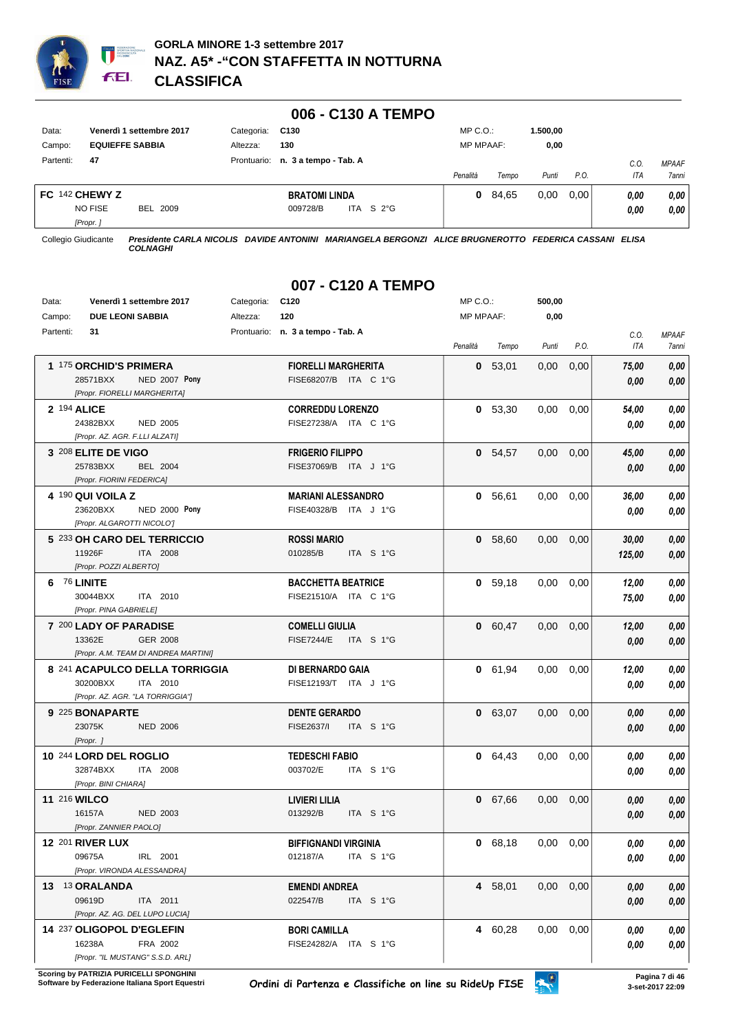

|                |                                        |             | 006 - C130 A TEMPO              |                  |       |          |      |            |              |
|----------------|----------------------------------------|-------------|---------------------------------|------------------|-------|----------|------|------------|--------------|
| Data:          | Venerdì 1 settembre 2017               | Categoria:  | C130                            | $MP C. O.$ :     |       | 1.500.00 |      |            |              |
| Campo:         | <b>EQUIEFFE SABBIA</b>                 | Altezza:    | 130                             | <b>MP MPAAF:</b> |       | 0,00     |      |            |              |
| Partenti:      | 47                                     | Prontuario: | n. 3 a tempo - Tab. A           |                  |       |          |      | C.0        | <b>MPAAF</b> |
|                |                                        |             |                                 | Penalità         | Tempo | Punti    | P.O. | <b>ITA</b> | 7anni        |
| FC 142 CHEWY Z |                                        |             | <b>BRATOMI LINDA</b>            | 0                | 84,65 | 0,00     | 0.00 | 0.00       | 0,00         |
|                | <b>NO FISE</b><br>BEL 2009<br>[Propr.] |             | ITA S $2^{\circ}$ G<br>009728/B |                  |       |          |      | 0,00       | 0,00         |

*[Propr. ]*

Collegio Giudicante *Presidente CARLA NICOLIS DAVIDE ANTONINI MARIANGELA BERGONZI ALICE BRUGNEROTTO FEDERICA CASSANI ELISA COLNAGHI*

## **007 - C120 A TEMPO**

| Data:     | Venerdì 1 settembre 2017                                                                    | Categoria: | C120                                                    | MP C.O.:  |           | 500,00 |               |                 |                       |
|-----------|---------------------------------------------------------------------------------------------|------------|---------------------------------------------------------|-----------|-----------|--------|---------------|-----------------|-----------------------|
| Campo:    | <b>DUE LEONI SABBIA</b>                                                                     | Altezza:   | 120                                                     | MP MPAAF: |           | 0,00   |               |                 |                       |
| Partenti: | 31                                                                                          |            | Prontuario: n. 3 a tempo - Tab. A                       | Penalità  | Tempo     | Punti  | P.O.          | C.O.<br>ITA     | <b>MPAAF</b><br>7anni |
|           | 1 175 ORCHID'S PRIMERA<br>28571BXX<br>NED 2007 Pony<br>[Propr. FIORELLI MARGHERITA]         |            | <b>FIORELLI MARGHERITA</b><br>FISE68207/B ITA C 1°G     | 0         | 53,01     | 0,00   | 0,00          | 75,00<br>0,00   | 0,00<br>0,00          |
|           | 2 194 ALICE<br>24382BXX<br>NED 2005<br>[Propr. AZ. AGR. F.LLI ALZATI]                       |            | <b>CORREDDU LORENZO</b><br>FISE27238/A ITA C 1°G        |           | 0, 53, 30 | 0,00   | 0,00          | 54,00<br>0.00   | 0,00<br>0,00          |
|           | 3 208 ELITE DE VIGO<br>25783BXX<br><b>BEL 2004</b><br>[Propr. FIORINI FEDERICA]             |            | <b>FRIGERIO FILIPPO</b><br>FISE37069/B ITA J 1°G        |           | 0 54,57   | 0,00   | 0,00          | 45,00<br>0.00   | 0,00<br>0,00          |
|           | 4 190 QUI VOILA Z<br>23620BXX<br><b>NED 2000 Pony</b><br>[Propr. ALGAROTTI NICOLO']         |            | <b>MARIANI ALESSANDRO</b><br>FISE40328/B ITA J 1°G      |           | 0, 56, 61 | 0,00   | 0,00          | 36,00<br>0.00   | 0,00<br>0,00          |
|           | 5 233 OH CARO DEL TERRICCIO<br>11926F<br>ITA 2008<br>[Propr. POZZI ALBERTO]                 |            | <b>ROSSI MARIO</b><br>010285/B<br>ITA S 1°G             |           | 0, 58,60  | 0,00   | 0,00          | 30,00<br>125,00 | 0,00<br>0,00          |
|           | 6 76 LINITE<br>30044BXX<br>ITA 2010<br>[Propr. PINA GABRIELE]                               |            | <b>BACCHETTA BEATRICE</b><br>FISE21510/A ITA C 1°G      |           | 0, 59, 18 | 0,00   | 0.00          | 12,00<br>75,00  | 0,00<br>0,00          |
|           | 7 200 LADY OF PARADISE<br>13362E<br><b>GER 2008</b><br>[Propr. A.M. TEAM DI ANDREA MARTINI] |            | <b>COMELLI GIULIA</b><br><b>FISE7244/E</b><br>ITA S 1°G |           | 0 60,47   | 0,00   | 0,00          | 12,00<br>0.00   | 0,00<br>0,00          |
|           | 8 241 ACAPULCO DELLA TORRIGGIA<br>30200BXX<br>ITA 2010<br>[Propr. AZ. AGR. "LA TORRIGGIA"]  |            | DI BERNARDO GAIA<br>FISE12193/T ITA J 1°G               |           | 0 61,94   | 0,00   | 0,00          | 12,00<br>0.00   | 0,00<br>0,00          |
|           | 9 225 BONAPARTE<br>23075K<br><b>NED 2006</b><br>[Propr.]                                    |            | <b>DENTE GERARDO</b><br>FISE2637/I<br>ITA S 1°G         |           | 0 63,07   | 0,00   | 0,00          | 0.00<br>0.00    | 0,00<br>0,00          |
|           | 10 244 LORD DEL ROGLIO<br>32874BXX<br><b>ITA 2008</b><br>[Propr. BINI CHIARA]               |            | <b>TEDESCHI FABIO</b><br>003702/E<br>ITA S 1°G          |           | 0 64,43   | 0,00   | 0,00          | 0.00<br>0,00    | 0,00<br>0,00          |
|           | 11 216 WILCO<br>16157A<br><b>NED 2003</b><br>[Propr. ZANNIER PAOLO]                         |            | LIVIERI LILIA<br>ITA S 1°G<br>013292/B                  |           | 0 67,66   | 0,00   | 0,00          | 0,00<br>0,00    | 0,00<br>0,00          |
|           | <b>12 201 RIVER LUX</b><br>09675A<br>IRL 2001<br>[Propr. VIRONDA ALESSANDRA]                |            | <b>BIFFIGNANDI VIRGINIA</b><br>012187/A<br>ITA S 1°G    |           | 0 68,18   | 0.00   | 0,00          | 0.00<br>0,00    | 0.00<br>0,00          |
|           | 13 13 ORALANDA<br>09619D<br>ITA 2011<br>[Propr. AZ. AG. DEL LUPO LUCIA]                     |            | <b>EMENDI ANDREA</b><br>022547/B<br>ITA S 1°G           |           | 4 58,01   |        | $0,00$ $0,00$ | 0,00<br>0,00    | 0,00<br>0,00          |
|           | 14 237 OLIGOPOL D'EGLEFIN<br>16238A<br>FRA 2002<br>[Propr. "IL MUSTANG" S.S.D. ARL]         |            | <b>BORI CAMILLA</b><br>FISE24282/A ITA S 1°G            |           | 4 60,28   |        | $0,00$ $0,00$ | 0,00<br>0,00    | 0,00<br>0,00          |

**Scoring by PATRIZIA PURICELLI SPONGHINI<br>Software by Federazione Italiana Sport Equestri**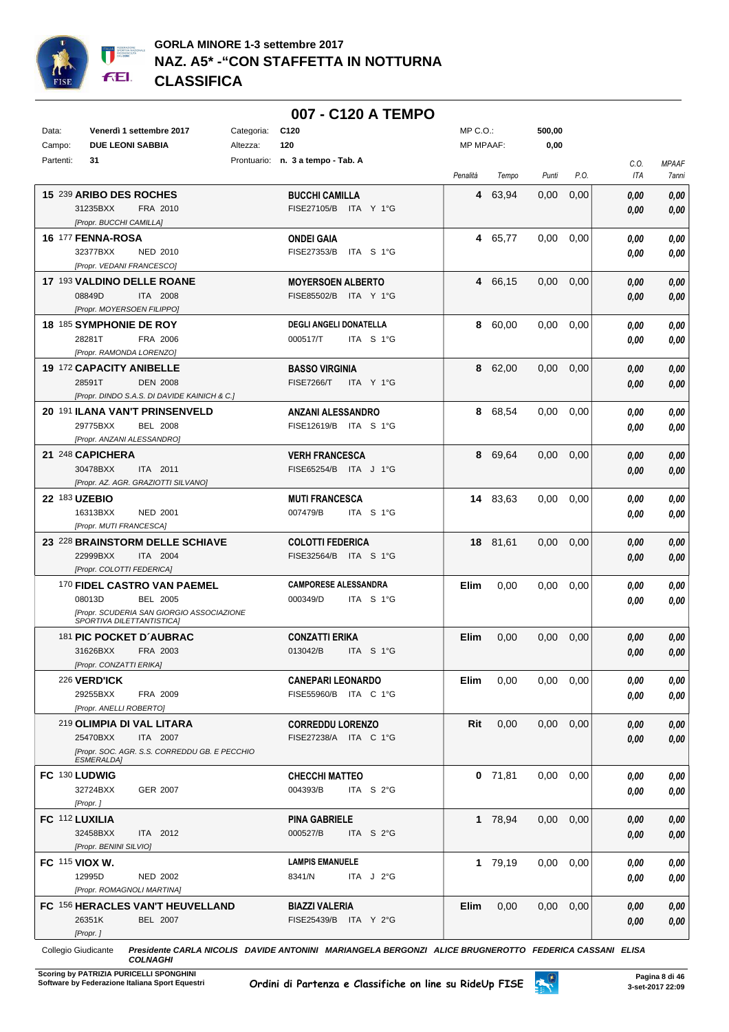

|                |                                                                    |            | 007 - C120 A TEMPO                                   |                  |           |                   |      |                    |                       |
|----------------|--------------------------------------------------------------------|------------|------------------------------------------------------|------------------|-----------|-------------------|------|--------------------|-----------------------|
| Data:          | Venerdì 1 settembre 2017                                           | Categoria: | C <sub>120</sub>                                     | $MP C. O.$ :     |           | 500,00            |      |                    |                       |
| Campo:         | <b>DUE LEONI SABBIA</b>                                            | Altezza:   | 120                                                  | <b>MP MPAAF:</b> |           | 0,00              |      |                    |                       |
| Partenti:      | 31                                                                 |            | Prontuario: n. 3 a tempo - Tab. A                    | Penalità         | Tempo     | Punti             | P.O. | C.O.<br><b>ITA</b> | <b>MPAAF</b><br>7anni |
|                | 15 239 ARIBO DES ROCHES                                            |            | <b>BUCCHI CAMILLA</b>                                | 4                | 63,94     | 0,00              | 0,00 | 0.00               | 0,00                  |
|                | 31235BXX<br>FRA 2010                                               |            | FISE27105/B ITA Y 1°G                                |                  |           |                   |      | 0.00               | 0,00                  |
|                | [Propr. BUCCHI CAMILLA]                                            |            |                                                      |                  |           |                   |      |                    |                       |
|                | 16 177 FENNA-ROSA                                                  |            | <b>ONDEI GAIA</b>                                    | 4                | 65,77     | 0.00              | 0,00 | 0.00               | 0,00                  |
|                | 32377BXX<br><b>NED 2010</b>                                        |            | FISE27353/B<br>ITA S 1°G                             |                  |           |                   |      | 0.00               | 0.00                  |
|                | [Propr. VEDANI FRANCESCO]                                          |            |                                                      |                  |           |                   |      |                    |                       |
|                | 17 193 VALDINO DELLE ROANE                                         |            | <b>MOYERSOEN ALBERTO</b>                             |                  | 4 66,15   | 0.00              | 0,00 | 0.00               | 0,00                  |
|                | 08849D<br><b>ITA 2008</b><br>[Propr. MOYERSOEN FILIPPO]            |            | FISE85502/B<br>ITA Y 1°G                             |                  |           |                   |      | 0.00               | 0,00                  |
|                | 18 185 SYMPHONIE DE ROY                                            |            | <b>DEGLI ANGELI DONATELLA</b>                        | 8                | 60,00     | 0,00              | 0,00 | 0.00               | 0,00                  |
|                | 28281T<br>FRA 2006                                                 |            | 000517/T<br>ITA S 1°G                                |                  |           |                   |      | 0.00               | 0.00                  |
|                | [Propr. RAMONDA LORENZO]                                           |            |                                                      |                  |           |                   |      |                    |                       |
|                | 19 172 CAPACITY ANIBELLE                                           |            | <b>BASSO VIRGINIA</b>                                |                  | 8 62,00   | 0.00              | 0,00 | 0.00               | 0,00                  |
|                | 28591T<br><b>DEN 2008</b>                                          |            | <b>FISE7266/T</b><br>ITA Y 1°G                       |                  |           |                   |      | 0.00               | 0.00                  |
|                | [Propr. DINDO S.A.S. DI DAVIDE KAINICH & C.]                       |            |                                                      |                  |           |                   |      |                    |                       |
|                | 20 191 ILANA VAN'T PRINSENVELD                                     |            | <b>ANZANI ALESSANDRO</b>                             | 8                | 68,54     | 0,00              | 0,00 | 0.00               | 0,00                  |
|                | 29775BXX<br><b>BEL 2008</b><br>[Propr. ANZANI ALESSANDRO]          |            | FISE12619/B ITA S 1°G                                |                  |           |                   |      | 0.00               | 0.00                  |
|                | 21 248 CAPICHERA                                                   |            | <b>VERH FRANCESCA</b>                                | 8                | 69,64     | 0.00              | 0,00 | 0.00               | 0,00                  |
|                | 30478BXX<br>ITA 2011                                               |            | FISE65254/B ITA J 1°G                                |                  |           |                   |      | 0.00               | 0,00                  |
|                | [Propr. AZ. AGR. GRAZIOTTI SILVANO]                                |            |                                                      |                  |           |                   |      |                    |                       |
| 22 183 UZEBIO  |                                                                    |            | <b>MUTI FRANCESCA</b>                                |                  | 14 83,63  | 0.00              | 0,00 | 0.00               | 0,00                  |
|                | 16313BXX<br><b>NED 2001</b>                                        |            | 007479/B<br>ITA S 1°G                                |                  |           |                   |      | 0.00               | 0.00                  |
|                | [Propr. MUTI FRANCESCA]                                            |            |                                                      |                  |           |                   |      |                    |                       |
|                | 23 228 BRAINSTORM DELLE SCHIAVE                                    |            | <b>COLOTTI FEDERICA</b>                              |                  | 18 81,61  | 0.00              | 0,00 | 0,00               | 0,00                  |
|                | 22999BXX<br>ITA 2004                                               |            | FISE32564/B ITA S 1°G                                |                  |           |                   |      | 0.00               | 0,00                  |
|                | [Propr. COLOTTI FEDERICA]                                          |            |                                                      |                  |           |                   |      |                    |                       |
|                | 170 FIDEL CASTRO VAN PAEMEL<br>08013D<br>BEL 2005                  |            | <b>CAMPORESE ALESSANDRA</b><br>ITA S 1°G<br>000349/D | Elim             | 0.00      | 0,00              | 0,00 | 0.00<br>0.00       | 0,00<br>0,00          |
|                | [Propr. SCUDERIA SAN GIORGIO ASSOCIAZIONE                          |            |                                                      |                  |           |                   |      |                    |                       |
|                | <b>SPORTIVA DILETTANTISTICAI</b>                                   |            |                                                      |                  |           |                   |      |                    |                       |
|                | 181 PIC POCKET D'AUBRAC                                            |            | <b>CONZATTI ERIKA</b>                                | <b>Elim</b>      | 0,00      | 0.00              | 0,00 | 0.00               | 0,00                  |
|                | 31626BXX FRA 2003<br>[Propr. CONZATTI ERIKA]                       |            | 013042/B ITA S 1°G                                   |                  |           |                   |      | 0,00               | 0,00                  |
|                | <b>226 VERD'ICK</b>                                                |            | <b>CANEPARI LEONARDO</b>                             | Elim             | 0,00      | $0,00$ $0,00$     |      | 0.00               | 0,00                  |
|                | 29255BXX<br>FRA 2009                                               |            | FISE55960/B ITA C 1°G                                |                  |           |                   |      | 0.00               | 0,00                  |
|                | [Propr. ANELLI ROBERTO]                                            |            |                                                      |                  |           |                   |      |                    |                       |
|                | 219 OLIMPIA DI VAL LITARA                                          |            | <b>CORREDDU LORENZO</b>                              | Rit              | 0,00      | $0.00 \quad 0.00$ |      | 0,00               | 0,00                  |
|                | ITA 2007<br>25470BXX                                               |            | FISE27238/A ITA C 1°G                                |                  |           |                   |      | 0,00               | 0,00                  |
|                | [Propr. SOC. AGR. S.S. CORREDDU GB. E PECCHIO<br><b>ESMERALDA]</b> |            |                                                      |                  |           |                   |      |                    |                       |
| FC 130 LUDWIG  |                                                                    |            | <b>CHECCHI MATTEO</b>                                |                  | $0$ 71,81 | $0.00\,$          | 0,00 | 0.00               | 0,00                  |
|                | 32724BXX<br>GER 2007                                               |            | 004393/B<br>ITA S 2°G                                |                  |           |                   |      | 0.00               | 0,00                  |
|                | [Propr.]                                                           |            |                                                      |                  |           |                   |      |                    |                       |
| FC 112 LUXILIA |                                                                    |            | <b>PINA GABRIELE</b>                                 |                  | 1 78,94   | $0.00\,$          | 0,00 | 0.00               | 0,00                  |
|                | 32458BXX<br>ITA 2012                                               |            | 000527/B<br>ITA S 2°G                                |                  |           |                   |      | 0,00               | 0,00                  |
|                | [Propr. BENINI SILVIO]                                             |            |                                                      |                  |           |                   |      |                    |                       |
| FC 115 VIOX W. |                                                                    |            | <b>LAMPIS EMANUELE</b>                               |                  | 1 79,19   | $0.00\,$          | 0,00 | 0.00               | 0,00                  |
|                | 12995D<br><b>NED 2002</b><br>[Propr. ROMAGNOLI MARTINA]            |            | 8341/N<br>ITA J 2°G                                  |                  |           |                   |      | 0.00               | 0,00                  |
|                | FC 156 HERACLES VAN'T HEUVELLAND                                   |            | <b>BIAZZI VALERIA</b>                                | Elim             | 0,00      | $0,00$ $0,00$     |      | 0,00               | 0,00                  |
|                | 26351K<br><b>BEL 2007</b>                                          |            | FISE25439/B ITA Y 2°G                                |                  |           |                   |      | 0,00               | 0,00                  |
|                | [Propr.]                                                           |            |                                                      |                  |           |                   |      |                    |                       |

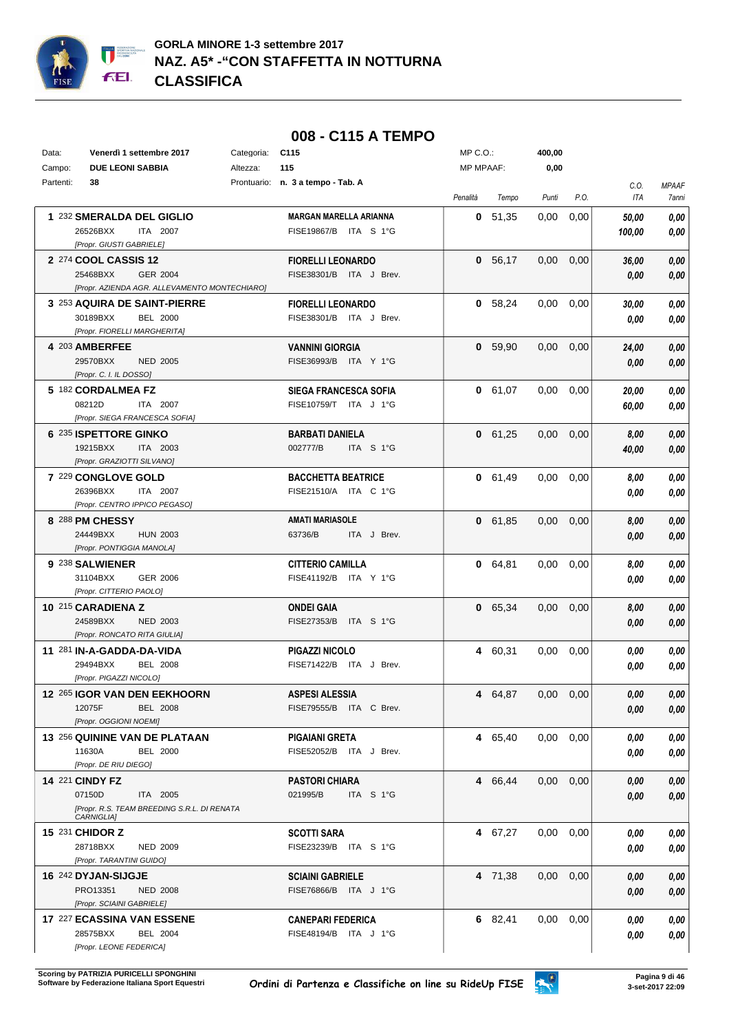

## **008 - C115 A TEMPO**

| Data:     | Venerdì 1 settembre 2017                                  | Categoria: | C <sub>115</sub>                                  | MP C.O.:  |           | 400,00        |      |        |              |
|-----------|-----------------------------------------------------------|------------|---------------------------------------------------|-----------|-----------|---------------|------|--------|--------------|
| Campo:    | <b>DUE LEONI SABBIA</b>                                   | Altezza:   | 115                                               | MP MPAAF: |           | 0,00          |      |        |              |
| Partenti: | 38                                                        |            | Prontuario: n. 3 a tempo - Tab. A                 |           |           |               |      | C.O.   | <b>MPAAF</b> |
|           |                                                           |            |                                                   | Penalità  | Tempo     | Punti         | P.O. | ITA    | 7anni        |
|           | 1 232 SMERALDA DEL GIGLIO                                 |            | <b>MARGAN MARELLA ARIANNA</b>                     |           | 0, 51, 35 | 0,00          | 0,00 | 50,00  | 0,00         |
|           | 26526BXX<br>ITA 2007                                      |            | FISE19867/B ITA S 1°G                             |           |           |               |      | 100,00 | 0,00         |
|           | [Propr. GIUSTI GABRIELE]                                  |            |                                                   |           |           |               |      |        |              |
|           | 2 274 COOL CASSIS 12                                      |            | <b>FIORELLI LEONARDO</b>                          |           | 0 56,17   | 0,00          | 0,00 | 36,00  | 0,00         |
|           | 25468BXX<br><b>GER 2004</b>                               |            | FISE38301/B ITA J Brev.                           |           |           |               |      | 0,00   | 0,00         |
|           | [Propr. AZIENDA AGR. ALLEVAMENTO MONTECHIARO]             |            |                                                   |           |           |               |      |        |              |
|           | 3 253 AQUIRA DE SAINT-PIERRE                              |            | <b>FIORELLI LEONARDO</b>                          |           | 0 58,24   | 0,00          | 0,00 | 30,00  | 0,00         |
|           | 30189BXX<br><b>BEL 2000</b>                               |            | FISE38301/B ITA J Brev.                           |           |           |               |      | 0,00   | 0,00         |
|           | [Propr. FIORELLI MARGHERITA]                              |            |                                                   |           |           |               |      |        |              |
|           | 4 203 AMBERFEE                                            |            | <b>VANNINI GIORGIA</b>                            |           | 0, 59, 90 | 0,00          | 0,00 | 24,00  | 0,00         |
|           | 29570BXX<br><b>NED 2005</b>                               |            | FISE36993/B ITA Y 1°G                             |           |           |               |      | 0,00   | 0,00         |
|           | [Propr. C. I. IL DOSSO]                                   |            |                                                   |           |           |               |      |        |              |
|           | 5 182 CORDALMEA FZ                                        |            | <b>SIEGA FRANCESCA SOFIA</b>                      |           | 0 61,07   | 0.00          | 0,00 | 20,00  | 0,00         |
|           | 08212D<br>ITA 2007                                        |            | FISE10759/T ITA J 1°G                             |           |           |               |      | 60,00  | 0,00         |
|           | [Propr. SIEGA FRANCESCA SOFIA]                            |            |                                                   |           |           |               |      |        |              |
|           | 6 235 ISPETTORE GINKO                                     |            | <b>BARBATI DANIELA</b>                            |           | 0 61,25   | 0,00          | 0,00 | 8,00   | 0,00         |
|           | 19215BXX<br>ITA 2003                                      |            | 002777/B<br>ITA S 1°G                             |           |           |               |      | 40,00  | 0,00         |
|           | [Propr. GRAZIOTTI SILVANO]                                |            |                                                   |           |           |               |      |        |              |
|           | 7 229 CONGLOVE GOLD                                       |            | <b>BACCHETTA BEATRICE</b>                         |           | 0 61,49   | 0,00          | 0,00 | 8,00   | 0,00         |
|           | 26396BXX<br>ITA 2007                                      |            | FISE21510/A ITA C 1°G                             |           |           |               |      | 0.00   | 0,00         |
|           | [Propr. CENTRO IPPICO PEGASO]                             |            |                                                   |           |           |               |      |        |              |
|           | 8 288 PM CHESSY                                           |            | <b>AMATI MARIASOLE</b>                            |           | 0 61,85   | 0,00          | 0,00 | 8,00   | 0,00         |
|           | 24449BXX<br><b>HUN 2003</b>                               |            | 63736/B<br>ITA J Brev.                            |           |           |               |      | 0,00   | 0,00         |
|           | [Propr. PONTIGGIA MANOLA]                                 |            |                                                   |           |           |               |      |        |              |
|           | 9 238 SALWIENER                                           |            | <b>CITTERIO CAMILLA</b>                           |           | 0 64,81   | 0,00          | 0,00 | 8,00   | 0,00         |
|           | 31104BXX<br>GER 2006                                      |            | FISE41192/B ITA Y 1°G                             |           |           |               |      | 0.00   | 0,00         |
|           | [Propr. CITTERIO PAOLO]                                   |            |                                                   |           |           |               |      |        |              |
|           | 10 215 CARADIENA Z                                        |            | <b>ONDEI GAIA</b>                                 |           | 0 65,34   | 0,00          | 0,00 | 8.00   | 0,00         |
|           | 24589BXX<br><b>NED 2003</b>                               |            | FISE27353/B<br>ITA S 1°G                          |           |           |               |      | 0,00   | 0,00         |
|           | [Propr. RONCATO RITA GIULIA]                              |            |                                                   |           |           |               |      |        |              |
|           | 11 281 IN-A-GADDA-DA-VIDA                                 |            | <b>PIGAZZI NICOLO</b>                             |           | 4 60,31   | 0,00          | 0,00 | 0.00   | 0,00         |
|           | 29494BXX<br><b>BEL 2008</b>                               |            | FISE71422/B ITA J Brev.                           |           |           |               |      | 0.00   | 0,00         |
|           | [Propr. PIGAZZI NICOLO]                                   |            |                                                   |           |           |               |      |        |              |
|           | 12 265 IGOR VAN DEN EEKHOORN                              |            | ASPESI ALESSIA                                    |           | 4 64,87   | $0,00$ $0,00$ |      | 0,00   | 0,00         |
|           | 12075F<br><b>BEL 2008</b>                                 |            | FISE79555/B ITA C Brev.                           |           |           |               |      | 0,00   | 0,00         |
|           | [Propr. OGGIONI NOEMI]                                    |            |                                                   |           |           |               |      |        |              |
|           | 13 256 QUININE VAN DE PLATAAN                             |            | <b>PIGAIANI GRETA</b>                             |           | 4 65,40   | $0,00$ $0,00$ |      | 0.00   | 0,00         |
|           | 11630A<br><b>BEL 2000</b>                                 |            | FISE52052/B ITA J Brev.                           |           |           |               |      | 0,00   | 0,00         |
|           | [Propr. DE RIU DIEGO]                                     |            |                                                   |           |           |               |      |        |              |
|           | 14 221 CINDY FZ                                           |            | <b>PASTORI CHIARA</b>                             |           | 4 66,44   | $0,00$ $0,00$ |      | 0,00   | 0,00         |
|           | 07150D<br>ITA 2005                                        |            | 021995/B<br>ITA S 1°G                             |           |           |               |      | 0,00   | 0,00         |
|           | [Propr. R.S. TEAM BREEDING S.R.L. DI RENATA<br>CARNIGLIA] |            |                                                   |           |           |               |      |        |              |
|           |                                                           |            |                                                   |           |           |               |      |        |              |
|           | 15 231 CHIDOR Z<br>28718BXX<br><b>NED 2009</b>            |            | <b>SCOTTI SARA</b><br>FISE23239/B ITA S 1°G       |           | 4 67,27   | $0,00$ $0,00$ |      | 0.00   | 0,00         |
|           | [Propr. TARANTINI GUIDO]                                  |            |                                                   |           |           |               |      | 0,00   | 0,00         |
|           |                                                           |            |                                                   |           |           |               |      |        |              |
|           | 16 242 DYJAN-SIJGJE<br>PRO13351<br><b>NED 2008</b>        |            | <b>SCIAINI GABRIELE</b><br>FISE76866/B ITA J 1°G  |           | 4 71,38   | $0,00$ $0,00$ |      | 0.00   | 0,00         |
|           | [Propr. SCIAINI GABRIELE]                                 |            |                                                   |           |           |               |      | 0,00   | 0,00         |
|           | 17 227 ECASSINA VAN ESSENE                                |            |                                                   |           | 6 82,41   | $0,00$ $0,00$ |      |        |              |
|           | 28575BXX<br><b>BEL 2004</b>                               |            | <b>CANEPARI FEDERICA</b><br>FISE48194/B ITA J 1°G |           |           |               |      | 0.00   | 0,00         |
|           | [Propr. LEONE FEDERICA]                                   |            |                                                   |           |           |               |      | 0,00   | 0,00         |
|           |                                                           |            |                                                   |           |           |               |      |        |              |

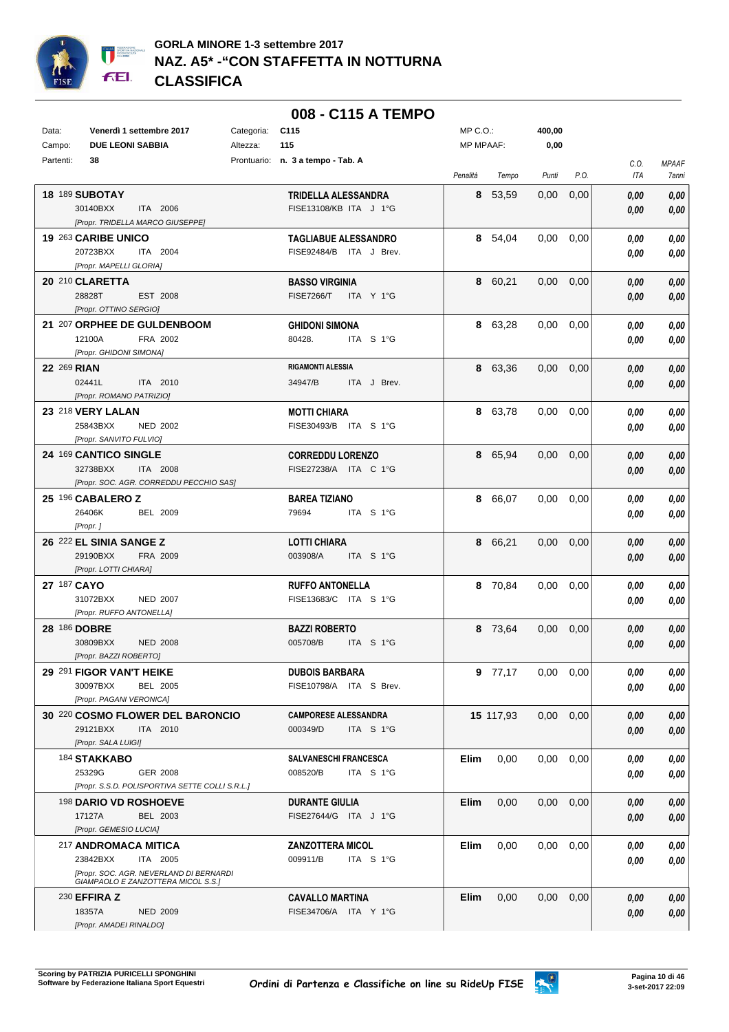

|              |                                                                               |            | 008 - C115 A TEMPO                              |                  |           |                   |                   |      |              |
|--------------|-------------------------------------------------------------------------------|------------|-------------------------------------------------|------------------|-----------|-------------------|-------------------|------|--------------|
| Data:        | Venerdì 1 settembre 2017                                                      | Categoria: | C <sub>115</sub>                                | MP C.O.:         |           | 400,00            |                   |      |              |
| Campo:       | <b>DUE LEONI SABBIA</b>                                                       | Altezza:   | 115                                             | <b>MP MPAAF:</b> |           | 0,00              |                   |      |              |
| Partenti:    | 38                                                                            |            | Prontuario: n. 3 a tempo - Tab. A               |                  |           |                   |                   | C.O. | <b>MPAAF</b> |
|              |                                                                               |            |                                                 | Penalità         | Tempo     | Punti             | P.O.              | ITA  | 7anni        |
|              | <b>18 189 SUBOTAY</b>                                                         |            | TRIDELLA ALESSANDRA                             |                  | 8 53,59   | 0,00              | 0,00              | 0.00 | 0,00         |
|              | 30140BXX<br>ITA 2006                                                          |            | FISE13108/KB ITA J 1°G                          |                  |           |                   |                   | 0,00 | 0,00         |
|              | [Propr. TRIDELLA MARCO GIUSEPPE]                                              |            |                                                 |                  |           |                   |                   |      |              |
|              | 19 263 CARIBE UNICO                                                           |            | <b>TAGLIABUE ALESSANDRO</b>                     |                  | 8 54,04   | 0.00              | 0,00              | 0,00 | 0,00         |
|              | 20723BXX<br>ITA 2004                                                          |            | FISE92484/B ITA J Brev.                         |                  |           |                   |                   | 0,00 | 0,00         |
|              | [Propr. MAPELLI GLORIA]                                                       |            |                                                 |                  |           |                   |                   |      |              |
|              | 20 210 CLARETTA                                                               |            | <b>BASSO VIRGINIA</b>                           |                  | 8 60,21   | 0,00              | 0,00              | 0,00 | 0,00         |
|              | 28828T<br>EST 2008                                                            |            | <b>FISE7266/T</b><br>ITA Y 1°G                  |                  |           |                   |                   | 0,00 | 0,00         |
|              | [Propr. OTTINO SERGIO]                                                        |            |                                                 |                  |           |                   |                   |      |              |
|              | 21 207 ORPHEE DE GULDENBOOM                                                   |            | <b>GHIDONI SIMONA</b>                           |                  | 8 63,28   | 0.00 <sub>1</sub> | 0,00              | 0,00 | $0,\!00$     |
|              | FRA 2002<br>12100A                                                            |            | 80428.<br>ITA S 1°G                             |                  |           |                   |                   | 0,00 | 0,00         |
|              | [Propr. GHIDONI SIMONA]                                                       |            |                                                 |                  |           |                   |                   |      |              |
| 22 269 RIAN  |                                                                               |            | <b>RIGAMONTI ALESSIA</b>                        |                  | 8 63,36   |                   | $0.00 \quad 0.00$ | 0,00 | 0,00         |
|              | 02441L<br>ITA 2010                                                            |            | 34947/B<br>ITA J Brev.                          |                  |           |                   |                   | 0,00 | 0,00         |
|              | [Propr. ROMANO PATRIZIO]                                                      |            |                                                 |                  |           |                   |                   |      |              |
|              | 23 218 VERY LALAN                                                             |            | <b>MOTTI CHIARA</b>                             |                  | 8 63,78   | 0.00              | 0,00              | 0,00 | 0,00         |
|              | 25843BXX<br><b>NED 2002</b>                                                   |            | FISE30493/B ITA S 1°G                           |                  |           |                   |                   | 0,00 | 0,00         |
|              | [Propr. SANVITO FULVIO]                                                       |            |                                                 |                  |           |                   |                   |      |              |
|              | 24 169 CANTICO SINGLE                                                         |            | <b>CORREDDU LORENZO</b>                         |                  | 8 65,94   |                   | $0.00 \quad 0.00$ | 0,00 | 0,00         |
|              | 32738BXX<br>ITA 2008                                                          |            | FISE27238/A ITA C 1°G                           |                  |           |                   |                   | 0,00 | 0,00         |
|              | [Propr. SOC. AGR. CORREDDU PECCHIO SAS]                                       |            |                                                 |                  |           |                   |                   |      |              |
|              | 25 196 CABALERO Z                                                             |            | <b>BAREA TIZIANO</b>                            |                  | 8 66,07   | 0,00              | 0,00              | 0,00 | 0,00         |
|              | 26406K<br>BEL 2009                                                            |            | 79694<br>ITA S 1°G                              |                  |           |                   |                   | 0,00 | 0,00         |
|              | [Propr.]                                                                      |            |                                                 |                  |           |                   |                   |      |              |
|              | 26 222 EL SINIA SANGE Z<br>29190BXX<br>FRA 2009                               |            | <b>LOTTI CHIARA</b><br>003908/A<br>ITA S 1°G    |                  | 8 66,21   | $0.00\,$          | 0,00              | 0,00 | 0,00         |
|              | [Propr. LOTTI CHIARA]                                                         |            |                                                 |                  |           |                   |                   | 0,00 | 0,00         |
| 27 187 CAYO  |                                                                               |            |                                                 |                  | 8 70,84   | $0.00\,$          |                   |      |              |
|              | 31072BXX<br><b>NED 2007</b>                                                   |            | <b>RUFFO ANTONELLA</b><br>FISE13683/C ITA S 1°G |                  |           |                   | 0,00              | 0,00 | 0,00         |
|              | [Propr. RUFFO ANTONELLA]                                                      |            |                                                 |                  |           |                   |                   | 0,00 | 0,00         |
| 28 186 DOBRE |                                                                               |            | <b>BAZZI ROBERTO</b>                            |                  | 8 73,64   |                   | $0,00$ $0,00$     | 0.00 | 0,00         |
|              | 30809BXX<br><b>NED 2008</b>                                                   |            | 005708/B<br>ITA S 1°G                           |                  |           |                   |                   | 0.00 | 0,00         |
|              | [Propr. BAZZI ROBERTO]                                                        |            |                                                 |                  |           |                   |                   |      |              |
|              | 29 291 FIGOR VAN'T HEIKE                                                      |            | <b>DUBOIS BARBARA</b>                           |                  | 9 77,17   |                   | $0,00$ $0,00$     | 0,00 | 0,00         |
|              | 30097BXX<br><b>BEL 2005</b>                                                   |            | FISE10798/A ITA S Brev.                         |                  |           |                   |                   | 0,00 | 0,00         |
|              | [Propr. PAGANI VERONICA]                                                      |            |                                                 |                  |           |                   |                   |      |              |
|              | 30 220 COSMO FLOWER DEL BARONCIO                                              |            | <b>CAMPORESE ALESSANDRA</b>                     |                  | 15 117,93 | 0.00              | 0,00              | 0,00 | 0,00         |
|              | 29121BXX<br>ITA 2010                                                          |            | 000349/D<br>ITA S 1°G                           |                  |           |                   |                   | 0,00 | 0,00         |
|              | [Propr. SALA LUIGI]                                                           |            |                                                 |                  |           |                   |                   |      |              |
|              | 184 STAKKABO                                                                  |            | <b>SALVANESCHI FRANCESCA</b>                    | Elim             | 0,00      | 0.00              | 0,00              | 0,00 | 0,00         |
|              | 25329G<br>GER 2008                                                            |            | 008520/B<br>ITA S 1°G                           |                  |           |                   |                   | 0,00 | 0,00         |
|              | [Propr. S.S.D. POLISPORTIVA SETTE COLLI S.R.L.]                               |            |                                                 |                  |           |                   |                   |      |              |
|              | <sup>198</sup> DARIO VD ROSHOEVE                                              |            | <b>DURANTE GIULIA</b>                           | Elim             | 0,00      |                   | $0.00 \quad 0.00$ | 0,00 | 0,00         |
|              | 17127A<br>BEL 2003                                                            |            | FISE27644/G ITA J 1°G                           |                  |           |                   |                   | 0,00 | 0,00         |
|              | [Propr. GEMESIO LUCIA]                                                        |            |                                                 |                  |           |                   |                   |      |              |
|              | 217 ANDROMACA MITICA                                                          |            | <b>ZANZOTTERA MICOL</b>                         | Elim             | 0,00      |                   | $0.00 \quad 0.00$ | 0,00 | 0,00         |
|              | ITA 2005<br>23842BXX                                                          |            | 009911/B<br>ITA S 1°G                           |                  |           |                   |                   | 0,00 | 0,00         |
|              | [Propr. SOC. AGR. NEVERLAND DI BERNARDI<br>GIAMPAOLO E ZANZOTTERA MICOL S.S.] |            |                                                 |                  |           |                   |                   |      |              |
|              | 230 <b>EFFIRA Z</b>                                                           |            | <b>CAVALLO MARTINA</b>                          | Elim             | 0,00      | 0,00              | 0,00              | 0,00 | 0,00         |
|              | 18357A<br><b>NED 2009</b>                                                     |            | FISE34706/A ITA Y 1°G                           |                  |           |                   |                   | 0,00 | 0,00         |
|              | [Propr. AMADEI RINALDO]                                                       |            |                                                 |                  |           |                   |                   |      |              |

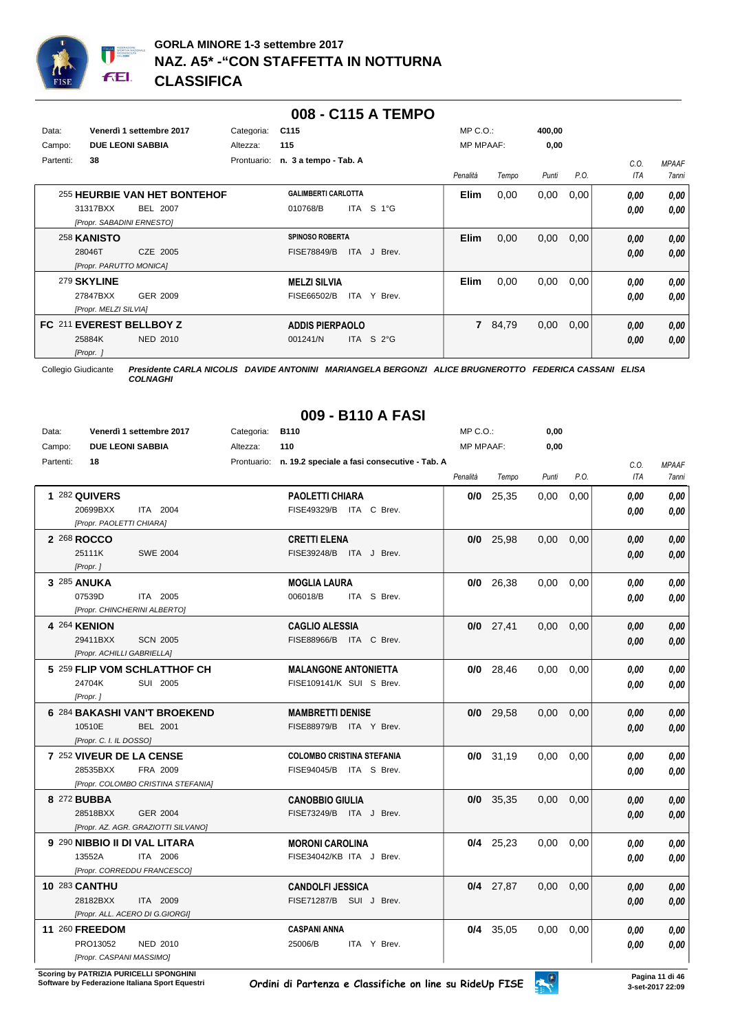

|           |                           |                              |             |                            | 008 - C115 A TEMPO    |                  |       |        |      |      |              |
|-----------|---------------------------|------------------------------|-------------|----------------------------|-----------------------|------------------|-------|--------|------|------|--------------|
| Data:     |                           | Venerdì 1 settembre 2017     | Categoria:  | C115                       |                       | $MP C. O.$ :     |       | 400,00 |      |      |              |
| Campo:    |                           | <b>DUE LEONI SABBIA</b>      | Altezza:    | 115                        |                       | <b>MP MPAAF:</b> |       | 0,00   |      |      |              |
| Partenti: | 38                        |                              | Prontuario: | n. 3 a tempo - Tab. A      |                       |                  |       |        |      | C.0. | <b>MPAAF</b> |
|           |                           |                              |             |                            |                       | Penalità         | Tempo | Punti  | P.O. | ITA  | 7anni        |
|           |                           | 255 HEURBIE VAN HET BONTEHOF |             | <b>GALIMBERTI CARLOTTA</b> |                       | <b>Elim</b>      | 0,00  | 0,00   | 0,00 | 0,00 | 0,00         |
|           | 31317BXX                  | BEL 2007                     |             | 010768/B                   | S 1°G<br><b>ITA</b>   |                  |       |        |      | 0,00 | 0,00         |
|           | [Propr. SABADINI ERNESTO] |                              |             |                            |                       |                  |       |        |      |      |              |
|           | 258 KANISTO               |                              |             | <b>SPINOSO ROBERTA</b>     |                       | <b>Elim</b>      | 0,00  | 0,00   | 0,00 | 0,00 | 0,00         |
|           | 28046T                    | CZE 2005                     |             | <b>FISE78849/B</b>         | <b>ITA</b><br>J Brev. |                  |       |        |      | 0,00 | 0,00         |
|           | [Propr. PARUTTO MONICA]   |                              |             |                            |                       |                  |       |        |      |      |              |
|           | 279 SKYLINE               |                              |             | <b>MELZI SILVIA</b>        |                       | <b>Elim</b>      | 0,00  | 0,00   | 0,00 | 0,00 | 0,00         |
|           | 27847BXX                  | GER 2009                     |             | FISE66502/B                | ITA Y Brev.           |                  |       |        |      | 0,00 | 0.00         |
|           | [Propr. MELZI SILVIA]     |                              |             |                            |                       |                  |       |        |      |      |              |
|           |                           | FC 211 EVEREST BELLBOY Z     |             | <b>ADDIS PIERPAOLO</b>     |                       | $\overline{7}$   | 84,79 | 0,00   | 0,00 | 0,00 | 0,00         |
|           | 25884K                    | <b>NED 2010</b>              |             | 001241/N                   | ITA S $2^{\circ}$ G   |                  |       |        |      | 0,00 | 0,00         |
|           | [Propr. ]                 |                              |             |                            |                       |                  |       |        |      |      |              |

*COLNAGHI*

## **009 - B110 A FASI**

| Data:     |                            | Venerdì 1 settembre 2017            | Categoria: | <b>B110</b>                                              | MP C.O.:         |             | 0,00  |      |            |                     |
|-----------|----------------------------|-------------------------------------|------------|----------------------------------------------------------|------------------|-------------|-------|------|------------|---------------------|
| Campo:    | <b>DUE LEONI SABBIA</b>    |                                     | Altezza:   | 110                                                      | <b>MP MPAAF:</b> |             | 0,00  |      |            |                     |
| Partenti: | 18                         |                                     |            | Prontuario: n. 19.2 speciale a fasi consecutive - Tab. A |                  |             |       |      | C.O.       | <b>MPAAF</b>        |
|           |                            |                                     |            |                                                          | Penalità         | Tempo       | Punti | P.O. | <b>ITA</b> | <i><b>7anni</b></i> |
|           | 1 282 QUIVERS              |                                     |            | <b>PAOLETTI CHIARA</b>                                   |                  | $0/0$ 25,35 | 0,00  | 0,00 | 0.00       | 0,00                |
|           | 20699BXX                   | ITA 2004                            |            | FISE49329/B ITA C Brev.                                  |                  |             |       |      | 0.00       | 0.00                |
|           | [Propr. PAOLETTI CHIARA]   |                                     |            |                                                          |                  |             |       |      |            |                     |
|           | 2 268 ROCCO                |                                     |            | <b>CRETTI ELENA</b>                                      |                  | $0/0$ 25,98 | 0,00  | 0,00 | 0.00       | 0,00                |
|           | 25111K                     | <b>SWE 2004</b>                     |            | FISE39248/B ITA J Brev.                                  |                  |             |       |      | 0.00       | 0.00                |
|           | [Propr.]                   |                                     |            |                                                          |                  |             |       |      |            |                     |
|           | 3 285 ANUKA                |                                     |            | <b>MOGLIA LAURA</b>                                      |                  | $0/0$ 26,38 | 0,00  | 0,00 | 0.00       | 0.00                |
|           | 07539D                     | ITA 2005                            |            | 006018/B<br>ITA S Brev.                                  |                  |             |       |      | 0.00       | 0,00                |
|           |                            | [Propr. CHINCHERINI ALBERTO]        |            |                                                          |                  |             |       |      |            |                     |
|           | 4 264 KENION               |                                     |            | <b>CAGLIO ALESSIA</b>                                    |                  | $0/0$ 27,41 | 0,00  | 0,00 | 0,00       | 0,00                |
|           | 29411BXX                   | <b>SCN 2005</b>                     |            | FISE88966/B ITA C Brev.                                  |                  |             |       |      | 0.00       | 0,00                |
|           | [Propr. ACHILLI GABRIELLA] |                                     |            |                                                          |                  |             |       |      |            |                     |
|           |                            | 5 259 FLIP VOM SCHLATTHOF CH        |            | <b>MALANGONE ANTONIETTA</b>                              |                  | $0/0$ 28,46 | 0.00  | 0,00 | 0.00       | 0.00                |
|           | 24704K                     | SUI 2005                            |            | FISE109141/K SUI S Brev.                                 |                  |             |       |      | 0.00       | 0.00                |
|           | [Propr.]                   |                                     |            |                                                          |                  |             |       |      |            |                     |
|           |                            | 6 284 BAKASHI VAN'T BROEKEND        |            | <b>MAMBRETTI DENISE</b>                                  |                  | $0/0$ 29,58 | 0,00  | 0,00 | 0.00       | 0,00                |
|           | 10510E                     | <b>BEL 2001</b>                     |            | FISE88979/B ITA Y Brev.                                  |                  |             |       |      | 0,00       | 0,00                |
|           | [Propr. C. I. IL DOSSO]    |                                     |            |                                                          |                  |             |       |      |            |                     |
|           | 7 252 VIVEUR DE LA CENSE   |                                     |            | <b>COLOMBO CRISTINA STEFANIA</b>                         |                  | $0/0$ 31,19 | 0,00  | 0,00 | 0,00       | 0,00                |
|           | 28535BXX                   | FRA 2009                            |            | FISE94045/B ITA S Brev.                                  |                  |             |       |      | 0.00       | 0,00                |
|           |                            | [Propr. COLOMBO CRISTINA STEFANIA]  |            |                                                          |                  |             |       |      |            |                     |
|           | 8 272 BUBBA                |                                     |            | <b>CANOBBIO GIULIA</b>                                   |                  | $0/0$ 35,35 | 0.00  | 0,00 | 0.00       | 0,00                |
|           | 28518BXX                   | <b>GER 2004</b>                     |            | FISE73249/B ITA J Brev.                                  |                  |             |       |      | 0.00       | 0.00                |
|           |                            | [Propr. AZ. AGR. GRAZIOTTI SILVANO] |            |                                                          |                  |             |       |      |            |                     |
|           |                            | 9 290 NIBBIO II DI VAL LITARA       |            | <b>MORONI CAROLINA</b>                                   |                  | $0/4$ 25,23 | 0,00  | 0,00 | 0.00       | 0.00                |
|           | 13552A                     | ITA 2006                            |            | FISE34042/KB ITA J Brev.                                 |                  |             |       |      | 0.00       | 0,00                |
|           |                            | [Propr. CORREDDU FRANCESCO]         |            |                                                          |                  |             |       |      |            |                     |
|           | <b>10 283 CANTHU</b>       |                                     |            | <b>CANDOLFI JESSICA</b>                                  |                  | $0/4$ 27,87 | 0,00  | 0,00 | 0.00       | 0,00                |
|           | 28182BXX                   | ITA 2009                            |            | FISE71287/B SUI J Brev.                                  |                  |             |       |      | 0.00       | 0,00                |
|           |                            | [Propr. ALL. ACERO DI G.GIORGI]     |            |                                                          |                  |             |       |      |            |                     |
|           | 11 260 FREEDOM             |                                     |            | <b>CASPANI ANNA</b>                                      |                  | $0/4$ 35,05 | 0.00  | 0,00 | 0.00       | 0,00                |
|           | PRO13052                   | <b>NED 2010</b>                     |            | 25006/B<br>ITA Y Brev.                                   |                  |             |       |      | 0.00       | 0,00                |
|           | [Propr. CASPANI MASSIMO]   |                                     |            |                                                          |                  |             |       |      |            |                     |

**Scoring by PATRIZIA PURICELLI SPONGHINI<br>Software by Federazione Italiana Sport Equestri** 

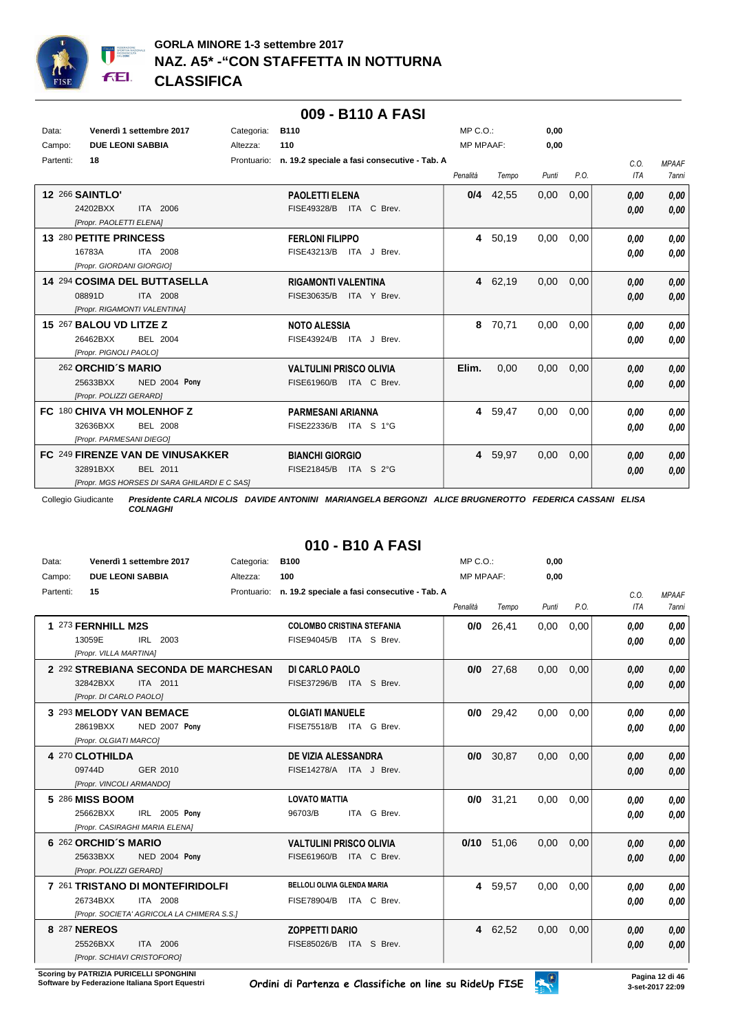

|           |                                              |            | 009 - B110 A FASI                                        |                  |             |       |      |            |              |
|-----------|----------------------------------------------|------------|----------------------------------------------------------|------------------|-------------|-------|------|------------|--------------|
| Data:     | Venerdì 1 settembre 2017                     | Categoria: | <b>B110</b>                                              | $MP C. O.$ :     |             | 0.00  |      |            |              |
| Campo:    | <b>DUE LEONI SABBIA</b>                      | Altezza:   | 110                                                      | <b>MP MPAAF:</b> |             | 0,00  |      |            |              |
| Partenti: | 18                                           |            | Prontuario: n. 19.2 speciale a fasi consecutive - Tab. A |                  |             |       |      | C.O.       | <b>MPAAF</b> |
|           |                                              |            |                                                          | Penalità         | Tempo       | Punti | P.O. | <b>ITA</b> | <b>7anni</b> |
|           | <b>12 266 SAINTLO'</b>                       |            | <b>PAOLETTI ELENA</b>                                    |                  | $0/4$ 42,55 | 0,00  | 0,00 | 0,00       | 0,00         |
|           | 24202BXX<br>ITA 2006                         |            | FISE49328/B<br>ITA C Brev.                               |                  |             |       |      | 0,00       | 0,00         |
|           | [Propr. PAOLETTI ELENA]                      |            |                                                          |                  |             |       |      |            |              |
|           | 13 280 PETITE PRINCESS                       |            | <b>FERLONI FILIPPO</b>                                   |                  | 4 50,19     | 0,00  | 0,00 | 0,00       | 0.00         |
|           | 16783A<br>ITA 2008                           |            | FISE43213/B ITA J Brev.                                  |                  |             |       |      | 0,00       | 0,00         |
|           | [Propr. GIORDANI GIORGIO]                    |            |                                                          |                  |             |       |      |            |              |
|           | 14 294 COSIMA DEL BUTTASELLA                 |            | <b>RIGAMONTI VALENTINA</b>                               |                  | 4 62,19     | 0,00  | 0,00 | 0,00       | 0,00         |
|           | 08891D<br>ITA 2008                           |            | FISE30635/B<br>ITA Y Brev.                               |                  |             |       |      | 0,00       | 0,00         |
|           | [Propr. RIGAMONTI VALENTINA]                 |            |                                                          |                  |             |       |      |            |              |
|           | 15 267 BALOU VD LITZE Z                      |            | <b>NOTO ALESSIA</b>                                      | 8                | 70,71       | 0.00  | 0,00 | 0,00       | 0.00         |
|           | 26462BXX<br>BEL 2004                         |            | FISE43924/B ITA J Brev.                                  |                  |             |       |      | 0,00       | 0,00         |
|           | [Propr. PIGNOLI PAOLO]                       |            |                                                          |                  |             |       |      |            |              |
|           | 262 ORCHID'S MARIO                           |            | <b>VALTULINI PRISCO OLIVIA</b>                           | Elim.            | 0,00        | 0,00  | 0,00 | 0,00       | 0,00         |
|           | <b>NED 2004 Pony</b><br>25633BXX             |            | FISE61960/B<br>ITA C Brev.                               |                  |             |       |      | 0,00       | 0,00         |
|           | [Propr. POLIZZI GERARD]                      |            |                                                          |                  |             |       |      |            |              |
|           | FC 180 CHIVA VH MOLENHOF Z                   |            | <b>PARMESANI ARIANNA</b>                                 |                  | 4 59,47     | 0.00  | 0,00 | 0,00       | 0,00         |
|           | 32636BXX<br><b>BEL 2008</b>                  |            | FISE22336/B<br>ITA S 1°G                                 |                  |             |       |      | 0,00       | 0.00         |
|           | [Propr. PARMESANI DIEGO]                     |            |                                                          |                  |             |       |      |            |              |
|           | FC 249 FIRENZE VAN DE VINUSAKKER             |            | <b>BIANCHI GIORGIO</b>                                   |                  | 4 59,97     | 0,00  | 0,00 | 0,00       | 0,00         |
|           | 32891BXX<br>BEL 2011                         |            | FISE21845/B<br>ITA S 2°G                                 |                  |             |       |      | 0,00       | 0,00         |
|           | [Propr. MGS HORSES DI SARA GHILARDI E C SAS] |            |                                                          |                  |             |       |      |            |              |

# **010 - B10 A FASI**

| Data:     | Venerdì 1 settembre 2017                   | Categoria:  | <b>B100</b>                                  | $MP C. O.$ :     |              | 0.00  |      |            |              |
|-----------|--------------------------------------------|-------------|----------------------------------------------|------------------|--------------|-------|------|------------|--------------|
| Campo:    | <b>DUE LEONI SABBIA</b>                    | Altezza:    | 100                                          | <b>MP MPAAF:</b> |              | 0,00  |      |            |              |
| Partenti: | 15                                         | Prontuario: | n. 19.2 speciale a fasi consecutive - Tab. A |                  |              |       |      | C.O.       | <b>MPAAF</b> |
|           |                                            |             |                                              | Penalità         | Tempo        | Punti | P.O. | <b>ITA</b> | <b>7anni</b> |
|           | 1 273 FERNHILL M2S                         |             | <b>COLOMBO CRISTINA STEFANIA</b>             | 0/0              | 26.41        | 0.00  | 0.00 | 0.00       | 0.00         |
|           | 13059E<br>IRL 2003                         |             | FISE94045/B ITA S Brev.                      |                  |              |       |      | 0,00       | 0,00         |
|           | [Propr. VILLA MARTINA]                     |             |                                              |                  |              |       |      |            |              |
|           | 2 292 STREBIANA SECONDA DE MARCHESAN       |             | DI CARLO PAOLO                               |                  | $0/0$ 27,68  | 0.00  | 0.00 | 0,00       | 0,00         |
|           | ITA 2011<br>32842BXX                       |             | FISE37296/B ITA S Brev.                      |                  |              |       |      | 0,00       | 0,00         |
|           | [Propr. DI CARLO PAOLO]                    |             |                                              |                  |              |       |      |            |              |
|           | 3 293 MELODY VAN BEMACE                    |             | <b>OLGIATI MANUELE</b>                       |                  | $0/0$ 29,42  | 0,00  | 0.00 | 0,00       | 0,00         |
|           | 28619BXX<br>NED 2007 Pony                  |             | FISE75518/B ITA G Brev.                      |                  |              |       |      | 0.00       | 0,00         |
|           | [Propr. OLGIATI MARCO]                     |             |                                              |                  |              |       |      |            |              |
|           | 4 270 CLOTHILDA                            |             | DE VIZIA ALESSANDRA                          |                  | $0/0$ 30,87  | 0,00  | 0,00 | 0,00       | 0,00         |
|           | 09744D<br>GER 2010                         |             | FISE14278/A ITA J Brev.                      |                  |              |       |      | 0,00       | 0,00         |
|           | [Propr. VINCOLI ARMANDO]                   |             |                                              |                  |              |       |      |            |              |
|           | 5 286 MISS BOOM                            |             | <b>LOVATO MATTIA</b>                         | 0/0              | 31,21        | 0,00  | 0,00 | 0,00       | 0,00         |
|           | IRL 2005 Pony<br>25662BXX                  |             | 96703/B<br>ITA G Brev.                       |                  |              |       |      | 0.00       | 0,00         |
|           | [Propr. CASIRAGHI MARIA ELENA]             |             |                                              |                  |              |       |      |            |              |
|           | 6 262 ORCHID'S MARIO                       |             | <b>VALTULINI PRISCO OLIVIA</b>               |                  | $0/10$ 51,06 | 0,00  | 0,00 | 0,00       | 0,00         |
|           | <b>NED 2004 Pony</b><br>25633BXX           |             | FISE61960/B ITA C Brev.                      |                  |              |       |      | 0,00       | 0,00         |
|           | [Propr. POLIZZI GERARD]                    |             |                                              |                  |              |       |      |            |              |
|           | 7 261 TRISTANO DI MONTEFIRIDOLFI           |             | <b>BELLOLI OLIVIA GLENDA MARIA</b>           | 4                | 59,57        | 0,00  | 0,00 | 0.00       | 0,00         |
|           | 26734BXX<br>ITA 2008                       |             | FISE78904/B ITA C Brev.                      |                  |              |       |      | 0,00       | 0,00         |
|           | [Propr. SOCIETA' AGRICOLA LA CHIMERA S.S.] |             |                                              |                  |              |       |      |            |              |
|           | 8 287 NEREOS                               |             | <b>ZOPPETTI DARIO</b>                        |                  | 4 62,52      | 0,00  | 0,00 | 0,00       | 0,00         |
|           | 25526BXX<br>ITA 2006                       |             | FISE85026/B<br>ITA S Brev.                   |                  |              |       |      | 0.00       | 0,00         |
|           | [Propr. SCHIAVI CRISTOFORO]                |             |                                              |                  |              |       |      |            |              |

**Scoring by PATRIZIA PURICELLI SPONGHINI<br>Software by Federazione Italiana Sport Equestri** 

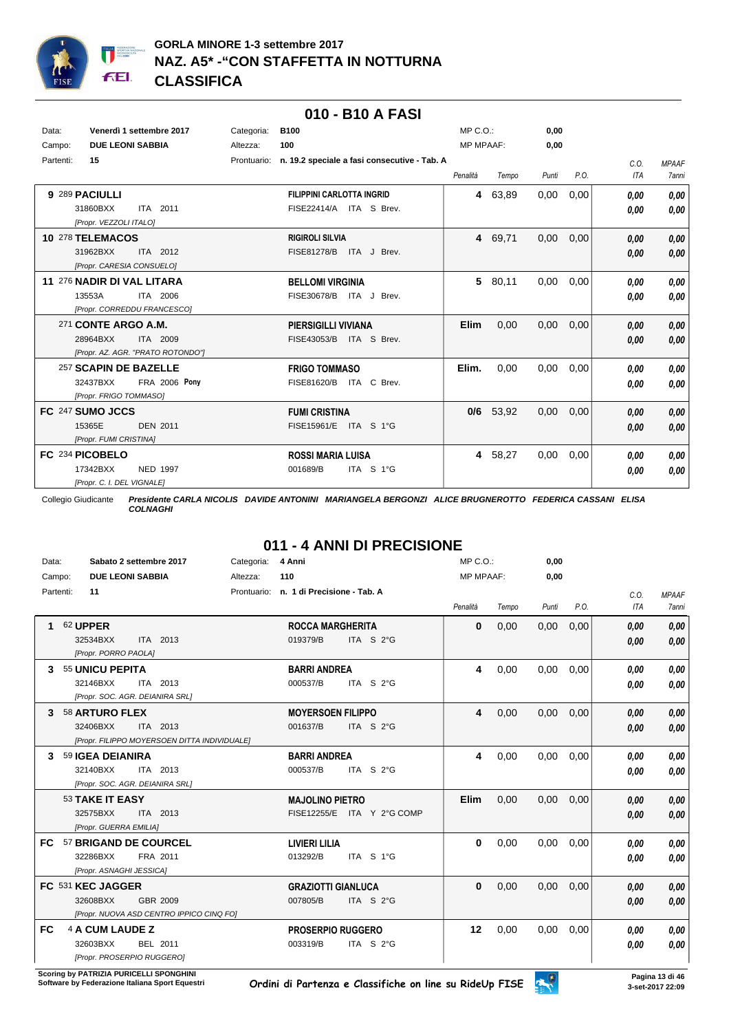

|           |                                   |             | 010 - B10 A FASI                             |                  |         |       |      |            |              |
|-----------|-----------------------------------|-------------|----------------------------------------------|------------------|---------|-------|------|------------|--------------|
| Data:     | Venerdì 1 settembre 2017          | Categoria:  | <b>B100</b>                                  | MP C.O.:         |         | 0,00  |      |            |              |
| Campo:    | <b>DUE LEONI SABBIA</b>           | Altezza:    | 100                                          | <b>MP MPAAF:</b> |         | 0,00  |      |            |              |
| Partenti: | 15                                | Prontuario: | n. 19.2 speciale a fasi consecutive - Tab. A |                  |         |       |      | C.O.       | <b>MPAAF</b> |
|           |                                   |             |                                              | Penalità         | Tempo   | Punti | P.O. | <b>ITA</b> | 7anni        |
|           | 9 289 PACIULLI                    |             | <b>FILIPPINI CARLOTTA INGRID</b>             | 4                | 63,89   | 0,00  | 0.00 | 0,00       | 0.00         |
|           | 31860BXX<br>ITA 2011              |             | FISE22414/A ITA S Brev.                      |                  |         |       |      | 0.00       | 0,00         |
|           | [Propr. VEZZOLI ITALO]            |             |                                              |                  |         |       |      |            |              |
|           | 10 278 TELEMACOS                  |             | <b>RIGIROLI SILVIA</b>                       |                  | 4 69,71 | 0,00  | 0,00 | 0,00       | 0,00         |
|           | ITA 2012<br>31962BXX              |             | <b>FISE81278/B</b><br>ITA J Brev.            |                  |         |       |      | 0,00       | 0,00         |
|           | [Propr. CARESIA CONSUELO]         |             |                                              |                  |         |       |      |            |              |
|           | 11 276 NADIR DI VAL LITARA        |             | <b>BELLOMI VIRGINIA</b>                      | 5.               | 80,11   | 0.00  | 0.00 | 0,00       | 0,00         |
|           | 13553A<br>ITA 2006                |             | FISE30678/B<br>ITA J Brev.                   |                  |         |       |      | 0.00       | 0.00         |
|           | [Propr. CORREDDU FRANCESCO]       |             |                                              |                  |         |       |      |            |              |
|           | 271 CONTE ARGO A.M.               |             | <b>PIERSIGILLI VIVIANA</b>                   | Elim             | 0,00    | 0,00  | 0,00 | 0,00       | 0,00         |
|           | 28964BXX<br>ITA 2009              |             | FISE43053/B<br>ITA S Brev.                   |                  |         |       |      | 0,00       | 0,00         |
|           | [Propr. AZ. AGR. "PRATO ROTONDO"] |             |                                              |                  |         |       |      |            |              |
|           | 257 SCAPIN DE BAZELLE             |             | <b>FRIGO TOMMASO</b>                         | Elim.            | 0,00    | 0,00  | 0,00 | 0,00       | 0,00         |
|           | <b>FRA 2006 Pony</b><br>32437BXX  |             | FISE81620/B<br>ITA C Brev.                   |                  |         |       |      | 0,00       | 0.00         |
|           | [Propr. FRIGO TOMMASO]            |             |                                              |                  |         |       |      |            |              |
|           | FC 247 SUMO JCCS                  |             | <b>FUMI CRISTINA</b>                         | 0/6              | 53,92   | 0,00  | 0,00 | 0,00       | 0,00         |
|           | <b>DEN 2011</b><br>15365E         |             | FISE15961/E ITA S 1°G                        |                  |         |       |      | 0,00       | 0,00         |
|           | [Propr. FUMI CRISTINA]            |             |                                              |                  |         |       |      |            |              |
|           | FC 234 PICOBELO                   |             | <b>ROSSI MARIA LUISA</b>                     | 4                | 58,27   | 0,00  | 0,00 | 0,00       | 0,00         |
|           | <b>NED 1997</b><br>17342BXX       |             | 001689/B<br>ITA S 1°G                        |                  |         |       |      | 0.00       | 0.00         |
|           | [Propr. C. I. DEL VIGNALE]        |             |                                              |                  |         |       |      |            |              |

# **011 - 4 ANNI DI PRECISIONE**

| Data:     |                                                                                                                |                                                                                                                                          |                                                                                                                                                                                                                                                                                                            |                                                                                          |                                                 |                                                                                                                                                                                                                                                                           |       | 0,00                         |      |      |              |
|-----------|----------------------------------------------------------------------------------------------------------------|------------------------------------------------------------------------------------------------------------------------------------------|------------------------------------------------------------------------------------------------------------------------------------------------------------------------------------------------------------------------------------------------------------------------------------------------------------|------------------------------------------------------------------------------------------|-------------------------------------------------|---------------------------------------------------------------------------------------------------------------------------------------------------------------------------------------------------------------------------------------------------------------------------|-------|------------------------------|------|------|--------------|
| Campo:    |                                                                                                                |                                                                                                                                          | Altezza:                                                                                                                                                                                                                                                                                                   | 110                                                                                      |                                                 |                                                                                                                                                                                                                                                                           |       |                              |      |      |              |
| Partenti: |                                                                                                                |                                                                                                                                          | Prontuario:                                                                                                                                                                                                                                                                                                |                                                                                          |                                                 |                                                                                                                                                                                                                                                                           |       |                              |      |      | <b>MPAAF</b> |
|           |                                                                                                                |                                                                                                                                          |                                                                                                                                                                                                                                                                                                            |                                                                                          |                                                 | Penalità                                                                                                                                                                                                                                                                  | Tempo | Punti                        | P.O. | ITA  | 7anni        |
|           |                                                                                                                |                                                                                                                                          |                                                                                                                                                                                                                                                                                                            |                                                                                          |                                                 | 0                                                                                                                                                                                                                                                                         | 0,00  | 0,00                         | 0,00 | 0,00 | 0.00         |
|           |                                                                                                                |                                                                                                                                          |                                                                                                                                                                                                                                                                                                            | 019379/B                                                                                 | ITA S $2^{\circ}$ G                             |                                                                                                                                                                                                                                                                           |       |                              |      | 0.00 | 0,00         |
|           |                                                                                                                |                                                                                                                                          |                                                                                                                                                                                                                                                                                                            |                                                                                          |                                                 |                                                                                                                                                                                                                                                                           |       |                              |      |      |              |
|           |                                                                                                                |                                                                                                                                          |                                                                                                                                                                                                                                                                                                            |                                                                                          |                                                 | 4                                                                                                                                                                                                                                                                         | 0,00  | 0,00                         | 0,00 | 0,00 | 0,00         |
|           |                                                                                                                |                                                                                                                                          |                                                                                                                                                                                                                                                                                                            | 000537/B                                                                                 | ITA S $2^{\circ}$ G                             |                                                                                                                                                                                                                                                                           |       |                              |      | 0.00 | 0,00         |
|           |                                                                                                                |                                                                                                                                          |                                                                                                                                                                                                                                                                                                            |                                                                                          |                                                 |                                                                                                                                                                                                                                                                           |       |                              |      |      |              |
|           |                                                                                                                |                                                                                                                                          |                                                                                                                                                                                                                                                                                                            |                                                                                          |                                                 | 4                                                                                                                                                                                                                                                                         | 0,00  | 0.00                         | 0.00 | 0,00 | 0,00         |
|           |                                                                                                                |                                                                                                                                          |                                                                                                                                                                                                                                                                                                            | 001637/B                                                                                 | ITA S 2°G                                       |                                                                                                                                                                                                                                                                           |       |                              |      | 0.00 | 0,00         |
|           |                                                                                                                |                                                                                                                                          |                                                                                                                                                                                                                                                                                                            |                                                                                          |                                                 |                                                                                                                                                                                                                                                                           |       |                              |      |      |              |
|           |                                                                                                                |                                                                                                                                          |                                                                                                                                                                                                                                                                                                            |                                                                                          |                                                 | 4                                                                                                                                                                                                                                                                         | 0,00  | 0,00                         | 0,00 | 0,00 | 0.00         |
|           |                                                                                                                |                                                                                                                                          |                                                                                                                                                                                                                                                                                                            | 000537/B                                                                                 | ITA S 2°G                                       |                                                                                                                                                                                                                                                                           |       |                              |      | 0.00 | 0,00         |
|           |                                                                                                                |                                                                                                                                          |                                                                                                                                                                                                                                                                                                            |                                                                                          |                                                 |                                                                                                                                                                                                                                                                           |       |                              |      |      |              |
|           |                                                                                                                |                                                                                                                                          |                                                                                                                                                                                                                                                                                                            |                                                                                          |                                                 | <b>Elim</b>                                                                                                                                                                                                                                                               | 0,00  | 0,00                         | 0,00 | 0.00 | 0,00         |
|           |                                                                                                                |                                                                                                                                          |                                                                                                                                                                                                                                                                                                            |                                                                                          |                                                 |                                                                                                                                                                                                                                                                           |       |                              |      | 0,00 | 0,00         |
|           |                                                                                                                |                                                                                                                                          |                                                                                                                                                                                                                                                                                                            |                                                                                          |                                                 |                                                                                                                                                                                                                                                                           |       |                              |      |      |              |
|           |                                                                                                                |                                                                                                                                          |                                                                                                                                                                                                                                                                                                            |                                                                                          |                                                 | 0                                                                                                                                                                                                                                                                         | 0,00  | 0.00                         | 0.00 | 0.00 | 0,00         |
|           |                                                                                                                |                                                                                                                                          |                                                                                                                                                                                                                                                                                                            | 013292/B                                                                                 | ITA S 1°G                                       |                                                                                                                                                                                                                                                                           |       |                              |      | 0,00 | 0.00         |
|           |                                                                                                                |                                                                                                                                          |                                                                                                                                                                                                                                                                                                            |                                                                                          |                                                 |                                                                                                                                                                                                                                                                           |       |                              |      |      |              |
|           |                                                                                                                |                                                                                                                                          |                                                                                                                                                                                                                                                                                                            |                                                                                          |                                                 | $\bf{0}$                                                                                                                                                                                                                                                                  | 0,00  | 0,00                         | 0,00 | 0,00 | 0,00         |
|           |                                                                                                                |                                                                                                                                          |                                                                                                                                                                                                                                                                                                            | 007805/B                                                                                 | ITA S 2°G                                       |                                                                                                                                                                                                                                                                           |       |                              |      | 0.00 | 0,00         |
|           |                                                                                                                |                                                                                                                                          |                                                                                                                                                                                                                                                                                                            |                                                                                          |                                                 |                                                                                                                                                                                                                                                                           |       |                              |      |      |              |
|           |                                                                                                                |                                                                                                                                          |                                                                                                                                                                                                                                                                                                            |                                                                                          |                                                 | 12                                                                                                                                                                                                                                                                        | 0,00  | 0,00                         | 0.00 | 0,00 | 0,00         |
|           |                                                                                                                |                                                                                                                                          |                                                                                                                                                                                                                                                                                                            | 003319/B                                                                                 | ITA S 2°G                                       |                                                                                                                                                                                                                                                                           |       |                              |      |      | 0.00         |
|           |                                                                                                                |                                                                                                                                          |                                                                                                                                                                                                                                                                                                            |                                                                                          |                                                 |                                                                                                                                                                                                                                                                           |       |                              |      |      |              |
|           | 11<br>62 UPPER<br>32534BXX<br>32146BXX<br>32406BXX<br>32140BXX<br>32575BXX<br>32286BXX<br>32608BXX<br>32603BXX | [Propr. PORRO PAOLA]<br>55 UNICU PEPITA<br>58 ARTURO FLEX<br>59 IGEA DEIANIRA<br>53 TAKE IT EASY<br>FC 531 KEC JAGGER<br>4 A CUM LAUDE Z | <b>DUE LEONI SABBIA</b><br>ITA 2013<br>ITA 2013<br>[Propr. SOC. AGR. DEIANIRA SRL]<br>ITA 2013<br>ITA 2013<br>[Propr. SOC. AGR. DEIANIRA SRL]<br>ITA 2013<br>[Propr. GUERRA EMILIA]<br>57 BRIGAND DE COURCEL<br>FRA 2011<br>[Propr. ASNAGHI JESSICA]<br>GBR 2009<br>BEL 2011<br>[Propr. PROSERPIO RUGGERO] | [Propr. FILIPPO MOYERSOEN DITTA INDIVIDUALE]<br>[Propr. NUOVA ASD CENTRO IPPICO CINQ FO] | Sabato 2 settembre 2017<br>Categoria:<br>4 Anni | n. 1 di Precisione - Tab. A<br><b>ROCCA MARGHERITA</b><br><b>BARRI ANDREA</b><br><b>MOYERSOEN FILIPPO</b><br><b>BARRI ANDREA</b><br><b>MAJOLINO PIETRO</b><br>FISE12255/E ITA Y 2°G COMP<br><b>LIVIERI LILIA</b><br><b>GRAZIOTTI GIANLUCA</b><br><b>PROSERPIO RUGGERO</b> |       | MP C.O.:<br><b>MP MPAAF:</b> |      | 0,00 | C.O.<br>0.00 |

**Scoring by PATRIZIA PURICELLI SPONGHINI<br>Software by Federazione Italiana Sport Equestri**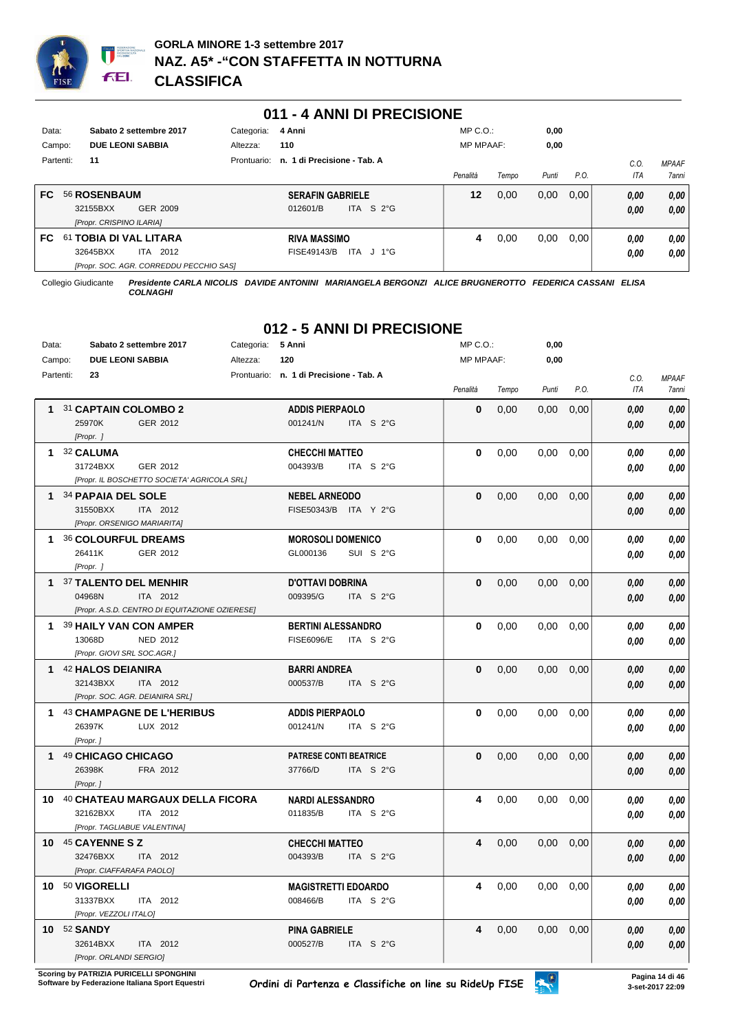

## **011 - 4 ANNI DI PRECISIONE**

| Data:<br>Campo: |           |                                                      | Sabato 2 settembre 2017<br><b>DUE LEONI SABBIA</b> | Categoria:<br>Altezza:                  | 4 Anni<br>110                       |                     | $MP C. O.$ :<br><b>MP MPAAF:</b> |       | 0,00<br>0,00 |      |              |                       |
|-----------------|-----------|------------------------------------------------------|----------------------------------------------------|-----------------------------------------|-------------------------------------|---------------------|----------------------------------|-------|--------------|------|--------------|-----------------------|
|                 | Partenti: | 11                                                   |                                                    | Prontuario:                             | n. 1 di Precisione - Tab. A         |                     | Penalità                         | Tempo | Punti        | P.O. | C.O<br>ITA   | <b>MPAAF</b><br>7anni |
| FC.             |           | 56 ROSENBAUM<br>32155BXX<br>[Propr. CRISPINO ILARIA] | GER 2009                                           |                                         | <b>SERAFIN GABRIELE</b><br>012601/B | ITA S $2^{\circ}$ G | 12                               | 0,00  | 0,00         | 0.00 | 0,00<br>0.00 | 0.00<br>0.00          |
| FC.             | 61        | 32645BXX                                             | <b>TOBIA DI VAL LITARA</b><br>2012<br>ITA          | [Propr. SOC. AGR. CORREDDU PECCHIO SAS] | <b>RIVA MASSIMO</b><br>FISE49143/B  | ITA J 1°G           | 4                                | 0,00  | 0,00         | 0.00 | 0.00<br>0,00 | 0.00<br>0.00          |

Collegio Giudicante *Presidente CARLA NICOLIS DAVIDE ANTONINI MARIANGELA BERGONZI ALICE BRUGNEROTTO FEDERICA CASSANI ELISA COLNAGHI*

# **012 - 5 ANNI DI PRECISIONE**

| Data:     | Sabato 2 settembre 2017                        | Categoria: | 5 Anni                                  | MP C.O.:         |       | 0,00  |      |            |              |
|-----------|------------------------------------------------|------------|-----------------------------------------|------------------|-------|-------|------|------------|--------------|
| Campo:    | <b>DUE LEONI SABBIA</b>                        | Altezza:   | 120                                     | <b>MP MPAAF:</b> |       | 0,00  |      |            |              |
| Partenti: | 23                                             |            | Prontuario: n. 1 di Precisione - Tab. A |                  |       |       |      | C.O.       | <b>MPAAF</b> |
|           |                                                |            |                                         | Penalità         | Tempo | Punti | P.O. | <b>ITA</b> | <b>7anni</b> |
|           | 1 31 CAPTAIN COLOMBO 2                         |            | <b>ADDIS PIERPAOLO</b>                  | 0                | 0,00  | 0,00  | 0,00 | 0.00       | 0,00         |
|           | 25970K<br>GER 2012                             |            | 001241/N<br>ITA S 2°G                   |                  |       |       |      | 0,00       | 0,00         |
|           | [Propr. ]                                      |            |                                         |                  |       |       |      |            |              |
|           | 1 32 CALUMA                                    |            | <b>CHECCHI MATTEO</b>                   | $\mathbf{0}$     | 0.00  | 0,00  | 0,00 | 0,00       | 0,00         |
|           | 31724BXX<br>GER 2012                           |            | 004393/B<br>ITA S 2°G                   |                  |       |       |      | 0.00       | 0,00         |
|           | [Propr. IL BOSCHETTO SOCIETA' AGRICOLA SRL]    |            |                                         |                  |       |       |      |            |              |
|           | 1 34 PAPAIA DEL SOLE                           |            | <b>NEBEL ARNEODO</b>                    | $\mathbf{0}$     | 0,00  | 0,00  | 0,00 | 0.00       | 0,00         |
|           | 31550BXX<br>ITA 2012                           |            | FISE50343/B ITA Y 2°G                   |                  |       |       |      | 0,00       | 0,00         |
|           | [Propr. ORSENIGO MARIARITA]                    |            |                                         |                  |       |       |      |            |              |
| 1.        | 36 COLOURFUL DREAMS                            |            | <b>MOROSOLI DOMENICO</b>                | 0                | 0,00  | 0,00  | 0,00 | 0.00       | 0,00         |
|           | 26411K<br>GER 2012                             |            | GL000136<br>SUI S 2°G                   |                  |       |       |      | 0,00       | 0,00         |
|           | [Propr. ]                                      |            |                                         |                  |       |       |      |            |              |
|           | 1 37 TALENTO DEL MENHIR                        |            | <b>D'OTTAVI DOBRINA</b>                 | $\bf{0}$         | 0,00  | 0,00  | 0,00 | 0,00       | 0,00         |
|           | 04968N<br>ITA 2012                             |            | 009395/G<br>ITA S 2°G                   |                  |       |       |      | 0.00       | 0.00         |
|           | [Propr. A.S.D. CENTRO DI EQUITAZIONE OZIERESE] |            |                                         |                  |       |       |      |            |              |
|           | 1 39 HAILY VAN CON AMPER                       |            | <b>BERTINI ALESSANDRO</b>               | $\mathbf{0}$     | 0,00  | 0,00  | 0,00 | 0.00       | 0,00         |
|           | 13068D<br><b>NED 2012</b>                      |            | ITA S 2°G<br><b>FISE6096/E</b>          |                  |       |       |      | 0,00       | 0,00         |
|           | [Propr. GIOVI SRL SOC.AGR.]                    |            |                                         |                  |       |       |      |            |              |
|           | 1 42 HALOS DEIANIRA                            |            | <b>BARRI ANDREA</b>                     | $\mathbf 0$      | 0,00  | 0,00  | 0,00 | 0.00       | 0,00         |
|           | 32143BXX<br>ITA 2012                           |            | 000537/B<br>ITA S 2°G                   |                  |       |       |      | 0,00       | $0,\!00$     |
|           | [Propr. SOC. AGR. DEIANIRA SRL]                |            |                                         |                  |       |       |      |            |              |
|           | 1 43 CHAMPAGNE DE L'HERIBUS                    |            | <b>ADDIS PIERPAOLO</b>                  | $\bf{0}$         | 0,00  | 0,00  | 0.00 | 0.00       | 0,00         |
|           | 26397K<br>LUX 2012                             |            | 001241/N<br>ITA S 2°G                   |                  |       |       |      | 0.00       | 0.00         |
|           | [Propr.]                                       |            |                                         |                  |       |       |      |            |              |
|           | 1 49 CHICAGO CHICAGO                           |            | <b>PATRESE CONTI BEATRICE</b>           | $\bf{0}$         | 0,00  | 0,00  | 0,00 | 0.00       | 0,00         |
|           | 26398K<br>FRA 2012                             |            | 37766/D<br>ITA S $2^{\circ}$ G          |                  |       |       |      | 0.00       | 0,00         |
|           | [Propr.]                                       |            |                                         |                  |       |       |      |            |              |
|           | 10 40 CHATEAU MARGAUX DELLA FICORA             |            | <b>NARDI ALESSANDRO</b>                 | 4                | 0,00  | 0,00  | 0,00 | 0.00       | 0,00         |
|           | 32162BXX<br>ITA 2012                           |            | 011835/B<br>ITA S 2°G                   |                  |       |       |      | 0,00       | 0,00         |
|           | [Propr. TAGLIABUE VALENTINA]                   |            |                                         |                  |       |       |      |            |              |
|           | 10 45 CAYENNE S Z                              |            | <b>CHECCHI MATTEO</b>                   | 4                | 0,00  | 0,00  | 0.00 | 0,00       | 0,00         |
|           | 32476BXX<br>ITA 2012                           |            | 004393/B<br>ITA S 2°G                   |                  |       |       |      | 0.00       | 0,00         |
|           | [Propr. CIAFFARAFA PAOLO]                      |            |                                         |                  |       |       |      |            |              |
|           | 10 50 VIGORELLI                                |            | <b>MAGISTRETTI EDOARDO</b>              | 4                | 0,00  | 0,00  | 0,00 | 0.00       | 0,00         |
|           | 31337BXX<br>ITA 2012                           |            | 008466/B<br>ITA S 2°G                   |                  |       |       |      | 0.00       | 0,00         |
|           | [Propr. VEZZOLI ITALO]                         |            |                                         |                  |       |       |      |            |              |
|           | <b>10 52 SANDY</b>                             |            | <b>PINA GABRIELE</b>                    | 4                | 0,00  | 0,00  | 0,00 | 0,00       | 0,00         |
|           | 32614BXX<br>ITA 2012                           |            | 000527/B<br>ITA S 2°G                   |                  |       |       |      | 0,00       | 0,00         |
|           | [Propr. ORLANDI SERGIO]                        |            |                                         |                  |       |       |      |            |              |

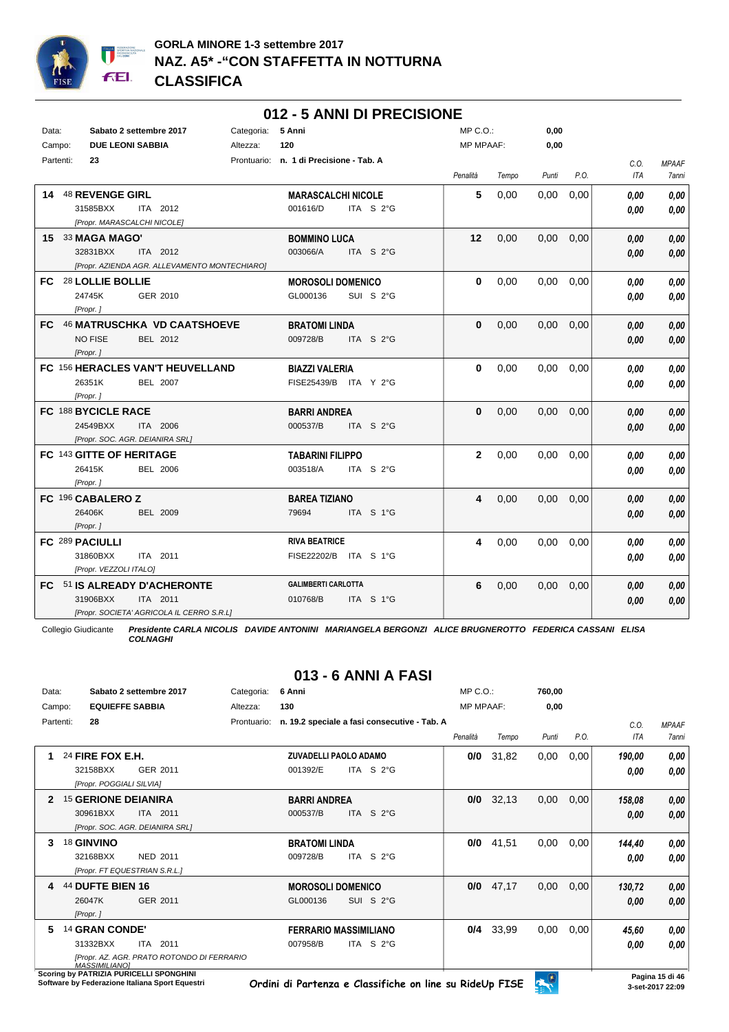

## **012 - 5 ANNI DI PRECISIONE**

| Data:     | Sabato 2 settembre 2017         |                                               | Categoria: | 5 Anni                                  |                       | $MP C. O.$ :     |       | 0,00              |      |      |              |
|-----------|---------------------------------|-----------------------------------------------|------------|-----------------------------------------|-----------------------|------------------|-------|-------------------|------|------|--------------|
| Campo:    | <b>DUE LEONI SABBIA</b>         |                                               | Altezza:   | 120                                     |                       | <b>MP MPAAF:</b> |       | 0,00              |      |      |              |
| Partenti: | 23                              |                                               |            | Prontuario: n. 1 di Precisione - Tab. A |                       |                  |       |                   |      | C.O. | <b>MPAAF</b> |
|           |                                 |                                               |            |                                         |                       | Penalità         | Tempo | Punti             | P.O. | ITA  | 7anni        |
|           | 14 48 REVENGE GIRL              |                                               |            | <b>MARASCALCHI NICOLE</b>               |                       | 5                | 0,00  | 0,00              | 0,00 | 0.00 | 0,00         |
|           | 31585BXX                        | ITA 2012                                      |            | 001616/D                                | ITA S 2°G             |                  |       |                   |      | 0.00 | 0,00         |
|           | [Propr. MARASCALCHI NICOLE]     |                                               |            |                                         |                       |                  |       |                   |      |      |              |
|           | 15 33 MAGA MAGO'                |                                               |            | <b>BOMMINO LUCA</b>                     |                       | 12               | 0,00  | 0,00              | 0,00 | 0.00 | 0,00         |
|           | 32831BXX                        | ITA 2012                                      |            | 003066/A                                | ITA S $2^{\circ}$ G   |                  |       |                   |      | 0.00 | 0.00         |
|           |                                 | [Propr. AZIENDA AGR. ALLEVAMENTO MONTECHIARO] |            |                                         |                       |                  |       |                   |      |      |              |
|           | FC 28 LOLLIE BOLLIE             |                                               |            | <b>MOROSOLI DOMENICO</b>                |                       | 0                | 0,00  | 0.00              | 0,00 | 0.00 | 0,00         |
|           | 24745K                          | GER 2010                                      |            | GL000136                                | SUI S 2°G             |                  |       |                   |      | 0.00 | 0.00         |
|           | [Propr.]                        |                                               |            |                                         |                       |                  |       |                   |      |      |              |
|           |                                 | FC 46 MATRUSCHKA VD CAATSHOEVE                |            | <b>BRATOMI LINDA</b>                    |                       | $\mathbf{0}$     | 0,00  | 0.00              | 0,00 | 0.00 | 0,00         |
|           | <b>NO FISE</b>                  | BEL 2012                                      |            | 009728/B                                | ITA S 2°G             |                  |       |                   |      | 0.00 | 0,00         |
|           | [Propr.]                        |                                               |            |                                         |                       |                  |       |                   |      |      |              |
|           |                                 | FC 156 HERACLES VAN'T HEUVELLAND              |            | <b>BIAZZI VALERIA</b>                   |                       | 0                | 0,00  | 0,00              | 0,00 | 0.00 | 0.00         |
|           | 26351K                          | <b>BEL 2007</b>                               |            |                                         | FISE25439/B ITA Y 2°G |                  |       |                   |      | 0.00 | 0,00         |
|           | [Propr.]                        |                                               |            |                                         |                       |                  |       |                   |      |      |              |
|           | FC 188 BYCICLE RACE             |                                               |            | <b>BARRI ANDREA</b>                     |                       | $\mathbf{0}$     | 0,00  | $0.00 \quad 0.00$ |      | 0,00 | 0,00         |
|           | 24549BXX                        | <b>ITA 2006</b>                               |            | 000537/B                                | ITA $S$ 2°G           |                  |       |                   |      | 0.00 | 0,00         |
|           | [Propr. SOC. AGR. DEIANIRA SRL] |                                               |            |                                         |                       |                  |       |                   |      |      |              |
|           | FC 143 GITTE OF HERITAGE        |                                               |            | <b>TABARINI FILIPPO</b>                 |                       | $\mathbf{2}$     | 0,00  | 0.00              | 0,00 | 0.00 | 0,00         |
|           | 26415K                          | <b>BEL 2006</b>                               |            | 003518/A                                | ITA S 2°G             |                  |       |                   |      | 0.00 | 0,00         |
|           | [Propr.]                        |                                               |            |                                         |                       |                  |       |                   |      |      |              |
|           | FC 196 CABALERO Z               |                                               |            | <b>BAREA TIZIANO</b>                    |                       | 4                | 0,00  | 0.00              | 0,00 | 0.00 | 0,00         |
|           | 26406K                          | <b>BEL 2009</b>                               |            | 79694                                   | ITA S 1°G             |                  |       |                   |      | 0.00 | 0.00         |
|           | [Propr.]                        |                                               |            |                                         |                       |                  |       |                   |      |      |              |
|           | FC 289 PACIULLI                 |                                               |            | <b>RIVA BEATRICE</b>                    |                       | 4                | 0,00  | 0.00              | 0,00 | 0.00 | 0,00         |
|           | 31860BXX                        | ITA 2011                                      |            |                                         | FISE22202/B ITA S 1°G |                  |       |                   |      | 0.00 | 0,00         |
|           | [Propr. VEZZOLI ITALO]          |                                               |            |                                         |                       |                  |       |                   |      |      |              |
|           | FC 51 IS ALREADY D'ACHERONTE    |                                               |            | <b>GALIMBERTI CARLOTTA</b>              |                       | 6                | 0,00  | 0,00              | 0,00 | 0.00 | 0,00         |
|           | 31906BXX                        | ITA 2011                                      |            | 010768/B                                | ITA S 1°G             |                  |       |                   |      | 0.00 | 0,00         |
|           |                                 | [Propr. SOCIETA' AGRICOLA IL CERRO S.R.L]     |            |                                         |                       |                  |       |                   |      |      |              |

Collegio Giudicante *Presidente CARLA NICOLIS DAVIDE ANTONINI MARIANGELA BERGONZI ALICE BRUGNEROTTO FEDERICA CASSANI ELISA COLNAGHI*

# **013 - 6 ANNI A FASI**

| Data:        |                                                          | Sabato 2 settembre 2017                                   | Categoria:  | 6 Anni                                   |                                                     | MP C.O.:         |       | 760,00 |      |                |                       |
|--------------|----------------------------------------------------------|-----------------------------------------------------------|-------------|------------------------------------------|-----------------------------------------------------|------------------|-------|--------|------|----------------|-----------------------|
| Campo:       |                                                          | <b>EQUIEFFE SABBIA</b>                                    | Altezza:    | 130                                      |                                                     | <b>MP MPAAF:</b> |       | 0,00   |      |                |                       |
| Partenti:    | 28                                                       |                                                           | Prontuario: |                                          | n. 19.2 speciale a fasi consecutive - Tab. A        | Penalità         | Tempo | Punti  | P.O. | C.0.<br>ITA    | <b>MPAAF</b><br>7anni |
|              | 24 FIRE FOX E.H.<br>32158BXX<br>[Propr. POGGIALI SILVIA] | GER 2011                                                  |             | <b>ZUVADELLI PAOLO ADAMO</b><br>001392/E | ITA $S2°G$                                          | 0/0              | 31,82 | 0,00   | 0,00 | 190,00<br>0.00 | 0,00<br>0,00          |
| $\mathbf{2}$ | <b>15 GERIONE DEIANIRA</b><br>30961BXX                   | ITA 2011<br>[Propr. SOC. AGR. DEIANIRA SRL]               |             | <b>BARRI ANDREA</b><br>000537/B          | ITA $S2G$                                           | 0/0              | 32,13 | 0,00   | 0,00 | 158,08<br>0,00 | 0,00<br>0,00          |
| 3            | 18 GINVINO<br>32168BXX                                   | NED 2011<br>[Propr. FT EQUESTRIAN S.R.L.]                 |             | <b>BRATOMI LINDA</b><br>009728/B         | ITA S 2°G                                           | 0/0              | 41,51 | 0,00   | 0,00 | 144,40<br>0.00 | 0,00<br>0,00          |
| 4            | 44 DUFTE BIEN 16<br>26047K<br>[Propr.]                   | GER 2011                                                  |             | <b>MOROSOLI DOMENICO</b><br>GL000136     | SUI S 2°G                                           | 0/0              | 47,17 | 0,00   | 0,00 | 130,72<br>0,00 | 0,00<br>0,00          |
| 5            | 14 GRAN CONDE'<br>31332BXX<br>MASSIMILIANOI              | 2011<br>ITA<br>IPropr. AZ. AGR. PRATO ROTONDO DI FERRARIO |             | 007958/B                                 | <b>FERRARIO MASSIMILIANO</b><br>ITA S $2^{\circ}$ G | 0/4              | 33,99 | 0,00   | 0,00 | 45,60<br>0,00  | 0,00<br>0,00          |

*MASSIMILIANO]* **Scoring by PATRIZIA PURICELLI SPONGHINI**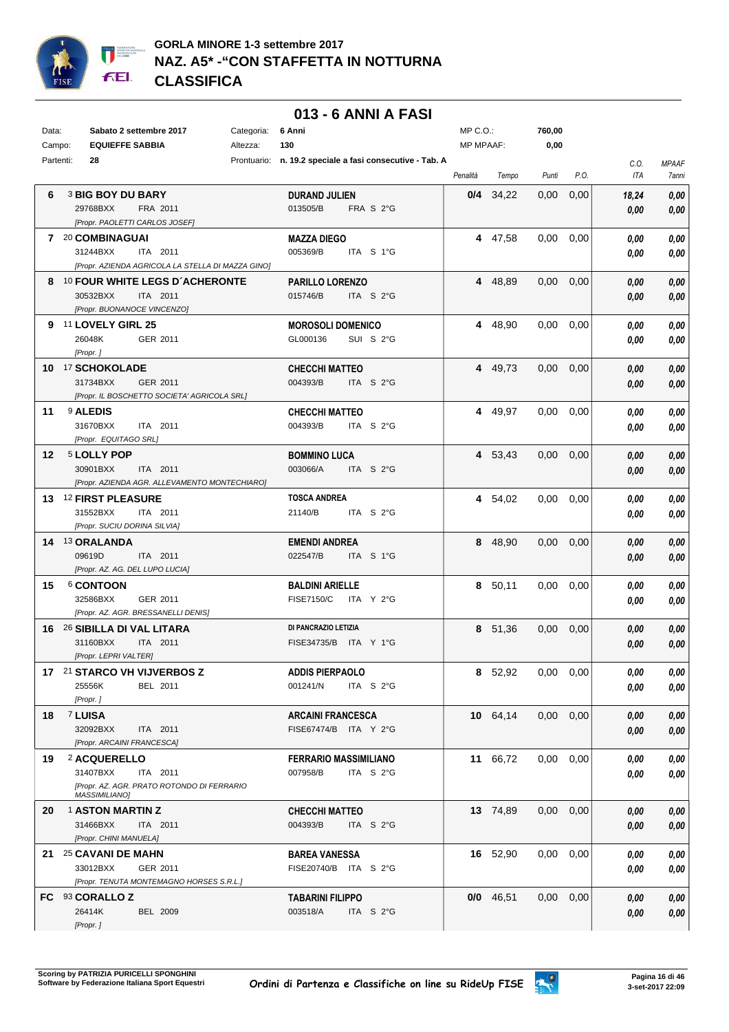

## **013 - 6 ANNI A FASI**

| Data:  | Sabato 2 settembre 2017<br>Categoria:                                                                      | 6 Anni                                                       | $MP C. O.$ :     |             | 760,00        |      |               |                       |
|--------|------------------------------------------------------------------------------------------------------------|--------------------------------------------------------------|------------------|-------------|---------------|------|---------------|-----------------------|
| Campo: | <b>EQUIEFFE SABBIA</b><br>Altezza:                                                                         | 130                                                          | <b>MP MPAAF:</b> |             | 0,00          |      |               |                       |
|        | Partenti:<br>28                                                                                            | Prontuario: n. 19.2 speciale a fasi consecutive - Tab. A     | Penalità         | Tempo       | Punti         | P.O. | C.O.<br>ITA   | <b>MPAAF</b><br>7anni |
| 6      | <b>3 BIG BOY DU BARY</b><br>29768BXX<br>FRA 2011<br>[Propr. PAOLETTI CARLOS JOSEF]                         | DURAND JULIEN<br>013505/B<br>FRA S 2°G                       |                  | $0/4$ 34,22 | 0,00          | 0,00 | 18,24<br>0,00 | 0,00<br>0,00          |
|        | 7 <sup>20</sup> COMBINAGUAI<br>31244BXX<br>ITA 2011<br>[Propr. AZIENDA AGRICOLA LA STELLA DI MAZZA GINO]   | <b>MAZZA DIEGO</b><br>005369/B<br>ITA S 1°G                  |                  | 4 47,58     | 0,00          | 0.00 | 0,00<br>0,00  | 0,00<br>0,00          |
|        | 8 10 FOUR WHITE LEGS D'ACHERONTE<br>30532BXX<br>ITA 2011<br>[Propr. BUONANOCE VINCENZO]                    | <b>PARILLO LORENZO</b><br>015746/B<br>ITA S 2°G              |                  | 4 48,89     | 0,00          | 0,00 | 0,00<br>0,00  | 0,00<br>0,00          |
|        | 9 11 LOVELY GIRL 25<br>26048K<br>GER 2011<br>[Propr.]                                                      | <b>MOROSOLI DOMENICO</b><br>GL000136<br>SUI S 2°G            |                  | 4 48,90     | 0,00          | 0,00 | 0.00<br>0,00  | 0,00<br>0,00          |
|        | 10 17 SCHOKOLADE<br>31734BXX<br>GER 2011<br>[Propr. IL BOSCHETTO SOCIETA' AGRICOLA SRL]                    | <b>CHECCHI MATTEO</b><br>004393/B<br>ITA S $2^{\circ}$ G     |                  | 4 49,73     | 0,00          | 0,00 | 0,00<br>0,00  | 0,00<br>0,00          |
| 11     | <b>9 ALEDIS</b><br>31670BXX<br>ITA 2011<br>[Propr. EQUITAGO SRL]                                           | <b>CHECCHI MATTEO</b><br>004393/B<br>ITA $S2$ <sup>°</sup> G |                  | 4 49,97     | 0,00          | 0,00 | 0,00<br>0,00  | 0,00<br>0,00          |
| 12     | 5 LOLLY POP<br>30901BXX<br>ITA 2011<br>[Propr. AZIENDA AGR. ALLEVAMENTO MONTECHIARO]                       | <b>BOMMINO LUCA</b><br>003066/A<br>ITA S $2^{\circ}$ G       |                  | 4 53,43     | 0,00          | 0,00 | 0,00<br>0,00  | 0,00<br>0,00          |
|        | 13 <sup>12</sup> FIRST PLEASURE<br>31552BXX<br>ITA 2011<br>[Propr. SUCIU DORINA SILVIA]                    | <b>TOSCA ANDREA</b><br>21140/B<br>ITA S 2°G                  |                  | 4 54,02     | 0,00          | 0,00 | 0,00<br>0,00  | 0,00<br>0,00          |
|        | 14 13 ORALANDA<br>09619D<br>ITA 2011<br>[Propr. AZ. AG. DEL LUPO LUCIA]                                    | <b>EMENDI ANDREA</b><br>022547/B<br>ITA S 1°G                |                  | 8 48,90     | 0,00          | 0,00 | 0.00<br>0,00  | 0,00<br>0,00          |
| 15     | 6 CONTOON<br>32586BXX<br>GER 2011<br>[Propr. AZ. AGR. BRESSANELLI DENIS]                                   | <b>BALDINI ARIELLE</b><br><b>FISE7150/C</b><br>ITA Y 2°G     |                  | 8 50,11     | 0,00          | 0,00 | 0,00<br>0,00  | 0,00<br>0,00          |
|        | 16 26 SIBILLA DI VAL LITARA<br>31160BXX<br>ITA 2011<br>[Propr. LEPRI VALTER]                               | DI PANCRAZIO LETIZIA<br>FISE34735/B ITA Y 1°G                |                  | 8 51,36     | $0.00\,$      | 0,00 | 0,00<br>0.00  | 0,00<br>0,00          |
|        | 17 21 STARCO VH VIJVERBOS Z<br>25556K<br>BEL 2011<br>[Propr.]                                              | <b>ADDIS PIERPAOLO</b><br>001241/N<br>ITA S $2^{\circ}$ G    |                  | 8 52,92     | $0,00$ $0,00$ |      | 0,00<br>0.00  | $\it 0,00$<br>0,00    |
| 18     | <b>7 LUISA</b><br>32092BXX<br>ITA 2011<br>[Propr. ARCAINI FRANCESCA]                                       | <b>ARCAINI FRANCESCA</b><br>FISE67474/B ITA Y 2°G            |                  | 10 64,14    | 0,00          | 0,00 | 0,00<br>0,00  | 0,00<br>0,00          |
| 19     | 2 ACQUERELLO<br>31407BXX<br>ITA 2011<br>[Propr. AZ. AGR. PRATO ROTONDO DI FERRARIO<br><b>MASSIMILIANO]</b> | <b>FERRARIO MASSIMILIANO</b><br>007958/B<br>ITA S 2°G        |                  | 11 66,72    | 0,00          | 0,00 | 0,00<br>0,00  | 0,00<br>0,00          |
| 20     | <b>1 ASTON MARTIN Z</b><br>31466BXX<br>ITA 2011<br>[Propr. CHINI MANUELA]                                  | <b>CHECCHI MATTEO</b><br>004393/B<br>ITA S 2°G               |                  | 13 74,89    | 0,00          | 0,00 | 0,00<br>0,00  | 0,00<br>0,00          |
| 21.    | 25 CAVANI DE MAHN<br>33012BXX<br>GER 2011<br>[Propr. TENUTA MONTEMAGNO HORSES S.R.L.]                      | <b>BAREA VANESSA</b><br>FISE20740/B ITA S 2°G                |                  | 16 52,90    | 0,00          | 0,00 | 0,00<br>0,00  | 0,00<br>0,00          |
|        | FC 93 CORALLO Z<br>26414K<br><b>BEL 2009</b><br>[Propr.]                                                   | <b>TABARINI FILIPPO</b><br>003518/A<br>ITA S 2°G             | 0/0              | 46,51       | 0,00          | 0,00 | 0.00<br>0,00  | 0,00<br>0,00          |

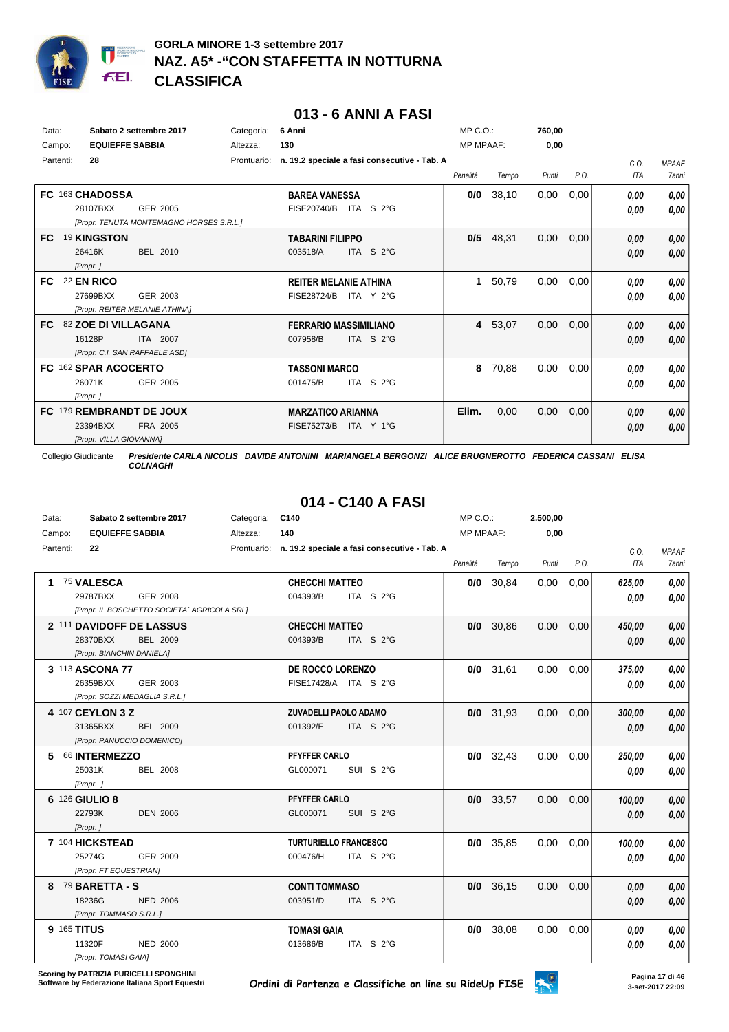

## **013 - 6 ANNI A FASI**

| Data:<br>Campo: |           | <b>EQUIEFFE SABBIA</b>                     | Sabato 2 settembre 2017                              | Categoria:<br>Altezza: | 6 Anni<br>130                                      |                                              | $MP C. O.$ :<br><b>MP MPAAF:</b> |       | 760,00<br>0,00 |      |              |                              |
|-----------------|-----------|--------------------------------------------|------------------------------------------------------|------------------------|----------------------------------------------------|----------------------------------------------|----------------------------------|-------|----------------|------|--------------|------------------------------|
|                 | Partenti: | 28                                         |                                                      | Prontuario:            |                                                    | n. 19.2 speciale a fasi consecutive - Tab. A | Penalità                         | Tempo | Punti          | P.O. | C.O.<br>ITA  | <b>MPAAF</b><br><b>7anni</b> |
|                 |           | FC 163 CHADOSSA<br>28107BXX                | GER 2005<br>[Propr. TENUTA MONTEMAGNO HORSES S.R.L.] |                        | <b>BAREA VANESSA</b><br><b>FISE20740/B</b>         | ITA S 2°G                                    | 0/0                              | 38,10 | 0,00           | 0,00 | 0.00<br>0,00 | 0,00<br>0.00                 |
| <b>FC</b>       |           | 19 KINGSTON<br>26416K<br>[Propr.]          | BEL 2010                                             |                        | <b>TABARINI FILIPPO</b><br>003518/A                | ITA S 2°G                                    | 0/5                              | 48,31 | 0,00           | 0,00 | 0,00<br>0,00 | 0,00<br>0,00                 |
| FC.             |           | <b>22 EN RICO</b><br>27699BXX              | GER 2003<br>[Propr. REITER MELANIE ATHINA]           |                        | <b>REITER MELANIE ATHINA</b><br><b>FISE28724/B</b> | ITA Y 2°G                                    | 1                                | 50,79 | 0,00           | 0,00 | 0.00<br>0,00 | 0,00<br>0,00                 |
| FC.             |           | 82 ZOE DI VILLAGANA<br>16128P              | ITA 2007<br>[Propr. C.I. SAN RAFFAELE ASD]           |                        | <b>FERRARIO MASSIMILIANO</b><br>007958/B           | ITA S 2°G                                    | $\overline{4}$                   | 53,07 | 0,00           | 0,00 | 0,00<br>0,00 | 0,00<br>0,00                 |
|                 |           | FC 162 SPAR ACOCERTO<br>26071K<br>[Propr.] | GER 2005                                             |                        | <b>TASSONI MARCO</b><br>001475/B                   | ITA S 2°G                                    | 8                                | 70,88 | 0,00           | 0,00 | 0,00<br>0,00 | 0,00<br>0,00                 |
|                 |           | 23394BXX<br>[Propr. VILLA GIOVANNA]        | FC 179 REMBRANDT DE JOUX<br>FRA 2005                 |                        | <b>MARZATICO ARIANNA</b><br><b>FISE75273/B</b>     | ITA Y 1°G                                    | Elim.                            | 0,00  | 0,00           | 0,00 | 0,00<br>0,00 | 0,00<br>0,00                 |

Collegio Giudicante *Presidente CARLA NICOLIS DAVIDE ANTONINI MARIANGELA BERGONZI ALICE BRUGNEROTTO FEDERICA CASSANI ELISA COLNAGHI*

# **014 - C140 A FASI**

| Data:<br>Campo: | <b>EQUIEFFE SABBIA</b>                                            | Sabato 2 settembre 2017                                 | Categoria:<br>Altezza: | C140<br>140                                      |                                                          | $MP C. O.$ :<br><b>MP MPAAF:</b> |             | 2.500.00<br>0,00 |      |                    |                       |
|-----------------|-------------------------------------------------------------------|---------------------------------------------------------|------------------------|--------------------------------------------------|----------------------------------------------------------|----------------------------------|-------------|------------------|------|--------------------|-----------------------|
| Partenti:       | 22                                                                |                                                         |                        |                                                  | Prontuario: n. 19.2 speciale a fasi consecutive - Tab. A | Penalità                         | Tempo       | Punti            | P.O. | C.O.<br><b>ITA</b> | <b>MPAAF</b><br>7anni |
| 1.              | 75 VALESCA<br>29787BXX                                            | GER 2008<br>[Propr. IL BOSCHETTO SOCIETA' AGRICOLA SRL] |                        | <b>CHECCHI MATTEO</b><br>004393/B                | ITA S 2°G                                                | 0/0                              | 30,84       | 0,00             | 0,00 | 625,00<br>0,00     | 0,00<br>0.00          |
|                 | 2 111 DAVIDOFF DE LASSUS<br>28370BXX<br>[Propr. BIANCHIN DANIELA] | BEL 2009                                                |                        | <b>CHECCHI MATTEO</b><br>004393/B                | ITA S 2°G                                                |                                  | 0/0 30,86   | 0,00             | 0,00 | 450,00<br>0.00     | 0.00<br>0.00          |
|                 | 3 113 ASCONA 77<br>26359BXX<br>[Propr. SOZZI MEDAGLIA S.R.L.]     | GER 2003                                                |                        | <b>DE ROCCO LORENZO</b><br>FISE17428/A ITA S 2°G |                                                          | 0/0                              | 31,61       | 0.00             | 0.00 | 375,00<br>0.00     | 0,00<br>0,00          |
|                 | 4 107 CEYLON 3 Z<br>31365BXX<br>[Propr. PANUCCIO DOMENICO]        | <b>BEL 2009</b>                                         |                        | <b>ZUVADELLI PAOLO ADAMO</b><br>001392/E         | ITA S 2°G                                                |                                  | $0/0$ 31,93 | 0,00             | 0,00 | 300,00<br>0.00     | 0,00<br>0.00          |
|                 | 5 66 INTERMEZZO<br>25031K<br>[Propr. ]                            | <b>BEL 2008</b>                                         |                        | <b>PFYFFER CARLO</b><br>GL000071                 | SUI S 2°G                                                |                                  | $0/0$ 32,43 | 0.00             | 0.00 | 250,00<br>0.00     | 0.00<br>0.00          |
|                 | 6 126 GIULIO 8<br>22793K<br>[Propr.]                              | <b>DEN 2006</b>                                         |                        | PFYFFER CARLO<br>GL000071                        | SUI S 2°G                                                |                                  | $0/0$ 33,57 | 0,00             | 0.00 | 100,00<br>0,00     | 0,00<br>0,00          |
|                 | 7 104 HICKSTEAD<br>25274G<br>[Propr. FT EQUESTRIAN]               | GER 2009                                                |                        | <b>TURTURIELLO FRANCESCO</b><br>000476/H         | ITA S $2^{\circ}$ G                                      |                                  | $0/0$ 35,85 | 0,00             | 0,00 | 100,00<br>0.00     | 0.00<br>0.00          |
| 8               | 79 BARETTA - S<br>18236G<br>[Propr. TOMMASO S.R.L.]               | <b>NED 2006</b>                                         |                        | <b>CONTI TOMMASO</b><br>003951/D                 | ITA S 2°G                                                | 0/0                              | 36,15       | 0,00             | 0,00 | 0.00<br>0.00       | 0.00<br>0.00          |
|                 | 9 165 TITUS<br>11320F<br>[Propr. TOMASI GAIA]                     | <b>NED 2000</b>                                         |                        | <b>TOMASI GAIA</b><br>013686/B                   | ITA S $2^{\circ}$ G                                      | 0/0                              | 38,08       | 0,00             | 0,00 | 0.00<br>0.00       | 0,00<br>0,00          |

**Scoring by PATRIZIA PURICELLI SPONGHINI<br>Software by Federazione Italiana Sport Equestri** 

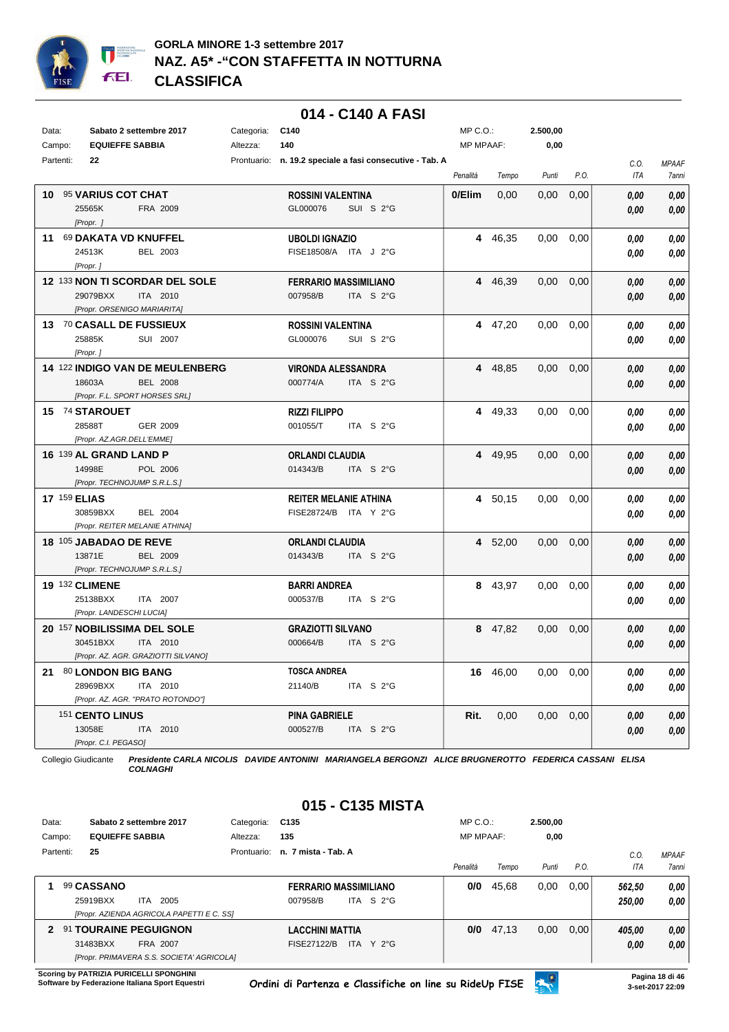

## **014 - C140 A FASI**

| Data:  |                                           | Sabato 2 settembre 2017             | Categoria: | C140                            |                                                          | MP C.O.:         |          | 2.500,00 |      |                    |                                     |
|--------|-------------------------------------------|-------------------------------------|------------|---------------------------------|----------------------------------------------------------|------------------|----------|----------|------|--------------------|-------------------------------------|
| Campo: | <b>EQUIEFFE SABBIA</b><br>Partenti:<br>22 |                                     | Altezza:   | 140                             | Prontuario: n. 19.2 speciale a fasi consecutive - Tab. A | <b>MP MPAAF:</b> |          | 0,00     |      |                    |                                     |
|        |                                           |                                     |            |                                 |                                                          | Penalità         | Tempo    | Punti    | P.O. | C.O.<br><b>ITA</b> | <b>MPAAF</b><br><i><b>7anni</b></i> |
|        | 10 95 VARIUS COT CHAT                     |                                     |            | <b>ROSSINI VALENTINA</b>        |                                                          | 0/Elim           | 0,00     | 0,00     | 0,00 | 0.00               | 0,00                                |
|        | 25565K<br>[Propr. ]                       | FRA 2009                            |            | GL000076                        | SUI S 2°G                                                |                  |          |          |      | 0,00               | 0,00                                |
|        | 11 69 DAKATA VD KNUFFEL                   |                                     |            | <b>UBOLDI IGNAZIO</b>           |                                                          |                  | 4 46,35  | 0.00     | 0,00 | 0.00               | 0.00                                |
|        | 24513K<br>[Propr.]                        | BEL 2003                            |            | FISE18508/A ITA J 2°G           |                                                          |                  |          |          |      | 0.00               | 0,00                                |
|        |                                           | 12 133 NON TI SCORDAR DEL SOLE      |            | <b>FERRARIO MASSIMILIANO</b>    |                                                          |                  | 4 46,39  | 0,00     | 0,00 | 0.00               | 0.00                                |
|        | 29079BXX                                  | ITA 2010                            |            | 007958/B                        | ITA S 2°G                                                |                  |          |          |      | 0.00               | 0.00                                |
|        | [Propr. ORSENIGO MARIARITA]               |                                     |            |                                 |                                                          |                  |          |          |      |                    |                                     |
|        | 13 70 CASALL DE FUSSIEUX                  |                                     |            | <b>ROSSINI VALENTINA</b>        |                                                          |                  | 4 47,20  | 0,00     | 0,00 | 0.00               | 0,00                                |
|        | 25885K                                    | SUI 2007                            |            | GL000076                        | SUI S 2°G                                                |                  |          |          |      | 0.00               | 0.00                                |
|        | [Propr.]                                  | 14 122 INDIGO VAN DE MEULENBERG     |            | <b>VIRONDA ALESSANDRA</b>       |                                                          |                  | 4 48,85  | 0.00     | 0,00 | 0,00               | 0,00                                |
|        | 18603A                                    | <b>BEL 2008</b>                     |            | 000774/A                        | ITA S 2°G                                                |                  |          |          |      | 0.00               | 0.00                                |
|        |                                           | [Propr. F.L. SPORT HORSES SRL]      |            |                                 |                                                          |                  |          |          |      |                    |                                     |
|        | 15 74 STAROUET                            |                                     |            | <b>RIZZI FILIPPO</b>            |                                                          |                  | 4 49,33  | 0.00     | 0,00 | 0.00               | 0.00                                |
|        | 28588T                                    | GER 2009                            |            | 001055/T                        | ITA S 2°G                                                |                  |          |          |      | 0.00               | 0.00                                |
|        | [Propr. AZ.AGR.DELL'EMME]                 |                                     |            |                                 |                                                          |                  |          |          |      |                    |                                     |
|        | 16 139 AL GRAND LAND P                    |                                     |            | <b>ORLANDI CLAUDIA</b>          |                                                          |                  | 4 49,95  | $0.00\,$ | 0,00 | 0,00               | 0,00                                |
|        | 14998E<br>[Propr. TECHNOJUMP S.R.L.S.]    | POL 2006                            |            | 014343/B                        | ITA S 2°G                                                |                  |          |          |      | 0.00               | 0,00                                |
|        | <b>17 159 ELIAS</b>                       |                                     |            | <b>REITER MELANIE ATHINA</b>    |                                                          |                  | 4 50,15  | 0.00     | 0,00 | 0.00               | 0.00                                |
|        | 30859BXX                                  | BEL 2004                            |            | FISE28724/B ITA Y 2°G           |                                                          |                  |          |          |      | 0.00               | 0.00                                |
|        |                                           | [Propr. REITER MELANIE ATHINA]      |            |                                 |                                                          |                  |          |          |      |                    |                                     |
|        | 18 105 JABADAO DE REVE                    |                                     |            | <b>ORLANDI CLAUDIA</b>          |                                                          |                  | 4 52,00  | 0,00     | 0,00 | 0.00               | 0.00                                |
|        | 13871E                                    | BEL 2009                            |            | 014343/B                        | ITA S 2°G                                                |                  |          |          |      | 0.00               | 0.00                                |
|        | [Propr. TECHNOJUMP S.R.L.S.]              |                                     |            |                                 |                                                          |                  |          |          |      |                    |                                     |
|        | <b>19 132 CLIMENE</b><br>25138BXX         | ITA 2007                            |            | <b>BARRI ANDREA</b><br>000537/B | ITA S 2°G                                                |                  | 8 43,97  | 0.00     | 0,00 | 0.00               | 0,00                                |
|        | [Propr. LANDESCHI LUCIA]                  |                                     |            |                                 |                                                          |                  |          |          |      | 0.00               | 0.00                                |
|        | 20 157 NOBILISSIMA DEL SOLE               |                                     |            | <b>GRAZIOTTI SILVANO</b>        |                                                          |                  | 8 47,82  | 0,00     | 0,00 | 0.00               | 0.00                                |
|        | 30451BXX                                  | ITA 2010                            |            | 000664/B                        | ITA S 2°G                                                |                  |          |          |      | 0.00               | 0.00                                |
|        |                                           | [Propr. AZ. AGR. GRAZIOTTI SILVANO] |            |                                 |                                                          |                  |          |          |      |                    |                                     |
|        | 21 80 LONDON BIG BANG                     |                                     |            | <b>TOSCA ANDREA</b>             |                                                          |                  | 16 46,00 | 0,00     | 0,00 | 0.00               | 0,00                                |
|        | 28969BXX                                  | ITA 2010                            |            | 21140/B                         | ITA S 2°G                                                |                  |          |          |      | 0.00               | 0.00                                |
|        |                                           | [Propr. AZ. AGR. "PRATO ROTONDO"]   |            |                                 |                                                          |                  |          |          |      |                    |                                     |
|        | 151 CENTO LINUS                           |                                     |            | <b>PINA GABRIELE</b>            |                                                          | Rit.             | 0,00     | 0.00     | 0,00 | 0,00               | 0,00                                |
|        | 13058E<br>[Propr. C.I. PEGASO]            | ITA 2010                            |            | 000527/B                        | ITA S 2°G                                                |                  |          |          |      | 0.00               | 0,00                                |
|        |                                           |                                     |            |                                 |                                                          |                  |          |          |      |                    |                                     |

Collegio Giudicante *Presidente CARLA NICOLIS DAVIDE ANTONINI MARIANGELA BERGONZI ALICE BRUGNEROTTO FEDERICA CASSANI ELISA COLNAGHI*

# **015 - C135 MISTA**

| Data: |           |                        | Sabato 2 settembre 2017                                                               | Categoria:  | C <sub>135</sub>                                                | $MP C. O.$ :     |       | 2.500.00 |      |                  |                              |
|-------|-----------|------------------------|---------------------------------------------------------------------------------------|-------------|-----------------------------------------------------------------|------------------|-------|----------|------|------------------|------------------------------|
|       | Campo:    | <b>EQUIEFFE SABBIA</b> |                                                                                       | Altezza:    | 135                                                             | <b>MP MPAAF:</b> |       | 0,00     |      |                  |                              |
|       | Partenti: | 25                     |                                                                                       | Prontuario: | n. 7 mista - Tab. A                                             | Penalità         | Tempo | Punti    | P.O. | C.0<br>ITA       | <b>MPAAF</b><br><b>7anni</b> |
|       |           | 99 CASSANO<br>25919BXX | 2005<br>ITA<br><b>IPropr. AZIENDA AGRICOLA PAPETTI E C. SSI</b>                       |             | <b>FERRARIO MASSIMILIANO</b><br>ITA S $2^{\circ}$ G<br>007958/B | 0/0              | 45,68 | 0,00     | 0.00 | 562.50<br>250.00 | 0.00<br>0.00                 |
| 2     |           | 31483BXX               | 91 TOURAINE PEGUIGNON<br><b>FRA 2007</b><br>[Propr. PRIMAVERA S.S. SOCIETA' AGRICOLA] |             | LACCHINI MATTIA<br>ITA Y 2°G<br>FISE27122/B                     | 0/0              | 47,13 | 0,00     | 0.00 | 405,00<br>0,00   | 0,00<br>0,00                 |

**Scoring by PATRIZIA PURICELLI SPONGHINI<br>Software by Federazione Italiana Sport Equestri** 

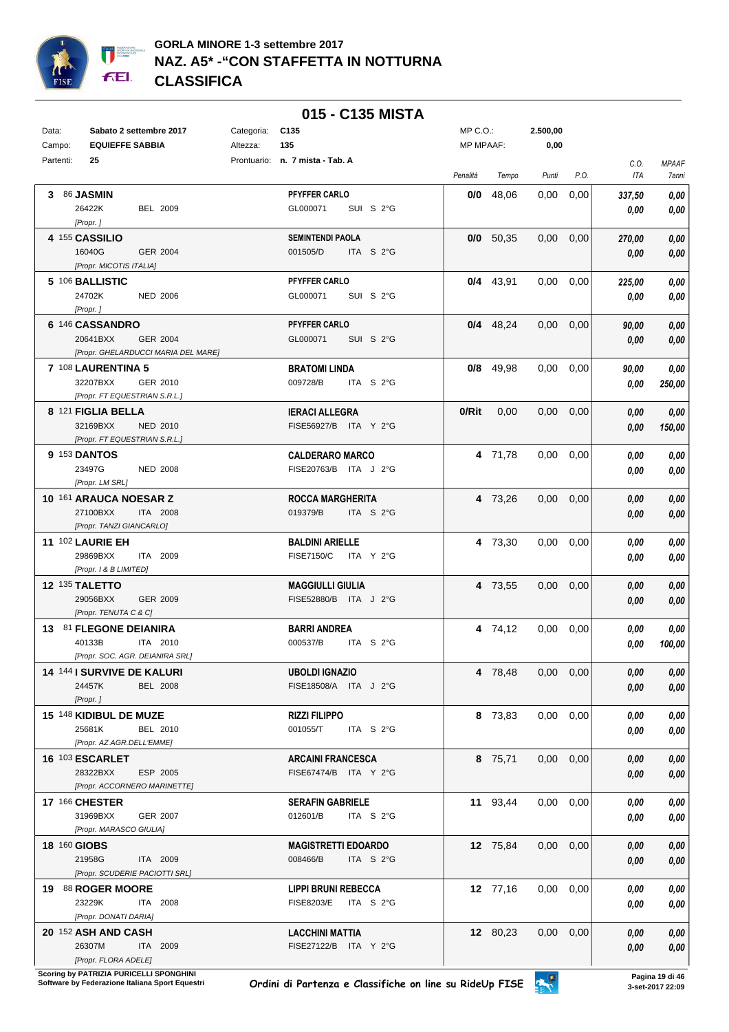

|        |           |                                                               |            | 015 - C135 MISTA                                  |                  |             |                   |      |                |                       |
|--------|-----------|---------------------------------------------------------------|------------|---------------------------------------------------|------------------|-------------|-------------------|------|----------------|-----------------------|
| Data:  |           | Sabato 2 settembre 2017                                       | Categoria: | C <sub>135</sub>                                  | $MP C. O.$ :     |             | 2.500,00          |      |                |                       |
| Campo: |           | <b>EQUIEFFE SABBIA</b>                                        | Altezza:   | 135                                               | <b>MP MPAAF:</b> |             | 0,00              |      |                |                       |
|        | Partenti: | 25                                                            |            | Prontuario: n. 7 mista - Tab. A                   | Penalità         | Tempo       | Punti             | P.O. | C.O.<br>ITA    | <b>MPAAF</b><br>7anni |
|        |           | 3 86 JASMIN                                                   |            | <b>PFYFFER CARLO</b>                              | 0/0              | 48,06       | 0,00              | 0,00 | 337,50         | 0,00                  |
|        |           | 26422K<br>BEL 2009<br>[Propr.]                                |            | GL000071<br>SUI S 2°G                             |                  |             |                   |      | 0.00           | 0,00                  |
|        |           | 4 155 CASSILIO                                                |            | <b>SEMINTENDI PAOLA</b>                           |                  | $0/0$ 50,35 | $0.00\,$          | 0,00 | 270,00         | 0,00                  |
|        |           | 16040G<br>GER 2004                                            |            | 001505/D<br>ITA S $2^{\circ}$ G                   |                  |             |                   |      | 0,00           | 0,00                  |
|        |           | [Propr. MICOTIS ITALIA]                                       |            | <b>PFYFFER CARLO</b>                              |                  |             |                   |      |                |                       |
|        |           | 5 106 BALLISTIC<br>24702K<br><b>NED 2006</b>                  |            | GL000071<br>SUI S 2°G                             |                  | $0/4$ 43.91 | 0,00              | 0,00 | 225,00<br>0,00 | 0,00<br>0,00          |
|        |           | [Propr.]                                                      |            |                                                   |                  |             |                   |      |                |                       |
|        |           | 6 146 CASSANDRO                                               |            | <b>PFYFFER CARLO</b>                              |                  | $0/4$ 48,24 | 0,00              | 0,00 | 90,00          | 0,00                  |
|        |           | 20641BXX<br>GER 2004                                          |            | GL000071<br>SUI S 2°G                             |                  |             |                   |      | 0,00           | 0,00                  |
|        |           | [Propr. GHELARDUCCI MARIA DEL MARE]                           |            |                                                   |                  |             |                   |      |                |                       |
|        |           | 7 108 LAURENTINA 5<br>32207BXX<br>GER 2010                    |            | <b>BRATOMI LINDA</b><br>009728/B<br>ITA S 2°G     |                  | $0/8$ 49,98 | 0.00              | 0.00 | 90,00          | 0,00                  |
|        |           | [Propr. FT EQUESTRIAN S.R.L.]                                 |            |                                                   |                  |             |                   |      | 0,00           | 250,00                |
|        |           | 8 121 FIGLIA BELLA                                            |            | <b>IERACI ALLEGRA</b>                             | $0/R$ it         | 0,00        | $0.00\,$          | 0,00 | 0,00           | 0,00                  |
|        |           | 32169BXX<br><b>NED 2010</b>                                   |            | FISE56927/B ITA Y 2°G                             |                  |             |                   |      | 0.00           | 150,00                |
|        |           | [Propr. FT EQUESTRIAN S.R.L.]                                 |            |                                                   |                  |             |                   |      |                |                       |
|        |           | <b>9 153 DANTOS</b>                                           |            | <b>CALDERARO MARCO</b>                            |                  | 4 71,78     | $0.00 \quad 0.00$ |      | 0,00           | 0,00                  |
|        |           | 23497G<br><b>NED 2008</b><br>[Propr. LM SRL]                  |            | FISE20763/B ITA J 2°G                             |                  |             |                   |      | 0.00           | 0,00                  |
|        |           | 10 161 ARAUCA NOESAR Z                                        |            | <b>ROCCA MARGHERITA</b>                           |                  | 4 73,26     | $0.00\,$          | 0,00 | 0,00           | 0,00                  |
|        |           | 27100BXX<br>ITA 2008                                          |            | 019379/B<br>ITA S 2°G                             |                  |             |                   |      | 0,00           | 0,00                  |
|        |           | [Propr. TANZI GIANCARLO]                                      |            |                                                   |                  |             |                   |      |                |                       |
|        |           | 11 102 LAURIE EH                                              |            | <b>BALDINI ARIELLE</b>                            |                  | 4 73,30     | 0.00              | 0,00 | 0.00           | 0,00                  |
|        |           | 29869BXX<br>ITA 2009<br>[Propr. 1 & B LIMITED]                |            | <b>FISE7150/C</b><br>ITA Y 2°G                    |                  |             |                   |      | 0.00           | 0,00                  |
|        |           | 12 135 TALETTO                                                |            | <b>MAGGIULLI GIULIA</b>                           |                  | 4 73,55     | 0,00              | 0,00 | 0,00           | 0,00                  |
|        |           | 29056BXX<br>GER 2009                                          |            | FISE52880/B ITA J 2°G                             |                  |             |                   |      | 0,00           | 0,00                  |
|        |           | [Propr. TENUTA C & C]                                         |            |                                                   |                  |             |                   |      |                |                       |
|        |           | 13 81 FLEGONE DEIANIRA                                        |            | <b>BARRI ANDREA</b>                               |                  | 4 74,12     | 0,00              | 0,00 | 0.00           | 0,00                  |
|        |           | 40133B<br>ITA 2010                                            |            | 000537/B<br>ITA S 2°G                             |                  |             |                   |      | 0.00           | 100,00                |
|        |           | [Propr. SOC. AGR. DEIANIRA SRL]<br>14 144 I SURVIVE DE KALURI |            | <b>UBOLDI IGNAZIO</b>                             |                  | 4 78,48     | $0.00 \quad 0.00$ |      | 0,00           | 0,00                  |
|        |           | 24457K<br><b>BEL 2008</b>                                     |            | FISE18508/A ITA J 2°G                             |                  |             |                   |      | 0,00           | 0,00                  |
|        |           | [Propr.]                                                      |            |                                                   |                  |             |                   |      |                |                       |
|        |           | 15 148 KIDIBUL DE MUZE                                        |            | <b>RIZZI FILIPPO</b>                              |                  | 8 73,83     | $0,00$ $0,00$     |      | 0,00           | 0,00                  |
|        |           | 25681K<br>BEL 2010                                            |            | 001055/T<br>ITA S 2°G                             |                  |             |                   |      | 0,00           | 0,00                  |
|        |           | [Propr. AZ.AGR.DELL'EMME]                                     |            |                                                   |                  |             |                   |      |                |                       |
|        |           | 16 103 ESCARLET<br>28322BXX<br>ESP 2005                       |            | <b>ARCAINI FRANCESCA</b><br>FISE67474/B ITA Y 2°G |                  | 8 75,71     | $0,00$ $0,00$     |      | 0,00           | 0,00                  |
|        |           | [Propr. ACCORNERO MARINETTE]                                  |            |                                                   |                  |             |                   |      | 0,00           | 0,00                  |
|        |           | 17 166 CHESTER                                                |            | <b>SERAFIN GABRIELE</b>                           |                  | 11 93,44    | $0,00$ $0,00$     |      | 0,00           | 0,00                  |
|        |           | 31969BXX<br>GER 2007                                          |            | 012601/B<br>ITA $S$ 2°G                           |                  |             |                   |      | 0,00           | 0,00                  |
|        |           | [Propr. MARASCO GIULIA]                                       |            |                                                   |                  |             |                   |      |                |                       |
|        |           | 18 160 GIOBS                                                  |            | <b>MAGISTRETTI EDOARDO</b>                        |                  | 12 75,84    | $0,00$ $0,00$     |      | 0,00           | 0,00                  |
|        |           | 21958G<br>ITA 2009<br>[Propr. SCUDERIE PACIOTTI SRL]          |            | 008466/B<br>ITA $S$ 2°G                           |                  |             |                   |      | 0,00           | 0,00                  |
|        |           | 19 88 ROGER MOORE                                             |            | <b>LIPPI BRUNI REBECCA</b>                        |                  | 12 77,16    | $0,00$ $0,00$     |      | 0,00           | 0,00                  |
|        |           | 23229K<br>ITA 2008                                            |            | FISE8203/E ITA S 2°G                              |                  |             |                   |      | 0,00           | 0,00                  |
|        |           | [Propr. DONATI DARIA]                                         |            |                                                   |                  |             |                   |      |                |                       |
|        |           | 20 152 ASH AND CASH                                           |            | <b>LACCHINI MATTIA</b>                            |                  | 12 80,23    | $0,00$ $0,00$     |      | 0,00           | 0,00                  |
|        |           | 26307M<br>ITA 2009                                            |            | FISE27122/B ITA Y 2°G                             |                  |             |                   |      | 0,00           | 0,00                  |
|        |           | [Propr. FLORA ADELE]                                          |            |                                                   |                  |             |                   |      |                |                       |

**.**<br>Scoring by PATRIZIA PURICELLI SPONGHINI<br>Software by Federazione Italiana Sport Equestri

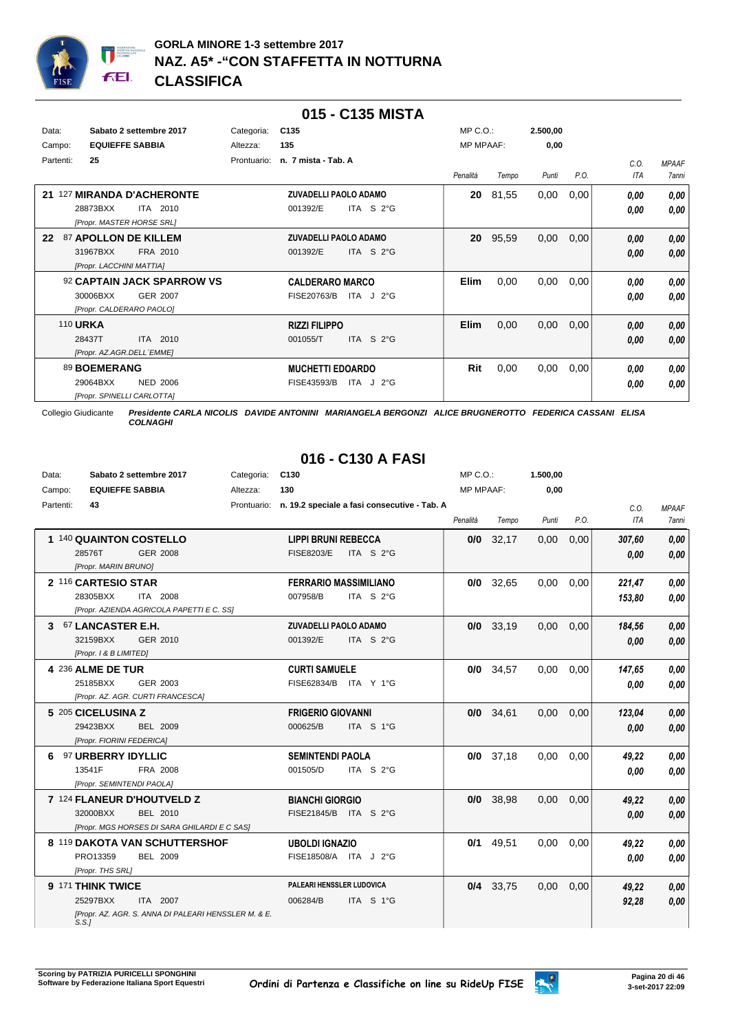

|                 |                                |             | 015 - C135 MISTA                |                   |                  |       |          |      |      |              |
|-----------------|--------------------------------|-------------|---------------------------------|-------------------|------------------|-------|----------|------|------|--------------|
| Data:           | Sabato 2 settembre 2017        | Categoria:  | C <sub>135</sub>                |                   | $MP C. O.$ :     |       | 2.500,00 |      |      |              |
| Campo:          | <b>EQUIEFFE SABBIA</b>         | Altezza:    | 135                             |                   | <b>MP MPAAF:</b> |       | 0,00     |      |      |              |
| Partenti:       | 25                             | Prontuario: | n. 7 mista - Tab. A             |                   |                  |       |          |      | C.0. | <b>MPAAF</b> |
|                 |                                |             |                                 |                   | Penalità         | Tempo | Punti    | P.O. | ITA  | 7anni        |
| 21              | <b>127 MIRANDA D'ACHERONTE</b> |             | <b>ZUVADELLI PAOLO ADAMO</b>    |                   | 20               | 81,55 | 0,00     | 0,00 | 0.00 | 0,00         |
|                 | ITA 2010<br>28873BXX           |             | ITA S $2^{\circ}$ G<br>001392/E |                   |                  |       |          |      | 0.00 | 0.00         |
|                 | [Propr. MASTER HORSE SRL]      |             |                                 |                   |                  |       |          |      |      |              |
| 22              | 87 APOLLON DE KILLEM           |             | <b>ZUVADELLI PAOLO ADAMO</b>    |                   | 20               | 95,59 | 0,00     | 0,00 | 0,00 | 0,00         |
|                 | 31967BXX<br>FRA 2010           |             | ITA S $2^{\circ}$ G<br>001392/E |                   |                  |       |          |      | 0,00 | 0,00         |
|                 | [Propr. LACCHINI MATTIA]       |             |                                 |                   |                  |       |          |      |      |              |
|                 | 92 CAPTAIN JACK SPARROW VS     |             | <b>CALDERARO MARCO</b>          |                   | <b>Elim</b>      | 0,00  | 0,00     | 0,00 | 0.00 | 0.00         |
|                 | 30006BXX<br><b>GER 2007</b>    |             | FISE20763/B<br>ITA $J$ 2°G      |                   |                  |       |          |      | 0,00 | 0.00         |
|                 | [Propr. CALDERARO PAOLO]       |             |                                 |                   |                  |       |          |      |      |              |
| <b>110 URKA</b> |                                |             | <b>RIZZI FILIPPO</b>            |                   | <b>Elim</b>      | 0,00  | 0,00     | 0,00 | 0,00 | 0,00         |
|                 | 2010<br>28437T<br><b>ITA</b>   |             | 001055/T<br><b>ITA</b>          | S <sub>2</sub> °G |                  |       |          |      | 0,00 | 0.00         |
|                 | [Propr. AZ.AGR.DELL'EMME]      |             |                                 |                   |                  |       |          |      |      |              |
|                 | 89 BOEMERANG                   |             | <b>MUCHETTI EDOARDO</b>         |                   | Rit              | 0,00  | 0,00     | 0,00 | 0.00 | 0.00         |
|                 | <b>NED 2006</b><br>29064BXX    |             | FISE43593/B<br>ITA              | J 2°G             |                  |       |          |      | 0,00 | 0.00         |
|                 | [Propr. SPINELLI CARLOTTA]     |             |                                 |                   |                  |       |          |      |      |              |

# **016 - C130 A FASI**

| Data:     | Sabato 2 settembre 2017                                       | Categoria: | C130                                                     | MP C.O.:         |             | 1.500,00 |      |        |              |
|-----------|---------------------------------------------------------------|------------|----------------------------------------------------------|------------------|-------------|----------|------|--------|--------------|
| Campo:    | <b>EQUIEFFE SABBIA</b>                                        | Altezza:   | 130                                                      | <b>MP MPAAF:</b> |             | 0,00     |      |        |              |
| Partenti: | 43                                                            |            | Prontuario: n. 19.2 speciale a fasi consecutive - Tab. A |                  |             |          |      | C.O.   | <b>MPAAF</b> |
|           |                                                               |            |                                                          | Penalità         | Tempo       | Punti    | P.O. | ITA    | 7anni        |
|           | 1 140 QUAINTON COSTELLO                                       |            | <b>LIPPI BRUNI REBECCA</b>                               | 0/0              | 32,17       | 0,00     | 0,00 | 307,60 | 0,00         |
|           | 28576T<br>GER 2008                                            |            | <b>FISE8203/E</b><br>ITA S $2^{\circ}$ G                 |                  |             |          |      | 0,00   | 0,00         |
|           | [Propr. MARIN BRUNO]                                          |            |                                                          |                  |             |          |      |        |              |
|           | 2 116 CARTESIO STAR                                           |            | <b>FERRARIO MASSIMILIANO</b>                             |                  | $0/0$ 32,65 | 0,00     | 0,00 | 221,47 | 0.00         |
|           | 28305BXX<br>ITA 2008                                          |            | 007958/B<br>ITA S $2^{\circ}$ G                          |                  |             |          |      | 153,80 | 0.00         |
|           | [Propr. AZIENDA AGRICOLA PAPETTI E C. SS]                     |            |                                                          |                  |             |          |      |        |              |
|           | 3 67 LANCASTER E.H.                                           |            | <b>ZUVADELLI PAOLO ADAMO</b>                             |                  | $0/0$ 33.19 | 0.00     | 0.00 | 184,56 | 0.00         |
|           | 32159BXX<br>GER 2010                                          |            | 001392/E<br>ITA S $2^{\circ}$ G                          |                  |             |          |      | 0.00   | 0,00         |
|           | [Propr. 1 & B LIMITED]                                        |            |                                                          |                  |             |          |      |        |              |
|           | 4 236 ALME DE TUR                                             |            | <b>CURTI SAMUELE</b>                                     | 0/0              | 34,57       | 0.00     | 0,00 | 147,65 | 0.00         |
|           | GER 2003<br>25185BXX                                          |            | FISE62834/B ITA Y 1°G                                    |                  |             |          |      | 0.00   | 0.00         |
|           | [Propr. AZ. AGR. CURTI FRANCESCA]                             |            |                                                          |                  |             |          |      |        |              |
|           | 5 205 CICELUSINA Z                                            |            | <b>FRIGERIO GIOVANNI</b>                                 |                  | $0/0$ 34,61 | 0,00     | 0,00 | 123,04 | 0,00         |
|           | 29423BXX<br><b>BEL 2009</b>                                   |            | 000625/B<br>ITA S 1°G                                    |                  |             |          |      | 0.00   | 0,00         |
|           | [Propr. FIORINI FEDERICA]                                     |            |                                                          |                  |             |          |      |        |              |
|           | 6 97 URBERRY IDYLLIC                                          |            | <b>SEMINTENDI PAOLA</b>                                  |                  | $0/0$ 37,18 | 0,00     | 0,00 | 49,22  | 0.00         |
|           | 13541F<br>FRA 2008                                            |            | 001505/D<br>ITA S $2^{\circ}$ G                          |                  |             |          |      | 0.00   | 0,00         |
|           | [Propr. SEMINTENDI PAOLA]                                     |            |                                                          |                  |             |          |      |        |              |
|           | 7 124 FLANEUR D'HOUTVELD Z                                    |            | <b>BIANCHI GIORGIO</b>                                   |                  | 0/0 38,98   | 0,00     | 0,00 | 49,22  | 0.00         |
|           | 32000BXX<br><b>BEL 2010</b>                                   |            | FISE21845/B ITA S 2°G                                    |                  |             |          |      | 0.00   | 0,00         |
|           | [Propr. MGS HORSES DI SARA GHILARDI E C SAS]                  |            |                                                          |                  |             |          |      |        |              |
|           | 8 119 DAKOTA VAN SCHUTTERSHOF                                 |            | <b>UBOLDI IGNAZIO</b>                                    | 0/1              | 49,51       | 0.00     | 0.00 | 49,22  | 0.00         |
|           | PRO13359<br><b>BEL 2009</b>                                   |            | FISE18508/A ITA J 2°G                                    |                  |             |          |      | 0.00   | 0.00         |
|           | [Propr. THS SRL]                                              |            |                                                          |                  |             |          |      |        |              |
|           | 9 171 THINK TWICE                                             |            | PALEARI HENSSLER LUDOVICA                                |                  | 0/4 33,75   | 0,00     | 0,00 | 49,22  | 0,00         |
|           | 25297BXX<br>ITA 2007                                          |            | 006284/B<br>ITA S 1°G                                    |                  |             |          |      | 92,28  | 0.00         |
|           | IPropr. AZ. AGR. S. ANNA DI PALEARI HENSSLER M. & E.<br>S.S.J |            |                                                          |                  |             |          |      |        |              |

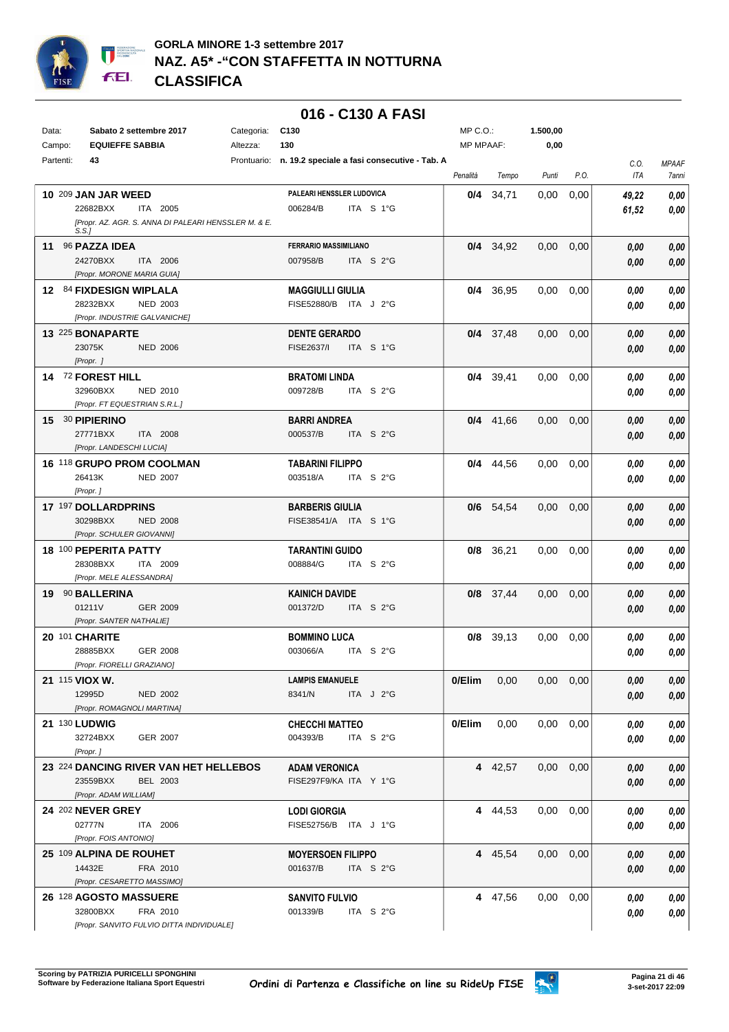

## **GORLA MINORE 1-3 settembre 2017 NAZ. A5\* -"CON STAFFETTA IN NOTTURNA CLASSIFICA**

|           |                                                               |            | 016 - C130 A FASI                                        |                  |             |               |      |            |              |
|-----------|---------------------------------------------------------------|------------|----------------------------------------------------------|------------------|-------------|---------------|------|------------|--------------|
| Data:     | Sabato 2 settembre 2017                                       | Categoria: | C <sub>130</sub>                                         | MP C.O.:         |             | 1.500,00      |      |            |              |
| Campo:    | <b>EQUIEFFE SABBIA</b>                                        | Altezza:   | 130                                                      | <b>MP MPAAF:</b> |             | 0,00          |      |            |              |
| Partenti: | 43                                                            |            | Prontuario: n. 19.2 speciale a fasi consecutive - Tab. A |                  |             |               |      | C.O.       | <b>MPAAF</b> |
|           |                                                               |            |                                                          | Penalità         | Tempo       | Punti         | P.O. | <b>ITA</b> | 7anni        |
|           | <b>10 209 JAN JAR WEED</b>                                    |            | PALEARI HENSSLER LUDOVICA                                | 0/4              | 34,71       | 0,00          | 0,00 | 49,22      | 0,00         |
|           | 22682BXX<br>ITA 2005                                          |            | ITA S 1°G<br>006284/B                                    |                  |             |               |      | 61,52      | 0,00         |
|           | [Propr. AZ. AGR. S. ANNA DI PALEARI HENSSLER M. & E.<br>S.S.1 |            |                                                          |                  |             |               |      |            |              |
|           | 11 96 PAZZA IDEA                                              |            | <b>FERRARIO MASSIMILIANO</b>                             |                  | 0/4 34,92   | 0,00          | 0,00 | 0,00       | 0,00         |
|           | 24270BXX<br>ITA 2006                                          |            | 007958/B<br>ITA $S2°G$                                   |                  |             |               |      | 0,00       | 0,00         |
|           | [Propr. MORONE MARIA GUIA]                                    |            |                                                          |                  |             |               |      |            |              |
|           | 12 84 FIXDESIGN WIPLALA                                       |            | <b>MAGGIULLI GIULIA</b>                                  |                  | $0/4$ 36,95 | 0,00          | 0.00 | 0.00       | 0,00         |
|           | 28232BXX<br><b>NED 2003</b>                                   |            | FISE52880/B ITA J 2°G                                    |                  |             |               |      | 0,00       | 0,00         |
|           | [Propr. INDUSTRIE GALVANICHE]                                 |            |                                                          |                  |             |               |      |            |              |
|           | 13 225 BONAPARTE                                              |            | <b>DENTE GERARDO</b>                                     |                  | $0/4$ 37,48 | 0,00          | 0,00 | 0,00       | 0,00         |
|           | 23075K<br><b>NED 2006</b>                                     |            | FISE2637/I<br>ITA S 1°G                                  |                  |             |               |      | 0,00       | 0,00         |
|           | [Propr. ]                                                     |            |                                                          |                  |             |               |      |            |              |
|           | 14 72 FOREST HILL                                             |            | <b>BRATOMI LINDA</b>                                     |                  | $0/4$ 39,41 | 0,00          | 0.00 | 0,00       | 0,00         |
|           | 32960BXX<br><b>NED 2010</b><br>[Propr. FT EQUESTRIAN S.R.L.]  |            | ITA S 2°G<br>009728/B                                    |                  |             |               |      | 0,00       | 0,00         |
|           | 15 30 PIPIERINO                                               |            | <b>BARRI ANDREA</b>                                      |                  | $0/4$ 41,66 | 0,00          | 0,00 | 0,00       | 0,00         |
|           | 27771BXX<br>ITA 2008                                          |            | 000537/B<br>ITA S 2°G                                    |                  |             |               |      | 0,00       | 0.00         |
|           | [Propr. LANDESCHI LUCIA]                                      |            |                                                          |                  |             |               |      |            |              |
|           | 16 118 GRUPO PROM COOLMAN                                     |            | <b>TABARINI FILIPPO</b>                                  |                  | $0/4$ 44,56 | 0,00          | 0.00 | 0,00       | 0,00         |
|           | 26413K<br><b>NED 2007</b>                                     |            | 003518/A<br>ITA S 2°G                                    |                  |             |               |      | 0,00       | 0.00         |
|           | [Propr.]                                                      |            |                                                          |                  |             |               |      |            |              |
|           | 17 197 DOLLARDPRINS                                           |            | <b>BARBERIS GIULIA</b>                                   |                  | $0/6$ 54,54 | 0,00          | 0,00 | 0,00       | 0,00         |
|           | 30298BXX<br><b>NED 2008</b>                                   |            | FISE38541/A ITA S 1°G                                    |                  |             |               |      | 0,00       | 0,00         |
|           | [Propr. SCHULER GIOVANNI]                                     |            |                                                          |                  |             |               |      |            |              |
|           | 18 100 PEPERITA PATTY                                         |            | <b>TARANTINI GUIDO</b>                                   |                  | 0/8 36,21   | 0,00          | 0,00 | 0.00       | 0,00         |
|           | 28308BXX<br>ITA 2009                                          |            | 008884/G<br>ITA S 2°G                                    |                  |             |               |      | 0.00       | 0,00         |
|           | [Propr. MELE ALESSANDRA]                                      |            |                                                          |                  | 0/8 37,44   |               |      |            |              |
|           | 19 90 BALLERINA<br>01211V<br>GER 2009                         |            | <b>KAINICH DAVIDE</b><br>001372/D<br>ITA S 2°G           |                  |             | 0,00          | 0,00 | 0,00       | 0,00         |
|           | [Propr. SANTER NATHALIE]                                      |            |                                                          |                  |             |               |      | 0,00       | 0,00         |
|           | 20 101 CHARITE                                                |            | <b>BOMMINO LUCA</b>                                      | 0/8              | 39,13       | 0.00          | 0,00 | 0.00       | 0,00         |
|           | 28885BXX<br>GER 2008                                          |            | 003066/A<br>ITA S 2°G                                    |                  |             |               |      | 0,00       | 0,00         |
|           | [Propr. FIORELLI GRAZIANO]                                    |            |                                                          |                  |             |               |      |            |              |
|           | 21 115 VIOX W.                                                |            | <b>LAMPIS EMANUELE</b>                                   | 0/Elim           | 0,00        | 0,00          | 0,00 | 0,00       | 0,00         |
|           | 12995D<br><b>NED 2002</b>                                     |            | 8341/N<br>ITA J 2°G                                      |                  |             |               |      | 0,00       | 0,00         |
|           | [Propr. ROMAGNOLI MARTINA]                                    |            |                                                          |                  |             |               |      |            |              |
|           | <b>21 130 LUDWIG</b>                                          |            | <b>CHECCHI MATTEO</b>                                    | 0/Elim           | 0,00        | 0,00          | 0,00 | 0,00       | 0,00         |
|           | GER 2007<br>32724BXX                                          |            | 004393/B<br>ITA S 2°G                                    |                  |             |               |      | 0,00       | 0,00         |
|           | [Propr.]                                                      |            |                                                          |                  |             |               |      |            |              |
|           | 23 224 DANCING RIVER VAN HET HELLEBOS<br>23559BXX<br>BEL 2003 |            | <b>ADAM VERONICA</b><br>FISE297F9/KA ITA Y 1°G           |                  | 4 42,57     | $0,00$ $0,00$ |      | 0.00       | 0,00         |
|           | [Propr. ADAM WILLIAM]                                         |            |                                                          |                  |             |               |      | 0,00       | 0,00         |
|           | <b>24 202 NEVER GREY</b>                                      |            | <b>LODI GIORGIA</b>                                      |                  | 4 44,53     | 0,00          | 0,00 | 0,00       | 0,00         |
|           | 02777N<br>ITA 2006                                            |            | FISE52756/B ITA J 1°G                                    |                  |             |               |      | 0,00       | 0,00         |
|           | [Propr. FOIS ANTONIO]                                         |            |                                                          |                  |             |               |      |            |              |
|           | 25 109 ALPINA DE ROUHET                                       |            | <b>MOYERSOEN FILIPPO</b>                                 |                  | 4 45,54     | 0,00          | 0.00 | 0,00       | 0,00         |
|           | 14432E<br>FRA 2010                                            |            | 001637/B<br>ITA S 2°G                                    |                  |             |               |      | 0,00       | 0,00         |
|           | [Propr. CESARETTO MASSIMO]                                    |            |                                                          |                  |             |               |      |            |              |
|           | 26 128 AGOSTO MASSUERE                                        |            | <b>SANVITO FULVIO</b>                                    |                  | 4 47,56     | 0,00          | 0,00 | 0,00       | 0,00         |
|           | 32800BXX<br>FRA 2010                                          |            | 001339/B<br>ITA S 2°G                                    |                  |             |               |      | 0,00       | 0,00         |
|           | [Propr. SANVITO FULVIO DITTA INDIVIDUALE]                     |            |                                                          |                  |             |               |      |            |              |

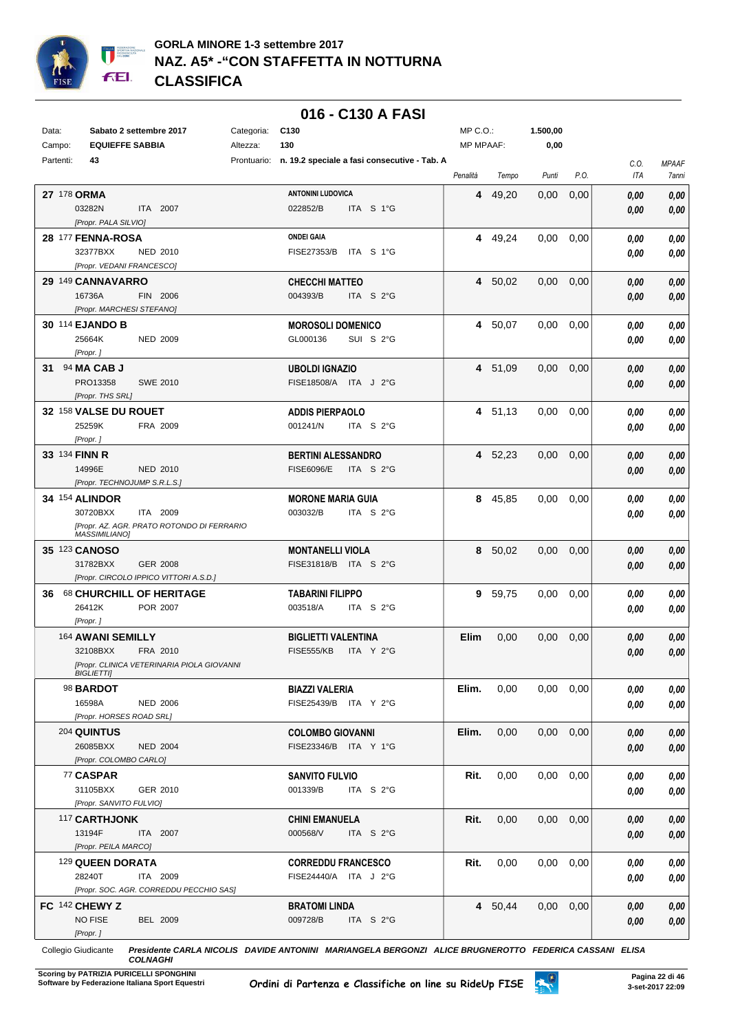

## **016 - C130 A FASI**

| Data:       | Sabato 2 settembre 2017                                               | Categoria: | C <sub>130</sub>                                         | MP C.O.:    |         | 1.500,00      |      |             |                       |
|-------------|-----------------------------------------------------------------------|------------|----------------------------------------------------------|-------------|---------|---------------|------|-------------|-----------------------|
| Campo:      | <b>EQUIEFFE SABBIA</b>                                                | Altezza:   | 130                                                      | MP MPAAF:   |         | 0,00          |      |             |                       |
| Partenti:   | 43                                                                    |            | Prontuario: n. 19.2 speciale a fasi consecutive - Tab. A | Penalità    | Tempo   | Punti         | P.O. | C.O.<br>ITA | <b>MPAAF</b><br>7anni |
| 27 178 ORMA |                                                                       |            | <b>ANTONINI LUDOVICA</b>                                 | 4           | 49,20   | 0,00          | 0,00 | 0.00        | 0,00                  |
|             | 03282N<br>ITA 2007                                                    |            | 022852/B<br>ITA S 1°G                                    |             |         |               |      | 0.00        | 0,00                  |
|             | [Propr. PALA SILVIO]                                                  |            |                                                          |             |         |               |      |             |                       |
|             | 28 177 FENNA-ROSA                                                     |            | <b>ONDEI GAIA</b>                                        | 4           | 49,24   | 0,00          | 0,00 | 0.00        | 0,00                  |
|             | 32377BXX<br>NED 2010                                                  |            | FISE27353/B<br>ITA S 1°G                                 |             |         |               |      | 0.00        | 0,00                  |
|             | [Propr. VEDANI FRANCESCO]                                             |            |                                                          |             |         |               |      |             |                       |
|             | 29 149 CANNAVARRO                                                     |            | <b>CHECCHI MATTEO</b>                                    |             | 4 50,02 | 0,00          | 0,00 | 0,00        | 0,00                  |
|             | 16736A<br>FIN 2006                                                    |            | 004393/B<br>ITA S 2°G                                    |             |         |               |      | 0,00        | 0,00                  |
|             | [Propr. MARCHESI STEFANO]                                             |            |                                                          |             |         |               |      |             |                       |
|             | 30 114 EJANDO B                                                       |            | <b>MOROSOLI DOMENICO</b>                                 |             | 4 50,07 | 0.00          | 0,00 | 0.00        | 0,00                  |
|             | 25664K<br><b>NED 2009</b>                                             |            | SUI S 2°G<br>GL000136                                    |             |         |               |      | 0,00        | 0.00                  |
|             | [Propr.]                                                              |            |                                                          |             |         |               |      |             |                       |
| 31          | 94 MA CAB J                                                           |            | <b>UBOLDI IGNAZIO</b>                                    |             | 4 51,09 | 0.00          | 0,00 | 0.00        | 0,00                  |
|             | PRO13358<br><b>SWE 2010</b>                                           |            | FISE18508/A ITA J 2°G                                    |             |         |               |      | 0,00        | 0,00                  |
|             | [Propr. THS SRL]                                                      |            |                                                          |             |         |               |      |             |                       |
|             | 32 158 VALSE DU ROUET                                                 |            | <b>ADDIS PIERPAOLO</b>                                   |             | 4 51,13 | 0,00          | 0,00 | 0.00        | 0,00                  |
|             | 25259K<br>FRA 2009                                                    |            | 001241/N<br>ITA S 2°G                                    |             |         |               |      | 0.00        | 0.00                  |
|             | [Propr.]                                                              |            |                                                          |             |         |               |      |             |                       |
|             | 33 134 FINN R                                                         |            | <b>BERTINI ALESSANDRO</b>                                |             | 4 52,23 | 0,00          | 0,00 | 0,00        | 0,00                  |
|             | 14996E<br>NED 2010                                                    |            | <b>FISE6096/E</b><br>ITA S 2°G                           |             |         |               |      | 0,00        | 0.00                  |
|             | [Propr. TECHNOJUMP S.R.L.S.]                                          |            |                                                          |             |         |               |      |             |                       |
|             | <b>34 154 ALINDOR</b>                                                 |            | <b>MORONE MARIA GUIA</b>                                 |             | 8 45,85 | 0,00          | 0,00 | 0,00        | 0,00                  |
|             | 30720BXX<br>ITA 2009                                                  |            | 003032/B<br>ITA S 2°G                                    |             |         |               |      | 0.00        | 0,00                  |
|             | [Propr. AZ. AGR. PRATO ROTONDO DI FERRARIO                            |            |                                                          |             |         |               |      |             |                       |
|             | <b>MASSIMILIANO]</b>                                                  |            |                                                          |             |         |               |      |             |                       |
|             | 35 123 CANOSO                                                         |            | <b>MONTANELLI VIOLA</b>                                  |             | 8 50,02 | 0,00          | 0,00 | 0,00        | 0,00                  |
|             | 31782BXX<br><b>GER 2008</b><br>[Propr. CIRCOLO IPPICO VITTORI A.S.D.] |            | FISE31818/B ITA S 2°G                                    |             |         |               |      | 0,00        | 0,00                  |
|             |                                                                       |            |                                                          |             |         |               |      |             |                       |
| 36          | <b>68 CHURCHILL OF HERITAGE</b><br>26412K<br>POR 2007                 |            | <b>TABARINI FILIPPO</b><br>ITA S 2°G<br>003518/A         | 9           | 59,75   | 0,00          | 0,00 | 0,00        | 0,00                  |
|             | [Propr.]                                                              |            |                                                          |             |         |               |      | 0.00        | 0,00                  |
|             | 164 AWANI SEMILLY                                                     |            | <b>BIGLIETTI VALENTINA</b>                               | <b>Elim</b> | 0,00    | 0,00          |      |             |                       |
|             | 32108BXX<br>FRA 2010                                                  |            | <b>FISE555/KB</b><br>ITA Y 2°G                           |             |         |               | 0,00 | 0,00        | 0,00                  |
|             | [Propr. CLINICA VETERINARIA PIOLA GIOVANNI                            |            |                                                          |             |         |               |      | 0.00        | 0,00                  |
|             | BIGLIETTI]                                                            |            |                                                          |             |         |               |      |             |                       |
|             | 98 BARDOT                                                             |            | <b>BIAZZI VALERIA</b>                                    | Elim.       | 0,00    | $0,00$ $0,00$ |      | 0,00        | 0,00                  |
|             | 16598A<br><b>NED 2006</b>                                             |            | FISE25439/B ITA Y 2°G                                    |             |         |               |      | 0.00        | 0,00                  |
|             | [Propr. HORSES ROAD SRL]                                              |            |                                                          |             |         |               |      |             |                       |
|             | <b>204 QUINTUS</b>                                                    |            | <b>COLOMBO GIOVANNI</b>                                  | Elim.       | 0,00    | $0,00$ $0,00$ |      | 0,00        | 0,00                  |
|             | 26085BXX<br><b>NED 2004</b>                                           |            | FISE23346/B ITA Y 1°G                                    |             |         |               |      | 0,00        | 0,00                  |
|             | [Propr. COLOMBO CARLO]                                                |            |                                                          |             |         |               |      |             |                       |
|             | 77 CASPAR                                                             |            | <b>SANVITO FULVIO</b>                                    | Rit.        | 0,00    | $0,00$ $0,00$ |      | 0,00        | 0,00                  |
|             | 31105BXX<br>GER 2010                                                  |            | 001339/B<br>ITA S $2^{\circ}$ G                          |             |         |               |      | 0,00        | 0,00                  |
|             | [Propr. SANVITO FULVIO]                                               |            |                                                          |             |         |               |      |             |                       |
|             | 117 CARTHJONK                                                         |            | <b>CHINI EMANUELA</b>                                    | Rit.        | 0,00    | $0,00$ $0,00$ |      | 0,00        | 0,00                  |
|             | 13194F<br>ITA 2007                                                    |            | 000568/V<br>ITA S 2°G                                    |             |         |               |      | 0,00        | 0,00                  |
|             | [Propr. PEILA MARCO]                                                  |            |                                                          |             |         |               |      |             |                       |
|             | 129 QUEEN DORATA                                                      |            | <b>CORREDDU FRANCESCO</b>                                | Rit.        | 0,00    | $0,00$ $0,00$ |      | 0,00        | 0,00                  |
|             | 28240T<br>ITA 2009                                                    |            | FISE24440/A ITA J 2°G                                    |             |         |               |      | 0,00        | 0,00                  |
|             | [Propr. SOC. AGR. CORREDDU PECCHIO SAS]                               |            |                                                          |             |         |               |      |             |                       |
|             | FC 142 CHEWY Z                                                        |            | <b>BRATOMI LINDA</b>                                     |             | 4 50,44 | $0,00$ $0,00$ |      | 0,00        | 0,00                  |
|             | <b>NO FISE</b><br><b>BEL 2009</b>                                     |            | 009728/B<br>ITA S 2°G                                    |             |         |               |      | 0,00        | 0,00                  |
|             | [Propr.]                                                              |            |                                                          |             |         |               |      |             |                       |

Collegio Giudicante *Presidente CARLA NICOLIS DAVIDE ANTONINI MARIANGELA BERGONZI ALICE BRUGNEROTTO FEDERICA CASSANI ELISA COLNAGHI*

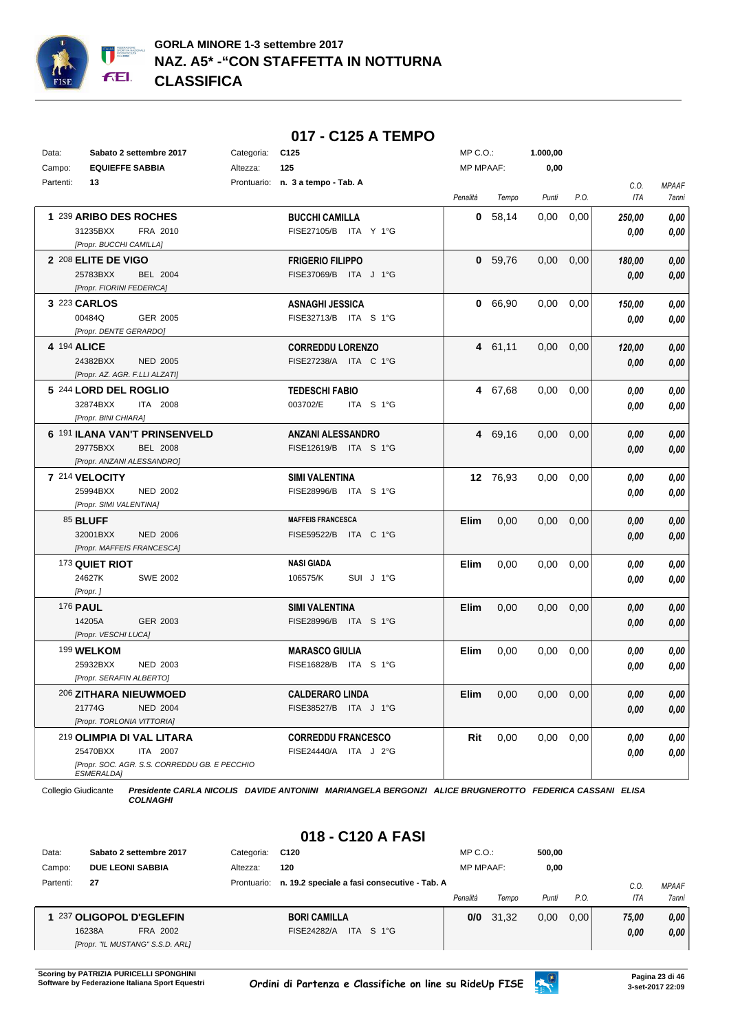

## **017 - C125 A TEMPO**

| Data:     | Sabato 2 settembre 2017                                     | Categoria: | C125                              | $MP C. O.$ :     |           | 1.000,00 |      |            |              |
|-----------|-------------------------------------------------------------|------------|-----------------------------------|------------------|-----------|----------|------|------------|--------------|
| Campo:    | <b>EQUIEFFE SABBIA</b>                                      | Altezza:   | 125                               | <b>MP MPAAF:</b> |           | 0,00     |      |            |              |
| Partenti: | 13                                                          |            | Prontuario: n. 3 a tempo - Tab. A |                  |           |          |      | C.O.       | <b>MPAAF</b> |
|           |                                                             |            |                                   | Penalità         | Tempo     | Punti    | P.O. | <b>ITA</b> | <b>7anni</b> |
|           | 1 239 ARIBO DES ROCHES                                      |            | <b>BUCCHI CAMILLA</b>             | 0                | 58,14     | 0,00     | 0,00 | 250,00     | 0.00         |
|           | 31235BXX<br>FRA 2010                                        |            | FISE27105/B ITA Y 1°G             |                  |           |          |      | 0.00       | 0.00         |
|           | [Propr. BUCCHI CAMILLA]                                     |            |                                   |                  |           |          |      |            |              |
|           | 2 208 ELITE DE VIGO                                         |            | <b>FRIGERIO FILIPPO</b>           |                  | 0, 59, 76 | 0,00     | 0,00 | 180,00     | 0.00         |
|           | 25783BXX<br><b>BEL 2004</b>                                 |            | FISE37069/B ITA J 1°G             |                  |           |          |      | 0,00       | 0,00         |
|           | [Propr. FIORINI FEDERICA]                                   |            |                                   |                  |           |          |      |            |              |
|           | 3 223 CARLOS                                                |            | <b>ASNAGHI JESSICA</b>            |                  | 0 66,90   | 0,00     | 0,00 | 150,00     | 0.00         |
|           | 00484Q<br>GER 2005                                          |            | FISE32713/B ITA S 1°G             |                  |           |          |      | 0,00       | 0.00         |
|           | [Propr. DENTE GERARDO]                                      |            |                                   |                  |           |          |      |            |              |
|           | 4 194 ALICE                                                 |            | <b>CORREDDU LORENZO</b>           |                  | 4 61,11   | 0,00     | 0,00 | 120,00     | 0,00         |
|           | 24382BXX<br><b>NED 2005</b>                                 |            | FISE27238/A ITA C 1°G             |                  |           |          |      | 0,00       | 0.00         |
|           | [Propr. AZ. AGR. F.LLI ALZATI]                              |            |                                   |                  |           |          |      |            |              |
|           | 5 244 LORD DEL ROGLIO                                       |            | <b>TEDESCHI FABIO</b>             |                  | 4 67,68   | 0,00     | 0,00 | 0,00       | 0,00         |
|           | 32874BXX<br>ITA 2008                                        |            | 003702/E<br>ITA S 1°G             |                  |           |          |      | 0,00       | 0.00         |
|           | [Propr. BINI CHIARA]                                        |            |                                   |                  |           |          |      |            |              |
|           | 6 191 ILANA VAN'T PRINSENVELD                               |            | <b>ANZANI ALESSANDRO</b>          |                  | 4 69.16   | 0.00     | 0.00 | 0,00       | 0,00         |
|           | 29775BXX<br><b>BEL 2008</b>                                 |            | FISE12619/B ITA S 1°G             |                  |           |          |      | 0,00       | 0.00         |
|           | [Propr. ANZANI ALESSANDRO]                                  |            |                                   |                  |           |          |      |            |              |
|           | 7 214 VELOCITY                                              |            | <b>SIMI VALENTINA</b>             |                  | 12 76,93  | 0.00     | 0,00 | 0.00       | 0.00         |
|           | 25994BXX<br><b>NED 2002</b>                                 |            | FISE28996/B ITA S 1°G             |                  |           |          |      | 0.00       | 0.00         |
|           | [Propr. SIMI VALENTINA]                                     |            |                                   |                  |           |          |      |            |              |
|           | 85 BLUFF                                                    |            | <b>MAFFEIS FRANCESCA</b>          | <b>Elim</b>      | 0.00      | 0.00     | 0,00 | 0.00       | 0.00         |
|           | 32001BXX<br><b>NED 2006</b>                                 |            | FISE59522/B ITA C 1°G             |                  |           |          |      | 0.00       | 0.00         |
|           | [Propr. MAFFEIS FRANCESCA]                                  |            |                                   |                  |           |          |      |            |              |
|           | 173 QUIET RIOT                                              |            | <b>NASI GIADA</b>                 | <b>Elim</b>      | 0.00      | 0.00     | 0,00 | 0.00       | 0.00         |
|           | 24627K<br><b>SWE 2002</b>                                   |            | 106575/K<br>SUI J 1°G             |                  |           |          |      | 0.00       | 0.00         |
|           | [Propr.]                                                    |            |                                   |                  |           |          |      |            |              |
|           | 176 <b>PAUL</b>                                             |            | <b>SIMI VALENTINA</b>             | <b>Elim</b>      | 0,00      | 0,00     | 0,00 | 0.00       | 0,00         |
|           | 14205A<br>GER 2003                                          |            | FISE28996/B ITA S 1°G             |                  |           |          |      | 0.00       | 0.00         |
|           | [Propr. VESCHI LUCA]                                        |            |                                   |                  |           |          |      |            |              |
|           | 199 WELKOM                                                  |            | <b>MARASCO GIULIA</b>             | Elim             | 0,00      | 0,00     | 0,00 | 0,00       | 0.00         |
|           | 25932BXX<br><b>NED 2003</b>                                 |            | FISE16828/B ITA S 1°G             |                  |           |          |      | 0,00       | 0.00         |
|           | [Propr. SERAFIN ALBERTO]                                    |            |                                   |                  |           |          |      |            |              |
|           | 206 ZITHARA NIEUWMOED                                       |            | <b>CALDERARO LINDA</b>            | <b>Elim</b>      | 0,00      | 0,00     | 0,00 | 0,00       | 0.00         |
|           | 21774G<br><b>NED 2004</b>                                   |            | FISE38527/B ITA J 1°G             |                  |           |          |      | 0.00       | 0,00         |
|           | [Propr. TORLONIA VITTORIA]                                  |            |                                   |                  |           |          |      |            |              |
|           | 219 OLIMPIA DI VAL LITARA                                   |            | <b>CORREDDU FRANCESCO</b>         | Rit              | 0,00      | 0,00     | 0,00 | 0,00       | 0,00         |
|           | 25470BXX<br>ITA 2007                                        |            | FISE24440/A ITA J 2°G             |                  |           |          |      | 0,00       | 0.00         |
|           | [Propr. SOC. AGR. S.S. CORREDDU GB. E PECCHIO<br>ESMERALDA1 |            |                                   |                  |           |          |      |            |              |

Collegio Giudicante *Presidente CARLA NICOLIS DAVIDE ANTONINI MARIANGELA BERGONZI ALICE BRUGNEROTTO FEDERICA CASSANI ELISA COLNAGHI*

# **018 - C120 A FASI**

| Data:     | Sabato 2 settembre 2017          | Categoria:  | C120                                         | $MP C. O.$ :     |       | 500.00 |      |            |              |
|-----------|----------------------------------|-------------|----------------------------------------------|------------------|-------|--------|------|------------|--------------|
| Campo:    | <b>DUE LEONI SABBIA</b>          | Altezza:    | 120                                          | <b>MP MPAAF:</b> |       | 0,00   |      |            |              |
| Partenti: | 27                               | Prontuario: | n. 19.2 speciale a fasi consecutive - Tab. A |                  |       |        |      | C.0        | <b>MPAAF</b> |
|           |                                  |             |                                              | Penalità         | Tempo | Punti  | P.O. | <b>ITA</b> | 7anni        |
|           | 1 237 OLIGOPOL D'EGLEFIN         |             | <b>BORI CAMILLA</b>                          | 0/0              | 31.32 | 0.00   | 0.00 | 75,00      | 0.00         |
|           | 16238A<br>FRA 2002               |             | ITA S 1°G<br>FISE24282/A                     |                  |       |        |      | 0,00       | 0,00         |
|           | [Propr. "IL MUSTANG" S.S.D. ARL] |             |                                              |                  |       |        |      |            |              |

**Scoring by PATRIZIA PURICELLI SPONGHINI<br>Software by Federazione Italiana Sport Equestri** 

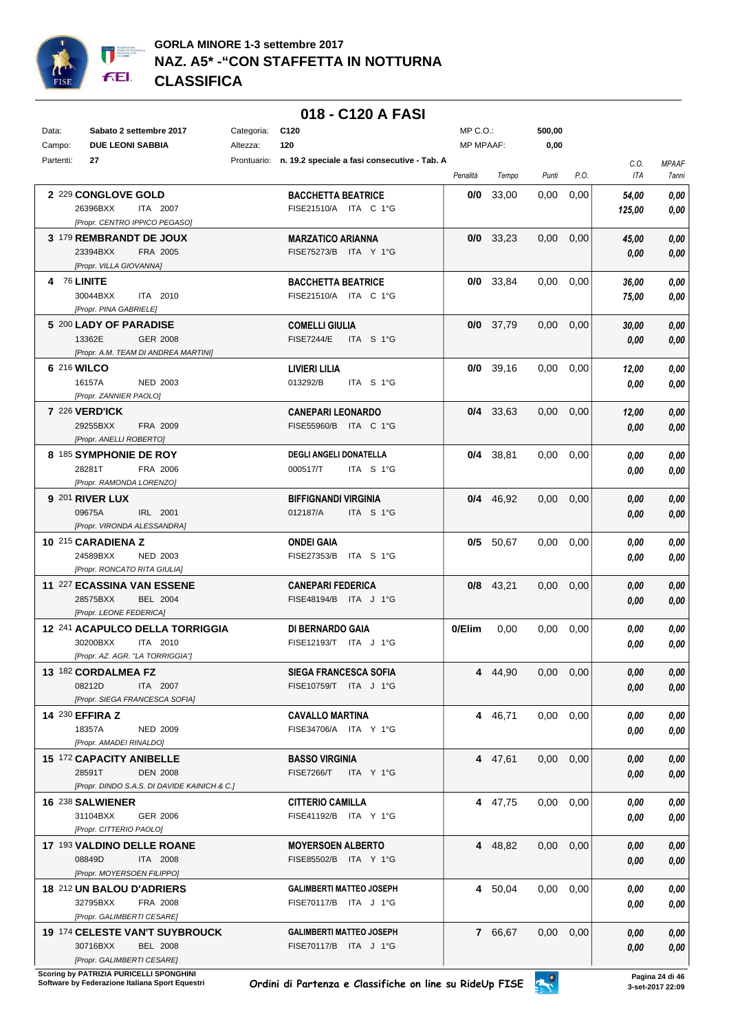

|             |                                                           |            | 018 - C120 A FASI                                        |                  |             |                   |      |        |              |
|-------------|-----------------------------------------------------------|------------|----------------------------------------------------------|------------------|-------------|-------------------|------|--------|--------------|
| Data:       | Sabato 2 settembre 2017                                   | Categoria: | C120                                                     | $MP C. O.$ :     |             | 500,00            |      |        |              |
| Campo:      | <b>DUE LEONI SABBIA</b>                                   | Altezza:   | 120                                                      | <b>MP MPAAF:</b> |             | 0,00              |      |        |              |
| Partenti:   | 27                                                        |            | Prontuario: n. 19.2 speciale a fasi consecutive - Tab. A |                  |             |                   |      | C.O.   | <b>MPAAF</b> |
|             |                                                           |            |                                                          | Penalità         | Tempo       | Punti             | P.O. | ITA    | 7anni        |
|             | 2 229 CONGLOVE GOLD                                       |            | <b>BACCHETTA BEATRICE</b>                                | 0/0              | 33,00       | 0,00              | 0,00 | 54,00  | 0,00         |
|             | 26396BXX<br>ITA 2007                                      |            | FISE21510/A ITA C 1°G                                    |                  |             |                   |      | 125,00 | 0,00         |
|             | [Propr. CENTRO IPPICO PEGASO]                             |            |                                                          |                  |             |                   |      |        |              |
|             | 3 179 REMBRANDT DE JOUX                                   |            | <b>MARZATICO ARIANNA</b>                                 |                  | $0/0$ 33,23 | 0,00              | 0,00 | 45,00  | $0,\!00$     |
|             | 23394BXX<br>FRA 2005<br>[Propr. VILLA GIOVANNA]           |            | FISE75273/B ITA Y 1°G                                    |                  |             |                   |      | 0,00   | 0,00         |
| 4 76 LINITE |                                                           |            | <b>BACCHETTA BEATRICE</b>                                |                  | $0/0$ 33,84 | 0.00              | 0,00 | 36,00  | 0,00         |
|             | 30044BXX<br>ITA 2010                                      |            | FISE21510/A ITA C 1°G                                    |                  |             |                   |      | 75,00  | 0,00         |
|             | [Propr. PINA GABRIELE]                                    |            |                                                          |                  |             |                   |      |        |              |
|             | 5 200 LADY OF PARADISE                                    |            | <b>COMELLI GIULIA</b>                                    |                  | $0/0$ 37,79 | 0,00              | 0,00 | 30,00  | 0,00         |
|             | 13362E<br>GER 2008                                        |            | <b>FISE7244/E</b><br>ITA S 1°G                           |                  |             |                   |      | 0,00   | 0,00         |
|             | [Propr. A.M. TEAM DI ANDREA MARTINI]                      |            |                                                          |                  |             |                   |      |        |              |
|             | 6 216 WILCO                                               |            | LIVIERI LILIA                                            |                  | $0/0$ 39,16 | 0,00              | 0,00 | 12,00  | 0,00         |
|             | <b>NED 2003</b><br>16157A                                 |            | 013292/B<br>ITA S 1°G                                    |                  |             |                   |      | 0,00   | 0,00         |
|             | [Propr. ZANNIER PAOLO]                                    |            |                                                          |                  |             |                   |      |        |              |
|             | <b>7 226 VERD'ICK</b><br>29255BXX                         |            | <b>CANEPARI LEONARDO</b><br>FISE55960/B ITA C 1°G        |                  | $0/4$ 33,63 | 0,00              | 0,00 | 12,00  | 0,00         |
|             | FRA 2009<br>[Propr. ANELLI ROBERTO]                       |            |                                                          |                  |             |                   |      | 0,00   | 0,00         |
|             | 8 185 SYMPHONIE DE ROY                                    |            | <b>DEGLI ANGELI DONATELLA</b>                            |                  | $0/4$ 38,81 | 0,00              | 0,00 | 0,00   | 0,00         |
|             | 28281T<br>FRA 2006                                        |            | 000517/T<br>ITA S 1°G                                    |                  |             |                   |      | 0,00   | 0,00         |
|             | [Propr. RAMONDA LORENZO]                                  |            |                                                          |                  |             |                   |      |        |              |
|             | <b>9 201 RIVER LUX</b>                                    |            | <b>BIFFIGNANDI VIRGINIA</b>                              |                  | $0/4$ 46,92 | 0,00              | 0,00 | 0,00   | 0,00         |
|             | 09675A<br>IRL 2001                                        |            | 012187/A<br>ITA S 1°G                                    |                  |             |                   |      | 0,00   | 0,00         |
|             | [Propr. VIRONDA ALESSANDRA]                               |            |                                                          |                  |             |                   |      |        |              |
|             | 10 215 CARADIENA Z                                        |            | <b>ONDEI GAIA</b>                                        |                  | $0/5$ 50,67 | 0.00              | 0,00 | 0,00   | 0,00         |
|             | 24589BXX<br><b>NED 2003</b>                               |            | FISE27353/B<br>ITA S 1°G                                 |                  |             |                   |      | 0,00   | 0,00         |
|             | [Propr. RONCATO RITA GIULIA]                              |            |                                                          |                  |             |                   |      |        |              |
|             | 11 227 ECASSINA VAN ESSENE<br>28575BXX<br><b>BEL 2004</b> |            | <b>CANEPARI FEDERICA</b><br>FISE48194/B ITA J 1°G        |                  | $0/8$ 43,21 | 0.00              | 0,00 | 0,00   | 0,00         |
|             | [Propr. LEONE FEDERICA]                                   |            |                                                          |                  |             |                   |      | 0,00   | 0,00         |
|             | 12 241 ACAPULCO DELLA TORRIGGIA                           |            | DI BERNARDO GAIA                                         | 0/Elim           | 0,00        | 0.00              | 0,00 | 0,00   | 0,00         |
|             | 30200BXX<br>ITA 2010                                      |            | FISE12193/T ITA J 1°G                                    |                  |             |                   |      | 0,00   | 0,00         |
|             | [Propr. AZ. AGR. "LA TORRIGGIA"]                          |            |                                                          |                  |             |                   |      |        |              |
|             | 13 182 CORDALMEA FZ                                       |            | SIEGA FRANCESCA SOFIA                                    |                  | 4 44,90     | $0.00 \quad 0.00$ |      | 0,00   | 0,00         |
|             | 08212D<br>ITA 2007                                        |            | FISE10759/T ITA J 1°G                                    |                  |             |                   |      | 0,00   | 0,00         |
|             | [Propr. SIEGA FRANCESCA SOFIA]                            |            |                                                          |                  |             |                   |      |        |              |
|             | 14 230 EFFIRA Z                                           |            | <b>CAVALLO MARTINA</b>                                   |                  | 4 46,71     | $0.00 \quad 0.00$ |      | 0,00   | 0,00         |
|             | 18357A<br><b>NED 2009</b><br>[Propr. AMADEI RINALDO]      |            | FISE34706/A ITA Y 1°G                                    |                  |             |                   |      | 0,00   | 0,00         |
|             | 15 172 CAPACITY ANIBELLE                                  |            | <b>BASSO VIRGINIA</b>                                    |                  | 4 47,61     | $0.00 \quad 0.00$ |      | 0,00   | 0,00         |
|             | 28591T<br><b>DEN 2008</b>                                 |            | <b>FISE7266/T</b><br>ITA Y 1°G                           |                  |             |                   |      | 0,00   | 0,00         |
|             | [Propr. DINDO S.A.S. DI DAVIDE KAINICH & C.]              |            |                                                          |                  |             |                   |      |        |              |
|             | 16 238 SALWIENER                                          |            | <b>CITTERIO CAMILLA</b>                                  |                  | 4 47,75     | $0,00$ $0,00$     |      | 0,00   | 0,00         |
|             | 31104BXX<br>GER 2006                                      |            | FISE41192/B ITA Y 1°G                                    |                  |             |                   |      | 0,00   | 0,00         |
|             | [Propr. CITTERIO PAOLO]                                   |            |                                                          |                  |             |                   |      |        |              |
|             | 17 193 VALDINO DELLE ROANE                                |            | <b>MOYERSOEN ALBERTO</b>                                 |                  | 4 48,82     | $0,00$ $0,00$     |      | 0,00   | 0,00         |
|             | 08849D<br>ITA 2008                                        |            | FISE85502/B ITA Y 1°G                                    |                  |             |                   |      | 0,00   | 0,00         |
|             | [Propr. MOYERSOEN FILIPPO]                                |            |                                                          |                  |             |                   |      |        |              |
|             | 18 212 UN BALOU D'ADRIERS                                 |            | <b>GALIMBERTI MATTEO JOSEPH</b>                          |                  | 4 50,04     | 0.00              | 0,00 | 0,00   | 0,00         |
|             | 32795BXX<br>FRA 2008<br>[Propr. GALIMBERTI CESARE]        |            | FISE70117/B ITA J 1°G                                    |                  |             |                   |      | 0,00   | 0,00         |
|             | <b>19 174 CELESTE VAN'T SUYBROUCK</b>                     |            | <b>GALIMBERTI MATTEO JOSEPH</b>                          |                  | 7 66,67     | $0,00$ $0,00$     |      | 0,00   | 0,00         |
|             | 30716BXX<br><b>BEL 2008</b>                               |            | FISE70117/B ITA J 1°G                                    |                  |             |                   |      | 0,00   | 0,00         |
|             | [Propr. GALIMBERTI CESARE]                                |            |                                                          |                  |             |                   |      |        |              |

**Scoring by PATRIZIA PURICELLI SPONGHINI<br>Software by Federazione Italiana Sport Equestri**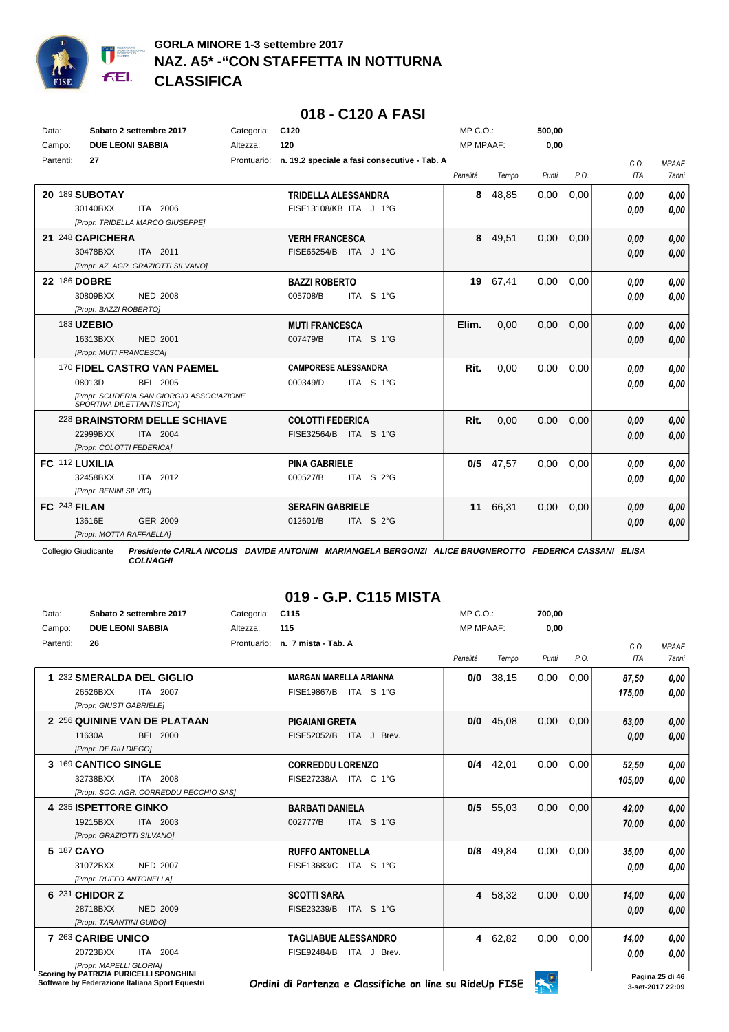

#### **018 - C120 A FASI** Data: **Sabato 2 settembre 2017** Categoria: C120 Prontuario: **n. 19.2 speciale a fasi consecutive - Tab. A** Campo: **DUE LEONI SABBIA** Partenti: **27** Altezza: **120** MP C.O.: MP MPAAF: **500,00 0,00** *Penalità Tempo Punti P.O. C.O. ITA MPAAF 7anni* **20** 189 **SUBOTAY** ITA 2006 **TRIDELLA ALESSANDRA** *[Propr. TRIDELLA MARCO GIUSEPPE]* 30140BXX ITA 2006 FISE13108/KB ITA J 1°G *0,00 0,00* **8** 48,85 0,00 0,00 *0,00 0,00 0,00* **21** 248 **CAPICHERA** ITA 2011 **VERH FRANCESCA** *[Propr. AZ. AGR. GRAZIOTTI SILVANO]* 30478BXX ITA 2011 FISE65254/B ITA J 1°G <mark>0,00 0,00</mark> **8** 49,51 0,00 0,00 *0,00 0,00 0,00* **22** 186 **DOBRE** NED 2008 **BAZZI ROBERTO** *[Propr. BAZZI ROBERTO]* ITA S 1°G **19** 67,41 0,00 0,00 *0,00 0,00 0,00* 30809BXX 005708/B *0,00* 183 **UZEBIO** NED 2001 **MUTI FRANCESCA** *[Propr. MUTI FRANCESCA]* ITA S 1°G **Elim.** 0,00 0,00 0,00 *0,00 0,00 0,00* 16313BXX 007479/B *0,00* 170 **FIDEL CASTRO VAN PAEMEL** BEL 2005 **CAMPORESE ALESSANDRA** *[Propr. SCUDERIA SAN GIORGIO ASSOCIAZIONE SPORTIVA DILETTANTISTICA]* ITA S 1°G **Rit.** 0,00 0,00 0,00 *0,00 0,00 0,00* 08013D BEL 2005 000349/D ITA S 1°G <mark> *0,00 0,00*</mark> 228 **BRAINSTORM DELLE SCHIAVE** ITA 2004 **COLOTTI FEDERICA** *[Propr. COLOTTI FEDERICA]* 22999BXX ITA 2004 FISE32564/B ITA S 1°G <mark>0,00 0,00</mark> **Rit.** 0,00 0,00 0,00 *0,00 0,00 0,00* **FC** 112 **LUXILIA** ITA 2012 **PINA GABRIELE** *[Propr. BENINI SILVIO]* ITA S 2°G **0/5** 47,57 0,00 0,00 *0,00 0,00 0,00* 32458BXX 000527/B *0,00* **FC** 243 **FILAN** GER 2009 **SERAFIN GABRIELE** ITA S 2°G **11** 66,31 0,00 0,00 *0,00 0,00 0,00*

*[Propr. MOTTA RAFFAELLA]* 13616E GER\_2009 012601/B ITA S\_2°G **0,00 0,00** 

Collegio Giudicante *Presidente CARLA NICOLIS DAVIDE ANTONINI MARIANGELA BERGONZI ALICE BRUGNEROTTO FEDERICA CASSANI ELISA COLNAGHI*

# **019 - G.P. C115 MISTA**

| Data:     | Sabato 2 settembre 2017                 | Categoria:  | C <sub>115</sub>              | $MP C. O.$ :     |         | 700,00 |      |        |              |
|-----------|-----------------------------------------|-------------|-------------------------------|------------------|---------|--------|------|--------|--------------|
| Campo:    | <b>DUE LEONI SABBIA</b>                 | Altezza:    | 115                           | <b>MP MPAAF:</b> |         | 0,00   |      |        |              |
| Partenti: | 26                                      | Prontuario: | n. 7 mista - Tab. A           |                  |         |        |      | C.0.   | <b>MPAAF</b> |
|           |                                         |             |                               | Penalità         | Tempo   | Punti  | P.O. | ITA    | <b>7anni</b> |
| 1         | 232 SMERALDA DEL GIGLIO                 |             | <b>MARGAN MARELLA ARIANNA</b> | 0/0              | 38,15   | 0,00   | 0,00 | 87,50  | 0,00         |
|           | ITA 2007<br>26526BXX                    |             | FISE19867/B ITA S 1°G         |                  |         |        |      | 175.00 | 0.00         |
|           | [Propr. GIUSTI GABRIELE]                |             |                               |                  |         |        |      |        |              |
|           | 2 256 QUININE VAN DE PLATAAN            |             | <b>PIGAIANI GRETA</b>         | 0/0              | 45.08   | 0,00   | 0.00 | 63,00  | 0.00         |
|           | 11630A<br><b>BEL 2000</b>               |             | FISE52052/B<br>ITA J Brev.    |                  |         |        |      | 0,00   | 0,00         |
|           | [Propr. DE RIU DIEGO]                   |             |                               |                  |         |        |      |        |              |
|           | 3 169 CANTICO SINGLE                    |             | <b>CORREDDU LORENZO</b>       | 0/4              | 42.01   | 0,00   | 0,00 | 52,50  | 0,00         |
|           | 32738BXX<br>ITA 2008                    |             | FISE27238/A ITA C 1°G         |                  |         |        |      | 105,00 | 0,00         |
|           | [Propr. SOC. AGR. CORREDDU PECCHIO SAS] |             |                               |                  |         |        |      |        |              |
|           | 4 235 ISPETTORE GINKO                   |             | <b>BARBATI DANIELA</b>        | 0/5              | 55,03   | 0,00   | 0,00 | 42,00  | 0,00         |
|           | ITA 2003<br>19215BXX                    |             | ITA S 1°G<br>002777/B         |                  |         |        |      | 70,00  | 0,00         |
|           | [Propr. GRAZIOTTI SILVANO]              |             |                               |                  |         |        |      |        |              |
|           | 5 187 CAYO                              |             | <b>RUFFO ANTONELLA</b>        | 0/8              | 49,84   | 0,00   | 0,00 | 35,00  | 0,00         |
|           | 31072BXX<br><b>NED 2007</b>             |             | FISE13683/C ITA S 1°G         |                  |         |        |      | 0,00   | 0,00         |
|           | [Propr. RUFFO ANTONELLA]                |             |                               |                  |         |        |      |        |              |
|           | 6 231 CHIDOR Z                          |             | <b>SCOTTI SARA</b>            | 4                | 58,32   | 0,00   | 0,00 | 14,00  | 0,00         |
|           | 28718BXX<br><b>NED 2009</b>             |             | FISE23239/B<br>ITA S 1°G      |                  |         |        |      | 0,00   | 0.00         |
|           | [Propr. TARANTINI GUIDO]                |             |                               |                  |         |        |      |        |              |
|           | 7 263 CARIBE UNICO                      |             | <b>TAGLIABUE ALESSANDRO</b>   |                  | 4 62,82 | 0,00   | 0,00 | 14,00  | 0,00         |
|           | 20723BXX<br>ITA 2004                    |             | FISE92484/B<br>ITA J Brev.    |                  |         |        |      | 0,00   | 0.00         |
|           | [Propr. MAPELLI GLORIA]                 |             |                               |                  |         |        |      |        |              |
|           | Scoring by PATRIZIA PHRICELLI SPONGHINI |             |                               |                  |         |        |      |        |              |

**Software by Federazione Italiana Sport Equestri**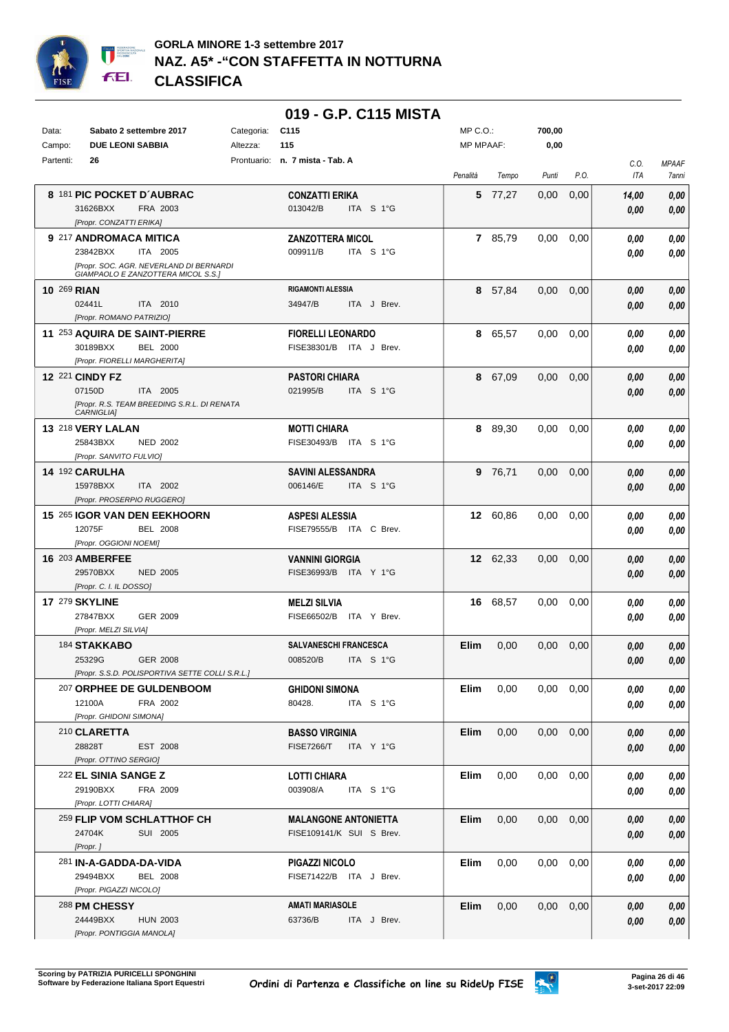

|                    |                                                                   |            | 019 - G.P. C115 MISTA           |                  |          |                   |      |            |              |
|--------------------|-------------------------------------------------------------------|------------|---------------------------------|------------------|----------|-------------------|------|------------|--------------|
| Data:              | Sabato 2 settembre 2017                                           | Categoria: | C <sub>115</sub>                | $MP C. O.$ :     |          | 700,00            |      |            |              |
| Campo:             | <b>DUE LEONI SABBIA</b>                                           | Altezza:   | 115                             | <b>MP MPAAF:</b> |          | 0,00              |      |            |              |
| Partenti:          | 26                                                                |            | Prontuario: n. 7 mista - Tab. A |                  |          |                   |      | C.O.       | <b>MPAAF</b> |
|                    |                                                                   |            |                                 | Penalità         | Tempo    | Punti             | P.O. | <b>ITA</b> | 7anni        |
|                    | 8 181 PIC POCKET D'AUBRAC                                         |            | <b>CONZATTI ERIKA</b>           |                  | 5 77.27  | 0,00              | 0,00 | 14,00      | 0,00         |
|                    | 31626BXX<br>FRA 2003                                              |            | 013042/B<br>ITA S 1°G           |                  |          |                   |      | 0.00       | 0,00         |
|                    | [Propr. CONZATTI ERIKA]                                           |            |                                 |                  |          |                   |      |            |              |
|                    | 9 217 ANDROMACA MITICA                                            |            | <b>ZANZOTTERA MICOL</b>         |                  | 7 85,79  | 0.00              | 0,00 | 0.00       | 0,00         |
|                    | 23842BXX<br>ITA 2005                                              |            | 009911/B<br>ITA S 1°G           |                  |          |                   |      | 0.00       | 0,00         |
|                    | [Propr. SOC. AGR. NEVERLAND DI BERNARDI                           |            |                                 |                  |          |                   |      |            |              |
|                    | GIAMPAOLO E ZANZOTTERA MICOL S.S.]                                |            |                                 |                  |          |                   |      |            |              |
| <b>10 269 RIAN</b> |                                                                   |            | <b>RIGAMONTI ALESSIA</b>        |                  | 8 57,84  | 0.00              | 0,00 | 0.00       | 0,00         |
|                    | 02441L<br>ITA 2010                                                |            | 34947/B<br>ITA J Brev.          |                  |          |                   |      | 0.00       | 0,00         |
|                    | [Propr. ROMANO PATRIZIO]                                          |            |                                 |                  |          |                   |      |            |              |
|                    | 11 253 AQUIRA DE SAINT-PIERRE                                     |            | <b>FIORELLI LEONARDO</b>        | 8                | 65,57    | 0,00              | 0,00 | 0.00       | 0,00         |
|                    | 30189BXX<br><b>BEL 2000</b>                                       |            | FISE38301/B ITA J Brev.         |                  |          |                   |      | 0.00       | 0.00         |
|                    | [Propr. FIORELLI MARGHERITA]                                      |            |                                 |                  |          |                   |      |            |              |
|                    | <b>12 221 CINDY FZ</b>                                            |            | <b>PASTORI CHIARA</b>           | 8                | 67,09    | 0.00              | 0,00 | 0.00       | 0,00         |
|                    | 07150D<br>ITA 2005<br>[Propr. R.S. TEAM BREEDING S.R.L. DI RENATA |            | 021995/B<br>ITA S 1°G           |                  |          |                   |      | 0.00       | 0,00         |
|                    | <b>CARNIGLIAI</b>                                                 |            |                                 |                  |          |                   |      |            |              |
|                    | 13 218 VERY LALAN                                                 |            | <b>MOTTI CHIARA</b>             | 8                | 89,30    | 0.00              | 0,00 | 0.00       | 0,00         |
|                    | 25843BXX<br><b>NED 2002</b>                                       |            | FISE30493/B ITA S 1°G           |                  |          |                   |      | 0.00       | 0,00         |
|                    | [Propr. SANVITO FULVIO]                                           |            |                                 |                  |          |                   |      |            |              |
|                    | 14 192 CARULHA                                                    |            | <b>SAVINI ALESSANDRA</b>        |                  | 9 76,71  | 0.00              | 0,00 | 0.00       | 0,00         |
|                    | 15978BXX<br>ITA 2002                                              |            | 006146/E<br>ITA S 1°G           |                  |          |                   |      | 0.00       | 0,00         |
|                    | [Propr. PROSERPIO RUGGERO]                                        |            |                                 |                  |          |                   |      |            |              |
|                    | 15 265 IGOR VAN DEN EEKHOORN                                      |            | <b>ASPESI ALESSIA</b>           |                  | 12 60,86 | $0.00\,$          | 0,00 | 0.00       | 0,00         |
|                    | 12075F<br><b>BEL 2008</b>                                         |            | FISE79555/B ITA C Brev.         |                  |          |                   |      | 0.00       | $\it 0,00$   |
|                    | [Propr. OGGIONI NOEMI]                                            |            |                                 |                  |          |                   |      |            |              |
|                    | <b>16 203 AMBERFEE</b>                                            |            | <b>VANNINI GIORGIA</b>          |                  | 12 62,33 | 0.00              | 0,00 | 0.00       | 0,00         |
|                    | 29570BXX<br><b>NED 2005</b>                                       |            | FISE36993/B ITA Y 1°G           |                  |          |                   |      | 0,00       | 0,00         |
|                    | [Propr. C. I. IL DOSSO]                                           |            |                                 |                  |          |                   |      |            |              |
|                    | <b>17 279 SKYLINE</b>                                             |            | <b>MELZI SILVIA</b>             |                  | 16 68,57 | 0.00              | 0,00 | 0.00       | 0,00         |
|                    | GER 2009<br>27847BXX                                              |            | FISE66502/B ITA Y Brev.         |                  |          |                   |      | 0.00       | 0.00         |
|                    | [Propr. MELZI SILVIA]                                             |            | <b>SALVANESCHI FRANCESCA</b>    |                  |          |                   |      |            |              |
|                    | 184 STAKKABO<br>25329G<br>GER 2008                                |            | 008520/B<br>ITA S 1°G           | Elim             | 0,00     | 0.00              | 0,00 | 0.00       | 0,00         |
|                    | [Propr. S.S.D. POLISPORTIVA SETTE COLLI S.R.L.]                   |            |                                 |                  |          |                   |      | 0,00       | 0,00         |
|                    | 207 ORPHEE DE GULDENBOOM                                          |            | <b>GHIDONI SIMONA</b>           | Elim             | 0,00     | $0.00 \quad 0.00$ |      | 0.00       | 0,00         |
|                    | FRA 2002<br>12100A                                                |            | 80428.<br>ITA S 1°G             |                  |          |                   |      | 0.00       | 0,00         |
|                    | [Propr. GHIDONI SIMONA]                                           |            |                                 |                  |          |                   |      |            |              |
|                    | 210 CLARETTA                                                      |            | <b>BASSO VIRGINIA</b>           | Elim             | 0,00     | $0.00 \quad 0.00$ |      | 0,00       | 0,00         |
|                    | 28828T<br>EST 2008                                                |            | FISE7266/T ITA Y 1°G            |                  |          |                   |      | 0.00       | 0,00         |
|                    | [Propr. OTTINO SERGIO]                                            |            |                                 |                  |          |                   |      |            |              |
|                    | 222 EL SINIA SANGE Z                                              |            | <b>LOTTI CHIARA</b>             | Elim             | 0,00     | $0.00 \quad 0.00$ |      | 0,00       | 0,00         |
|                    | 29190BXX<br>FRA 2009                                              |            | 003908/A<br>ITA S 1°G           |                  |          |                   |      | 0.00       | 0,00         |
|                    | [Propr. LOTTI CHIARA]                                             |            |                                 |                  |          |                   |      |            |              |
|                    | 259 FLIP VOM SCHLATTHOF CH                                        |            | <b>MALANGONE ANTONIETTA</b>     | Elim             | 0,00     | $0.00 \quad 0.00$ |      | 0,00       | 0,00         |
|                    | 24704K<br>SUI 2005                                                |            | FISE109141/K SUI S Brev.        |                  |          |                   |      | 0.00       | 0,00         |
|                    | [Propr.]                                                          |            |                                 |                  |          |                   |      |            |              |
|                    | 281 IN-A-GADDA-DA-VIDA                                            |            | PIGAZZI NICOLO                  | Elim             | 0,00     | $0.00 \quad 0.00$ |      | 0,00       | 0,00         |
|                    | 29494BXX<br><b>BEL 2008</b>                                       |            | FISE71422/B ITA J Brev.         |                  |          |                   |      | 0.00       | 0,00         |
|                    | [Propr. PIGAZZI NICOLO]                                           |            |                                 |                  |          |                   |      |            |              |
|                    | 288 PM CHESSY                                                     |            | <b>AMATI MARIASOLE</b>          | Elim             | 0,00     | $0.00 \quad 0.00$ |      | 0,00       | 0,00         |
|                    | 24449BXX<br><b>HUN 2003</b>                                       |            | 63736/B<br>ITA J Brev.          |                  |          |                   |      | 0,00       | 0,00         |
|                    | [Propr. PONTIGGIA MANOLA]                                         |            |                                 |                  |          |                   |      |            |              |

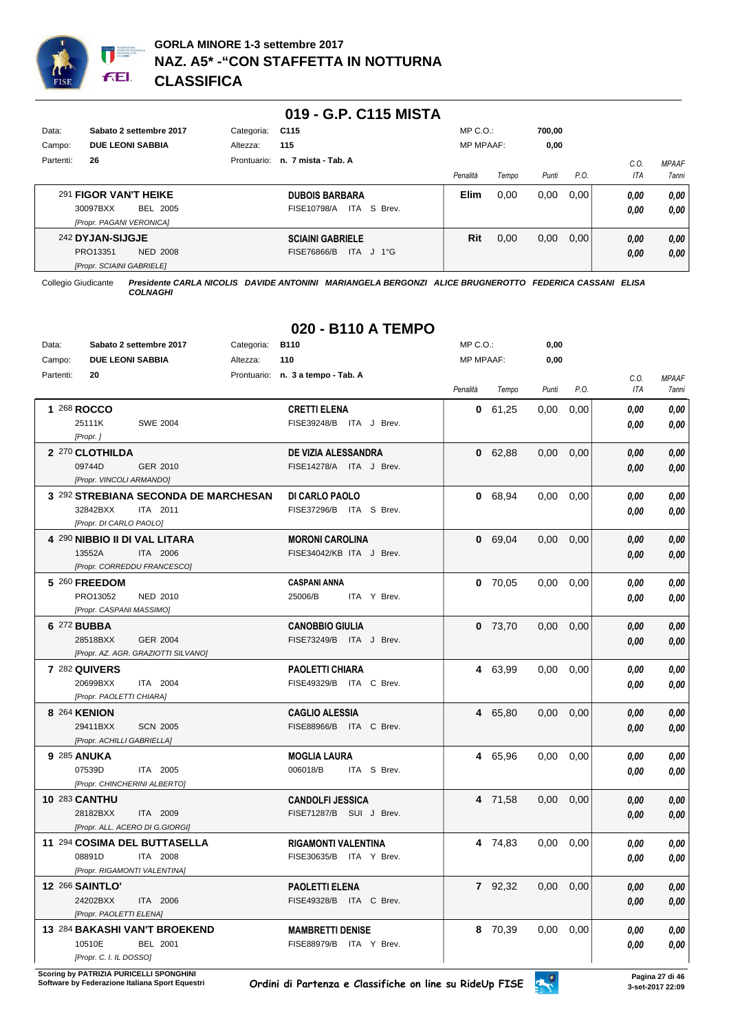

|           |                                  |             | 019 - G.P. C115 MISTA      |                  |       |        |      |      |              |
|-----------|----------------------------------|-------------|----------------------------|------------------|-------|--------|------|------|--------------|
| Data:     | Sabato 2 settembre 2017          | Categoria:  | C <sub>115</sub>           | $MP C. O.$ :     |       | 700,00 |      |      |              |
| Campo:    | <b>DUE LEONI SABBIA</b>          | Altezza:    | 115                        | <b>MP MPAAF:</b> |       | 0,00   |      |      |              |
| Partenti: | 26                               | Prontuario: | n. 7 mista - Tab. A        |                  |       |        |      | C.0  | <b>MPAAF</b> |
|           |                                  |             |                            | Penalità         | Tempo | Punti  | P.O. | ITA  | <b>7anni</b> |
|           | 291 FIGOR VAN'T HEIKE            |             | <b>DUBOIS BARBARA</b>      | <b>Elim</b>      | 0.00  | 0.00   | 0.00 | 0,00 | 0,00         |
|           | BEL 2005<br>30097BXX             |             | ITA S Brev.<br>FISE10798/A |                  |       |        |      | 0,00 | 0.00         |
|           | [Propr. PAGANI VERONICA]         |             |                            |                  |       |        |      |      |              |
|           | 242 DYJAN-SIJGJE                 |             | <b>SCIAINI GABRIELE</b>    | Rit              | 0,00  | 0,00   | 0,00 | 0,00 | 0,00         |
|           | PRO13351<br><b>NED 2008</b>      |             | FISE76866/B<br>ITA J 1°G   |                  |       |        |      | 0,00 | 0,00         |
|           | <b>IPropr. SCIAINI GABRIELEI</b> |             |                            |                  |       |        |      |      |              |

# **020 - B110 A TEMPO**

| Data:     |                              | Sabato 2 settembre 2017              | Categoria: | B110                              | MP C.O.:         |           | 0,00  |      |            |              |
|-----------|------------------------------|--------------------------------------|------------|-----------------------------------|------------------|-----------|-------|------|------------|--------------|
| Campo:    | <b>DUE LEONI SABBIA</b>      |                                      | Altezza:   | 110                               | <b>MP MPAAF:</b> |           | 0,00  |      |            |              |
| Partenti: | 20                           |                                      |            | Prontuario: n. 3 a tempo - Tab. A |                  |           |       |      | C.O.       | <b>MPAAF</b> |
|           |                              |                                      |            |                                   | Penalità         | Tempo     | Punti | P.O. | <b>ITA</b> | <b>7anni</b> |
|           | 1 268 ROCCO                  |                                      |            | <b>CRETTI ELENA</b>               | 0                | 61,25     | 0,00  | 0,00 | 0.00       | 0,00         |
|           | 25111K                       | <b>SWE 2004</b>                      |            | FISE39248/B ITA J Brev.           |                  |           |       |      | 0.00       | 0,00         |
|           | [Propr.]                     |                                      |            |                                   |                  |           |       |      |            |              |
|           | 2 270 CLOTHILDA              |                                      |            | DE VIZIA ALESSANDRA               |                  | 0 62,88   | 0,00  | 0,00 | 0.00       | 0,00         |
|           | 09744D                       | GER 2010                             |            | FISE14278/A ITA J Brev.           |                  |           |       |      | 0.00       | 0.00         |
|           | [Propr. VINCOLI ARMANDO]     |                                      |            |                                   |                  |           |       |      |            |              |
|           |                              | 3 292 STREBIANA SECONDA DE MARCHESAN |            | DI CARLO PAOLO                    |                  | 0 68,94   | 0,00  | 0,00 | 0.00       | 0,00         |
|           | 32842BXX                     | ITA 2011                             |            | FISE37296/B ITA S Brev.           |                  |           |       |      | 0.00       | 0,00         |
|           | [Propr. DI CARLO PAOLO]      |                                      |            |                                   |                  |           |       |      |            |              |
|           |                              | 4 290 NIBBIO II DI VAL LITARA        |            | <b>MORONI CAROLINA</b>            |                  | 0 69,04   | 0,00  | 0,00 | 0,00       | $0,\!00$     |
|           | 13552A                       | ITA 2006                             |            | FISE34042/KB ITA J Brev.          |                  |           |       |      | 0.00       | 0.00         |
|           |                              | [Propr. CORREDDU FRANCESCO]          |            |                                   |                  |           |       |      |            |              |
|           | 5 260 FREEDOM                |                                      |            | <b>CASPANI ANNA</b>               |                  | $0$ 70,05 | 0,00  | 0,00 | 0.00       | 0,00         |
|           | PRO13052                     | NED 2010                             |            | 25006/B<br>ITA Y Brev.            |                  |           |       |      | 0.00       | 0,00         |
|           | [Propr. CASPANI MASSIMO]     |                                      |            |                                   |                  |           |       |      |            |              |
|           | 6 272 BUBBA                  |                                      |            | <b>CANOBBIO GIULIA</b>            |                  | $0$ 73,70 | 0,00  | 0,00 | 0.00       | 0,00         |
|           | 28518BXX                     | <b>GER 2004</b>                      |            | FISE73249/B ITA J Brev.           |                  |           |       |      | 0.00       | 0.00         |
|           |                              | [Propr. AZ. AGR. GRAZIOTTI SILVANO]  |            |                                   |                  |           |       |      |            |              |
|           | 7 282 QUIVERS                |                                      |            | <b>PAOLETTI CHIARA</b>            |                  | 4 63,99   | 0,00  | 0,00 | 0.00       | 0,00         |
|           | 20699BXX                     | ITA 2004                             |            | FISE49329/B ITA C Brev.           |                  |           |       |      | 0.00       | 0,00         |
|           | [Propr. PAOLETTI CHIARA]     |                                      |            |                                   |                  |           |       |      |            |              |
|           | 8 264 KENION                 |                                      |            | <b>CAGLIO ALESSIA</b>             |                  | 4 65.80   | 0.00  | 0.00 | 0,00       | 0,00         |
|           | 29411BXX                     | <b>SCN 2005</b>                      |            | FISE88966/B ITA C Brev.           |                  |           |       |      | 0.00       | 0.00         |
|           | [Propr. ACHILLI GABRIELLA]   |                                      |            |                                   |                  |           |       |      |            |              |
|           | 9 285 ANUKA                  |                                      |            | <b>MOGLIA LAURA</b>               |                  | 4 65,96   | 0.00  | 0,00 | 0.00       | 0,00         |
|           | 07539D                       | ITA 2005                             |            | 006018/B<br>ITA S Brev.           |                  |           |       |      | 0.00       | 0,00         |
|           | [Propr. CHINCHERINI ALBERTO] |                                      |            |                                   |                  |           |       |      |            |              |
|           | <b>10 283 CANTHU</b>         |                                      |            | <b>CANDOLFI JESSICA</b>           |                  | 4 71,58   | 0.00  | 0,00 | 0.00       | 0,00         |
|           | 28182BXX                     | ITA 2009                             |            | FISE71287/B SUI J Brev.           |                  |           |       |      | 0.00       | 0.00         |
|           |                              | [Propr. ALL. ACERO DI G.GIORGI]      |            |                                   |                  |           |       |      |            |              |
|           |                              | 11 294 COSIMA DEL BUTTASELLA         |            | <b>RIGAMONTI VALENTINA</b>        |                  | 4 74,83   | 0,00  | 0,00 | 0.00       | 0,00         |
|           | 08891D                       | ITA 2008                             |            | FISE30635/B ITA Y Brev.           |                  |           |       |      | 0.00       | 0,00         |
|           | [Propr. RIGAMONTI VALENTINA] |                                      |            |                                   |                  |           |       |      |            |              |
|           | <b>12 266 SAINTLO'</b>       |                                      |            | <b>PAOLETTI ELENA</b>             |                  | 7 92.32   | 0.00  | 0,00 | 0,00       | 0,00         |
|           | 24202BXX                     | ITA 2006                             |            | FISE49328/B ITA C Brev.           |                  |           |       |      | 0.00       | 0.00         |
|           | [Propr. PAOLETTI ELENA]      |                                      |            |                                   |                  |           |       |      |            |              |
|           |                              | 13 284 BAKASHI VAN'T BROEKEND        |            | <b>MAMBRETTI DENISE</b>           |                  | 8 70,39   | 0,00  | 0,00 | 0.00       | 0,00         |
|           | 10510E                       | BEL 2001                             |            | FISE88979/B ITA Y Brev.           |                  |           |       |      | 0,00       | 0,00         |
|           | [Propr. C. I. IL DOSSO]      |                                      |            |                                   |                  |           |       |      |            |              |

**Scoring by PATRIZIA PURICELLI SPONGHINI<br>Software by Federazione Italiana Sport Equestri** 

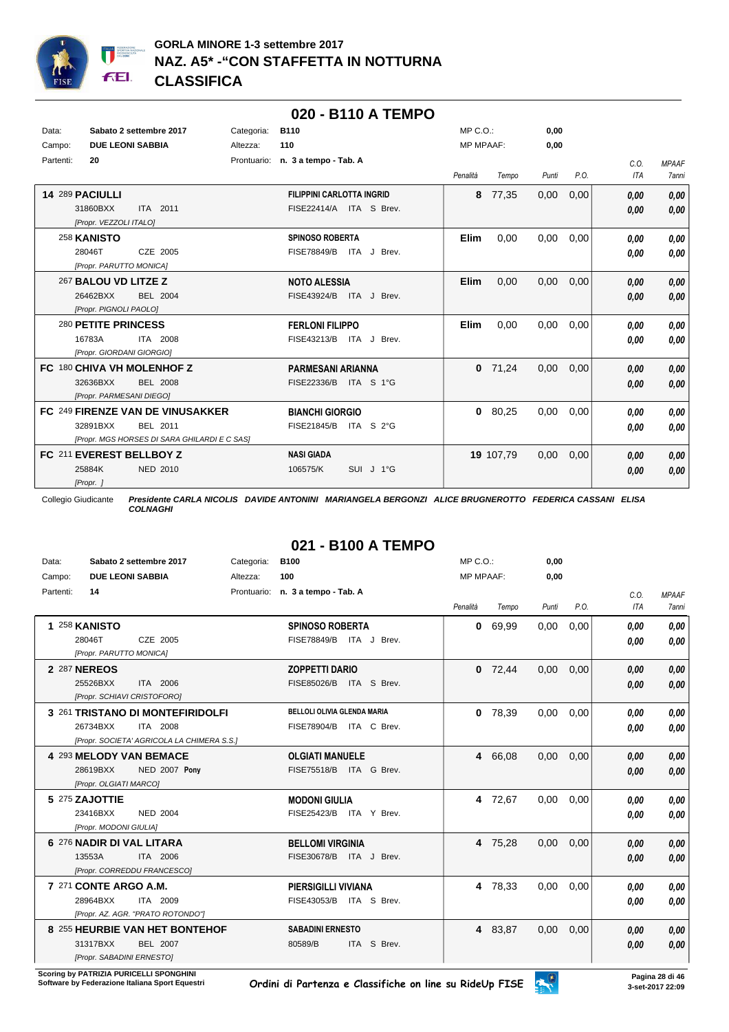

|           |                           |                                              |            |                                   |             | 020 - B110 A TEMPO |                  |           |       |      |      |              |
|-----------|---------------------------|----------------------------------------------|------------|-----------------------------------|-------------|--------------------|------------------|-----------|-------|------|------|--------------|
| Data:     |                           | Sabato 2 settembre 2017                      | Categoria: | <b>B110</b>                       |             |                    | $MP C. O.$ :     |           | 0,00  |      |      |              |
| Campo:    | <b>DUE LEONI SABBIA</b>   |                                              | Altezza:   | 110                               |             |                    | <b>MP MPAAF:</b> |           | 0,00  |      |      |              |
| Partenti: | 20                        |                                              |            | Prontuario: n. 3 a tempo - Tab. A |             |                    |                  |           |       |      | C.O. | <b>MPAAF</b> |
|           |                           |                                              |            |                                   |             |                    | Penalità         | Tempo     | Punti | P.O. | ITA  | <b>7anni</b> |
|           | 14 289 PACIULLI           |                                              |            | <b>FILIPPINI CARLOTTA INGRID</b>  |             |                    | 8                | 77,35     | 0,00  | 0,00 | 0.00 | 0,00         |
|           | 31860BXX                  | ITA 2011                                     |            | FISE22414/A ITA S Brev.           |             |                    |                  |           |       |      | 0,00 | 0.00         |
|           | [Propr. VEZZOLI ITALO]    |                                              |            |                                   |             |                    |                  |           |       |      |      |              |
|           | 258 KANISTO               |                                              |            | <b>SPINOSO ROBERTA</b>            |             |                    | <b>Elim</b>      | 0,00      | 0.00  | 0,00 | 0,00 | 0,00         |
|           | 28046T                    | CZE 2005                                     |            | <b>FISE78849/B</b>                | ITA J Brev. |                    |                  |           |       |      | 0.00 | 0,00         |
|           | [Propr. PARUTTO MONICA]   |                                              |            |                                   |             |                    |                  |           |       |      |      |              |
|           | 267 BALOU VD LITZE Z      |                                              |            | <b>NOTO ALESSIA</b>               |             |                    | <b>Elim</b>      | 0.00      | 0.00  | 0,00 | 0,00 | 0.00         |
|           | 26462BXX                  | BEL 2004                                     |            | FISE43924/B ITA J Brev.           |             |                    |                  |           |       |      | 0,00 | 0,00         |
|           | [Propr. PIGNOLI PAOLO]    |                                              |            |                                   |             |                    |                  |           |       |      |      |              |
|           | 280 PETITE PRINCESS       |                                              |            | <b>FERLONI FILIPPO</b>            |             |                    | Elim             | 0,00      | 0.00  | 0.00 | 0,00 | 0.00         |
|           | 16783A                    | ITA 2008                                     |            | FISE43213/B ITA J Brev.           |             |                    |                  |           |       |      | 0.00 | 0.00         |
|           | [Propr. GIORDANI GIORGIO] |                                              |            |                                   |             |                    |                  |           |       |      |      |              |
|           |                           | FC 180 CHIVA VH MOLENHOF Z                   |            | <b>PARMESANI ARIANNA</b>          |             |                    |                  | $0$ 71,24 | 0,00  | 0,00 | 0,00 | 0,00         |
|           | 32636BXX                  | <b>BEL 2008</b>                              |            | FISE22336/B                       | ITA S 1°G   |                    |                  |           |       |      | 0,00 | 0,00         |
|           | [Propr. PARMESANI DIEGO]  |                                              |            |                                   |             |                    |                  |           |       |      |      |              |
|           |                           | FC 249 FIRENZE VAN DE VINUSAKKER             |            | <b>BIANCHI GIORGIO</b>            |             |                    | $\mathbf{0}$     | 80,25     | 0,00  | 0,00 | 0.00 | 0,00         |
|           | 32891BXX                  | BEL 2011                                     |            | FISE21845/B                       | ITA S 2°G   |                    |                  |           |       |      | 0,00 | 0.00         |
|           |                           | [Propr. MGS HORSES DI SARA GHILARDI E C SAS] |            |                                   |             |                    |                  |           |       |      |      |              |
|           | FC 211 EVEREST BELLBOY Z  |                                              |            | <b>NASI GIADA</b>                 |             |                    |                  | 19 107,79 | 0,00  | 0,00 | 0,00 | 0,00         |
|           | 25884K                    | NED 2010                                     |            | 106575/K                          | SUI J 1°G   |                    |                  |           |       |      | 0,00 | 0,00         |
|           | [Propr. ]                 |                                              |            |                                   |             |                    |                  |           |       |      |      |              |

# **021 - B100 A TEMPO**

| Data:     | Sabato 2 settembre 2017                    | Categoria:  | <b>B100</b>                        | MP C. O.         |         | 0,00  |      |      |              |
|-----------|--------------------------------------------|-------------|------------------------------------|------------------|---------|-------|------|------|--------------|
| Campo:    | <b>DUE LEONI SABBIA</b>                    | Altezza:    | 100                                | <b>MP MPAAF:</b> |         | 0,00  |      |      |              |
| Partenti: | 14                                         | Prontuario: | n. 3 a tempo - Tab. A              |                  |         |       |      | C.O. | <b>MPAAF</b> |
|           |                                            |             |                                    | Penalità         | Tempo   | Punti | P.O. | ITA  | 7anni        |
|           | 1 258 KANISTO                              |             | <b>SPINOSO ROBERTA</b>             | 0                | 69,99   | 0,00  | 0,00 | 0,00 | 0.00         |
|           | CZE 2005<br>28046T                         |             | <b>FISE78849/B</b><br>ITA J Brev.  |                  |         |       |      | 0.00 | 0.00         |
|           | [Propr. PARUTTO MONICA]                    |             |                                    |                  |         |       |      |      |              |
|           | 2 287 NEREOS                               |             | <b>ZOPPETTI DARIO</b>              | $\bf{0}$         | 72,44   | 0,00  | 0,00 | 0.00 | 0.00         |
|           | ITA 2006<br>25526BXX                       |             | FISE85026/B<br>ITA S Brev.         |                  |         |       |      | 0.00 | 0.00         |
|           | [Propr. SCHIAVI CRISTOFORO]                |             |                                    |                  |         |       |      |      |              |
|           | 3 261 TRISTANO DI MONTEFIRIDOLFI           |             | <b>BELLOLI OLIVIA GLENDA MARIA</b> | 0                | 78,39   | 0,00  | 0,00 | 0,00 | 0.00         |
|           | ITA 2008<br>26734BXX                       |             | <b>FISE78904/B</b><br>ITA C Brev.  |                  |         |       |      | 0.00 | 0.00         |
|           | [Propr. SOCIETA' AGRICOLA LA CHIMERA S.S.] |             |                                    |                  |         |       |      |      |              |
|           | 4 293 MELODY VAN BEMACE                    |             | <b>OLGIATI MANUELE</b>             | 4                | 66,08   | 0,00  | 0,00 | 0.00 | 0.00         |
|           | <b>NED 2007 Pony</b><br>28619BXX           |             | <b>FISE75518/B</b><br>ITA G Brev.  |                  |         |       |      | 0.00 | 0,00         |
|           | [Propr. OLGIATI MARCO]                     |             |                                    |                  |         |       |      |      |              |
|           | 5 275 ZAJOTTIE                             |             | <b>MODONI GIULIA</b>               | 4                | 72,67   | 0,00  | 0,00 | 0.00 | 0.00         |
|           | <b>NED 2004</b><br>23416BXX                |             | FISE25423/B<br>ITA Y Brev.         |                  |         |       |      | 0.00 | 0.00         |
|           | [Propr. MODONI GIULIA]                     |             |                                    |                  |         |       |      |      |              |
|           | 6 276 NADIR DI VAL LITARA                  |             | <b>BELLOMI VIRGINIA</b>            | 4                | 75,28   | 0,00  | 0,00 | 0.00 | 0.00         |
|           | 13553A<br>ITA 2006                         |             | FISE30678/B<br>ITA J Brev.         |                  |         |       |      | 0,00 | 0.00         |
|           | [Propr. CORREDDU FRANCESCO]                |             |                                    |                  |         |       |      |      |              |
|           | 7 271 CONTE ARGO A.M.                      |             | <b>PIERSIGILLI VIVIANA</b>         | 4                | 78,33   | 0,00  | 0,00 | 0.00 | 0.00         |
|           | 28964BXX<br>ITA 2009                       |             | FISE43053/B<br>ITA S Brev.         |                  |         |       |      | 0,00 | 0.00         |
|           | [Propr. AZ. AGR. "PRATO ROTONDO"]          |             |                                    |                  |         |       |      |      |              |
|           | 8 255 HEURBIE VAN HET BONTEHOF             |             | <b>SABADINI ERNESTO</b>            |                  | 4 83,87 | 0,00  | 0,00 | 0,00 | 0.00         |
|           | 31317BXX<br>BEL 2007                       |             | ITA S Brev.<br>80589/B             |                  |         |       |      | 0.00 | 0,00         |
|           | [Propr. SABADINI ERNESTO]                  |             |                                    |                  |         |       |      |      |              |

**Scoring by PATRIZIA PURICELLI SPONGHINI<br>Software by Federazione Italiana Sport Equestri** 

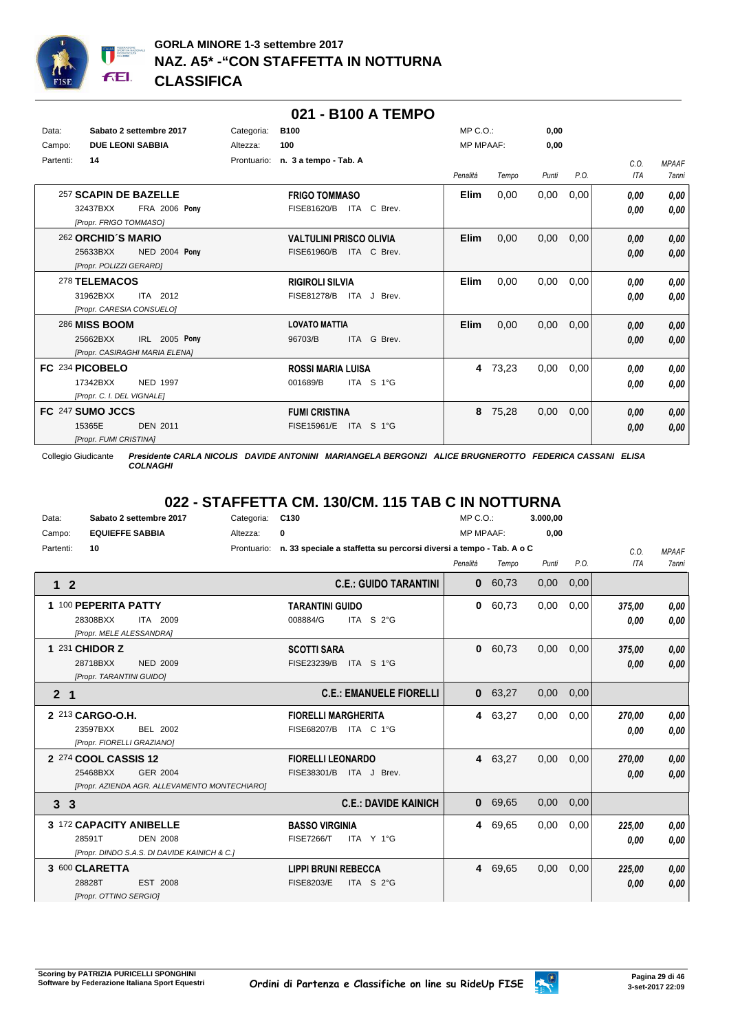

|           |                            |                                |             |                                |            | 021 - B100 A TEMPO |                  |       |       |      |             |                              |
|-----------|----------------------------|--------------------------------|-------------|--------------------------------|------------|--------------------|------------------|-------|-------|------|-------------|------------------------------|
| Data:     |                            | Sabato 2 settembre 2017        | Categoria:  | <b>B100</b>                    |            |                    | $MP C. O.$ :     |       | 0,00  |      |             |                              |
| Campo:    | <b>DUE LEONI SABBIA</b>    |                                | Altezza:    | 100                            |            |                    | <b>MP MPAAF:</b> |       | 0,00  |      |             |                              |
| Partenti: | 14                         |                                | Prontuario: | n. 3 a tempo - Tab. A          |            |                    | Penalità         | Tempo | Punti | P.O. | C.O.<br>ITA | <b>MPAAF</b><br><b>7anni</b> |
|           |                            |                                |             |                                |            |                    |                  |       |       |      |             |                              |
|           | 257 SCAPIN DE BAZELLE      |                                |             | <b>FRIGO TOMMASO</b>           |            |                    | <b>Elim</b>      | 0,00  | 0,00  | 0,00 | 0,00        | 0.00                         |
|           | 32437BXX                   | <b>FRA 2006 Pony</b>           |             | FISE81620/B                    |            | ITA C Brev.        |                  |       |       |      | 0.00        | 0.00                         |
|           | [Propr. FRIGO TOMMASO]     |                                |             |                                |            |                    |                  |       |       |      |             |                              |
|           | 262 ORCHID'S MARIO         |                                |             | <b>VALTULINI PRISCO OLIVIA</b> |            |                    | <b>Elim</b>      | 0,00  | 0,00  | 0,00 | 0,00        | 0,00                         |
|           | 25633BXX                   | <b>NED 2004 Pony</b>           |             | FISE61960/B                    |            | ITA C Brev.        |                  |       |       |      | 0,00        | 0,00                         |
|           | [Propr. POLIZZI GERARD]    |                                |             |                                |            |                    |                  |       |       |      |             |                              |
|           | 278 TELEMACOS              |                                |             | <b>RIGIROLI SILVIA</b>         |            |                    | <b>Elim</b>      | 0,00  | 0.00  | 0,00 | 0,00        | 0,00                         |
|           | 31962BXX                   | ITA 2012                       |             | <b>FISE81278/B</b>             |            | ITA J Brev.        |                  |       |       |      | 0,00        | 0,00                         |
|           | [Propr. CARESIA CONSUELO]  |                                |             |                                |            |                    |                  |       |       |      |             |                              |
|           | <b>286 MISS BOOM</b>       |                                |             | <b>LOVATO MATTIA</b>           |            |                    | Elim             | 0,00  | 0,00  | 0,00 | 0.00        | 0,00                         |
|           | 25662BXX                   | IRL 2005 Pony                  |             | 96703/B                        | <b>ITA</b> | G Brev.            |                  |       |       |      | 0.00        | 0,00                         |
|           |                            | [Propr. CASIRAGHI MARIA ELENA] |             |                                |            |                    |                  |       |       |      |             |                              |
|           | FC 234 PICOBELO            |                                |             | <b>ROSSI MARIA LUISA</b>       |            |                    | 4                | 73,23 | 0,00  | 0,00 | 0.00        | 0,00                         |
|           | 17342BXX                   | <b>NED 1997</b>                |             | 001689/B                       |            | ITA S 1°G          |                  |       |       |      | 0,00        | 0,00                         |
|           | [Propr. C. I. DEL VIGNALE] |                                |             |                                |            |                    |                  |       |       |      |             |                              |
|           | FC 247 SUMO JCCS           |                                |             | <b>FUMI CRISTINA</b>           |            |                    | 8                | 75,28 | 0,00  | 0,00 | 0.00        | 0,00                         |
|           | 15365E                     | <b>DEN 2011</b>                |             | FISE15961/E                    |            | ITA S 1°G          |                  |       |       |      | 0,00        | 0,00                         |
|           | [Propr. FUMI CRISTINA]     |                                |             |                                |            |                    |                  |       |       |      |             |                              |

# **022 - STAFFETTA CM. 130/CM. 115 TAB C IN NOTTURNA**

| Data:                          | Sabato 2 settembre 2017                                                                              | Categoria:  | C <sub>130</sub>                                                    | MP C. O.         |         | 3.000,00 |      |                |              |
|--------------------------------|------------------------------------------------------------------------------------------------------|-------------|---------------------------------------------------------------------|------------------|---------|----------|------|----------------|--------------|
| Campo:                         | <b>EQUIEFFE SABBIA</b>                                                                               | Altezza:    | 0                                                                   | <b>MP MPAAF:</b> |         | 0,00     |      |                |              |
| Partenti:                      | 10                                                                                                   | Prontuario: | n. 33 speciale a staffetta su percorsi diversi a tempo - Tab. A o C |                  |         |          |      | C.0.           | <b>MPAAF</b> |
|                                |                                                                                                      |             |                                                                     | Penalità         | Tempo   | Punti    | P.O. | <b>ITA</b>     | <b>7anni</b> |
| $\overline{2}$<br>$\mathbf{1}$ |                                                                                                      |             | <b>C.E.: GUIDO TARANTINI</b>                                        | $\bf{0}$         | 60,73   | 0,00     | 0,00 |                |              |
|                                | 1 100 PEPERITA PATTY<br>28308BXX<br>ITA 2009                                                         |             | <b>TARANTINI GUIDO</b><br>ITA S 2°G<br>008884/G                     | 0                | 60,73   | 0,00     | 0,00 | 375,00<br>0,00 | 0.00<br>0.00 |
|                                | [Propr. MELE ALESSANDRA]                                                                             |             |                                                                     |                  |         |          |      |                |              |
|                                | 1 231 CHIDOR Z<br>28718BXX<br><b>NED 2009</b>                                                        |             | <b>SCOTTI SARA</b><br>FISE23239/B<br>ITA S 1°G                      | 0                | 60,73   | 0,00     | 0,00 | 375,00<br>0,00 | 0.00<br>0.00 |
|                                | [Propr. TARANTINI GUIDO]                                                                             |             |                                                                     |                  |         |          |      |                |              |
| 2 <sub>1</sub>                 |                                                                                                      |             | <b>C.E.: EMANUELE FIORELLI</b>                                      | 0                | 63,27   | 0,00     | 0,00 |                |              |
|                                | 2 213 CARGO-O.H.<br>23597BXX<br><b>BEL 2002</b><br>[Propr. FIORELLI GRAZIANO]                        |             | <b>FIORELLI MARGHERITA</b><br>FISE68207/B ITA C 1°G                 | 4                | 63,27   | 0,00     | 0,00 | 270,00<br>0,00 | 0.00<br>0.00 |
|                                | 2 274 COOL CASSIS 12<br>25468BXX<br><b>GER 2004</b><br>[Propr. AZIENDA AGR. ALLEVAMENTO MONTECHIARO] |             | <b>FIORELLI LEONARDO</b><br>FISE38301/B ITA J Brev.                 |                  | 4 63,27 | 0,00     | 0,00 | 270,00<br>0,00 | 0.00<br>0.00 |
| 3 <sub>3</sub>                 |                                                                                                      |             | <b>C.E.: DAVIDE KAINICH</b>                                         | $\bf{0}$         | 69,65   | 0,00     | 0,00 |                |              |
|                                | 3 172 CAPACITY ANIBELLE<br>28591T<br><b>DEN 2008</b><br>[Propr. DINDO S.A.S. DI DAVIDE KAINICH & C.] |             | <b>BASSO VIRGINIA</b><br><b>FISE7266/T</b><br>ITA Y 1°G             | 4                | 69,65   | 0,00     | 0,00 | 225,00<br>0,00 | 0.00<br>0.00 |
|                                | 3 600 CLARETTA<br>28828T<br>EST 2008<br>[Propr. OTTINO SERGIO]                                       |             | <b>LIPPI BRUNI REBECCA</b><br><b>FISE8203/E</b><br>ITA S 2°G        |                  | 4 69,65 | 0,00     | 0,00 | 225,00<br>0,00 | 0,00<br>0,00 |

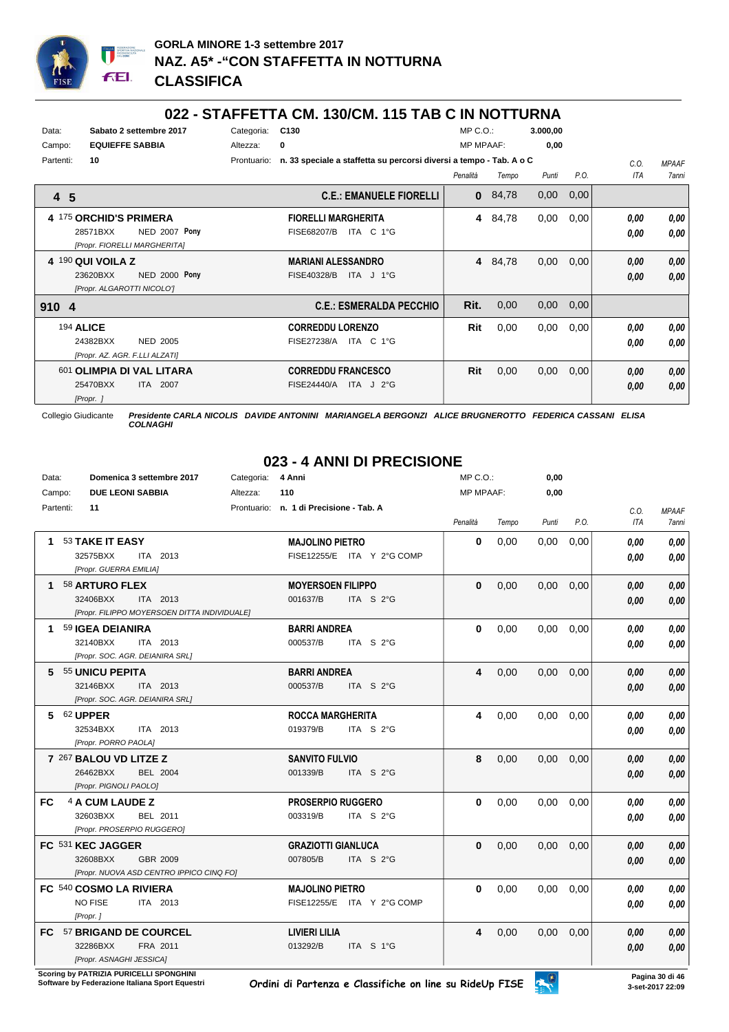

#### **022 - STAFFETTA CM. 130/CM. 115 TAB C IN NOTTURNA**

|                        |                        | ◡▴▴                            |             | הוווט ו טווי ט שהו טווייוטוטעין. וווע הווב ו הוס                    |                  |         |          |      |      |              |
|------------------------|------------------------|--------------------------------|-------------|---------------------------------------------------------------------|------------------|---------|----------|------|------|--------------|
| Data:                  |                        | Sabato 2 settembre 2017        | Categoria:  | C <sub>130</sub>                                                    | $MP C. O.$ :     |         | 3.000,00 |      |      |              |
| Campo:                 | <b>EQUIEFFE SABBIA</b> |                                | Altezza:    | 0                                                                   | <b>MP MPAAF:</b> |         | 0,00     |      |      |              |
| Partenti:              | 10                     |                                | Prontuario: | n. 33 speciale a staffetta su percorsi diversi a tempo - Tab. A o C |                  |         |          |      | C.O. | <b>MPAAF</b> |
|                        |                        |                                |             |                                                                     | Penalità         | Tempo   | Punti    | P.O. | ITA  | 7anni        |
| 4 5                    |                        |                                |             | <b>C.E.: EMANUELE FIORELLI</b>                                      | 0                | 84,78   | 0,00     | 0,00 |      |              |
| 4 175 ORCHID'S PRIMERA |                        |                                |             | <b>FIORELLI MARGHERITA</b>                                          | 4                | 84,78   | 0,00     | 0,00 | 0.00 | 0,00         |
|                        | 28571BXX               | NED 2007 Pony                  |             | ITA C 1°G<br>FISE68207/B                                            |                  |         |          |      | 0.00 | 0,00         |
|                        |                        | [Propr. FIORELLI MARGHERITA]   |             |                                                                     |                  |         |          |      |      |              |
| 4 190 QUI VOILA Z      |                        |                                |             | <b>MARIANI ALESSANDRO</b>                                           |                  | 4 84,78 | 0,00     | 0,00 | 0,00 | 0,00         |
|                        | 23620BXX               | <b>NED 2000 Pony</b>           |             | FISE40328/B<br>ITA J 1°G                                            |                  |         |          |      | 0,00 | 0,00         |
|                        |                        | [Propr. ALGAROTTI NICOLO']     |             |                                                                     |                  |         |          |      |      |              |
| 910 4                  |                        |                                |             | <b>C.E.: ESMERALDA PECCHIO</b>                                      | Rit.             | 0,00    | 0,00     | 0,00 |      |              |
| 194 ALICE              |                        |                                |             | <b>CORREDDU LORENZO</b>                                             | Rit              | 0,00    | 0.00     | 0,00 | 0,00 | 0,00         |
|                        | 24382BXX               | <b>NED 2005</b>                |             | ITA C 1°G<br><b>FISE27238/A</b>                                     |                  |         |          |      | 0.00 | 0,00         |
|                        |                        | [Propr. AZ. AGR. F.LLI ALZATI] |             |                                                                     |                  |         |          |      |      |              |
|                        |                        | 601 OLIMPIA DI VAL LITARA      |             | <b>CORREDDU FRANCESCO</b>                                           | Rit              | 0,00    | 0,00     | 0,00 | 0,00 | 0,00         |
|                        | 25470BXX               | <b>ITA 2007</b>                |             | FISE24440/A<br>ITA $J$ 2°G                                          |                  |         |          |      | 0.00 | 0,00         |

*[Propr. ]*

Collegio Giudicante *Presidente CARLA NICOLIS DAVIDE ANTONINI MARIANGELA BERGONZI ALICE BRUGNEROTTO FEDERICA CASSANI ELISA COLNAGHI*

# **023 - 4 ANNI DI PRECISIONE**

| Data:     | Domenica 3 settembre 2017                    | Categoria:<br>4 Anni                    | MP C.O.:         |       | 0,00  |      |            |              |
|-----------|----------------------------------------------|-----------------------------------------|------------------|-------|-------|------|------------|--------------|
| Campo:    | <b>DUE LEONI SABBIA</b>                      | 110<br>Altezza:                         | <b>MP MPAAF:</b> |       | 0,00  |      |            |              |
|           | Partenti:<br>11                              | Prontuario: n. 1 di Precisione - Tab. A |                  |       |       |      | C.O.       | <b>MPAAF</b> |
|           |                                              |                                         | Penalità         | Tempo | Punti | P.O. | <b>ITA</b> | 7anni        |
|           | 53 TAKE IT EASY                              | <b>MAJOLINO PIETRO</b>                  | 0                | 0,00  | 0,00  | 0,00 | 0.00       | 0.00         |
|           | 32575BXX<br>ITA 2013                         | FISE12255/E ITA Y 2°G COMP              |                  |       |       |      | 0.00       | 0,00         |
|           | [Propr. GUERRA EMILIA]                       |                                         |                  |       |       |      |            |              |
| 1.        | 58 ARTURO FLEX                               | <b>MOYERSOEN FILIPPO</b>                | $\bf{0}$         | 0,00  | 0,00  | 0.00 | 0.00       | 0,00         |
|           | 32406BXX<br>ITA 2013                         | 001637/B<br>ITA S 2°G                   |                  |       |       |      | 0,00       | 0,00         |
|           | [Propr. FILIPPO MOYERSOEN DITTA INDIVIDUALE] |                                         |                  |       |       |      |            |              |
|           | 59 IGEA DEIANIRA                             | <b>BARRI ANDREA</b>                     | $\bf{0}$         | 0.00  | 0.00  | 0.00 | 0.00       | 0,00         |
|           | 32140BXX<br>ITA 2013                         | 000537/B<br>ITA S $2^{\circ}$ G         |                  |       |       |      | 0,00       | 0,00         |
|           | [Propr. SOC. AGR. DEIANIRA SRL]              |                                         |                  |       |       |      |            |              |
| 5         | 55 UNICU PEPITA                              | <b>BARRI ANDREA</b>                     | 4                | 0,00  | 0,00  | 0,00 | 0.00       | 0,00         |
|           | 32146BXX<br>ITA 2013                         | 000537/B<br>ITA S 2°G                   |                  |       |       |      | 0.00       | 0,00         |
|           | [Propr. SOC. AGR. DEIANIRA SRL]              |                                         |                  |       |       |      |            |              |
| 5.        | 62 UPPER                                     | <b>ROCCA MARGHERITA</b>                 | 4                | 0,00  | 0,00  | 0,00 | 0.00       | 0,00         |
|           | 32534BXX<br><b>ITA 2013</b>                  | 019379/B<br>ITA S $2^{\circ}$ G         |                  |       |       |      | 0.00       | 0.00         |
|           | [Propr. PORRO PAOLA]                         |                                         |                  |       |       |      |            |              |
|           | 7 267 BALOU VD LITZE Z                       | <b>SANVITO FULVIO</b>                   | 8                | 0,00  | 0,00  | 0,00 | 0.00       | 0,00         |
|           | 26462BXX<br><b>BEL 2004</b>                  | 001339/B<br>ITA S $2^{\circ}$ G         |                  |       |       |      | 0.00       | 0,00         |
|           | [Propr. PIGNOLI PAOLO]                       |                                         |                  |       |       |      |            |              |
| <b>FC</b> | 4 A CUM LAUDE Z                              | <b>PROSERPIO RUGGERO</b>                | $\bf{0}$         | 0,00  | 0,00  | 0,00 | 0.00       | 0,00         |
|           | 32603BXX<br>BEL 2011                         | 003319/B<br>ITA S 2°G                   |                  |       |       |      | 0.00       | 0,00         |
|           | [Propr. PROSERPIO RUGGERO]                   |                                         |                  |       |       |      |            |              |
|           | FC 531 KEC JAGGER                            | <b>GRAZIOTTI GIANLUCA</b>               | $\bf{0}$         | 0,00  | 0,00  | 0,00 | 0.00       | 0,00         |
|           | 32608BXX<br>GBR 2009                         | 007805/B<br>ITA S $2^{\circ}$ G         |                  |       |       |      | 0.00       | 0,00         |
|           | [Propr. NUOVA ASD CENTRO IPPICO CINQ FO]     |                                         |                  |       |       |      |            |              |
|           | FC 540 COSMO LA RIVIERA                      | <b>MAJOLINO PIETRO</b>                  | $\bf{0}$         | 0,00  | 0.00  | 0,00 | 0.00       | 0,00         |
|           | NO FISE<br>ITA 2013                          | FISE12255/E ITA Y 2°G COMP              |                  |       |       |      | 0,00       | 0,00         |
|           | [Propr.]                                     |                                         |                  |       |       |      |            |              |
|           | FC 57 BRIGAND DE COURCEL                     | <b>LIVIERI LILIA</b>                    | 4                | 0,00  | 0,00  | 0,00 | 0.00       | 0,00         |
|           | 32286BXX<br>FRA 2011                         | 013292/B<br>ITA S 1°G                   |                  |       |       |      | 0,00       | 0,00         |
|           | [Propr. ASNAGHI JESSICA]                     |                                         |                  |       |       |      |            |              |

**.**<br>Scoring by PATRIZIA PURICELLI SPONGHINI<br>Software by Federazione Italiana Sport Equestri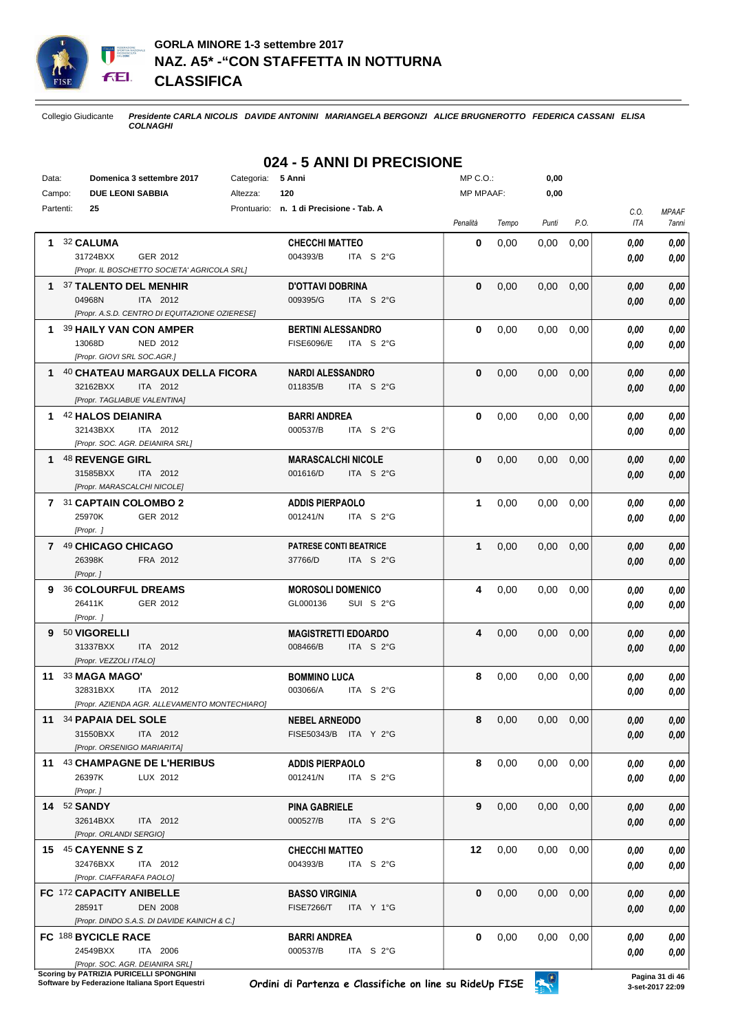

## **GORLA MINORE 1-3 settembre 2017 NAZ. A5\* -"CON STAFFETTA IN NOTTURNA CLASSIFICA**

Collegio Giudicante *Presidente CARLA NICOLIS DAVIDE ANTONINI MARIANGELA BERGONZI ALICE BRUGNEROTTO FEDERICA CASSANI ELISA COLNAGHI*

# **024 - 5 ANNI DI PRECISIONE**

| Data: | Domenica 3 settembre 2017<br>Categoria:        | 5 Anni                                           | $MP C. O.$ :     |       | 0,00          |      |      |              |
|-------|------------------------------------------------|--------------------------------------------------|------------------|-------|---------------|------|------|--------------|
|       | Campo:<br><b>DUE LEONI SABBIA</b><br>Altezza:  | 120                                              | <b>MP MPAAF:</b> |       | 0,00          |      |      |              |
|       | Partenti:<br>25                                | Prontuario: n. 1 di Precisione - Tab. A          |                  |       |               |      | C.O. | <b>MPAAF</b> |
|       |                                                |                                                  | Penalità         | Tempo | Punti         | P.O. | ITA  | 7anni        |
|       | 32 CALUMA                                      | <b>CHECCHI MATTEO</b>                            | $\bf{0}$         | 0,00  | 0,00          | 0,00 | 0.00 | 0.00         |
|       | 31724BXX<br>GER 2012                           | 004393/B<br>ITA S 2°G                            |                  |       |               |      | 0.00 | 0,00         |
|       | [Propr. IL BOSCHETTO SOCIETA' AGRICOLA SRL]    |                                                  |                  |       |               |      |      |              |
|       | 1 37 TALENTO DEL MENHIR                        | <b>D'OTTAVI DOBRINA</b>                          | $\bf{0}$         | 0,00  | 0,00          | 0,00 | 0,00 | 0,00         |
|       | 04968N<br>ITA 2012                             | 009395/G<br>ITA S 2°G                            |                  |       |               |      | 0,00 | 0,00         |
|       | [Propr. A.S.D. CENTRO DI EQUITAZIONE OZIERESE] |                                                  |                  |       |               |      |      |              |
| 1.    | 39 HAILY VAN CON AMPER                         | <b>BERTINI ALESSANDRO</b>                        | $\bf{0}$         | 0,00  | 0,00          | 0,00 | 0.00 | 0,00         |
|       | 13068D<br>NED 2012                             | <b>FISE6096/E</b><br>ITA S 2°G                   |                  |       |               |      |      |              |
|       | [Propr. GIOVI SRL SOC.AGR.]                    |                                                  |                  |       |               |      | 0.00 | 0,00         |
| 1.    | 40 CHATEAU MARGAUX DELLA FICORA                |                                                  | $\bf{0}$         | 0,00  | 0,00          | 0,00 |      |              |
|       | 32162BXX<br>ITA 2012                           | <b>NARDI ALESSANDRO</b><br>011835/B<br>ITA S 2°G |                  |       |               |      | 0,00 | 0,00         |
|       | [Propr. TAGLIABUE VALENTINA]                   |                                                  |                  |       |               |      | 0,00 | 0,00         |
|       |                                                |                                                  |                  |       |               |      |      |              |
|       | 42 HALOS DEIANIRA                              | <b>BARRI ANDREA</b>                              | $\mathbf{0}$     | 0,00  | 0,00          | 0,00 | 0,00 | 0,00         |
|       | 32143BXX<br>ITA 2012                           | 000537/B<br>ITA S 2°G                            |                  |       |               |      | 0,00 | 0,00         |
|       | [Propr. SOC. AGR. DEIANIRA SRL]                |                                                  |                  |       |               |      |      |              |
|       | <b>1 48 REVENGE GIRL</b>                       | <b>MARASCALCHI NICOLE</b>                        | $\bf{0}$         | 0,00  | 0,00          | 0,00 | 0,00 | 0,00         |
|       | 31585BXX<br>ITA 2012                           | 001616/D<br>ITA S 2°G                            |                  |       |               |      | 0,00 | 0,00         |
|       | [Propr. MARASCALCHI NICOLE]                    |                                                  |                  |       |               |      |      |              |
|       | 7 31 CAPTAIN COLOMBO 2                         | <b>ADDIS PIERPAOLO</b>                           | 1                | 0,00  | 0,00          | 0,00 | 0.00 | 0,00         |
|       | 25970K<br>GER 2012                             | ITA S 2°G<br>001241/N                            |                  |       |               |      | 0.00 | 0,00         |
|       | [Propr.]                                       |                                                  |                  |       |               |      |      |              |
|       | 7 49 CHICAGO CHICAGO                           | <b>PATRESE CONTI BEATRICE</b>                    | 1                | 0,00  | 0,00          | 0,00 | 0,00 | 0,00         |
|       | 26398K<br>FRA 2012                             | 37766/D<br>ITA S 2°G                             |                  |       |               |      | 0.00 | 0,00         |
|       | [Propr.]                                       |                                                  |                  |       |               |      |      |              |
| 9     | <b>36 COLOURFUL DREAMS</b>                     | <b>MOROSOLI DOMENICO</b>                         | 4                | 0,00  | 0,00          | 0,00 | 0.00 | 0,00         |
|       | GER 2012<br>26411K                             | GL000136<br>SUI S 2°G                            |                  |       |               |      | 0.00 | 0,00         |
|       | [Propr. ]                                      |                                                  |                  |       |               |      |      |              |
| 9     | 50 VIGORELLI                                   | <b>MAGISTRETTI EDOARDO</b>                       | 4                | 0,00  | 0,00          | 0,00 | 0,00 | 0,00         |
|       | 31337BXX<br>ITA 2012                           | 008466/B<br>ITA S 2°G                            |                  |       |               |      | 0,00 | 0,00         |
|       | [Propr. VEZZOLI ITALO]                         |                                                  |                  |       |               |      |      |              |
|       | 11 33 MAGA MAGO'                               | <b>BOMMINO LUCA</b>                              | 8                | 0,00  | 0,00          | 0,00 | 0.00 | 0,00         |
|       | 32831BXX<br>ITA 2012                           | 003066/A<br>ITA S 2°G                            |                  |       |               |      | 0,00 | 0,00         |
|       | [Propr. AZIENDA AGR. ALLEVAMENTO MONTECHIARO]  |                                                  |                  |       |               |      |      |              |
|       | 11 34 PAPAIA DEL SOLE                          | <b>NEBEL ARNEODO</b>                             | 8                | 0,00  | $0,00$ $0,00$ |      | 0.00 | 0,00         |
|       | 31550BXX<br>ITA 2012                           | FISE50343/B ITA Y 2°G                            |                  |       |               |      | 0,00 | 0,00         |
|       | [Propr. ORSENIGO MARIARITA]                    |                                                  |                  |       |               |      |      |              |
|       | 11 43 CHAMPAGNE DE L'HERIBUS                   | <b>ADDIS PIERPAOLO</b>                           | 8                | 0,00  | 0,00          | 0,00 | 0.00 | 0,00         |
|       | 26397K<br>LUX 2012                             | 001241/N<br>ITA S 2°G                            |                  |       |               |      | 0.00 | 0,00         |
|       | [Propr.]                                       |                                                  |                  |       |               |      |      |              |
|       | 14 52 SANDY                                    | <b>PINA GABRIELE</b>                             | 9                | 0,00  | 0,00          | 0,00 | 0.00 | 0,00         |
|       | 32614BXX<br>ITA 2012                           | 000527/B<br>ITA S 2°G                            |                  |       |               |      | 0.00 | 0,00         |
|       | [Propr. ORLANDI SERGIO]                        |                                                  |                  |       |               |      |      |              |
|       | 15 45 CAYENNE S Z                              | <b>CHECCHI MATTEO</b>                            | 12               | 0,00  | 0,00          | 0,00 | 0,00 | 0,00         |
|       | 32476BXX<br>ITA 2012                           | 004393/B<br>ITA S 2°G                            |                  |       |               |      | 0.00 | 0,00         |
|       | [Propr. CIAFFARAFA PAOLO]                      |                                                  |                  |       |               |      |      |              |
|       | FC 172 CAPACITY ANIBELLE                       | <b>BASSO VIRGINIA</b>                            | 0                | 0,00  | 0,00          | 0,00 | 0,00 | 0,00         |
|       | 28591T<br><b>DEN 2008</b>                      | <b>FISE7266/T</b><br>ITA Y 1°G                   |                  |       |               |      | 0,00 | 0,00         |
|       | [Propr. DINDO S.A.S. DI DAVIDE KAINICH & C.]   |                                                  |                  |       |               |      |      |              |
|       | FC 188 BYCICLE RACE                            | <b>BARRI ANDREA</b>                              | 0                | 0,00  | 0,00          | 0,00 | 0.00 | 0,00         |
|       | 24549BXX<br>ITA 2006                           | 000537/B<br>ITA S 2°G                            |                  |       |               |      | 0,00 | 0,00         |
|       | [Propr. SOC. AGR. DEIANIRA SRL]                |                                                  |                  |       |               |      |      |              |

**Scoring by PATRIZIA PURICELLI SPONGHINI**<br>Software by Federazione Italiana Sport Equestri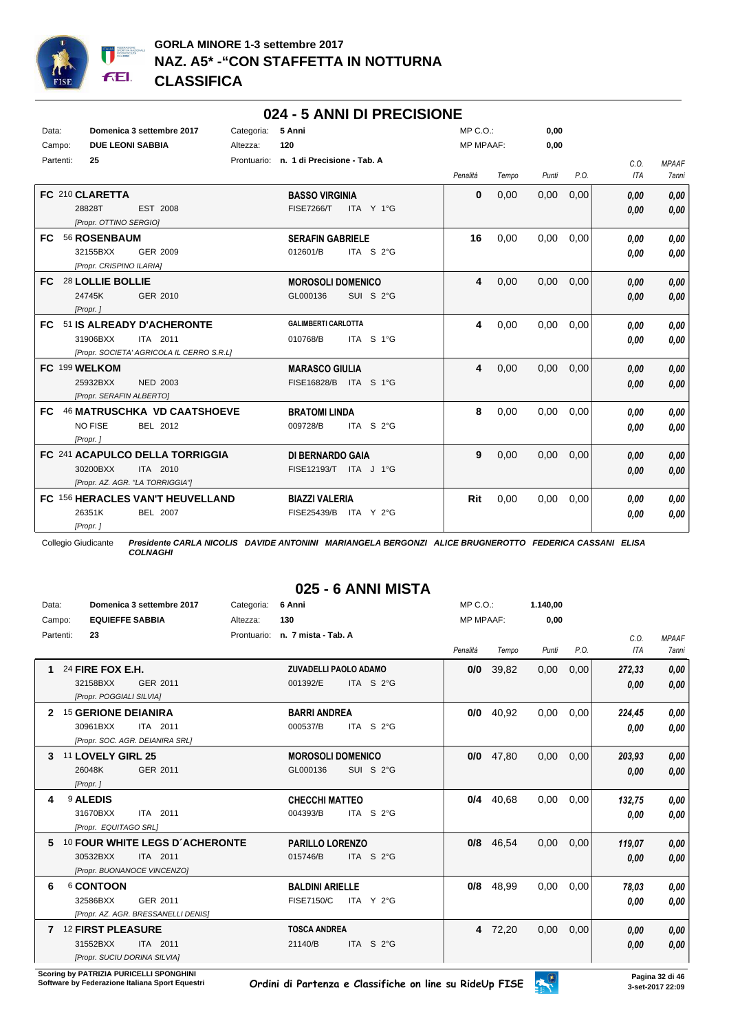

## **024 - 5 ANNI DI PRECISIONE**

| Data:<br>Campo: | Domenica 3 settembre 2017<br><b>DUE LEONI SABBIA</b>                                           | Categoria:<br>Altezza: | 5 Anni<br>120                                           | MP C.O.:<br><b>MP MPAAF:</b> |       | 0,00<br>0,00 |      |              |                       |
|-----------------|------------------------------------------------------------------------------------------------|------------------------|---------------------------------------------------------|------------------------------|-------|--------------|------|--------------|-----------------------|
| Partenti:       | 25                                                                                             |                        | Prontuario: n. 1 di Precisione - Tab. A                 | Penalità                     | Tempo | Punti        | P.O. | C.O.<br>ITA  | <b>MPAAF</b><br>7anni |
|                 | FC 210 CLARETTA<br>28828T<br>EST 2008<br>[Propr. OTTINO SERGIO]                                |                        | <b>BASSO VIRGINIA</b><br><b>FISE7266/T</b><br>ITA Y 1°G | 0                            | 0,00  | 0,00         | 0,00 | 0,00<br>0,00 | 0.00<br>0.00          |
| FC.             | 56 ROSENBAUM<br>32155BXX<br>GER 2009<br>[Propr. CRISPINO ILARIA]                               |                        | <b>SERAFIN GABRIELE</b><br>012601/B<br>ITA S 2°G        | 16                           | 0,00  | 0.00         | 0.00 | 0.00<br>0.00 | 0.00<br>0,00          |
| FC.             | 28 LOLLIE BOLLIE<br>24745K<br>GER 2010<br>[Propr.]                                             |                        | <b>MOROSOLI DOMENICO</b><br>SUI S 2°G<br>GL000136       | 4                            | 0,00  | 0,00         | 0,00 | 0,00<br>0,00 | 0.00<br>0.00          |
| FC.             | 51 IS ALREADY D'ACHERONTE<br>31906BXX<br>ITA 2011<br>[Propr. SOCIETA' AGRICOLA IL CERRO S.R.L] |                        | <b>GALIMBERTI CARLOTTA</b><br>ITA S 1°G<br>010768/B     | 4                            | 0,00  | 0,00         | 0,00 | 0.00<br>0,00 | 0,00<br>0,00          |
| FC 199 WELKOM   | <b>NED 2003</b><br>25932BXX<br>[Propr. SERAFIN ALBERTO]                                        |                        | <b>MARASCO GIULIA</b><br>FISE16828/B ITA S 1°G          | 4                            | 0,00  | 0,00         | 0,00 | 0,00<br>0,00 | 0.00<br>0.00          |
| FC.             | 46 MATRUSCHKA VD CAATSHOEVE<br><b>NO FISE</b><br>BEL 2012<br>[Propr.]                          |                        | <b>BRATOMI LINDA</b><br>009728/B<br>ITA S 2°G           | 8                            | 0,00  | 0,00         | 0,00 | 0.00<br>0.00 | 0.00<br>0.00          |
|                 | FC 241 ACAPULCO DELLA TORRIGGIA<br>30200BXX<br>ITA 2010<br>[Propr. AZ. AGR. "LA TORRIGGIA"]    |                        | DI BERNARDO GAIA<br>FISE12193/T ITA J 1°G               | 9                            | 0,00  | 0,00         | 0,00 | 0,00<br>0,00 | 0,00<br>0.00          |
|                 | FC 156 HERACLES VAN'T HEUVELLAND<br>26351K<br>BEL 2007<br>[Propr.]                             |                        | <b>BIAZZI VALERIA</b><br>FISE25439/B<br>ITA Y 2°G       | Rit                          | 0,00  | 0,00         | 0,00 | 0.00<br>0.00 | 0,00<br>0.00          |

Collegio Giudicante *Presidente CARLA NICOLIS DAVIDE ANTONINI MARIANGELA BERGONZI ALICE BRUGNEROTTO FEDERICA CASSANI ELISA COLNAGHI*

# **025 - 6 ANNI MISTA**

| Data:  |                                                                      | Domenica 3 settembre 2017                                                 | Categoria:  | 6 Anni                                      |                     | $MP C. O.$ :     |       | 1.140,00 |      |                    |                              |
|--------|----------------------------------------------------------------------|---------------------------------------------------------------------------|-------------|---------------------------------------------|---------------------|------------------|-------|----------|------|--------------------|------------------------------|
| Campo: | <b>EQUIEFFE SABBIA</b>                                               |                                                                           | Altezza:    | 130                                         |                     | <b>MP MPAAF:</b> |       | 0,00     |      |                    |                              |
|        | Partenti:<br>23                                                      |                                                                           | Prontuario: | n. 7 mista - Tab. A                         |                     | Penalità         | Tempo | Punti    | P.O. | C.0.<br><b>ITA</b> | <b>MPAAF</b><br><b>7anni</b> |
|        | 24 FIRE FOX E.H.<br>32158BXX<br>[Propr. POGGIALI SILVIA]             | GER 2011                                                                  |             | <b>ZUVADELLI PAOLO ADAMO</b><br>001392/E    | ITA S $2^{\circ}$ G | 0/0              | 39,82 | 0,00     | 0,00 | 272,33<br>0,00     | 0,00<br>0,00                 |
|        | <b>15 GERIONE DEIANIRA</b><br>30961BXX                               | ITA 2011<br>[Propr. SOC. AGR. DEIANIRA SRL]                               |             | <b>BARRI ANDREA</b><br>000537/B             | ITA S 2°G           | 0/0              | 40,92 | 0,00     | 0,00 | 224,45<br>0.00     | 0,00<br>0,00                 |
| 3      | 11 LOVELY GIRL 25<br>26048K<br>[Propr.]                              | GER 2011                                                                  |             | <b>MOROSOLI DOMENICO</b><br>GL000136        | SUI S 2°G           | 0/0              | 47,80 | 0,00     | 0,00 | 203,93<br>0,00     | 0,00<br>0,00                 |
|        | 9 ALEDIS<br>31670BXX<br>[Propr. EQUITAGO SRL]                        | ITA 2011                                                                  |             | <b>CHECCHI MATTEO</b><br>004393/B           | ITA S 2°G           | 0/4              | 40.68 | 0,00     | 0,00 | 132,75<br>0.00     | 0,00<br>0,00                 |
| 5      | 30532BXX                                                             | 10 FOUR WHITE LEGS D'ACHERONTE<br>ITA 2011<br>[Propr. BUONANOCE VINCENZO] |             | <b>PARILLO LORENZO</b><br>015746/B          | ITA S 2°G           | 0/8              | 46.54 | 0.00     | 0.00 | 119,07<br>0,00     | 0,00<br>0,00                 |
| 6      | 6 CONTOON<br>32586BXX                                                | GER 2011<br>[Propr. AZ. AGR. BRESSANELLI DENIS]                           |             | <b>BALDINI ARIELLE</b><br><b>FISE7150/C</b> | ITA Y 2°G           | 0/8              | 48,99 | 0,00     | 0,00 | 78,03<br>0,00      | 0,00<br>0,00                 |
| 7      | <b>12 FIRST PLEASURE</b><br>31552BXX<br>[Propr. SUCIU DORINA SILVIA] | ITA 2011                                                                  |             | <b>TOSCA ANDREA</b><br>21140/B              | ITA S 2°G           | $\overline{4}$   | 72,20 | 0,00     | 0,00 | 0,00<br>0.00       | 0,00<br>0,00                 |

**Scoring by PATRIZIA PURICELLI SPONGHINI<br>Software by Federazione Italiana Sport Equestri**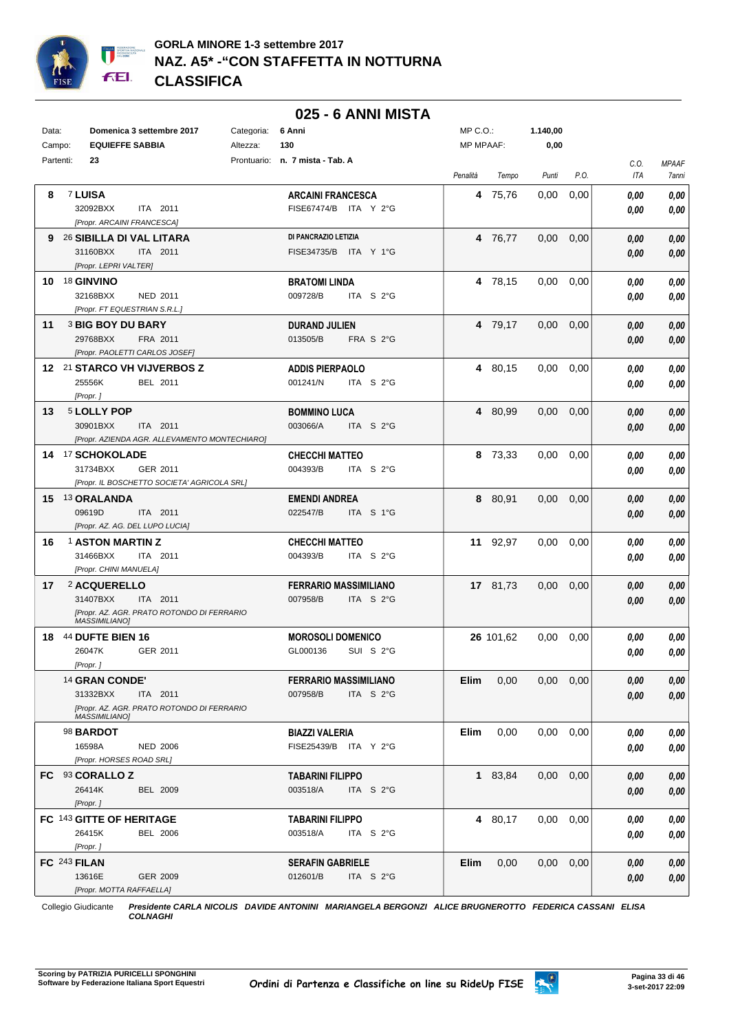

#### Data: **Domenica 3 settembre 2017** Categoria: 6 Anni Prontuario: **n. 7 mista - Tab. A** Campo: **EQUIEFFE SABBIA** Partenti: **23** Altezza: **130** MP C.O.: MP MPAAF: **1.140,00 0,00** *Penalità Tempo Punti P.O. C.O. ITA MPAAF 7anni* **8** 7 **LUISA** ITA 2011 **ARCAINI FRANCESCA** *[Propr. ARCAINI FRANCESCA]* 32092BXX ITA 2011 FISE67474/B ITA Y 2°G **0,00 0,00 4** 75,76 0,00 0,00 *0,00 0,00 0,00* **9** 26 **SIBILLA DI VAL LITARA** ITA 2011 **DI PANCRAZIO LETIZIA** *[Propr. LEPRI VALTER]* 31160BXX ITA 2011 FISE34735/B ITA Y 1°G <mark>0,00 0,00</mark> **4** 76,77 0,00 0,00 *0,00 0,00 0,00* **10** 18 **GINVINO** NED 2011 **BRATOMI LINDA** *[Propr. FT EQUESTRIAN S.R.L.]* ITA S 2°G **4** 78,15 0,00 0,00 *0,00 0,00 0,00* 32168BXX 009728/B *0,00* **11** 3 **BIG BOY DU BARY** FRA 2011 **DURAND JULIEN** *[Propr. PAOLETTI CARLOS JOSEF]* FRA S 2°G **4** 79,17 0,00 0,00 *0,00 0,00 0,00* 29768BXX FRA 2011 013505/B FRA S 2°G <mark> 0,00 0,00</mark> **12** 21 **STARCO VH VIJVERBOS Z** BEL 2011 **ADDIS PIERPAOLO** *[Propr. ]* ITA S 2°G **4** 80,15 0,00 0,00 *0,00 0,00 0,00* 25556K BEL 2011 001241/N ITA S 2°G <mark> *0,00 0,00*</mark> **13** 5 **LOLLY POP** ITA 2011 **BOMMINO LUCA** *[Propr. AZIENDA AGR. ALLEVAMENTO MONTECHIARO]* ITA S 2°G **4** 80,99 0,00 0,00 *0,00 0,00 0,00* 30901BXX ITA 2011 003066/A ITA S 2°G <mark> 0,00 0,00</mark> **14** 17 **SCHOKOLADE** GER 2011 **CHECCHI MATTEO** *[Propr. IL BOSCHETTO SOCIETA' AGRICOLA SRL]* ITA S 2°G **8** 73,33 0,00 0,00 *0,00 0,00 0,00* 31734BXX GER\_2011 004393/B ITA S\_2°G <mark> 0,00 0,00</mark> **15** 13 **ORALANDA** ITA 2011 **EMENDI ANDREA** *[Propr. AZ. AG. DEL LUPO LUCIA]* ITA S 1°G **8** 80,91 0,00 0,00 *0,00 0,00 0,00* 09619D 022547/B *0,00* **16** 1 **ASTON MARTIN Z** ITA 2011 **CHECCHI MATTEO** *[Propr. CHINI MANUELA]* ITA S 2°G **11** 92,97 0,00 0,00 *0,00 0,00 0,00* 31466BXX ITA 2011 004393/B ITA S 2°G <mark> 0,00 0,00</mark> **17** 2 **ACQUERELLO** ITA 2011 **FERRARIO MASSIMILIANO** *[Propr. AZ. AGR. PRATO ROTONDO DI FERRARIO MASSIMILIANO]* ITA S 2°G **17** 81,73 0,00 0,00 *0,00 0,00 0,00* 31407BXX 007958/B *0,00* **18** 44 **DUFTE BIEN 16** GER 2011 **MOROSOLI DOMENICO** *[Propr. ]* SUI S 2°G **26** 101,62 0,00 0,00 *0,00 0,00 0,00* 26047K GL000136 *0,00* 14 **GRAN CONDE'** ITA 2011 **FERRARIO MASSIMILIANO** *[Propr. AZ. AGR. PRATO ROTONDO DI FERRARIO MASSIMILIANO]* ITA S 2°G **Elim** 0,00 0,00 0,00 *0,00 0,00 0,00* 31332BXX ITA 2011 007958/B ITA S 2°G <mark> 0,00 0,00</mark> 98 **BARDOT** NED 2006 **BIAZZI VALERIA** *[Propr. HORSES ROAD SRL]* 16598A NED 2006 FISE25439/B ITA Y 2°G **0,00 0,00 Elim** 0,00 0,00 0,00 *0,00 0,00 0,00* **FC** 93 **CORALLO Z** BEL 2009 **TABARINI FILIPPO** *[Propr. ]* ITA S 2°G **1** 83,84 0,00 0,00 *0,00 0,00 0,00* 26414K 003518/A *0,00* **FC** 143 **GITTE OF HERITAGE** BEL 2006 **TABARINI FILIPPO** *[Propr. ]* ITA S 2°G **4** 80,17 0,00 0,00 *0,00 0,00 0,00* 26415K BEL 2006 003518/A ITA S 2°G <mark> 0,00 0,00</mark> **FC** 243 **FILAN** GER 2009 **SERAFIN GABRIELE** *[Propr. MOTTA RAFFAELLA]* ITA S 2°G **Elim** 0,00 0,00 0,00 *0,00 0,00 0,00* 13616E GER\_2009 012601/B ITA S\_2°G **0,00 0,00**

**025 - 6 ANNI MISTA**

Collegio Giudicante *Presidente CARLA NICOLIS DAVIDE ANTONINI MARIANGELA BERGONZI ALICE BRUGNEROTTO FEDERICA CASSANI ELISA COLNAGHI*

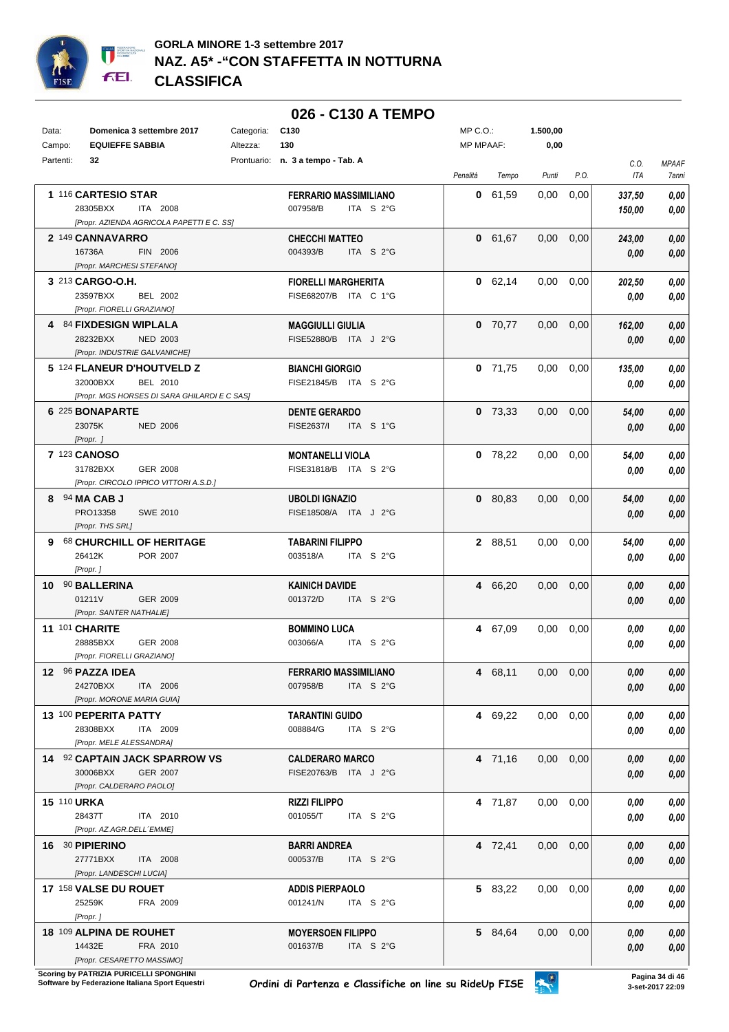

## **026 - C130 A TEMPO**

| Data:              | Domenica 3 settembre 2017                    | Categoria: | C <sub>130</sub>                  | MP C.O.:         |           | 1.500,00          |      |            |              |
|--------------------|----------------------------------------------|------------|-----------------------------------|------------------|-----------|-------------------|------|------------|--------------|
| Campo:             | <b>EQUIEFFE SABBIA</b>                       | Altezza:   | 130                               | <b>MP MPAAF:</b> |           | 0,00              |      |            |              |
| Partenti:          | 32                                           |            | Prontuario: n. 3 a tempo - Tab. A |                  |           |                   |      | C.O.       | <b>MPAAF</b> |
|                    |                                              |            |                                   | Penalità         | Tempo     | Punti             | P.O. | <b>ITA</b> | 7anni        |
|                    | 1 116 CARTESIO STAR                          |            | <b>FERRARIO MASSIMILIANO</b>      |                  | 0 61,59   | 0,00              | 0,00 | 337,50     | 0,00         |
|                    | 28305BXX<br>ITA 2008                         |            | ITA S 2°G<br>007958/B             |                  |           |                   |      | 150,00     | 0,00         |
|                    | [Propr. AZIENDA AGRICOLA PAPETTI E C. SS]    |            |                                   |                  |           |                   |      |            |              |
|                    | 2 149 CANNAVARRO                             |            | <b>CHECCHI MATTEO</b>             |                  | 0 61,67   | 0,00              | 0,00 | 243,00     | 0,00         |
|                    | 16736A<br>FIN 2006                           |            | 004393/B<br>ITA S 2°G             |                  |           |                   |      | 0,00       | 0,00         |
|                    | [Propr. MARCHESI STEFANO]                    |            |                                   |                  |           |                   |      |            |              |
|                    | 3 213 CARGO-O.H.                             |            | <b>FIORELLI MARGHERITA</b>        |                  | 0 62,14   | 0,00              | 0,00 | 202,50     | 0,00         |
|                    | 23597BXX<br>BEL 2002                         |            | FISE68207/B ITA C 1°G             |                  |           |                   |      | 0,00       | 0,00         |
|                    | [Propr. FIORELLI GRAZIANO]                   |            |                                   |                  |           |                   |      |            |              |
|                    | 4 84 FIXDESIGN WIPLALA                       |            | <b>MAGGIULLI GIULIA</b>           |                  | $0$ 70,77 | 0,00              | 0,00 | 162,00     | 0,00         |
|                    | 28232BXX<br><b>NED 2003</b>                  |            | FISE52880/B ITA J 2°G             |                  |           |                   |      | 0,00       | 0,00         |
|                    | [Propr. INDUSTRIE GALVANICHE]                |            |                                   |                  |           |                   |      |            |              |
|                    | 5 124 FLANEUR D'HOUTVELD Z                   |            | <b>BIANCHI GIORGIO</b>            |                  | $0$ 71,75 | 0,00              | 0,00 | 135,00     | 0,00         |
|                    | 32000BXX<br>BEL 2010                         |            | FISE21845/B ITA S 2°G             |                  |           |                   |      | 0,00       | 0,00         |
|                    | [Propr. MGS HORSES DI SARA GHILARDI E C SAS] |            |                                   |                  |           |                   |      |            |              |
|                    | 6 225 BONAPARTE                              |            | <b>DENTE GERARDO</b>              |                  | $0$ 73,33 | 0,00              | 0,00 | 54,00      | 0,00         |
|                    | 23075K<br><b>NED 2006</b>                    |            | FISE2637/I<br>ITA S 1°G           |                  |           |                   |      | 0,00       | 0,00         |
|                    | [Propr. ]                                    |            |                                   |                  |           |                   |      |            |              |
|                    | 7 123 CANOSO                                 |            | <b>MONTANELLI VIOLA</b>           |                  | $0$ 78,22 | 0,00              | 0,00 | 54,00      | 0,00         |
|                    | <b>GER 2008</b><br>31782BXX                  |            | FISE31818/B ITA S 2°G             |                  |           |                   |      | 0,00       | 0,00         |
|                    | [Propr. CIRCOLO IPPICO VITTORI A.S.D.]       |            |                                   |                  |           |                   |      |            |              |
|                    | 8 94 MA CAB J                                |            | <b>UBOLDI IGNAZIO</b>             |                  | 0 80,83   | 0,00              | 0,00 | 54,00      | 0,00         |
|                    | PRO13358<br><b>SWE 2010</b>                  |            | FISE18508/A ITA J 2°G             |                  |           |                   |      | 0,00       | 0,00         |
|                    | [Propr. THS SRL]                             |            |                                   |                  |           |                   |      |            |              |
|                    | 9 68 CHURCHILL OF HERITAGE                   |            | <b>TABARINI FILIPPO</b>           |                  | 2 88,51   | 0,00              | 0,00 | 54,00      | 0,00         |
|                    | 26412K<br>POR 2007                           |            | 003518/A<br>ITA S 2°G             |                  |           |                   |      | 0,00       | 0,00         |
|                    | [Propr.]                                     |            |                                   |                  |           |                   |      |            |              |
|                    | 10 90 BALLERINA                              |            | <b>KAINICH DAVIDE</b>             |                  | 4 66,20   | 0,00              | 0,00 | 0,00       | 0,00         |
|                    | 01211V<br>GER 2009                           |            | 001372/D<br>ITA S 2°G             |                  |           |                   |      | 0,00       | 0,00         |
|                    | [Propr. SANTER NATHALIE]                     |            |                                   |                  |           |                   |      |            |              |
|                    | 11 101 CHARITE                               |            | <b>BOMMINO LUCA</b>               |                  | 4 67,09   | 0,00              | 0,00 | 0.00       | 0,00         |
|                    | 28885BXX<br><b>GER 2008</b>                  |            | 003066/A<br>ITA S 2°G             |                  |           |                   |      | 0.00       | 0,00         |
|                    | [Propr. FIORELLI GRAZIANO]                   |            |                                   |                  |           |                   |      |            |              |
|                    | 12 96 PAZZA IDEA                             |            | <b>FERRARIO MASSIMILIANO</b>      |                  | 4 68,11   | $0,00$ $0,00$     |      | 0,00       | 0,00         |
|                    | 24270BXX<br>ITA 2006                         |            | 007958/B<br>ITA $S2°G$            |                  |           |                   |      | 0,00       | 0,00         |
|                    | [Propr. MORONE MARIA GUIA]                   |            |                                   |                  |           |                   |      |            |              |
|                    | 13 100 PEPERITA PATTY                        |            | <b>TARANTINI GUIDO</b>            |                  | 4 69,22   | $0,00$ $0,00$     |      | 0.00       | 0,00         |
|                    | 28308BXX<br>ITA 2009                         |            | 008884/G<br>ITA $S$ 2°G           |                  |           |                   |      | 0,00       | 0,00         |
|                    | [Propr. MELE ALESSANDRA]                     |            |                                   |                  |           |                   |      |            |              |
|                    | 14 92 CAPTAIN JACK SPARROW VS                |            | <b>CALDERARO MARCO</b>            |                  | 4 71,16   | $0,00$ $0,00$     |      | 0,00       | 0,00         |
|                    | 30006BXX<br>GER 2007                         |            | FISE20763/B ITA J 2°G             |                  |           |                   |      | 0,00       | 0,00         |
|                    | [Propr. CALDERARO PAOLO]                     |            |                                   |                  |           |                   |      |            |              |
| <b>15 110 URKA</b> |                                              |            | <b>RIZZI FILIPPO</b>              |                  | 4 71,87   | 0,00              | 0,00 | 0.00       | 0,00         |
|                    | 28437T<br>ITA 2010                           |            | 001055/T<br>ITA $S$ 2°G           |                  |           |                   |      | 0,00       | 0,00         |
|                    | [Propr. AZ.AGR.DELL'EMME]                    |            |                                   |                  |           |                   |      |            |              |
|                    | 16 30 PIPIERINO                              |            | <b>BARRI ANDREA</b>               |                  | 4 72,41   | $0.00 \quad 0.00$ |      | 0,00       | 0,00         |
|                    | 27771BXX<br>ITA 2008                         |            | 000537/B<br>ITA S 2°G             |                  |           |                   |      | 0,00       | 0,00         |
|                    | [Propr. LANDESCHI LUCIA]                     |            |                                   |                  |           |                   |      |            |              |
|                    | <b>17 158 VALSE DU ROUET</b>                 |            | <b>ADDIS PIERPAOLO</b>            |                  | 5 83,22   | $0,00$ $0,00$     |      | 0,00       | 0,00         |
|                    | 25259K<br>FRA 2009                           |            | 001241/N<br>ITA $S$ 2°G           |                  |           |                   |      | 0,00       | 0,00         |
|                    | [Propr.]                                     |            |                                   |                  |           |                   |      |            |              |
|                    | 18 109 ALPINA DE ROUHET                      |            | <b>MOYERSOEN FILIPPO</b>          |                  | 5 84,64   | $0,00$ $0,00$     |      | 0,00       | 0,00         |
|                    | 14432E<br>FRA 2010                           |            | 001637/B<br>ITA $S$ 2°G           |                  |           |                   |      | 0,00       | 0,00         |
|                    | [Propr. CESARETTO MASSIMO]                   |            |                                   |                  |           |                   |      |            |              |

**.**<br>Scoring by PATRIZIA PURICELLI SPONGHINI<br>Software by Federazione Italiana Sport Equestri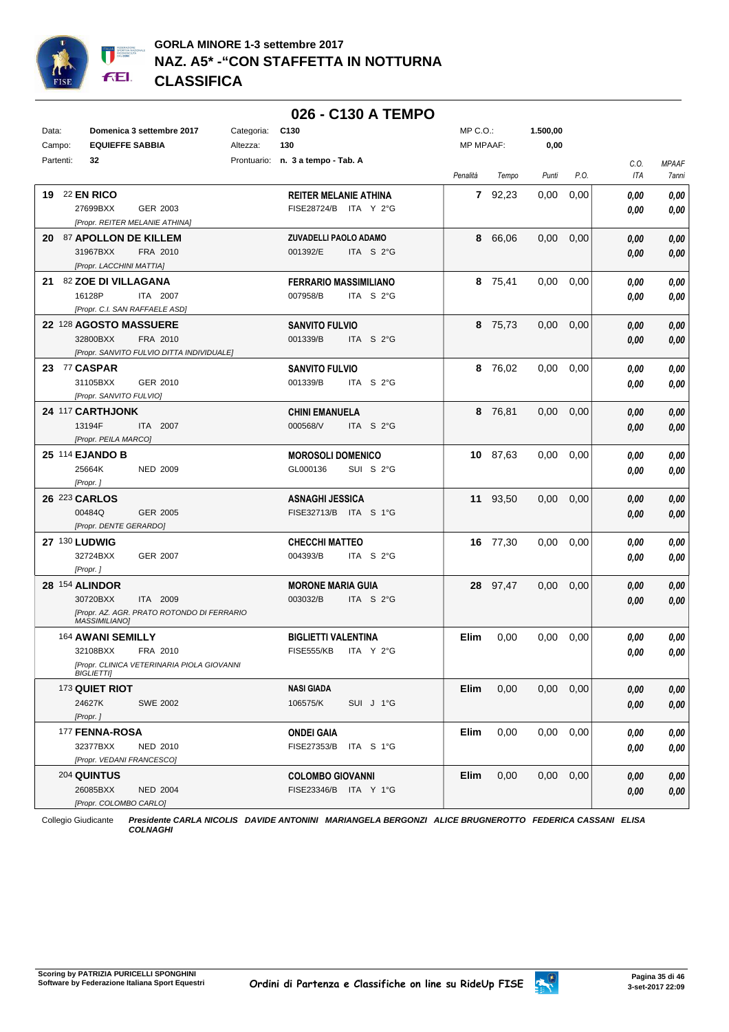

## **026 - C130 A TEMPO**

| Data:<br>Campo: | Domenica 3 settembre 2017<br><b>EQUIEFFE SABBIA</b>                | Categoria:<br>Altezza: | C <sub>130</sub><br>130                               | $MP C. O.$ :<br><b>MP MPAAF:</b> |          | 1.500,00<br>0,00  |      |                    |                       |
|-----------------|--------------------------------------------------------------------|------------------------|-------------------------------------------------------|----------------------------------|----------|-------------------|------|--------------------|-----------------------|
| Partenti:       | 32                                                                 |                        | Prontuario: n. 3 a tempo - Tab. A                     |                                  |          |                   |      |                    |                       |
|                 |                                                                    |                        |                                                       | Penalità                         | Tempo    | Punti             | P.O. | C.O.<br><b>ITA</b> | <b>MPAAF</b><br>7anni |
|                 | <b>19 22 EN RICO</b>                                               |                        | <b>REITER MELANIE ATHINA</b>                          |                                  | 7 92,23  | 0,00              | 0,00 | 0.00               | 0,00                  |
|                 | 27699BXX<br>GER 2003                                               |                        | FISE28724/B ITA Y 2°G                                 |                                  |          |                   |      | 0.00               | 0,00                  |
|                 | [Propr. REITER MELANIE ATHINA]                                     |                        |                                                       |                                  |          |                   |      |                    |                       |
|                 | 20 87 APOLLON DE KILLEM                                            |                        | ZUVADELLI PAOLO ADAMO                                 |                                  | 8 66,06  | 0,00              | 0,00 | 0,00               | 0,00                  |
|                 | 31967BXX<br>FRA 2010                                               |                        | 001392/E<br>ITA S 2°G                                 |                                  |          |                   |      | 0,00               | 0,00                  |
|                 | [Propr. LACCHINI MATTIA]<br>21 82 ZOE DI VILLAGANA                 |                        |                                                       |                                  |          |                   |      |                    |                       |
|                 | 16128P<br>ITA 2007                                                 |                        | <b>FERRARIO MASSIMILIANO</b><br>007958/B<br>ITA S 2°G |                                  | 8 75,41  | 0,00              | 0,00 | 0,00               | 0,00<br>0,00          |
|                 | [Propr. C.I. SAN RAFFAELE ASD]                                     |                        |                                                       |                                  |          |                   |      | 0,00               |                       |
|                 | 22 128 AGOSTO MASSUERE                                             |                        | <b>SANVITO FULVIO</b>                                 |                                  | 8 75,73  | 0,00              | 0.00 | 0,00               | 0,00                  |
|                 | 32800BXX<br>FRA 2010                                               |                        | ITA S 2°G<br>001339/B                                 |                                  |          |                   |      | 0,00               | 0,00                  |
|                 | [Propr. SANVITO FULVIO DITTA INDIVIDUALE]                          |                        |                                                       |                                  |          |                   |      |                    |                       |
|                 | 23 77 CASPAR                                                       |                        | <b>SANVITO FULVIO</b>                                 |                                  | 8 76,02  | 0,00              | 0.00 | 0.00               | 0,00                  |
|                 | 31105BXX<br>GER 2010                                               |                        | 001339/B<br>ITA S 2°G                                 |                                  |          |                   |      | 0.00               | 0,00                  |
|                 | [Propr. SANVITO FULVIO]                                            |                        |                                                       |                                  |          |                   |      |                    |                       |
|                 | 24 117 CARTHJONK                                                   |                        | CHINI EMANUELA                                        |                                  | 8 76,81  | 0,00              | 0,00 | 0.00               | $0,\!00$              |
|                 | 13194F<br>ITA 2007                                                 |                        | 000568/V<br>ITA S 2°G                                 |                                  |          |                   |      | 0.00               | 0,00                  |
|                 | [Propr. PEILA MARCO]                                               |                        |                                                       |                                  |          |                   |      |                    |                       |
|                 | <b>25 114 EJANDO B</b>                                             |                        | <b>MOROSOLI DOMENICO</b>                              |                                  | 10 87,63 | 0,00              | 0.00 | 0.00               | $0,\!00$              |
|                 | 25664K<br><b>NED 2009</b>                                          |                        | GL000136<br>SUI S 2°G                                 |                                  |          |                   |      | 0.00               | 0,00                  |
|                 | [Propr.]                                                           |                        |                                                       |                                  |          |                   |      |                    |                       |
|                 | 26 223 CARLOS<br>00484Q<br>GER 2005                                |                        | <b>ASNAGHI JESSICA</b><br>FISE32713/B ITA S 1°G       |                                  | 11 93,50 | 0,00              | 0,00 | 0.00               | 0,00                  |
|                 | [Propr. DENTE GERARDO]                                             |                        |                                                       |                                  |          |                   |      | 0,00               | 0,00                  |
|                 | 27 130 LUDWIG                                                      |                        | <b>CHECCHI MATTEO</b>                                 |                                  | 16 77,30 | 0,00              | 0.00 | 0,00               | 0,00                  |
|                 | 32724BXX<br><b>GER 2007</b>                                        |                        | ITA S 2°G<br>004393/B                                 |                                  |          |                   |      | 0,00               | 0,00                  |
|                 | [Propr.]                                                           |                        |                                                       |                                  |          |                   |      |                    |                       |
|                 | <b>28 154 ALINDOR</b>                                              |                        | <b>MORONE MARIA GUIA</b>                              |                                  | 28 97,47 | 0,00              | 0,00 | 0,00               | 0,00                  |
|                 | 30720BXX<br>ITA 2009                                               |                        | 003032/B<br>ITA S 2°G                                 |                                  |          |                   |      | 0,00               | 0,00                  |
|                 | [Propr. AZ. AGR. PRATO ROTONDO DI FERRARIO<br><b>MASSIMILIANO]</b> |                        |                                                       |                                  |          |                   |      |                    |                       |
|                 | 164 AWANI SEMILLY                                                  |                        | <b>BIGLIETTI VALENTINA</b>                            | Elim                             | 0,00     | 0,00              | 0,00 | 0.00               | $\it 0,00$            |
|                 | 32108BXX<br>FRA 2010                                               |                        | <b>FISE555/KB</b><br>ITA Y 2°G                        |                                  |          |                   |      | 0.00               | 0,00                  |
|                 | [Propr. CLINICA VETERINARIA PIOLA GIOVANNI                         |                        |                                                       |                                  |          |                   |      |                    |                       |
|                 | BIGLIETTIJ                                                         |                        |                                                       |                                  |          |                   |      |                    |                       |
|                 | 173 QUIET RIOT                                                     |                        | <b>NASI GIADA</b>                                     | Elim                             | 0,00     | $0.00 \quad 0.00$ |      | 0,00               | 0,00                  |
|                 | 24627K<br><b>SWE 2002</b>                                          |                        | 106575/K<br>SUI J 1°G                                 |                                  |          |                   |      | 0,00               | 0,00                  |
|                 | [Propr.]                                                           |                        |                                                       |                                  |          |                   |      |                    |                       |
|                 | 177 FENNA-ROSA                                                     |                        | <b>ONDEI GAIA</b>                                     | Elim                             | 0,00     | $0,00$ $0,00$     |      | 0,00               | 0,00                  |
|                 | 32377BXX<br>NED 2010<br>[Propr. VEDANI FRANCESCO]                  |                        | FISE27353/B ITA S 1°G                                 |                                  |          |                   |      | 0,00               | 0,00                  |
|                 | <b>204 QUINTUS</b>                                                 |                        |                                                       | <b>Elim</b>                      | 0,00     | $0,00$ $0,00$     |      |                    |                       |
|                 | 26085BXX<br><b>NED 2004</b>                                        |                        | <b>COLOMBO GIOVANNI</b><br>FISE23346/B ITA Y 1°G      |                                  |          |                   |      | 0,00               | 0,00                  |
|                 | [Propr. COLOMBO CARLO]                                             |                        |                                                       |                                  |          |                   |      | 0,00               | 0,00                  |

Collegio Giudicante *Presidente CARLA NICOLIS DAVIDE ANTONINI MARIANGELA BERGONZI ALICE BRUGNEROTTO FEDERICA CASSANI ELISA COLNAGHI*

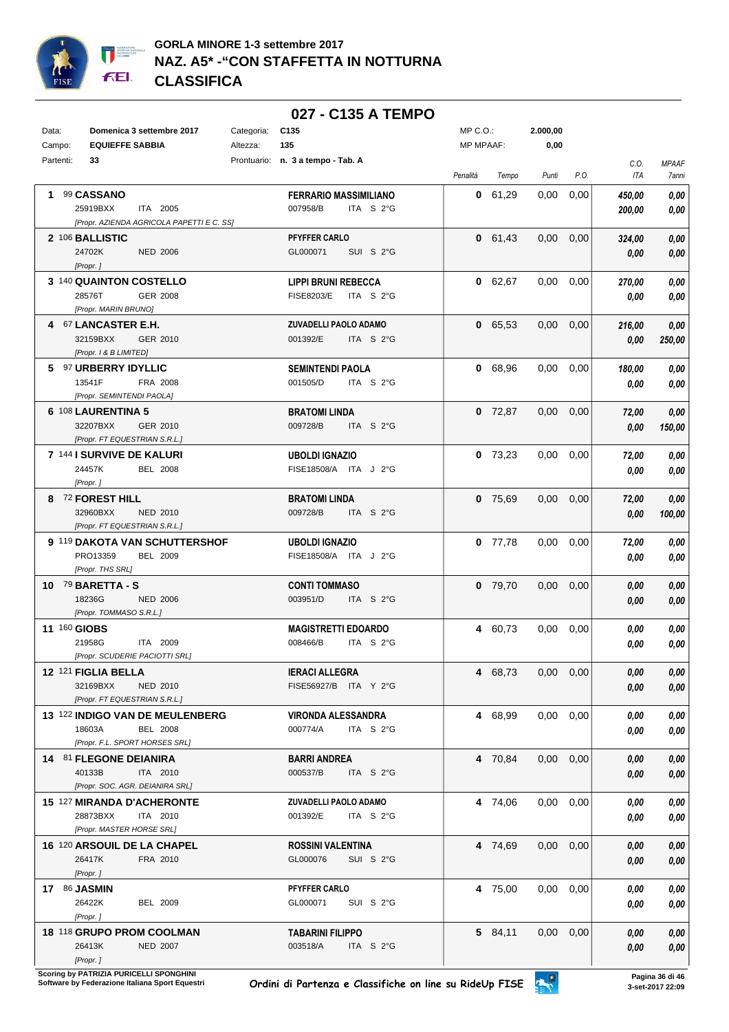

## **027 - C135 A TEMPO**

| Data: | Domenica 3 settembre 2017<br>Categoria:                                                        | C135                                                         | MP C.O.:          | 2.000,00          |                  |                       |
|-------|------------------------------------------------------------------------------------------------|--------------------------------------------------------------|-------------------|-------------------|------------------|-----------------------|
|       | <b>EQUIEFFE SABBIA</b><br>Campo:<br>Altezza:                                                   | 135                                                          | <b>MP MPAAF:</b>  | 0,00              |                  |                       |
|       | Partenti:<br>33                                                                                | Prontuario: n. 3 a tempo - Tab. A                            | Penalità<br>Tempo | Punti<br>P.O.     | C.O.<br>ITA      | <b>MPAAF</b><br>7anni |
|       | 1 99 CASSANO<br>25919BXX<br>ITA 2005<br>[Propr. AZIENDA AGRICOLA PAPETTI E C. SS]              | <b>FERRARIO MASSIMILIANO</b><br>007958/B<br>ITA S 2°G        | 0 61,29           | 0,00<br>0,00      | 450,00<br>200,00 | 0,00<br>0,00          |
|       | 2 106 BALLISTIC<br>24702K<br><b>NED 2006</b><br>[Propr.]                                       | PFYFFER CARLO<br>GL000071<br>SUI S 2°G                       | 0 61,43           | $0.00 \quad 0.00$ | 324,00<br>0,00   | 0,00<br>0,00          |
|       | 3 140 QUAINTON COSTELLO<br>28576T<br>GER 2008<br>[Propr. MARIN BRUNO]                          | <b>LIPPI BRUNI REBECCA</b><br><b>FISE8203/E</b><br>ITA S 2°G | 0 62,67           | $0,00$ $0,00$     | 270,00<br>0.00   | 0,00<br>0,00          |
|       | 4 67 LANCASTER E.H.<br>32159BXX<br>GER 2010<br>[Propr. 1 & B LIMITED]                          | ZUVADELLI PAOLO ADAMO<br>001392/E<br>ITA S 2°G               | 0 65,53           | $0,00$ $0,00$     | 216,00<br>0,00   | 0,00<br>250,00        |
|       | 5 97 URBERRY IDYLLIC<br>13541F<br>FRA 2008<br>[Propr. SEMINTENDI PAOLA]                        | <b>SEMINTENDI PAOLA</b><br>001505/D<br>ITA S 2°G             | 0 68,96           | $0,00$ $0,00$     | 180,00<br>0.00   | 0,00<br>0,00          |
|       | 6 108 LAURENTINA 5<br>32207BXX<br>GER 2010<br>[Propr. FT EQUESTRIAN S.R.L.]                    | <b>BRATOMI LINDA</b><br>009728/B<br>ITA S 2°G                | $0$ 72,87         | $0.00 \quad 0.00$ | 72,00<br>0.00    | 0,00<br>150,00        |
|       | 7 144 I SURVIVE DE KALURI<br>24457K<br><b>BEL 2008</b><br>[Propr.]                             | <b>UBOLDI IGNAZIO</b><br>FISE18508/A ITA J 2°G               | $0$ 73.23         | $0.00 \quad 0.00$ | 72,00<br>0,00    | 0,00<br>0.00          |
|       | 8 72 FOREST HILL<br>32960BXX<br>NED 2010<br>[Propr. FT EQUESTRIAN S.R.L.]                      | <b>BRATOMI LINDA</b><br>009728/B<br>ITA S 2°G                | $0$ 75,69         | $0,00$ $0,00$     | 72,00<br>0.00    | 0,00<br>100,00        |
|       | 9 119 DAKOTA VAN SCHUTTERSHOF<br>PRO13359<br>BEL 2009<br>[Propr. THS SRL]                      | <b>UBOLDI IGNAZIO</b><br>FISE18508/A ITA J 2°G               | 0, 77, 78         | $0.00 \quad 0.00$ | 72,00<br>0.00    | 0,00<br>0,00          |
|       | 10 79 BARETTA - S<br>18236G<br>NED 2006<br>[Propr. TOMMASO S.R.L.]                             | <b>CONTI TOMMASO</b><br>ITA S 2°G<br>003951/D                | $0$ 79,70         | $0,00$ $0,00$     | 0.00<br>0,00     | 0,00<br>0,00          |
|       | 11 160 GIOBS<br>21958G<br>ITA 2009<br>[Propr. SCUDERIE PACIOTTI SRL]                           | <b>MAGISTRETTI EDOARDO</b><br>008466/B<br>ITA $S2°G$         | 4 60,73           | $0,00$ $0,00$     | 0.00<br>0.00     | 0,00<br>0,00          |
|       | 12 <sup>121</sup> FIGLIA BELLA<br>32169BXX<br>NED 2010<br>[Propr. FT EQUESTRIAN S.R.L.]        | <b>IERACI ALLEGRA</b><br>FISE56927/B ITA Y 2°G               | 4 68,73           | $0,00$ $0,00$     | 0,00<br>0,00     | 0,00<br>0,00          |
|       | 13 122 INDIGO VAN DE MEULENBERG<br>18603A<br><b>BEL 2008</b><br>[Propr. F.L. SPORT HORSES SRL] | <b>VIRONDA ALESSANDRA</b><br>000774/A<br>ITA S 2°G           | 4 68,99           | $0,00$ $0,00$     | 0.00<br>0.00     | 0,00<br>0,00          |
|       | 14 81 FLEGONE DEIANIRA<br>40133B<br>ITA 2010<br>[Propr. SOC. AGR. DEIANIRA SRL]                | BARRI ANDREA<br>000537/B<br>ITA $S2$ °G                      | 4 70,84           | $0,00$ $0,00$     | 0,00<br>0,00     | 0,00<br>0,00          |
|       | 15 127 MIRANDA D'ACHERONTE<br>28873BXX<br>ITA 2010<br>[Propr. MASTER HORSE SRL]                | ZUVADELLI PAOLO ADAMO<br>001392/E<br>ITA $S2°G$              | 4 74,06           | $0,00$ $0,00$     | 0.00<br>0,00     | 0,00<br>0,00          |
|       | 16 120 ARSOUIL DE LA CHAPEL<br>26417K<br>FRA 2010<br>[Propr.]                                  | <b>ROSSINI VALENTINA</b><br>GL000076<br>SUI S 2°G            | 4 74,69           | $0,00$ $0,00$     | 0,00<br>0,00     | 0,00<br>0,00          |
|       | <b>17 86 JASMIN</b><br>26422K<br>BEL 2009<br>[Propr.]                                          | PFYFFER CARLO<br>GL000071<br>SUI S 2°G                       | 4 75,00           | $0.00 \quad 0.00$ | 0,00<br>0,00     | 0,00<br>0,00          |
|       | 18 118 GRUPO PROM COOLMAN<br>26413K<br><b>NED 2007</b><br>[Propr.]                             | <b>TABARINI FILIPPO</b><br>003518/A<br>ITA S 2°G             | 5 84,11           | $0,00$ $0,00$     | 0,00<br>0,00     | 0,00<br>0,00          |

**.**<br>Scoring by PATRIZIA PURICELLI SPONGHINI<br>Software by Federazione Italiana Sport Equestri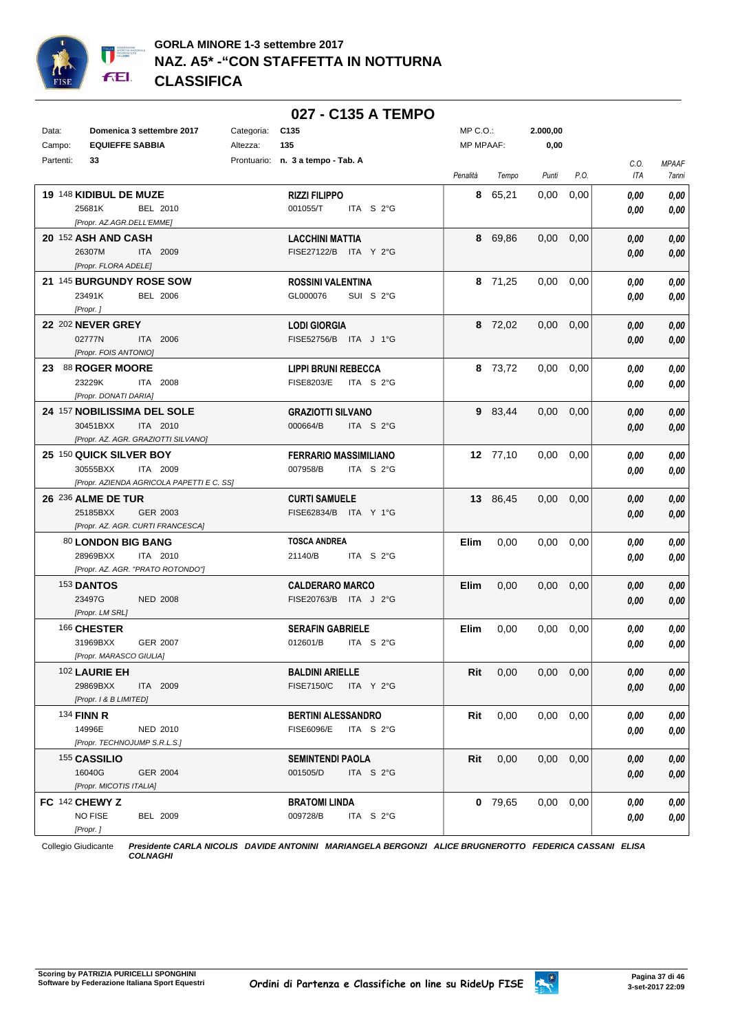

|                                           |                 | 027 - C135 A TEMPO                            |                  |           |                   |      |      |              |
|-------------------------------------------|-----------------|-----------------------------------------------|------------------|-----------|-------------------|------|------|--------------|
| Data:<br>Domenica 3 settembre 2017        | Categoria:      | C <sub>135</sub>                              | MP C.O.:         |           | 2.000,00          |      |      |              |
| <b>EQUIEFFE SABBIA</b><br>Campo:          | Altezza:        | 135                                           | <b>MP MPAAF:</b> |           | 0,00              |      |      |              |
| Partenti:<br>33                           |                 | Prontuario: n. 3 a tempo - Tab. A             |                  |           |                   |      | C.O. | <b>MPAAF</b> |
|                                           |                 |                                               | Penalità         | Tempo     | Punti             | P.O. | ITA  | 7anni        |
| 19 148 KIDIBUL DE MUZE                    |                 | <b>RIZZI FILIPPO</b>                          |                  | 8 65,21   | 0,00              | 0,00 | 0.00 | 0,00         |
| 25681K                                    | BEL 2010        | 001055/T<br>ITA $S2G$                         |                  |           |                   |      | 0,00 | 0,00         |
| [Propr. AZ.AGR.DELL'EMME]                 |                 |                                               |                  |           |                   |      |      |              |
| 20 152 ASH AND CASH                       |                 | <b>LACCHINI MATTIA</b>                        |                  | 8 69,86   | $0,00$ $0,00$     |      | 0,00 | 0,00         |
| 26307M                                    | ITA 2009        | FISE27122/B ITA Y 2°G                         |                  |           |                   |      | 0,00 | 0,00         |
| [Propr. FLORA ADELE]                      |                 |                                               |                  |           |                   |      |      |              |
| 21 145 BURGUNDY ROSE SOW                  |                 | <b>ROSSINI VALENTINA</b>                      |                  | 8 71,25   | 0,00              | 0,00 | 0.00 | 0,00         |
| 23491K                                    | <b>BEL 2006</b> | GL000076<br>SUI S 2°G                         |                  |           |                   |      | 0.00 | 0,00         |
| [Propr.]                                  |                 |                                               |                  |           |                   |      |      |              |
| <b>22 202 NEVER GREY</b>                  |                 | <b>LODI GIORGIA</b>                           |                  | 8 72,02   | $0.00 \quad 0.00$ |      | 0,00 | 0,00         |
| 02777N                                    | ITA 2006        | FISE52756/B ITA J 1°G                         |                  |           |                   |      | 0.00 | 0,00         |
| [Propr. FOIS ANTONIO]                     |                 |                                               |                  |           |                   |      |      |              |
| 23 88 ROGER MOORE                         |                 | <b>LIPPI BRUNI REBECCA</b>                    |                  | 8 73,72   | $0,00$ $0,00$     |      | 0,00 | 0,00         |
| 23229K                                    | ITA 2008        | <b>FISE8203/E</b><br>ITA S 2°G                |                  |           |                   |      | 0.00 | 0,00         |
| [Propr. DONATI DARIA]                     |                 |                                               |                  |           |                   |      |      |              |
| 24 157 NOBILISSIMA DEL SOLE               |                 | <b>GRAZIOTTI SILVANO</b>                      |                  | 9 83,44   | $0,00$ $0,00$     |      | 0,00 | 0,00         |
| 30451BXX                                  | ITA 2010        | 000664/B<br>ITA S 2°G                         |                  |           |                   |      | 0,00 | 0,00         |
| [Propr. AZ. AGR. GRAZIOTTI SILVANO]       |                 | <b>FERRARIO MASSIMILIANO</b>                  |                  |           |                   |      |      |              |
| 25 150 QUICK SILVER BOY<br>30555BXX       | ITA 2009        | 007958/B<br>ITA S 2°G                         |                  | 12 77,10  | $0.00 \quad 0.00$ |      | 0.00 | 0,00         |
| [Propr. AZIENDA AGRICOLA PAPETTI E C. SS] |                 |                                               |                  |           |                   |      | 0.00 | 0,00         |
| <b>26 236 ALME DE TUR</b>                 |                 | <b>CURTI SAMUELE</b>                          |                  | 13 86,45  | $0,00$ $0,00$     |      | 0,00 | 0,00         |
| 25185BXX                                  | GER 2003        | FISE62834/B ITA Y 1°G                         |                  |           |                   |      | 0.00 | 0,00         |
| [Propr. AZ. AGR. CURTI FRANCESCA]         |                 |                                               |                  |           |                   |      |      |              |
| 80 LONDON BIG BANG                        |                 | <b>TOSCA ANDREA</b>                           | <b>Elim</b>      | 0,00      | $0,00$ $0,00$     |      | 0.00 | $\it 0,00$   |
| 28969BXX                                  | ITA 2010        | 21140/B<br>ITA $S2G$                          |                  |           |                   |      | 0.00 | 0,00         |
| [Propr. AZ. AGR. "PRATO ROTONDO"]         |                 |                                               |                  |           |                   |      |      |              |
| <b>153 DANTOS</b>                         |                 | <b>CALDERARO MARCO</b>                        | Elim             | 0,00      | $0,00$ $0,00$     |      | 0,00 | 0,00         |
| 23497G                                    | <b>NED 2008</b> | FISE20763/B ITA J 2°G                         |                  |           |                   |      | 0,00 | 0,00         |
| [Propr. LM SRL]                           |                 |                                               |                  |           |                   |      |      |              |
| 166 CHESTER                               |                 | <b>SERAFIN GABRIELE</b>                       | <b>Elim</b>      | 0,00      | $0.00\,$          | 0,00 | 0.00 | 0,00         |
| 31969BXX                                  | GER 2007        | 012601/B<br>ITA S 2°G                         |                  |           |                   |      | 0,00 | 0,00         |
| [Propr. MARASCO GIULIA]                   |                 |                                               |                  |           |                   |      |      |              |
| 102 LAURIE EH                             |                 | <b>BALDINI ARIELLE</b>                        | Rit              | 0,00      | $0,00$ $0,00$     |      | 0,00 | 0,00         |
| 29869BXX                                  | ITA 2009        | <b>FISE7150/C</b><br>ITA Y 2°G                |                  |           |                   |      | 0,00 | 0,00         |
| [Propr. 1 & B LIMITED]                    |                 |                                               |                  |           |                   |      |      |              |
| 134 <b>FINN R</b>                         |                 | <b>BERTINI ALESSANDRO</b>                     | Rit              | 0,00      | $0,00$ $0,00$     |      | 0,00 | $0,\!00$     |
| 14996E                                    | NED 2010        | <b>FISE6096/E</b><br>ITA S 2°G                |                  |           |                   |      | 0,00 | 0,00         |
| [Propr. TECHNOJUMP S.R.L.S.]              |                 |                                               |                  |           |                   |      |      |              |
| 155 CASSILIO                              |                 | <b>SEMINTENDI PAOLA</b>                       | Rit              | 0,00      | $0,00$ $0,00$     |      | 0,00 | 0,00         |
| 16040G                                    | <b>GER 2004</b> | 001505/D<br>ITA S 2°G                         |                  |           |                   |      | 0,00 | 0,00         |
| [Propr. MICOTIS ITALIA]                   |                 |                                               |                  |           |                   |      |      |              |
| FC 142 CHEWY Z<br><b>NO FISE</b>          | BEL 2009        | <b>BRATOMI LINDA</b><br>009728/B<br>ITA S 2°G |                  | $0$ 79,65 | $0,00$ $0,00$     |      | 0,00 | 0,00         |
| [Propr.]                                  |                 |                                               |                  |           |                   |      | 0,00 | 0,00         |

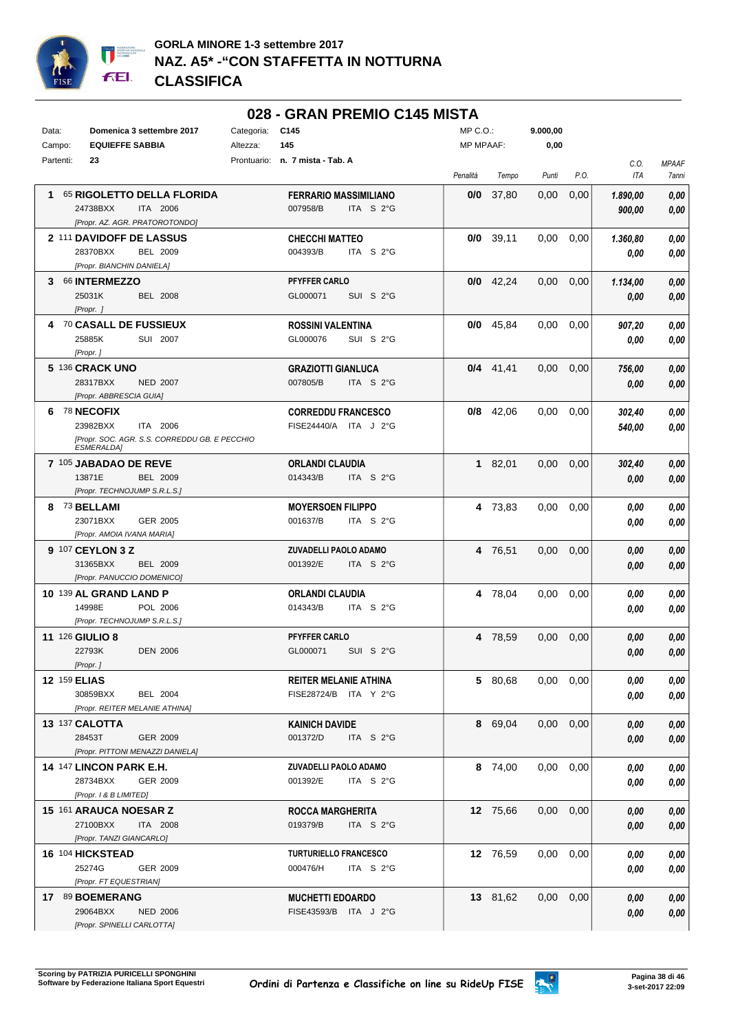

## **028 - GRAN PREMIO C145 MISTA**

| Data:     | Domenica 3 settembre 2017                                                                                  | Categoria: | C145                                                  | MP C.O.:  |             | 9.000,00          |      |                    |                       |
|-----------|------------------------------------------------------------------------------------------------------------|------------|-------------------------------------------------------|-----------|-------------|-------------------|------|--------------------|-----------------------|
| Campo:    | <b>EQUIEFFE SABBIA</b>                                                                                     | Altezza:   | 145                                                   | MP MPAAF: |             | 0,00              |      |                    |                       |
| Partenti: | 23                                                                                                         |            | Prontuario: n. 7 mista - Tab. A                       | Penalità  | Tempo       | Punti             | P.O. | C.0.<br>ITA        | <b>MPAAF</b><br>7anni |
|           | 1 65 RIGOLETTO DELLA FLORIDA<br>24738BXX<br>ITA 2006<br>[Propr. AZ. AGR. PRATOROTONDO]                     |            | <b>FERRARIO MASSIMILIANO</b><br>007958/B<br>ITA S 2°G | 0/0       | 37,80       | 0,00              | 0,00 | 1.890,00<br>900,00 | 0,00<br>0,00          |
|           | 2 111 DAVIDOFF DE LASSUS<br>28370BXX<br><b>BEL 2009</b><br>[Propr. BIANCHIN DANIELA]                       |            | <b>CHECCHI MATTEO</b><br>004393/B<br>ITA $S2G$        |           | $0/0$ 39,11 | 0,00              | 0,00 | 1.360,80<br>0.00   | 0,00<br>0,00          |
|           | 3 66 INTERMEZZO<br>25031K<br><b>BEL 2008</b><br>[Propr. ]                                                  |            | PFYFFER CARLO<br>GL000071<br>SUI S 2°G                |           | $0/0$ 42,24 | 0,00              | 0,00 | 1.134,00<br>0,00   | 0,00<br>0,00          |
|           | 4 70 CASALL DE FUSSIEUX<br>25885K<br>SUI 2007<br>[Propr.]                                                  |            | <b>ROSSINI VALENTINA</b><br>GL000076<br>SUI S 2°G     |           | $0/0$ 45,84 | 0.00              | 0,00 | 907,20<br>0,00     | 0,00<br>0,00          |
|           | 5 136 CRACK UNO<br>28317BXX<br><b>NED 2007</b><br>[Propr. ABBRESCIA GUIA]                                  |            | <b>GRAZIOTTI GIANLUCA</b><br>007805/B<br>ITA S 2°G    |           | $0/4$ 41,41 | 0,00              | 0,00 | 756,00<br>0,00     | 0,00<br>0,00          |
|           | 6 78 NECOFIX<br>23982BXX<br>ITA 2006<br>[Propr. SOC. AGR. S.S. CORREDDU GB. E PECCHIO<br><b>ESMERALDA]</b> |            | <b>CORREDDU FRANCESCO</b><br>FISE24440/A ITA J 2°G    |           | $0/8$ 42,06 | 0,00              | 0,00 | 302,40<br>540,00   | 0,00<br>0,00          |
|           | 7 105 JABADAO DE REVE<br>13871E<br><b>BEL 2009</b><br>[Propr. TECHNOJUMP S.R.L.S.]                         |            | <b>ORLANDI CLAUDIA</b><br>014343/B<br>ITA S 2°G       |           | 182,01      | 0,00              | 0,00 | 302,40<br>0,00     | 0,00<br>0,00          |
|           | 8 73 BELLAMI<br>23071BXX<br>GER 2005<br>[Propr. AMOIA IVANA MARIA]                                         |            | <b>MOYERSOEN FILIPPO</b><br>001637/B<br>ITA $S2G$     |           | 4 73,83     | 0,00              | 0,00 | 0.00<br>0.00       | 0,00<br>0.00          |
|           | 9 107 CEYLON 3 Z<br>31365BXX<br><b>BEL 2009</b><br>[Propr. PANUCCIO DOMENICO]                              |            | ZUVADELLI PAOLO ADAMO<br>001392/E<br>ITA S 2°G        |           | 4 76,51     | 0,00              | 0,00 | 0,00<br>0,00       | 0,00<br>0,00          |
|           | 10 139 AL GRAND LAND P<br>14998E<br>POL 2006<br>[Propr. TECHNOJUMP S.R.L.S.]                               |            | ORLANDI CLAUDIA<br>014343/B<br>ITA $S2G$              |           | 4 78,04     | 0,00              | 0,00 | 0,00<br>0,00       | 0,00<br>0,00          |
|           | <b>11 126 GIULIO 8</b><br>22793K<br><b>DEN 2006</b><br>[Propr. ]                                           |            | PFYFFER CARLO<br>GL000071<br>SUI S 2°G                |           | 4 78,59     | 0,00              | 0,00 | 0,00<br>0,00       | 0,00<br>0,00          |
|           | 12 159 ELIAS<br>30859BXX<br>BEL 2004<br>[Propr. REITER MELANIE ATHINA]                                     |            | <b>REITER MELANIE ATHINA</b><br>FISE28724/B ITA Y 2°G |           | 5 80,68     | $0.00 \quad 0.00$ |      | 0,00<br>0.00       | 0,00<br>0,00          |
|           | 13 137 CALOTTA<br>28453T<br>GER 2009<br>[Propr. PITTONI MENAZZI DANIELA]                                   |            | <b>KAINICH DAVIDE</b><br>001372/D<br>ITA S 2°G        |           | 8 69,04     | $0.00 \quad 0.00$ |      | 0.00<br>0,00       | 0,00<br>0,00          |
|           | <b>14 147 LINCON PARK E.H.</b><br>28734BXX<br>GER 2009<br>[Propr. 1 & B LIMITED]                           |            | <b>ZUVADELLI PAOLO ADAMO</b><br>001392/E<br>ITA S 2°G |           | 8 74,00     | $0,00$ $0,00$     |      | 0.00<br>0,00       | 0,00<br>0,00          |
|           | 15 161 ARAUCA NOESAR Z<br>27100BXX<br>ITA 2008<br>[Propr. TANZI GIANCARLO]                                 |            | <b>ROCCA MARGHERITA</b><br>019379/B<br>ITA S 2°G      |           | 12 75,66    | $0,00$ $0,00$     |      | 0.00<br>0,00       | 0,00<br>0,00          |
|           | 16 104 HICKSTEAD<br>25274G<br>GER 2009<br>[Propr. FT EQUESTRIAN]                                           |            | <b>TURTURIELLO FRANCESCO</b><br>000476/H<br>ITA S 2°G |           | 12 76,59    | $0,00$ $0,00$     |      | 0.00<br>0,00       | 0,00<br>0,00          |
|           | 17 89 BOEMERANG<br>29064BXX<br><b>NED 2006</b><br>[Propr. SPINELLI CARLOTTA]                               |            | <b>MUCHETTI EDOARDO</b><br>FISE43593/B ITA J 2°G      |           | 13 81,62    | $0,00$ $0,00$     |      | 0,00<br>0,00       | 0,00<br>0,00          |

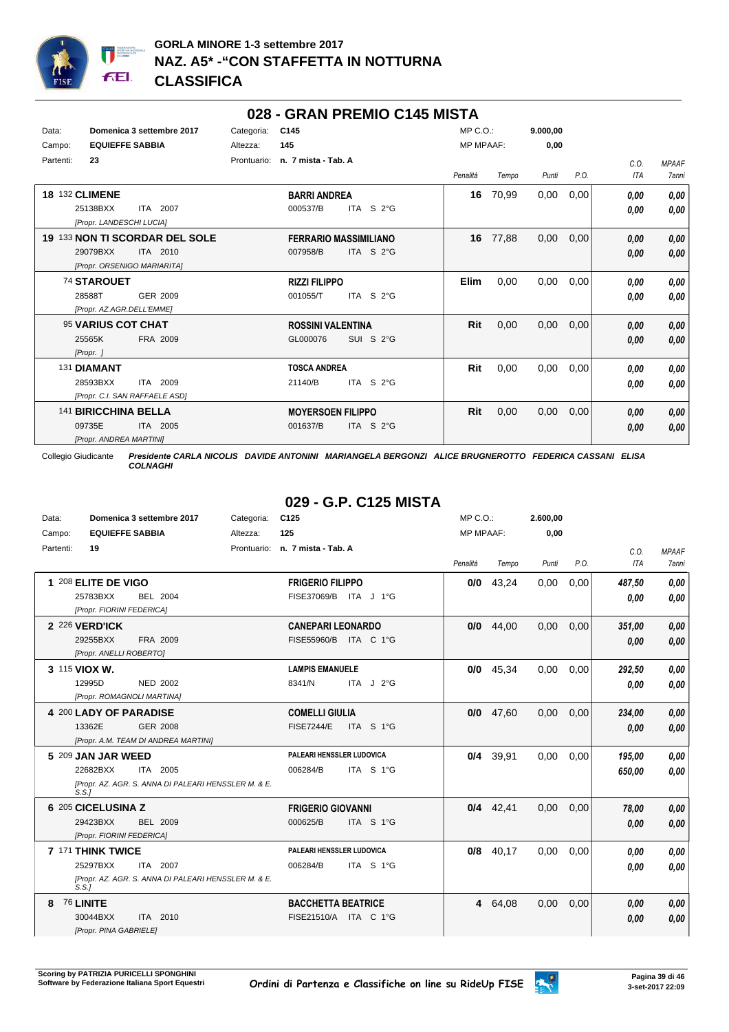

## **028 - GRAN PREMIO C145 MISTA**

| Data:<br>Campo: | <b>EQUIEFFE SABBIA</b>                                        | Domenica 3 settembre 2017                  | Categoria:<br>Altezza: | C <sub>145</sub><br>145                  |                      | $MP C. O.$ :<br><b>MP MPAAF:</b> |       | 9.000.00<br>0,00 |      |              |                       |
|-----------------|---------------------------------------------------------------|--------------------------------------------|------------------------|------------------------------------------|----------------------|----------------------------------|-------|------------------|------|--------------|-----------------------|
| Partenti:       | 23                                                            |                                            | Prontuario:            | n. 7 mista - Tab. A                      |                      | Penalità                         | Tempo | Punti            | P.O. | C.0.<br>ITA  | <b>MPAAF</b><br>7anni |
|                 | <b>18 132 CLIMENE</b><br>25138BXX<br>[Propr. LANDESCHI LUCIA] | ITA 2007                                   |                        | <b>BARRI ANDREA</b><br>000537/B          | ITA S 2°G            | 16                               | 70,99 | 0,00             | 0,00 | 0.00<br>0,00 | 0,00<br>0,00          |
|                 | 29079BXX<br>[Propr. ORSENIGO MARIARITA]                       | 19 133 NON TI SCORDAR DEL SOLE<br>ITA 2010 |                        | <b>FERRARIO MASSIMILIANO</b><br>007958/B | ITA S 2°G            | 16                               | 77,88 | 0,00             | 0,00 | 0,00<br>0,00 | 0,00<br>0,00          |
|                 | <b>74 STAROUET</b><br>28588T<br>[Propr. AZ.AGR.DELL'EMME]     | GER 2009                                   |                        | <b>RIZZI FILIPPO</b><br>001055/T         | ITA S $2^{\circ}$ G  | Elim                             | 0,00  | 0,00             | 0,00 | 0,00<br>0,00 | 0,00<br>0,00          |
|                 | 95 VARIUS COT CHAT<br>25565K<br>[Propr. ]                     | FRA 2009                                   |                        | <b>ROSSINI VALENTINA</b><br>GL000076     | SUI S 2°G            | Rit                              | 0,00  | 0,00             | 0,00 | 0,00<br>0,00 | 0,00<br>0,00          |
|                 | 131 DIAMANT<br>28593BXX<br>[Propr. C.I. SAN RAFFAELE ASD]     | ITA 2009                                   |                        | <b>TOSCA ANDREA</b><br>21140/B           | $ITA$ S $2^{\circ}G$ | Rit                              | 0,00  | 0,00             | 0.00 | 0,00<br>0,00 | 0,00<br>0,00          |
|                 | 141 BIRICCHINA BELLA<br>09735E<br>[Propr. ANDREA MARTINI]     | ITA 2005                                   |                        | <b>MOYERSOEN FILIPPO</b><br>001637/B     | ITA S $2^{\circ}$ G  | Rit                              | 0,00  | 0,00             | 0,00 | 0,00<br>0,00 | 0,00<br>0,00          |

Collegio Giudicante *Presidente CARLA NICOLIS DAVIDE ANTONINI MARIANGELA BERGONZI ALICE BRUGNEROTTO FEDERICA CASSANI ELISA COLNAGHI*

# **029 - G.P. C125 MISTA**

| Data:     | Domenica 3 settembre 2017                                     | Categoria: | C <sub>125</sub>                |                       | $MP C. O.$ :     |             | 2.600,00 |      |            |              |
|-----------|---------------------------------------------------------------|------------|---------------------------------|-----------------------|------------------|-------------|----------|------|------------|--------------|
| Campo:    | <b>EQUIEFFE SABBIA</b>                                        | Altezza:   | 125                             |                       | <b>MP MPAAF:</b> |             | 0,00     |      |            |              |
| Partenti: | 19                                                            |            | Prontuario: n. 7 mista - Tab. A |                       |                  |             |          |      | C.O.       | <b>MPAAF</b> |
|           |                                                               |            |                                 |                       | Penalità         | Tempo       | Punti    | P.O. | <b>ITA</b> | <b>7anni</b> |
|           | 1 208 ELITE DE VIGO                                           |            | <b>FRIGERIO FILIPPO</b>         |                       | 0/0              | 43,24       | 0,00     | 0,00 | 487,50     | 0.00         |
|           | 25783BXX<br><b>BEL 2004</b>                                   |            |                                 | FISE37069/B ITA J 1°G |                  |             |          |      | 0.00       | 0.00         |
|           | [Propr. FIORINI FEDERICA]                                     |            |                                 |                       |                  |             |          |      |            |              |
|           | 2 226 VERD'ICK                                                |            | <b>CANEPARI LEONARDO</b>        |                       | 0/0              | 44.00       | 0,00     | 0,00 | 351,00     | 0.00         |
|           | 29255BXX<br>FRA 2009                                          |            |                                 | FISE55960/B ITA C 1°G |                  |             |          |      | 0,00       | 0.00         |
|           | [Propr. ANELLI ROBERTO]                                       |            |                                 |                       |                  |             |          |      |            |              |
|           | 3 115 VIOX W.                                                 |            | <b>LAMPIS EMANUELE</b>          |                       |                  | $0/0$ 45.34 | 0,00     | 0,00 | 292,50     | 0.00         |
|           | 12995D<br>NED 2002                                            |            | 8341/N                          | ITA J 2°G             |                  |             |          |      | 0.00       | 0.00         |
|           | [Propr. ROMAGNOLI MARTINA]                                    |            |                                 |                       |                  |             |          |      |            |              |
|           | 4 200 LADY OF PARADISE                                        |            | <b>COMELLI GIULIA</b>           |                       | 0/0              | 47.60       | 0,00     | 0.00 | 234,00     | 0,00         |
|           | 13362E<br><b>GER 2008</b>                                     |            | <b>FISE7244/E</b>               | ITA S 1°G             |                  |             |          |      | 0.00       | 0,00         |
|           | [Propr. A.M. TEAM DI ANDREA MARTINI]                          |            |                                 |                       |                  |             |          |      |            |              |
|           | 5 209 JAN JAR WEED                                            |            | PALEARI HENSSLER LUDOVICA       |                       |                  | 0/4 39,91   | 0,00     | 0,00 | 195,00     | 0.00         |
|           | 22682BXX<br>ITA 2005                                          |            | 006284/B                        | ITA S 1°G             |                  |             |          |      | 650,00     | 0.00         |
|           | [Propr. AZ. AGR. S. ANNA DI PALEARI HENSSLER M. & E.<br>S.S.  |            |                                 |                       |                  |             |          |      |            |              |
|           | 6 205 CICELUSINA Z                                            |            | <b>FRIGERIO GIOVANNI</b>        |                       |                  | $0/4$ 42.41 | 0.00     | 0,00 | 78,00      | 0,00         |
|           | 29423BXX<br><b>BEL 2009</b>                                   |            | 000625/B                        | ITA S 1°G             |                  |             |          |      | 0.00       | 0.00         |
|           | [Propr. FIORINI FEDERICA]                                     |            |                                 |                       |                  |             |          |      |            |              |
|           | 7 171 THINK TWICE                                             |            | PALEARI HENSSLER LUDOVICA       |                       | 0/8              | 40.17       | 0,00     | 0.00 | 0.00       | 0,00         |
|           | 25297BXX<br>ITA 2007                                          |            | 006284/B                        | ITA S 1°G             |                  |             |          |      | 0.00       | 0.00         |
|           | [Propr. AZ. AGR. S. ANNA DI PALEARI HENSSLER M. & E.<br>S.S.1 |            |                                 |                       |                  |             |          |      |            |              |
| 8         | 76 LINITE                                                     |            | <b>BACCHETTA BEATRICE</b>       |                       | 4                | 64,08       | 0,00     | 0,00 | 0.00       | 0,00         |
|           | 30044BXX<br>ITA 2010                                          |            |                                 | FISE21510/A ITA C 1°G |                  |             |          |      | 0.00       | 0.00         |
|           | [Propr. PINA GABRIELE]                                        |            |                                 |                       |                  |             |          |      |            |              |

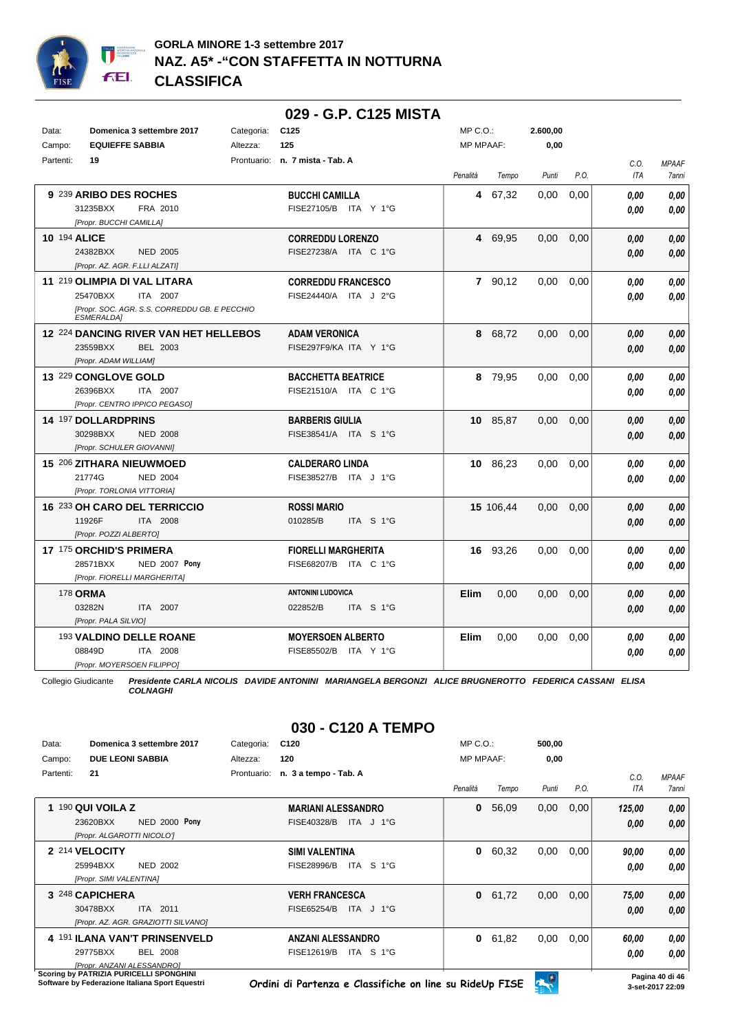

#### **029 - G.P. C125 MISTA** Data: **Domenica 3 settembre 2017** Categoria: C125 Prontuario: **n. 7 mista - Tab. A** Campo: **EQUIEFFE SABBIA** Partenti: **19** Altezza: **125** MP C.O.: MP MPAAF: **2.600,00 0,00** *Penalità Tempo Punti P.O. C.O. ITA MPAAF 7anni* **9** 239 **ARIBO DES ROCHES** FRA 2010 **BUCCHI CAMILLA** *[Propr. BUCCHI CAMILLA]* ITA Y 1°G 31235BXX FISE27105/B *0,00* **4** 67,32 0,00 0,00 *0,00 0,00 0,00* **10** 194 **ALICE** NED 2005 **CORREDDU LORENZO** *[Propr. AZ. AGR. F.LLI ALZATI]* ITA C 1°G 24382BXX FISE27238/A *0,00* **4** 69,95 0,00 0,00 *0,00 0,00 0,00* **11** 219 **OLIMPIA DI VAL LITARA** ITA 2007 **CORREDDU FRANCESCO** *[Propr. SOC. AGR. S.S. CORREDDU GB. E PECCHIO ESMERALDA]* 25470BXX ITA 2007 FISE24440/A ITA J 2°G **0,00 0,00 7** 90,12 0,00 0,00 *0,00 0,00 0,00* **12** 224 **DANCING RIVER VAN HET HELLEBOS** BEL 2003 **ADAM VERONICA** *[Propr. ADAM WILLIAM]* ITA Y 1°G 23559BXX FISE297F9/KA *0,00* **8** 68,72 0,00 0,00 *0,00 0,00 0,00* **13** 229 **CONGLOVE GOLD** ITA 2007 **BACCHETTA BEATRICE** *[Propr. CENTRO IPPICO PEGASO]* 26396BXX ITA 2007 FISE21510/A ITA C 1°G <mark>0,00 0,00</mark> **8** 79,95 0,00 0,00 *0,00 0,00 0,00* **14** 197 **DOLLARDPRINS** NED 2008 **BARBERIS GIULIA** *[Propr. SCHULER GIOVANNI]* ITA S 1°G 30298BXX FISE38541/A *0,00* **10** 85,87 0,00 0,00 *0,00 0,00 0,00* **15** 206 **ZITHARA NIEUWMOED** NED 2004 **CALDERARO LINDA** *[Propr. TORLONIA VITTORIA]* ITA J 1°G 21774G FISE38527/B *0,00* **10** 86,23 0,00 0,00 *0,00 0,00 0,00* **16** 233 **OH CARO DEL TERRICCIO** ITA 2008 **ROSSI MARIO** *[Propr. POZZI ALBERTO]* ITA S 1°G **15** 106,44 0,00 0,00 *0,00 0,00 0,00* 11926F 010285/B *0,00* **17** 175 **ORCHID'S PRIMERA NED 2007 Pony FIORELLI MARGHERITA** *[Propr. FIORELLI MARGHERITA]* ITA C 1°G 28571BXX FISE68207/B *0,00* **Pony 16** 93,26 0,00 0,00 *0,00 0,00 0,00* 178 **ORMA** ITA 2007 **ANTONINI LUDOVICA** *[Propr. PALA SILVIO]* ITA S 1°G **Elim** 0,00 0,00 0,00 *0,00 0,00 0,00* 03282N 022852/B *0,00* 193 **VALDINO DELLE ROANE** ITA 2008 **MOYERSOEN ALBERTO** *[Propr. MOYERSOEN FILIPPO]* ITA Y 1°G 08849D FISE85502/B *0,00* **Elim** 0,00 0,00 0,00 *0,00 0,00 0,00*

Collegio Giudicante *Presidente CARLA NICOLIS DAVIDE ANTONINI MARIANGELA BERGONZI ALICE BRUGNEROTTO FEDERICA CASSANI ELISA*

*COLNAGHI*

# **030 - C120 A TEMPO**

| Data:     | Domenica 3 settembre 2017                      | Categoria:  | C120                        | $MP C. O.$ :     |       | 500,00 |      |        |                 |
|-----------|------------------------------------------------|-------------|-----------------------------|------------------|-------|--------|------|--------|-----------------|
| Campo:    | <b>DUE LEONI SABBIA</b>                        | Altezza:    | 120                         | <b>MP MPAAF:</b> |       | 0,00   |      |        |                 |
| Partenti: | 21                                             | Prontuario: | n. 3 a tempo - Tab. A       |                  |       |        |      | C.O.   | <b>MPAAF</b>    |
|           |                                                |             |                             | Penalità         | Tempo | Punti  | P.O. | ITA    | 7anni           |
|           | $190$ QUI VOILA Z                              |             | <b>MARIANI ALESSANDRO</b>   | 0                | 56,09 | 0,00   | 0,00 | 125,00 | 0,00            |
|           | NED 2000 Pony<br>23620BXX                      |             | FISE40328/B<br>ITA J 1°G    |                  |       |        |      | 0,00   | 0,00            |
|           | [Propr. ALGAROTTI NICOLOT                      |             |                             |                  |       |        |      |        |                 |
|           | 2 214 VELOCITY                                 |             | <b>SIMI VALENTINA</b>       | 0                | 60,32 | 0,00   | 0,00 | 90,00  | 0,00            |
|           | 25994BXX<br><b>NED 2002</b>                    |             | FISE28996/B<br>ITA<br>S 1°G |                  |       |        |      | 0.00   | 0,00            |
|           | [Propr. SIMI VALENTINA]                        |             |                             |                  |       |        |      |        |                 |
|           | 3 248 CAPICHERA                                |             | <b>VERH FRANCESCA</b>       | $\mathbf{0}$     | 61,72 | 0,00   | 0,00 | 75,00  | 0,00            |
|           | 30478BXX<br>ITA 2011                           |             | FISE65254/B<br>ITA J 1°G    |                  |       |        |      | 0,00   | 0.00            |
|           | [Propr. AZ. AGR. GRAZIOTTI SILVANO]            |             |                             |                  |       |        |      |        |                 |
|           | 4 191 ILANA VAN'T PRINSENVELD                  |             | <b>ANZANI ALESSANDRO</b>    | 0                | 61,82 | 0,00   | 0,00 | 60,00  | 0,00            |
|           | 29775BXX<br><b>BEL 2008</b>                    |             | FISE12619/B<br>ITA S 1°G    |                  |       |        |      | 0,00   | 0,00            |
|           | <b>IPropr. ANZANI ALESSANDRO1</b>              |             |                             |                  |       |        |      |        |                 |
|           | <b>Scoring by PATRIZIA PURICELLI SPONGHINI</b> |             |                             |                  |       | ⋒      |      |        | Pagina 40 di 46 |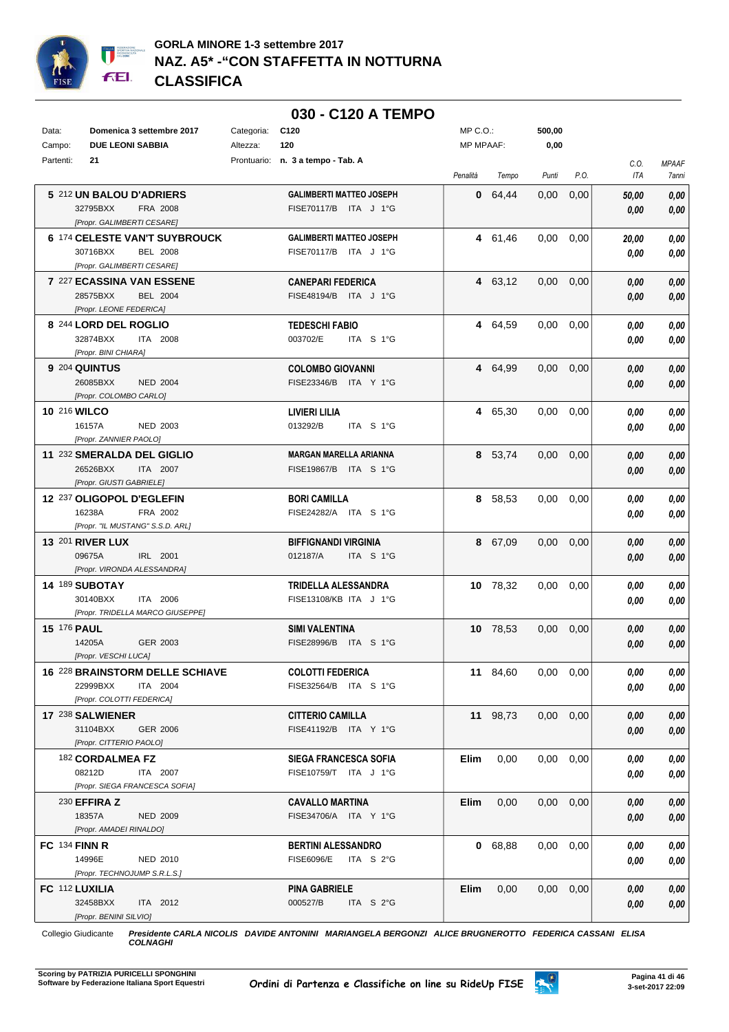

|                    |                                                   |            | 030 - C120 A TEMPO                               |              |          |               |      |              |              |
|--------------------|---------------------------------------------------|------------|--------------------------------------------------|--------------|----------|---------------|------|--------------|--------------|
| Data:              | Domenica 3 settembre 2017                         | Categoria: | C <sub>120</sub>                                 | $MP C. O.$ : |          | 500,00        |      |              |              |
| Campo:             | <b>DUE LEONI SABBIA</b>                           | Altezza:   | 120                                              | MP MPAAF:    |          | 0,00          |      |              |              |
| Partenti:          | 21                                                |            | Prontuario: n. 3 a tempo - Tab. A                |              |          |               |      | C.0.         | <b>MPAAF</b> |
|                    |                                                   |            |                                                  | Penalità     | Tempo    | Punti         | P.O. | ITA          | 7anni        |
|                    | 5 212 UN BALOU D'ADRIERS                          |            | <b>GALIMBERTI MATTEO JOSEPH</b>                  |              | 0 64,44  | 0,00          | 0,00 | 50,00        | 0,00         |
|                    | 32795BXX<br>FRA 2008                              |            | FISE70117/B ITA J 1°G                            |              |          |               |      | 0.00         | 0,00         |
|                    | [Propr. GALIMBERTI CESARE]                        |            |                                                  |              |          |               |      |              |              |
|                    | 6 174 CELESTE VAN'T SUYBROUCK                     |            | <b>GALIMBERTI MATTEO JOSEPH</b>                  |              | 4 61,46  | 0,00          | 0,00 | 20.00        | 0,00         |
|                    | 30716BXX<br><b>BEL 2008</b>                       |            | FISE70117/B ITA J 1°G                            |              |          |               |      | 0.00         | 0,00         |
|                    | [Propr. GALIMBERTI CESARE]                        |            |                                                  |              |          |               |      |              |              |
|                    | 7 227 ECASSINA VAN ESSENE                         |            | <b>CANEPARI FEDERICA</b>                         |              | 4 63,12  | 0,00          | 0,00 | 0.00         | 0,00         |
|                    | 28575BXX<br><b>BEL 2004</b>                       |            | FISE48194/B ITA J 1°G                            |              |          |               |      | 0,00         | 0,00         |
|                    | [Propr. LEONE FEDERICA]                           |            |                                                  |              |          |               |      |              |              |
|                    | 8 244 LORD DEL ROGLIO                             |            | <b>TEDESCHI FABIO</b>                            |              | 4 64,59  | 0.00          | 0,00 | 0.00         | 0,00         |
|                    | 32874BXX<br><b>ITA 2008</b>                       |            | 003702/E<br>ITA S 1°G                            |              |          |               |      | 0.00         | 0,00         |
|                    | [Propr. BINI CHIARA]                              |            |                                                  |              |          |               |      |              |              |
|                    | 9 204 QUINTUS                                     |            | <b>COLOMBO GIOVANNI</b>                          |              | 4 64,99  | $0.00\,$      | 0,00 | 0.00         | 0,00         |
|                    | 26085BXX<br><b>NED 2004</b>                       |            | FISE23346/B ITA Y 1°G                            |              |          |               |      | 0.00         | 0,00         |
|                    | [Propr. COLOMBO CARLO]                            |            |                                                  |              |          |               |      |              |              |
|                    | 10 216 WILCO                                      |            | LIVIERI LILIA                                    |              | 4 65,30  | 0.00          | 0,00 | 0.00         | 0,00         |
|                    | 16157A<br><b>NED 2003</b>                         |            | 013292/B<br>ITA S 1°G                            |              |          |               |      | 0,00         | 0,00         |
|                    | [Propr. ZANNIER PAOLO]                            |            |                                                  |              |          |               |      |              |              |
|                    | 11 232 SMERALDA DEL GIGLIO                        |            | <b>MARGAN MARELLA ARIANNA</b>                    |              | 8 53,74  | $0.00\,$      | 0,00 | 0.00         | 0,00         |
|                    | 26526BXX<br>ITA 2007                              |            | FISE19867/B ITA S 1°G                            |              |          |               |      | 0,00         | 0,00         |
|                    | [Propr. GIUSTI GABRIELE]                          |            |                                                  |              |          |               |      |              |              |
|                    | 12 237 OLIGOPOL D'EGLEFIN                         |            | <b>BORI CAMILLA</b>                              |              | 8 58,53  | 0,00          | 0,00 | 0.00         | 0,00         |
|                    | 16238A<br>FRA 2002                                |            | FISE24282/A ITA S 1°G                            |              |          |               |      | 0,00         | 0,00         |
|                    | [Propr. "IL MUSTANG" S.S.D. ARL]                  |            |                                                  |              |          |               |      |              |              |
|                    | <b>13 201 RIVER LUX</b>                           |            | <b>BIFFIGNANDI VIRGINIA</b>                      |              | 8 67,09  | 0.00          | 0,00 | 0,00         | 0,00         |
|                    | 09675A<br>IRL 2001                                |            | 012187/A<br>ITA S 1°G                            |              |          |               |      | 0.00         | 0,00         |
|                    | [Propr. VIRONDA ALESSANDRA]                       |            |                                                  |              |          |               |      |              |              |
|                    | <b>14 189 SUBOTAY</b>                             |            | TRIDELLA ALESSANDRA                              |              | 10 78,32 | $0,00$ $0,00$ |      | 0.00         | 0,00         |
|                    | 30140BXX<br>ITA 2006                              |            | FISE13108/KB ITA J 1°G                           |              |          |               |      | 0.00         | 0,00         |
|                    | [Propr. TRIDELLA MARCO GIUSEPPE]                  |            |                                                  |              |          |               |      |              |              |
| <b>15 176 PAUL</b> |                                                   |            | <b>SIMI VALENTINA</b>                            |              | 10 78,53 | 0,00          | 0,00 | 0,00         | 0,00         |
|                    | 14205A<br>GER 2003                                |            | FISE28996/B ITA S 1°G                            |              |          |               |      | 0,00         | 0,00         |
|                    | [Propr. VESCHI LUCA]                              |            |                                                  |              |          |               |      |              |              |
|                    | 16 228 BRAINSTORM DELLE SCHIAVE                   |            | <b>COLOTTI FEDERICA</b>                          |              | 11 84,60 | $0,00$ $0,00$ |      | 0,00         | 0,00         |
|                    | ITA 2004<br>22999BXX<br>[Propr. COLOTTI FEDERICA] |            | FISE32564/B ITA S 1°G                            |              |          |               |      | 0,00         | 0,00         |
|                    | 17 238 SALWIENER                                  |            |                                                  |              | 11 98,73 | $0,00$ $0,00$ |      |              |              |
|                    | 31104BXX<br><b>GER 2006</b>                       |            | <b>CITTERIO CAMILLA</b><br>FISE41192/B ITA Y 1°G |              |          |               |      | 0.00<br>0.00 | 0,00<br>0,00 |
|                    | [Propr. CITTERIO PAOLO]                           |            |                                                  |              |          |               |      |              |              |
|                    | 182 CORDALMEA FZ                                  |            | <b>SIEGA FRANCESCA SOFIA</b>                     | Elim         | 0,00     | $0,00$ $0,00$ |      | 0,00         | 0,00         |
|                    | 08212D<br>ITA 2007                                |            | FISE10759/T ITA J 1°G                            |              |          |               |      | 0.00         | 0,00         |
|                    | [Propr. SIEGA FRANCESCA SOFIA]                    |            |                                                  |              |          |               |      |              |              |
|                    | 230 <b>EFFIRA Z</b>                               |            | <b>CAVALLO MARTINA</b>                           | Elim         | 0,00     | $0,00$ $0,00$ |      | 0.00         | 0,00         |
|                    | 18357A<br><b>NED 2009</b>                         |            | FISE34706/A ITA Y 1°G                            |              |          |               |      | 0,00         | 0,00         |
|                    | [Propr. AMADEI RINALDO]                           |            |                                                  |              |          |               |      |              |              |
|                    | FC 134 FINN R                                     |            | <b>BERTINI ALESSANDRO</b>                        |              | 0 68,88  | $0,00$ $0,00$ |      | 0,00         | 0,00         |
|                    | 14996E<br>NED 2010                                |            | FISE6096/E ITA S 2°G                             |              |          |               |      | 0,00         | 0,00         |
|                    | [Propr. TECHNOJUMP S.R.L.S.]                      |            |                                                  |              |          |               |      |              |              |
|                    | FC 112 LUXILIA                                    |            | <b>PINA GABRIELE</b>                             | Elim         | 0,00     | $0,00$ $0,00$ |      | 0,00         | 0,00         |
|                    | 32458BXX<br>ITA 2012                              |            | 000527/B<br>ITA S 2°G                            |              |          |               |      | 0,00         | 0,00         |
|                    | [Propr. BENINI SILVIO]                            |            |                                                  |              |          |               |      |              |              |

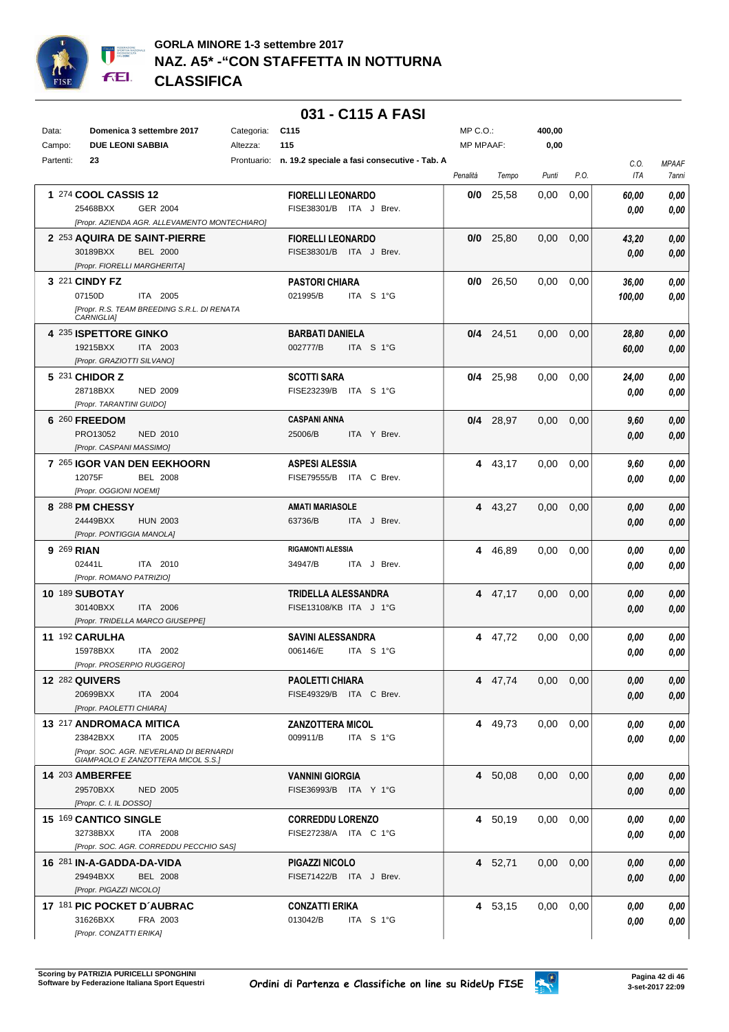

## **GORLA MINORE 1-3 settembre 2017 NAZ. A5\* -"CON STAFFETTA IN NOTTURNA CLASSIFICA**

|           |                              |                                               |             | 031 - C115 A FASI                            |                  |             |                   |      |            |              |
|-----------|------------------------------|-----------------------------------------------|-------------|----------------------------------------------|------------------|-------------|-------------------|------|------------|--------------|
| Data:     |                              | Domenica 3 settembre 2017                     | Categoria:  | C <sub>115</sub>                             | $MP C. O.$ :     |             | 400,00            |      |            |              |
| Campo:    |                              | <b>DUE LEONI SABBIA</b>                       | Altezza:    | 115                                          | <b>MP MPAAF:</b> |             | 0,00              |      |            |              |
| Partenti: | 23                           |                                               | Prontuario: | n. 19.2 speciale a fasi consecutive - Tab. A |                  |             |                   |      | C.0.       | <b>MPAAF</b> |
|           |                              |                                               |             |                                              | Penalità         | Tempo       | Punti             | P.O. | <b>ITA</b> | 7anni        |
|           |                              |                                               |             |                                              |                  |             |                   |      |            |              |
|           | 1 274 COOL CASSIS 12         |                                               |             | <b>FIORELLI LEONARDO</b>                     | 0/0              | 25.58       | 0,00              | 0,00 | 60,00      | 0,00         |
|           | 25468BXX                     | GER 2004                                      |             | FISE38301/B ITA J Brev.                      |                  |             |                   |      | 0.00       | 0.00         |
|           |                              | [Propr. AZIENDA AGR. ALLEVAMENTO MONTECHIARO] |             |                                              |                  |             |                   |      |            |              |
|           |                              | 2 253 AQUIRA DE SAINT-PIERRE                  |             | <b>FIORELLI LEONARDO</b>                     |                  | $0/0$ 25,80 | 0.00              | 0,00 | 43,20      | 0,00         |
|           | 30189BXX                     | <b>BEL 2000</b>                               |             | FISE38301/B ITA J Brev.                      |                  |             |                   |      | 0,00       | 0,00         |
|           |                              | [Propr. FIORELLI MARGHERITA]                  |             |                                              |                  |             |                   |      |            |              |
|           | 3 221 CINDY FZ               |                                               |             | <b>PASTORI CHIARA</b>                        | 0/0              | 26,50       | 0,00              | 0,00 | 36,00      | 0,00         |
|           | 07150D                       | ITA 2005                                      |             | 021995/B<br>ITA S 1°G                        |                  |             |                   |      | 100,00     | 0,00         |
|           | CARNIGLIA]                   | [Propr. R.S. TEAM BREEDING S.R.L. DI RENATA   |             |                                              |                  |             |                   |      |            |              |
|           | <b>4 235 ISPETTORE GINKO</b> |                                               |             | <b>BARBATI DANIELA</b>                       |                  | $0/4$ 24,51 | 0,00              | 0,00 | 28,80      | 0,00         |
|           | 19215BXX                     | ITA 2003                                      |             | 002777/B<br>ITA S 1°G                        |                  |             |                   |      | 60,00      | 0,00         |
|           | [Propr. GRAZIOTTI SILVANO]   |                                               |             |                                              |                  |             |                   |      |            |              |
|           | 5 231 CHIDOR Z               |                                               |             | <b>SCOTTI SARA</b>                           | 0/4              | 25,98       | 0,00              | 0,00 | 24,00      | 0,00         |
|           | 28718BXX                     | <b>NED 2009</b>                               |             | FISE23239/B<br>ITA S 1°G                     |                  |             |                   |      | 0.00       | 0.00         |
|           | [Propr. TARANTINI GUIDO]     |                                               |             |                                              |                  |             |                   |      |            |              |
|           | 6 260 FREEDOM                |                                               |             | <b>CASPANI ANNA</b>                          |                  | $0/4$ 28,97 | 0,00              | 0,00 | 9,60       | 0,00         |
|           | PRO13052                     | <b>NED 2010</b>                               |             | 25006/B<br>ITA Y Brev.                       |                  |             |                   |      | 0,00       | 0,00         |
|           | [Propr. CASPANI MASSIMO]     |                                               |             |                                              |                  |             |                   |      |            |              |
|           |                              | 7 265 IGOR VAN DEN EEKHOORN                   |             | <b>ASPESI ALESSIA</b>                        |                  | 4 43,17     | 0,00              | 0,00 | 9,60       | 0,00         |
|           | 12075F                       | <b>BEL 2008</b>                               |             | FISE79555/B<br>ITA C Brev.                   |                  |             |                   |      | 0.00       | 0.00         |
|           | [Propr. OGGIONI NOEMI]       |                                               |             |                                              |                  |             |                   |      |            |              |
|           | 8 288 PM CHESSY              |                                               |             | <b>AMATI MARIASOLE</b>                       |                  | 4 43,27     | 0,00              | 0,00 | 0.00       | 0,00         |
|           | 24449BXX                     | <b>HUN 2003</b>                               |             | 63736/B<br>ITA J Brev.                       |                  |             |                   |      | 0.00       | 0.00         |
|           | [Propr. PONTIGGIA MANOLA]    |                                               |             |                                              |                  |             |                   |      |            |              |
|           | 9 269 RIAN                   |                                               |             | <b>RIGAMONTI ALESSIA</b>                     | 4                | 46,89       | 0,00              | 0,00 | 0.00       | 0,00         |
|           | 02441L                       | ITA 2010                                      |             | ITA J Brev.<br>34947/B                       |                  |             |                   |      | 0.00       | 0.00         |
|           | [Propr. ROMANO PATRIZIO]     |                                               |             |                                              |                  |             |                   |      |            |              |
|           | <b>10 189 SUBOTAY</b>        |                                               |             | TRIDELLA ALESSANDRA                          |                  | 4 47,17     | 0,00              | 0,00 | 0.00       | 0,00         |
|           | 30140BXX                     | ITA 2006                                      |             | FISE13108/KB ITA J 1°G                       |                  |             |                   |      | 0.00       | 0.00         |
|           |                              | [Propr. TRIDELLA MARCO GIUSEPPE]              |             |                                              |                  |             |                   |      |            |              |
|           | 11 192 CARULHA               |                                               |             | <b>SAVINI ALESSANDRA</b>                     | 4                | 47,72       | 0,00              | 0,00 | 0.00       | 0,00         |
|           | 15978BXX                     | ITA 2002                                      |             | 006146/E<br>ITA S 1°G                        |                  |             |                   |      | 0.00       | 0,00         |
|           |                              | [Propr. PROSERPIO RUGGERO]                    |             |                                              |                  |             |                   |      |            |              |
|           | <b>12 282 QUIVERS</b>        |                                               |             | <b>PAOLETTI CHIARA</b>                       |                  | 4 47,74     | 0,00              | 0,00 | 0,00       | 0,00         |
|           | 20699BXX                     | ITA 2004                                      |             | FISE49329/B ITA C Brev.                      |                  |             |                   |      | 0,00       | 0,00         |
|           | [Propr. PAOLETTI CHIARA]     |                                               |             |                                              |                  |             |                   |      |            |              |
|           | 13 217 ANDROMACA MITICA      |                                               |             | <b>ZANZOTTERA MICOL</b>                      |                  | 4 49,73     | 0.00              | 0,00 | 0.00       | 0,00         |
|           | 23842BXX                     | ITA 2005                                      |             | ITA S 1°G<br>009911/B                        |                  |             |                   |      | 0.00       | 0,00         |
|           |                              | [Propr. SOC. AGR. NEVERLAND DI BERNARDI       |             |                                              |                  |             |                   |      |            |              |
|           |                              | GIAMPAOLO E ZANZOTTERA MICOL S.S.]            |             |                                              |                  |             |                   |      |            |              |
|           | <b>14 203 AMBERFEE</b>       |                                               |             | <b>VANNINI GIORGIA</b>                       |                  | 4 50,08     | $0.00 \quad 0.00$ |      | 0,00       | 0,00         |
|           | 29570BXX                     | <b>NED 2005</b>                               |             | FISE36993/B ITA Y 1°G                        |                  |             |                   |      | 0,00       | 0,00         |
|           | [Propr. C. I. IL DOSSO]      |                                               |             |                                              |                  |             |                   |      |            |              |
|           | 15 169 CANTICO SINGLE        |                                               |             | <b>CORREDDU LORENZO</b>                      |                  | 4 50,19     | $0.00\,$          | 0,00 | 0.00       | 0,00         |
|           | 32738BXX                     | <b>ITA 2008</b>                               |             | FISE27238/A ITA C 1°G                        |                  |             |                   |      | 0.00       | 0,00         |
|           |                              | [Propr. SOC. AGR. CORREDDU PECCHIO SAS]       |             |                                              |                  |             |                   |      |            |              |
|           | 16 281 IN-A-GADDA-DA-VIDA    |                                               |             | <b>PIGAZZI NICOLO</b>                        |                  | 4 52,71     | 0.00              | 0,00 | 0.00       | 0,00         |
|           | 29494BXX                     | <b>BEL 2008</b>                               |             | FISE71422/B ITA J Brev.                      |                  |             |                   |      | 0,00       | 0,00         |
|           | [Propr. PIGAZZI NICOLO]      |                                               |             |                                              |                  |             |                   |      |            |              |
|           |                              | 17 181 PIC POCKET D'AUBRAC                    |             | <b>CONZATTI ERIKA</b>                        |                  | 4 53,15     | 0.00              | 0,00 | 0.00       | 0,00         |
|           | 31626BXX                     | FRA 2003                                      |             | 013042/B<br>ITA S 1°G                        |                  |             |                   |      | 0,00       | 0,00         |
|           | [Propr. CONZATTI ERIKA]      |                                               |             |                                              |                  |             |                   |      |            |              |

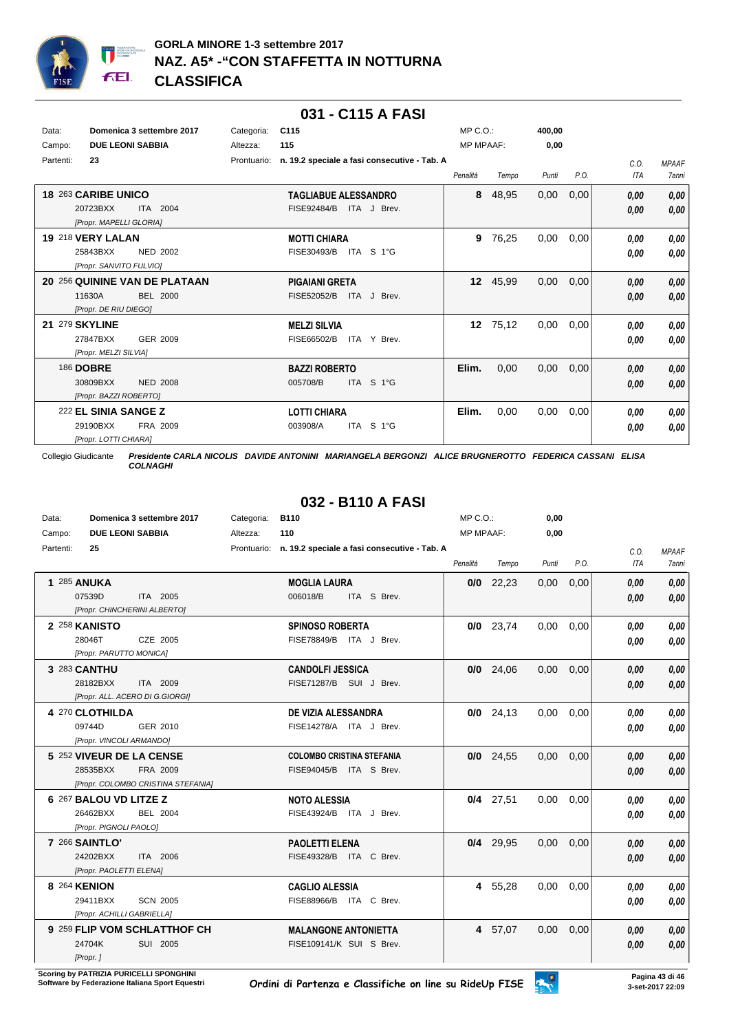

### **031 - C115 A FASI**

| Data:<br>Campo: | Domenica 3 settembre 2017<br><b>DUE LEONI SABBIA</b>                                | Categoria:<br>Altezza: | C <sub>115</sub><br>115                                   | $MP C. O.$ :<br><b>MP MPAAF:</b> |          | 400,00<br>0,00 |      |                    |                              |
|-----------------|-------------------------------------------------------------------------------------|------------------------|-----------------------------------------------------------|----------------------------------|----------|----------------|------|--------------------|------------------------------|
| Partenti:       | 23                                                                                  | Prontuario:            | n. 19.2 speciale a fasi consecutive - Tab. A              | Penalità                         | Tempo    | Punti          | P.O. | C.0.<br><b>ITA</b> | <b>MPAAF</b><br><b>7anni</b> |
|                 | 18 263 CARIBE UNICO<br>20723BXX<br>ITA 2004<br>[Propr. MAPELLI GLORIA]              |                        | <b>TAGLIABUE ALESSANDRO</b><br>FISE92484/B<br>ITA J Brev. | 8                                | 48,95    | 0,00           | 0,00 | 0,00<br>0,00       | 0,00<br>0,00                 |
|                 | 19 218 VERY LALAN<br>25843BXX<br>NED 2002<br>[Propr. SANVITO FULVIO]                |                        | <b>MOTTI CHIARA</b><br>FISE30493/B<br>ITA S 1°G           | 9                                | 76,25    | 0,00           | 0,00 | 0,00<br>0.00       | 0,00<br>0,00                 |
|                 | 20 256 QUININE VAN DE PLATAAN<br><b>BEL 2000</b><br>11630A<br>[Propr. DE RIU DIEGO] |                        | <b>PIGAIANI GRETA</b><br>FISE52052/B<br>ITA J Brev.       | 12 <sup>2</sup>                  | 45,99    | 0.00           | 0,00 | 0.00<br>0,00       | 0,00<br>0,00                 |
| 21              | 279 SKYLINE<br>27847BXX<br>GER 2009<br>[Propr. MELZI SILVIA]                        |                        | <b>MELZI SILVIA</b><br>ITA Y Brev.<br>FISE66502/B         |                                  | 12 75,12 | 0.00           | 0.00 | 0.00<br>0.00       | 0,00<br>0.00                 |
|                 | <b>186 DOBRE</b><br>30809BXX<br><b>NED 2008</b><br>[Propr. BAZZI ROBERTO]           |                        | <b>BAZZI ROBERTO</b><br>ITA S 1°G<br>005708/B             | Elim.                            | 0,00     | 0,00           | 0,00 | 0.00<br>0,00       | 0,00<br>0,00                 |
|                 | 222 EL SINIA SANGE Z<br>FRA 2009<br>29190BXX<br>[Propr. LOTTI CHIARA]               |                        | <b>LOTTI CHIARA</b><br>ITA S 1°G<br>003908/A              | Elim.                            | 0,00     | 0,00           | 0,00 | 0.00<br>0.00       | 0,00<br>0,00                 |

Collegio Giudicante *Presidente CARLA NICOLIS DAVIDE ANTONINI MARIANGELA BERGONZI ALICE BRUGNEROTTO FEDERICA CASSANI ELISA COLNAGHI*

# **032 - B110 A FASI**

| Data:<br>Domenica 3 settembre 2017 |                                                                                        | Categoria: | B110     |                                                             | MP C.O.:         |             | 0,00  |      |                    |                       |
|------------------------------------|----------------------------------------------------------------------------------------|------------|----------|-------------------------------------------------------------|------------------|-------------|-------|------|--------------------|-----------------------|
| Campo:                             | <b>DUE LEONI SABBIA</b>                                                                |            | Altezza: | 110                                                         | <b>MP MPAAF:</b> |             | 0,00  |      |                    |                       |
| Partenti:                          | 25                                                                                     |            |          | Prontuario: n. 19.2 speciale a fasi consecutive - Tab. A    | Penalità         | Tempo       | Punti | P.O. | C.O.<br><b>ITA</b> | <b>MPAAF</b><br>7anni |
|                                    | <b>1 285 ANUKA</b><br>ITA 2005<br>07539D<br>[Propr. CHINCHERINI ALBERTO]               |            |          | <b>MOGLIA LAURA</b><br>006018/B<br>ITA S Brev.              |                  | $0/0$ 22,23 | 0,00  | 0,00 | 0.00<br>0.00       | 0,00<br>0,00          |
|                                    | 2 258 KANISTO<br>28046T<br>CZE 2005<br>[Propr. PARUTTO MONICA]                         |            |          | <b>SPINOSO ROBERTA</b><br>FISE78849/B ITA J Brev.           |                  | $0/0$ 23,74 | 0.00  | 0,00 | 0.00<br>0.00       | 0,00<br>0,00          |
|                                    | 3 283 CANTHU<br>28182BXX<br>ITA 2009<br>[Propr. ALL. ACERO DI G.GIORGI]                |            |          | <b>CANDOLFI JESSICA</b><br>FISE71287/B SUI J Brev.          |                  | $0/0$ 24,06 | 0,00  | 0,00 | 0.00<br>0.00       | 0.00<br>0,00          |
|                                    | 4 270 CLOTHILDA<br>09744D<br>GER 2010<br>[Propr. VINCOLI ARMANDO]                      |            |          | DE VIZIA ALESSANDRA<br>FISE14278/A ITA J Brev.              |                  | $0/0$ 24,13 | 0.00  | 0.00 | 0.00<br>0.00       | 0.00<br>0.00          |
|                                    | 5 252 VIVEUR DE LA CENSE<br>FRA 2009<br>28535BXX<br>[Propr. COLOMBO CRISTINA STEFANIA] |            |          | <b>COLOMBO CRISTINA STEFANIA</b><br>FISE94045/B ITA S Brev. |                  | $0/0$ 24,55 | 0,00  | 0,00 | 0.00<br>0.00       | 0.00<br>0,00          |
|                                    | 6 267 BALOU VD LITZE Z<br>26462BXX<br>BEL 2004<br>[Propr. PIGNOLI PAOLO]               |            |          | <b>NOTO ALESSIA</b><br>FISE43924/B ITA J Brev.              |                  | $0/4$ 27,51 | 0.00  | 0.00 | 0.00<br>0.00       | 0,00<br>0,00          |
|                                    | 7 266 SAINTLO'<br>24202BXX<br>ITA 2006<br>[Propr. PAOLETTI ELENA]                      |            |          | <b>PAOLETTI ELENA</b><br>FISE49328/B ITA C Brev.            |                  | $0/4$ 29,95 | 0,00  | 0,00 | 0,00<br>0.00       | 0,00<br>0,00          |
|                                    | 8 264 KENION<br>29411BXX<br><b>SCN 2005</b><br>[Propr. ACHILLI GABRIELLA]              |            |          | <b>CAGLIO ALESSIA</b><br>FISE88966/B ITA C Brev.            |                  | 4 55.28     | 0.00  | 0.00 | 0.00<br>0.00       | 0.00<br>0.00          |
|                                    | 9 259 FLIP VOM SCHLATTHOF CH<br>24704K<br>SUI 2005<br>[Propr.]                         |            |          | <b>MALANGONE ANTONIETTA</b><br>FISE109141/K SUI S Brev.     |                  | 4 57,07     | 0,00  | 0,00 | 0,00<br>0.00       | 0,00<br>0,00          |

**Scoring by PATRIZIA PURICELLI SPONGHINI<br>Software by Federazione Italiana Sport Equestri** 

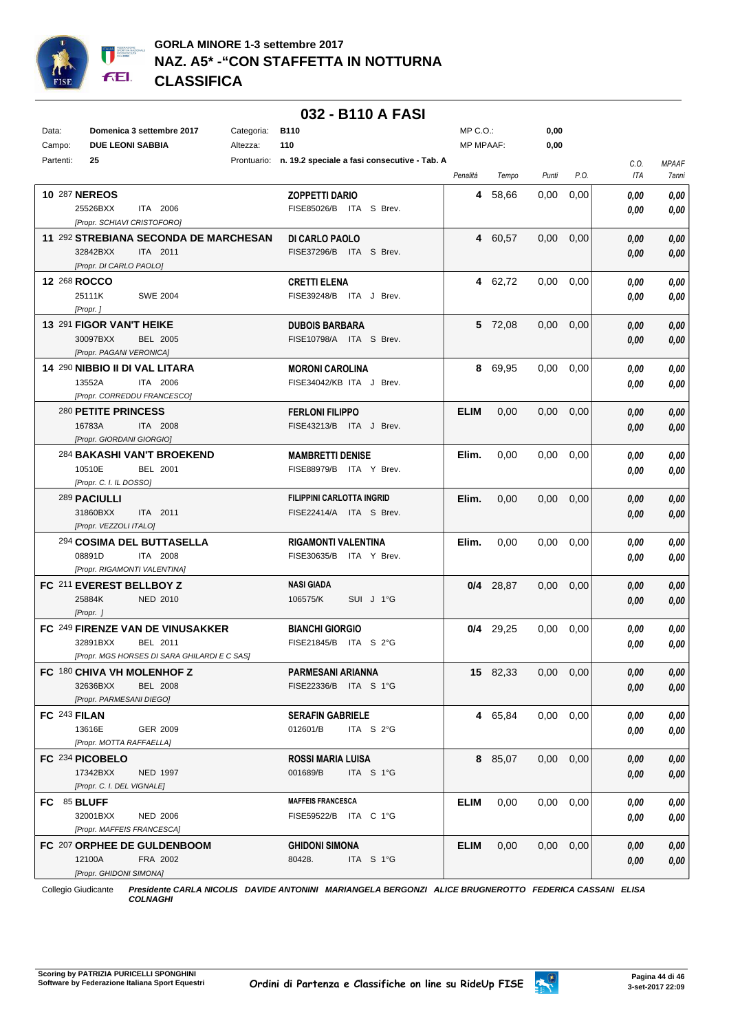

|           |                                                |            | 032 - B110 A FASI                                        |              |             |                   |                   |      |                     |
|-----------|------------------------------------------------|------------|----------------------------------------------------------|--------------|-------------|-------------------|-------------------|------|---------------------|
| Data:     | Domenica 3 settembre 2017                      | Categoria: | <b>B110</b>                                              | $MP C. O.$ : |             | 0,00              |                   |      |                     |
| Campo:    | <b>DUE LEONI SABBIA</b>                        | Altezza:   | 110                                                      | MP MPAAF:    |             | 0,00              |                   |      |                     |
| Partenti: | 25                                             |            | Prontuario: n. 19.2 speciale a fasi consecutive - Tab. A |              |             |                   |                   | C.O. | <b>MPAAF</b>        |
|           |                                                |            |                                                          | Penalità     | Tempo       | Punti             | P.O.              | ITA  | <i><b>7anni</b></i> |
|           | <b>10 287 NEREOS</b>                           |            | <b>ZOPPETTI DARIO</b>                                    |              | 4 58,66     | 0,00              | 0,00              | 0.00 | 0,00                |
|           | 25526BXX<br>ITA 2006                           |            | FISE85026/B ITA S Brev.                                  |              |             |                   |                   | 0.00 | 0.00                |
|           | [Propr. SCHIAVI CRISTOFORO]                    |            |                                                          |              |             |                   |                   |      |                     |
|           | 11 292 STREBIANA SECONDA DE MARCHESAN          |            | DI CARLO PAOLO                                           |              | 4 60,57     | 0,00              | 0,00              | 0,00 | 0,00                |
|           | 32842BXX<br>ITA 2011                           |            | FISE37296/B ITA S Brev.                                  |              |             |                   |                   | 0.00 | 0,00                |
|           | [Propr. DI CARLO PAOLO]                        |            |                                                          |              |             |                   |                   |      |                     |
|           | 12 268 ROCCO                                   |            | <b>CRETTI ELENA</b>                                      |              | 4 62.72     | $0.00\,$          | 0,00              | 0,00 | 0,00                |
|           | 25111K<br><b>SWE 2004</b>                      |            | FISE39248/B ITA J Brev.                                  |              |             |                   |                   | 0.00 | 0,00                |
|           | [Propr.]                                       |            |                                                          |              |             |                   |                   |      |                     |
|           | 13 291 FIGOR VAN'T HEIKE                       |            | <b>DUBOIS BARBARA</b>                                    |              | 5 72,08     | 0.00 <sub>1</sub> | 0,00              | 0,00 | 0,00                |
|           | 30097BXX<br>BEL 2005                           |            | FISE10798/A ITA S Brev.                                  |              |             |                   |                   | 0.00 | 0,00                |
|           | [Propr. PAGANI VERONICA]                       |            |                                                          |              |             |                   |                   |      |                     |
|           | 14 290 NIBBIO II DI VAL LITARA                 |            | <b>MORONI CAROLINA</b>                                   |              | 8 69,95     | $0.00\,$          | 0,00              | 0.00 | 0,00                |
|           | 13552A<br>ITA 2006                             |            | FISE34042/KB ITA J Brev.                                 |              |             |                   |                   | 0.00 | 0,00                |
|           | [Propr. CORREDDU FRANCESCO]                    |            |                                                          |              |             |                   |                   |      |                     |
|           | 280 PETITE PRINCESS<br>16783A                  |            | <b>FERLONI FILIPPO</b>                                   | <b>ELIM</b>  | 0,00        | 0,00              | 0,00              | 0,00 | 0,00                |
|           | ITA 2008<br>[Propr. GIORDANI GIORGIO]          |            | FISE43213/B ITA J Brev.                                  |              |             |                   |                   | 0.00 | 0,00                |
|           | <sup>284</sup> BAKASHI VAN'T BROEKEND          |            | <b>MAMBRETTI DENISE</b>                                  | Elim.        | 0,00        | 0.00              | 0,00              | 0,00 | 0,00                |
|           | 10510E<br><b>BEL 2001</b>                      |            | FISE88979/B ITA Y Brev.                                  |              |             |                   |                   | 0.00 | 0,00                |
|           | [Propr. C. I. IL DOSSO]                        |            |                                                          |              |             |                   |                   |      |                     |
|           | 289 PACIULLI                                   |            | <b>FILIPPINI CARLOTTA INGRID</b>                         | Elim.        | 0,00        | 0,00              | 0,00              | 0,00 | 0,00                |
|           | 31860BXX<br>ITA 2011                           |            | FISE22414/A ITA S Brev.                                  |              |             |                   |                   | 0,00 | 0,00                |
|           | [Propr. VEZZOLI ITALO]                         |            |                                                          |              |             |                   |                   |      |                     |
|           | <sup>294</sup> COSIMA DEL BUTTASELLA           |            | <b>RIGAMONTI VALENTINA</b>                               | Elim.        | 0,00        | 0.00              | 0,00              | 0,00 | 0,00                |
|           | 08891D<br>ITA 2008                             |            | FISE30635/B<br>ITA Y Brev.                               |              |             |                   |                   | 0,00 | 0,00                |
|           | [Propr. RIGAMONTI VALENTINA]                   |            |                                                          |              |             |                   |                   |      |                     |
|           | FC 211 EVEREST BELLBOY Z                       |            | <b>NASI GIADA</b>                                        |              | $0/4$ 28,87 | 0,00              | 0,00              | 0,00 | 0,00                |
|           | 25884K<br><b>NED 2010</b>                      |            | 106575/K<br>SUI J 1°G                                    |              |             |                   |                   | 0,00 | 0,00                |
|           | [Propr.]                                       |            |                                                          |              |             |                   |                   |      |                     |
|           | FC 249 FIRENZE VAN DE VINUSAKKER               |            | <b>BIANCHI GIORGIO</b>                                   |              | $0/4$ 29.25 | 0,00              | 0,00              | 0.00 | 0,00                |
|           | 32891BXX<br>BEL 2011                           |            | FISE21845/B ITA S 2°G                                    |              |             |                   |                   | 0,00 | 0.00                |
|           | [Propr. MGS HORSES DI SARA GHILARDI E C SAS]   |            |                                                          |              |             |                   |                   |      |                     |
|           | FC 180 CHIVA VH MOLENHOF Z                     |            | PARMESANI ARIANNA                                        |              | 15 82,33    |                   | $0,00$ $0,00$     | 0,00 | 0,00                |
|           | 32636BXX<br><b>BEL 2008</b>                    |            | FISE22336/B ITA S 1°G                                    |              |             |                   |                   | 0,00 | 0,00                |
|           | [Propr. PARMESANI DIEGO]                       |            |                                                          |              |             |                   |                   |      |                     |
|           | FC 243 FILAN                                   |            | <b>SERAFIN GABRIELE</b>                                  |              | 4 65,84     |                   | $0.00 \quad 0.00$ | 0,00 | 0,00                |
|           | 13616E<br>GER 2009<br>[Propr. MOTTA RAFFAELLA] |            | 012601/B<br>ITA $S$ 2°G                                  |              |             |                   |                   | 0,00 | 0,00                |
|           | FC 234 PICOBELO                                |            |                                                          |              |             |                   | $0.00 \quad 0.00$ |      |                     |
|           | 17342BXX<br>NED 1997                           |            | <b>ROSSI MARIA LUISA</b><br>001689/B<br>ITA S 1°G        |              | 8 85,07     |                   |                   | 0,00 | 0,00                |
|           | [Propr. C. I. DEL VIGNALE]                     |            |                                                          |              |             |                   |                   | 0,00 | 0,00                |
|           | FC 85 BLUFF                                    |            | <b>MAFFEIS FRANCESCA</b>                                 | <b>ELIM</b>  | 0,00        | $0,00$ $0,00$     |                   | 0,00 | 0,00                |
|           | 32001BXX<br><b>NED 2006</b>                    |            | FISE59522/B ITA C 1°G                                    |              |             |                   |                   | 0,00 | 0,00                |
|           | [Propr. MAFFEIS FRANCESCA]                     |            |                                                          |              |             |                   |                   |      |                     |
|           | FC 207 ORPHEE DE GULDENBOOM                    |            | <b>GHIDONI SIMONA</b>                                    | <b>ELIM</b>  | 0,00        | $0,00$ $0,00$     |                   | 0,00 | 0,00                |
|           | 12100A<br>FRA 2002                             |            | 80428.<br>ITA S 1°G                                      |              |             |                   |                   | 0,00 | 0,00                |
|           | [Propr. GHIDONI SIMONA]                        |            |                                                          |              |             |                   |                   |      |                     |

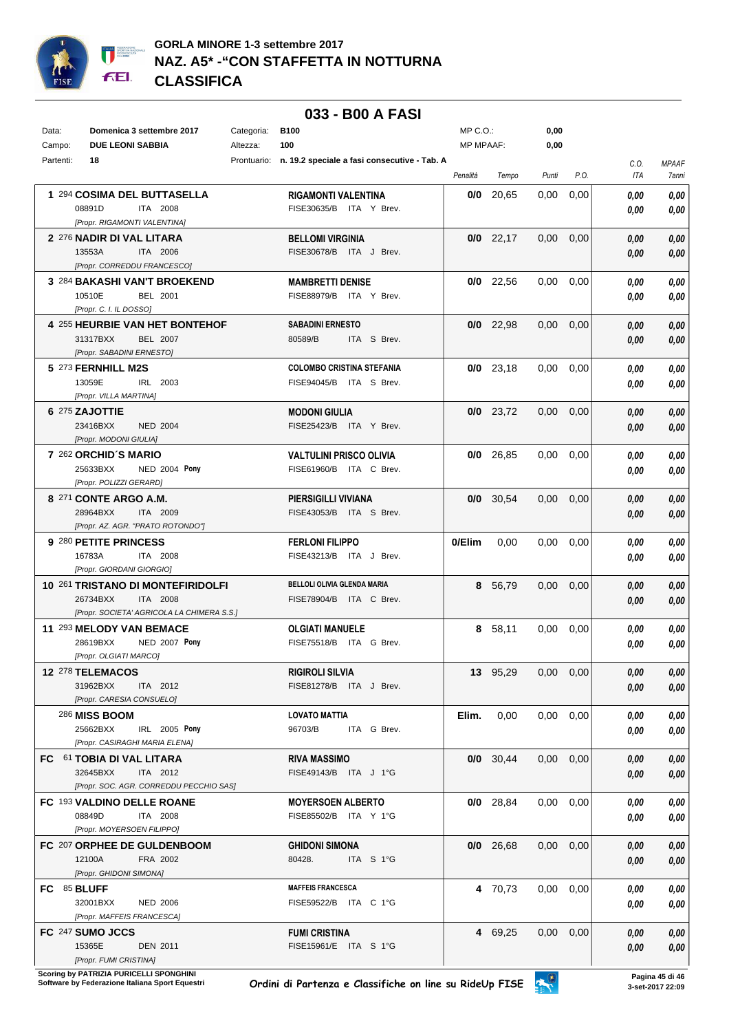

|             |                                                                        |  | 033 - B00 A FASI                                         |                  |             |                   |                   |             |                       |
|-------------|------------------------------------------------------------------------|--|----------------------------------------------------------|------------------|-------------|-------------------|-------------------|-------------|-----------------------|
| Data:       | Domenica 3 settembre 2017                                              |  | <b>B100</b><br>Categoria:                                |                  | MP C.O.:    | 0,00              |                   |             |                       |
| Campo:      | <b>DUE LEONI SABBIA</b><br>Altezza:                                    |  | 100                                                      | <b>MP MPAAF:</b> |             | 0,00              |                   |             |                       |
| Partenti:   | 18                                                                     |  | Prontuario: n. 19.2 speciale a fasi consecutive - Tab. A | Penalità         | Tempo       | Punti             | P.O.              | C.O.<br>ITA | <b>MPAAF</b><br>7anni |
|             | 1 294 COSIMA DEL BUTTASELLA                                            |  | <b>RIGAMONTI VALENTINA</b>                               | 0/0              | 20.65       | 0,00              | 0,00              | 0.00        | 0,00                  |
|             | 08891D<br><b>ITA 2008</b>                                              |  | FISE30635/B ITA Y Brev.                                  |                  |             |                   |                   | 0.00        | 0,00                  |
|             | [Propr. RIGAMONTI VALENTINA]                                           |  |                                                          |                  |             |                   |                   |             |                       |
|             | 2 276 NADIR DI VAL LITARA                                              |  | <b>BELLOMI VIRGINIA</b>                                  |                  | $0/0$ 22.17 | 0,00              | 0,00              | 0.00        | 0,00                  |
|             | 13553A<br>ITA 2006<br>[Propr. CORREDDU FRANCESCO]                      |  | FISE30678/B ITA J Brev.                                  |                  |             |                   |                   | 0,00        | 0,00                  |
|             | 3 284 BAKASHI VAN'T BROEKEND                                           |  | <b>MAMBRETTI DENISE</b>                                  |                  | $0/0$ 22,56 | 0.00              | 0,00              | 0.00        | 0,00                  |
|             | 10510E<br><b>BEL 2001</b>                                              |  | FISE88979/B ITA Y Brev.                                  |                  |             |                   |                   | 0.00        | 0,00                  |
|             | [Propr. C. I. IL DOSSO]                                                |  |                                                          |                  |             |                   |                   |             |                       |
|             | 4 255 HEURBIE VAN HET BONTEHOF                                         |  | <b>SABADINI ERNESTO</b>                                  |                  | $0/0$ 22,98 | 0,00              | 0,00              | 0.00        | 0,00                  |
|             | 31317BXX<br><b>BEL 2007</b>                                            |  | 80589/B<br>ITA S Brev.                                   |                  |             |                   |                   | 0,00        | 0,00                  |
|             | [Propr. SABADINI ERNESTO]                                              |  |                                                          |                  |             |                   |                   |             |                       |
|             | 5 273 FERNHILL M2S                                                     |  | <b>COLOMBO CRISTINA STEFANIA</b>                         |                  | $0/0$ 23,18 | 0,00              | 0,00              | 0,00        | 0,00                  |
|             | 13059E<br>IRL 2003<br>[Propr. VILLA MARTINA]                           |  | FISE94045/B ITA S Brev.                                  |                  |             |                   |                   | 0,00        | 0,00                  |
|             | 6 275 ZAJOTTIE                                                         |  | <b>MODONI GIULIA</b>                                     |                  | $0/0$ 23.72 | 0.00              | 0,00              | 0,00        | 0,00                  |
|             | 23416BXX<br><b>NED 2004</b>                                            |  | FISE25423/B ITA Y Brev.                                  |                  |             |                   |                   | 0,00        | 0,00                  |
|             | [Propr. MODONI GIULIA]                                                 |  |                                                          |                  |             |                   |                   |             |                       |
|             | 7 262 ORCHID'S MARIO                                                   |  | <b>VALTULINI PRISCO OLIVIA</b>                           |                  | $0/0$ 26,85 | 0,00              | 0,00              | 0.00        | 0,00                  |
|             | 25633BXX<br><b>NED 2004 Pony</b>                                       |  | FISE61960/B ITA C Brev.                                  |                  |             |                   |                   | 0,00        | 0,00                  |
|             | [Propr. POLIZZI GERARD]                                                |  |                                                          |                  |             |                   |                   |             |                       |
|             | 8 271 CONTE ARGO A.M.<br>28964BXX<br>ITA 2009                          |  | PIERSIGILLI VIVIANA<br>FISE43053/B ITA S Brev.           |                  | $0/0$ 30,54 | 0.00              | 0,00              | 0,00        | 0,00                  |
|             | [Propr. AZ. AGR. "PRATO ROTONDO"]                                      |  |                                                          |                  |             |                   |                   | 0,00        | 0,00                  |
|             | 9 280 PETITE PRINCESS                                                  |  | <b>FERLONI FILIPPO</b>                                   | 0/Elim           | 0,00        | 0,00              | 0,00              | 0.00        | 0,00                  |
|             | 16783A<br>ITA 2008                                                     |  | FISE43213/B ITA J Brev.                                  |                  |             |                   |                   | 0,00        | 0,00                  |
|             | [Propr. GIORDANI GIORGIO]                                              |  |                                                          |                  |             |                   |                   |             |                       |
|             | 10 261 TRISTANO DI MONTEFIRIDOLFI                                      |  | BELLOLI OLIVIA GLENDA MARIA                              |                  | 8 56.79     | 0.00 <sub>1</sub> | 0,00              | 0.00        | 0,00                  |
|             | 26734BXX<br><b>ITA 2008</b>                                            |  | FISE78904/B ITA C Brev.                                  |                  |             |                   |                   | 0,00        | 0,00                  |
|             | [Propr. SOCIETA' AGRICOLA LA CHIMERA S.S.]<br>11 293 MELODY VAN BEMACE |  | <b>OLGIATI MANUELE</b>                                   |                  | 8 58,11     | 0,00              | 0,00              | 0.00        | 0,00                  |
|             | 28619BXX<br><b>NED 2007 Pony</b>                                       |  | FISE75518/B ITA G Brev.                                  |                  |             |                   |                   | 0.00        | 0,00                  |
|             | [Propr. OLGIATI MARCO]                                                 |  |                                                          |                  |             |                   |                   |             |                       |
|             | 12 278 TELEMACOS                                                       |  | <b>RIGIROLI SILVIA</b>                                   |                  | 13 95,29    |                   | $0.00 \quad 0.00$ | 0.00        | 0,00                  |
|             | 31962BXX<br>ITA 2012                                                   |  | FISE81278/B ITA J Brev.                                  |                  |             |                   |                   | 0,00        | 0,00                  |
|             | [Propr. CARESIA CONSUELO]                                              |  |                                                          |                  |             |                   |                   |             |                       |
|             | <b>286 MISS BOOM</b>                                                   |  | <b>LOVATO MATTIA</b>                                     | Elim.            | 0,00        |                   | $0.00 \quad 0.00$ | 0,00        | 0,00                  |
|             | 25662BXX<br>IRL 2005 Pony<br>[Propr. CASIRAGHI MARIA ELENA]            |  | 96703/B<br>ITA G Brev.                                   |                  |             |                   |                   | 0,00        | 0,00                  |
|             | FC 61 TOBIA DI VAL LITARA                                              |  | <b>RIVA MASSIMO</b>                                      |                  | $0/0$ 30,44 |                   | $0.00 \quad 0.00$ | 0,00        | 0,00                  |
|             | 32645BXX<br>ITA 2012                                                   |  | FISE49143/B ITA J 1°G                                    |                  |             |                   |                   | 0,00        | 0,00                  |
|             | [Propr. SOC. AGR. CORREDDU PECCHIO SAS]                                |  |                                                          |                  |             |                   |                   |             |                       |
|             | FC 193 VALDINO DELLE ROANE                                             |  | <b>MOYERSOEN ALBERTO</b>                                 |                  | $0/0$ 28,84 |                   | $0.00 \quad 0.00$ | 0,00        | $0,\!00$              |
|             | 08849D<br>ITA 2008                                                     |  | FISE85502/B ITA Y 1°G                                    |                  |             |                   |                   | 0,00        | 0,00                  |
|             | [Propr. MOYERSOEN FILIPPO]                                             |  |                                                          |                  |             |                   |                   |             |                       |
|             | FC 207 ORPHEE DE GULDENBOOM<br>12100A<br>FRA 2002                      |  | <b>GHIDONI SIMONA</b><br>80428.<br>ITA S 1°G             |                  | $0/0$ 26,68 |                   | $0.00 \quad 0.00$ | 0,00        | 0,00                  |
|             | [Propr. GHIDONI SIMONA]                                                |  |                                                          |                  |             |                   |                   | 0,00        | 0,00                  |
| FC 85 BLUFF |                                                                        |  | <b>MAFFEIS FRANCESCA</b>                                 |                  | 4 70,73     |                   | $0.00 \quad 0.00$ | 0,00        | 0,00                  |
|             | 32001BXX<br><b>NED 2006</b>                                            |  | FISE59522/B ITA C 1°G                                    |                  |             |                   |                   | 0,00        | 0,00                  |
|             | [Propr. MAFFEIS FRANCESCA]                                             |  |                                                          |                  |             |                   |                   |             |                       |
|             | FC 247 SUMO JCCS                                                       |  | <b>FUMI CRISTINA</b>                                     |                  | 4 69,25     | $0,00$ $0,00$     |                   | 0,00        | 0,00                  |
|             | 15365E<br><b>DEN 2011</b>                                              |  | FISE15961/E ITA S 1°G                                    |                  |             |                   |                   | 0,00        | 0,00                  |
|             | [Propr. FUMI CRISTINA]                                                 |  |                                                          |                  |             |                   |                   |             |                       |

**Scoring by PATRIZIA PURICELLI SPONGHINI<br>Software by Federazione Italiana Sport Equestri**